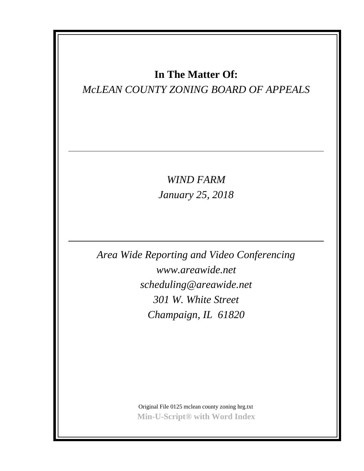## **In The Matter Of:**

## *McLEAN COUNTY ZONING BOARD OF APPEALS*

*WIND FARM January 25, 2018*

*Area Wide Reporting and Video Conferencing www.areawide.net scheduling@areawide.net 301 W. White Street Champaign, IL 61820*

> Original File 0125 mclean county zoning hrg.txt **Min-U-Script® with Word Index**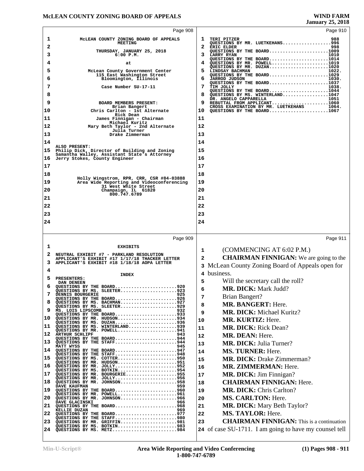|          | Page 908                                                                                                           |        | Page 910                                                                                                   |  |
|----------|--------------------------------------------------------------------------------------------------------------------|--------|------------------------------------------------------------------------------------------------------------|--|
| 1        | MCLEAN COUNTY ZONING BOARD OF APPEALS                                                                              | ı      | 988<br>TERI PITZER                                                                                         |  |
| 2        | <b>MEETING</b>                                                                                                     |        | QUESTIONS BY MR. LUETKEHANS996<br>ERIC ELDER<br>998                                                        |  |
| 3        | THURSDAY, JANUARY 25, 2018<br>$6:00$ $P.M.$                                                                        |        | QUESTIONS BY THE BOARD1009<br><b>LARRY RYAN</b><br>1010                                                    |  |
| 4        | at                                                                                                                 |        | QUESTIONS BY THE BOARD1014<br>QUESTIONS BY MR. POWELL1019                                                  |  |
| 5        | McLean County Government Center                                                                                    | 5.     | QUESTIONS BY MR. DUZAN1020<br>LINDSAY BACHMAN<br>1022.                                                     |  |
| 6        | 115 East Washington Street<br>Bloomington, Illinois                                                                | 6      | QUESTIONS BY THE BOARD1029<br><b>JARROD JUDSON</b><br>1030.                                                |  |
| 7        | Case Number SU-17-11                                                                                               | 7      | QUESTIONS BY THE BOARD1037<br>1038.<br>TIM JOLLY                                                           |  |
| 8        |                                                                                                                    | 8      | QUESTIONS BY THE BOARD1044<br>QUESTIONS BY MS. WINTERLAND1047                                              |  |
| 9        | BOARD MEMBERS PRESENT:                                                                                             | 9      | DR. ANGELO CAPPARELLA<br>DR. ANGELO CAPPARELLA 1051<br>REBUTTAL FROM APPLICANT1060                         |  |
| 10       | Brian Bangert<br>Chris Carlton - 1st Alternate                                                                     | 10     | CROSS EXAMINATION BY MR. LUETKEHANS<br>1064.<br>OUESTIONS BY THE BOARD1067                                 |  |
| 11       | Rick Dean<br>James Finnigan - Chairman                                                                             | 11     |                                                                                                            |  |
| 12       | Michael Kuritz<br>Mary Beth Taylor - 2nd Alternate                                                                 | 12     |                                                                                                            |  |
| 13       | Julia Turner<br>Drake Zimmerman                                                                                    | 13     |                                                                                                            |  |
| 14       |                                                                                                                    | 14     |                                                                                                            |  |
|          | ALSO PRESENT:                                                                                                      |        |                                                                                                            |  |
| 15       | Philip Dick, Director of Building and Zoning<br>Samantha Walley, Assistant State's Attorney                        | 15     |                                                                                                            |  |
| 16       | Jerry Stokes, County Engineer                                                                                      | 16     |                                                                                                            |  |
| 17       |                                                                                                                    | 17     |                                                                                                            |  |
| 18       | Holly Wingstrom, RPR, CRR, CSR #84-03888                                                                           | 18     |                                                                                                            |  |
| 19       | Area Wide Reporting and Videoconferencing<br>31 West White Street                                                  | 19     |                                                                                                            |  |
| 20       | Champaign, IL 61820<br>800.747.6789                                                                                | 20     |                                                                                                            |  |
| 21       |                                                                                                                    | 21     |                                                                                                            |  |
| 22       |                                                                                                                    | 22     |                                                                                                            |  |
| 23       |                                                                                                                    | 23     |                                                                                                            |  |
| 24       |                                                                                                                    | 24     |                                                                                                            |  |
|          |                                                                                                                    |        |                                                                                                            |  |
|          |                                                                                                                    |        |                                                                                                            |  |
|          | Page 909                                                                                                           |        | Page 911                                                                                                   |  |
| 1        | <b>EXHIBITS</b>                                                                                                    | 1      |                                                                                                            |  |
|          | NEUTRAL EXHIBIT #7 - PARKLAND RESOLUTION<br>APPLICANT'S EXHIBIT #17 1/17/18 THACKER LETTER                         | 2      | (COMMENCING AT 6:02 P.M.)                                                                                  |  |
| з        | APPLICANT'S EXHIBIT #18 1/18/18 AOPA LETTER                                                                        |        | <b>CHAIRMAN FINNIGAN:</b> We are going to the                                                              |  |
| 4        |                                                                                                                    |        | 3 McLean County Zoning Board of Appeals open for<br>4 business.                                            |  |
| 5        | <b>INDEX</b><br>PRESENTERS:                                                                                        |        |                                                                                                            |  |
| 6        | DAN DENEEN<br>QUESTIONS BY THE BOARD920                                                                            | 5<br>6 | Will the secretary call the roll?                                                                          |  |
|          | QUESTIONS BY MS. SLEETER923<br>925<br>DENNIS BOURGERIE                                                             |        | MR. DICK: Mark Judd?                                                                                       |  |
| 8        | QUESTIONS BY THE BOARD926<br>QUESTIONS BY MS. BACHMAN927                                                           | 7      | <b>Brian Bangert?</b>                                                                                      |  |
| 9        | QUESTIONS BY MS. SLEETER929<br>MS. LOIS LIPSCOMB<br>932                                                            | 8      | MR. BANGERT: Here.                                                                                         |  |
| 10       | QUESTIONS BY THE BOARD933<br>QUESTIONS BY MR. HUDSON934                                                            | 9      | <b>MR. DICK:</b> Michael Kuritz?                                                                           |  |
| 11       | QUESTIONS BY MS. DUZAN936<br>QUESTIONS BY MS. WINTERLAND939                                                        | 10     | <b>MR. KURTIZ: Here.</b>                                                                                   |  |
| 12       | QUESTIONS BY MR. POWELL941<br><b>ARTHUR SCHLIPF</b>                                                                | 11     | <b>MR. DICK: Rick Dean?</b>                                                                                |  |
|          | QUESTIONS BY THE BOARD944                                                                                          | 12     | MR. DEAN: Here.                                                                                            |  |
| 13       | QUESTIONS BY THE STAFF944<br>MATT WYSS<br>945                                                                      | 13     | <b>MR. DICK: Julia Turner?</b>                                                                             |  |
|          | QUESTIONS BY THE BOARD947<br>QUESTIONS BY THE STAFF948                                                             | 14     | MS. TURNER: Here.                                                                                          |  |
| 15       | QUESTIONS BY MS. COTTER950<br>QUESTIONS BY MR. HUDSON951                                                           | 15     | <b>MR. DICK: Drake Zimmerman?</b>                                                                          |  |
| 16       | QUESTIONS BY MR. JOLLY952<br>QUESTIONS BY MS. BOTKIN954                                                            | 16     | <b>MR. ZIMMERMAN: Here.</b>                                                                                |  |
| 14<br>17 | QUESTIONS BY MR. BOURGERIE955<br>QUESTIONS BY MR. JOLLY956                                                         | 17     | <b>MR. DICK:</b> Jim Finnigan?                                                                             |  |
| 18       | QUESTIONS BY MR. JOHNSON958<br>DAVE KAUFMAN                                                                        | 18     | <b>CHAIRMAN FINNIGAN: Here.</b>                                                                            |  |
| 19       | QUESTIONS BY MR. POWELL961                                                                                         | 19     | <b>MR. DICK: Chris Carlton?</b>                                                                            |  |
| 20       | QUESTIONS BY MR. JOHNSON966<br>DAVE GLACINSKI<br>966                                                               | 20     | <b>MS. CARLTON: Here.</b>                                                                                  |  |
| 21       | QUESTIONS BY THE BOARD968<br>KELLIE DUZAN<br>969                                                                   | 21     | <b>MR. DICK:</b> Mary Beth Taylor?                                                                         |  |
| 22       | QUESTIONS BY THE BOARD977                                                                                          | 22     | <b>MS. TAYLOR: Here.</b>                                                                                   |  |
| 23<br>24 | QUESTIONS BY THE STAFF980<br>QUESTIONS BY MR. GRIFFIN981<br>QUESTIONS BY MS. BOTKIN983<br>QUESTIONS BY MS. METZ984 | 23     | <b>CHAIRMAN FINNIGAN:</b> This is a continuation<br>24 of case SU-1711. I am going to have my counsel tell |  |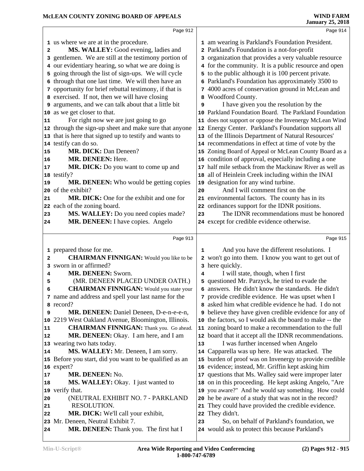|                                       | Page 912                                                                  |    | Page 914                                                                                              |  |
|---------------------------------------|---------------------------------------------------------------------------|----|-------------------------------------------------------------------------------------------------------|--|
|                                       | 1 us where we are at in the procedure.                                    |    | 1 am wearing is Parkland's Foundation President.                                                      |  |
| 2                                     | MS. WALLEY: Good evening, ladies and                                      |    | 2 Parkland's Foundation is a not-for-profit                                                           |  |
|                                       | 3 gentlemen. We are still at the testimony portion of                     |    | 3 organization that provides a very valuable resource                                                 |  |
|                                       | 4 our evidentiary hearing, so what we are doing is                        |    | 4 for the community. It is a public resource and open                                                 |  |
| 5.                                    | going through the list of sign-ups. We will cycle                         |    | 5 to the public although it is 100 percent private.                                                   |  |
|                                       | 6 through that one last time. We will then have an                        |    | 6 Parkland's Foundation has approximately 3500 to                                                     |  |
|                                       | 7 opportunity for brief rebuttal testimony, if that is                    |    | 7 4000 acres of conservation ground in McLean and                                                     |  |
|                                       | 8 exercised. If not, then we will have closing                            |    | 8 Woodford County.                                                                                    |  |
|                                       | 9 arguments, and we can talk about that a little bit                      | 9  | I have given you the resolution by the                                                                |  |
|                                       | 10 as we get closer to that.                                              |    | 10 Parkland Foundation Board. The Parkland Foundation                                                 |  |
| 11                                    | For right now we are just going to go                                     |    | 11 does not support or oppose the Invenergy McLean Wind                                               |  |
|                                       | 12 through the sign-up sheet and make sure that anyone                    |    | 12 Energy Center. Parkland's Foundation supports all                                                  |  |
|                                       | 13 that is here that signed up to testify and wants to                    |    | 13 of the Illinois Department of Natural Resources'                                                   |  |
|                                       | 14 testify can do so.                                                     |    | 14 recommendations in effect at time of vote by the                                                   |  |
| 15                                    | <b>MR. DICK: Dan Deneen?</b>                                              |    | 15 Zoning Board of Appeal or McLean County Board as a                                                 |  |
| 16                                    | MR. DENEEN: Here.                                                         |    | 16 condition of approval, especially including a one                                                  |  |
| 17                                    | MR. DICK: Do you want to come up and                                      |    | 17 half mile setback from the Mackinaw River as well as                                               |  |
|                                       | 18 testify?                                                               |    | 18 all of Heinlein Creek including within the INAI                                                    |  |
| 19                                    | MR. DENEEN: Who would be getting copies                                   | 19 | designation for any wind turbine.                                                                     |  |
|                                       | 20 of the exhibit?                                                        | 20 | And I will comment first on the                                                                       |  |
| 21                                    | MR. DICK: One for the exhibit and one for                                 |    | 21 environmental factors. The county has in its                                                       |  |
|                                       | 22 each of the zoning board.                                              |    | 22 ordinances support for the IDNR positions.                                                         |  |
| 23                                    | MS. WALLEY: Do you need copies made?                                      | 23 | The IDNR recommendations must be honored                                                              |  |
| 24                                    | MR. DENEEN: I have copies. Angelo                                         |    | 24 except for credible evidence otherwise.                                                            |  |
|                                       |                                                                           |    |                                                                                                       |  |
|                                       |                                                                           |    |                                                                                                       |  |
|                                       | Page 913                                                                  |    | Page 915                                                                                              |  |
|                                       |                                                                           | 1  |                                                                                                       |  |
| 2                                     | 1 prepared those for me.                                                  |    | And you have the different resolutions. I                                                             |  |
|                                       | <b>CHAIRMAN FINNIGAN:</b> Would you like to be<br>3 sworn in or affirmed? |    | 2 won't go into them. I know you want to get out of                                                   |  |
| 4                                     | MR. DENEEN: Sworn.                                                        | 4  | 3 here quickly.                                                                                       |  |
| 5                                     | (MR. DENEEN PLACED UNDER OATH.)                                           |    | I will state, though, when I first                                                                    |  |
| 6                                     | <b>CHAIRMAN FINNIGAN:</b> Would you state your                            |    | 5 questioned Mr. Parzyck, he tried to evade the<br>6 answers. He didn't know the standards. He didn't |  |
|                                       | 7 name and address and spell your last name for the                       |    | 7 provide credible evidence. He was upset when I                                                      |  |
|                                       | 8 record?                                                                 |    | 8 asked him what credible evidence he had. I do not                                                   |  |
| 9                                     | MR. DENEEN: Daniel Deneen, D-e-n-e-e-n,                                   |    | <b>9</b> believe they have given credible evidence for any of                                         |  |
| 10                                    | 2219 West Oakland Avenue, Bloomington, Illinois.                          |    | 10 the factors, so I would ask the board to make -- the                                               |  |
|                                       | <b>CHAIRMAN FINNIGAN:</b> Thank you. Go ahead.                            |    | 11 zoning board to make a recommendation to the full                                                  |  |
|                                       | MR. DENEEN: Okay. I am here, and I am                                     |    | 12 board that it accept all the IDNR recommendations.                                                 |  |
|                                       | 13 wearing two hats today.                                                | 13 | I was further incensed when Angelo                                                                    |  |
| 14                                    | MS. WALLEY: Mr. Deneen, I am sorry.                                       | 14 | Capparella was up here. He was attacked. The                                                          |  |
|                                       | 15 Before you start, did you want to be qualified as an                   |    | 15 burden of proof was on Invenergy to provide credible                                               |  |
|                                       | 16 expert?                                                                |    | 16 evidence; instead, Mr. Griffin kept asking him                                                     |  |
|                                       | MR. DENEEN: No.                                                           |    | 17 questions that Ms. Walley said were improper later                                                 |  |
| 18                                    | MS. WALLEY: Okay. I just wanted to                                        |    | 18 on in this proceeding. He kept asking Angelo, "Are                                                 |  |
|                                       | verify that.                                                              |    | 19 you aware?" And he would say something. How could                                                  |  |
|                                       | (NEUTRAL EXHIBIT NO. 7 - PARKLAND                                         |    | 20 he be aware of a study that was not in the record?                                                 |  |
| 21                                    | RESOLUTION.                                                               |    | 21 They could have provided the credible evidence.                                                    |  |
| 22                                    | MR. DICK: We'll call your exhibit,                                        | 22 | They didn't.                                                                                          |  |
| 11<br>12<br> 17<br>$ 19\rangle$<br>20 | 23 Mr. Deneen, Neutral Exhibit 7.                                         | 23 | So, on behalf of Parkland's foundation, we                                                            |  |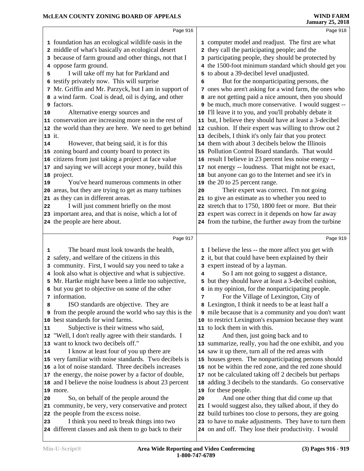|        | Page 916                                                                                                    |    | Page 918                                                                                                       |  |
|--------|-------------------------------------------------------------------------------------------------------------|----|----------------------------------------------------------------------------------------------------------------|--|
|        | 1 foundation has an ecological wildlife oasis in the                                                        |    | 1 computer model and readjust. The first are what                                                              |  |
|        | 2 middle of what's basically an ecological desert                                                           |    | 2 they call the participating people; and the                                                                  |  |
|        | 3 because of farm ground and other things, not that I                                                       |    | 3 participating people, they should be protected by                                                            |  |
|        | 4 oppose farm ground.                                                                                       |    | 4 the 1500-foot minimum standard which should get you                                                          |  |
| 5      | I will take off my hat for Parkland and                                                                     | 5  | to about a 39-decibel level unadjusted.                                                                        |  |
| 6      | testify privately now. This will surprise                                                                   | 6  | But for the nonparticipating persons, the                                                                      |  |
|        | 7 Mr. Griffin and Mr. Parzyck, but I am in support of                                                       |    | 7 ones who aren't asking for a wind farm, the ones who                                                         |  |
|        | 8 a wind farm. Coal is dead, oil is dying, and other                                                        | 8  | are not getting paid a nice amount, then you should                                                            |  |
| 9      | factors.                                                                                                    |    | 9 be much, much more conservative. I would suggest --                                                          |  |
| 10     | Alternative energy sources and                                                                              |    | 10 I'll leave it to you, and you'll probably debate it                                                         |  |
|        | 11 conservation are increasing more so in the rest of                                                       |    | 11 but, I believe they should have at least a 3-decibel                                                        |  |
|        | 12 the world than they are here. We need to get behind                                                      |    | 12 cushion. If their expert was willing to throw out 2                                                         |  |
| 13 it. |                                                                                                             |    | 13 decibels, I think it's only fair that you protect                                                           |  |
| 14     | However, that being said, it is for this                                                                    |    | 14 them with about 3 decibels below the Illinois                                                               |  |
|        | 15 zoning board and county board to protect its                                                             |    | 15 Pollution Control Board standards. That would                                                               |  |
|        | 16 citizens from just taking a project at face value                                                        |    | 16 result I believe in 23 percent less noise energy --                                                         |  |
|        | 17 and saying we will accept your money, build this                                                         |    | 17 not energy -- loudness. That might not be exact,                                                            |  |
|        | 18 project.                                                                                                 |    | 18 but anyone can go to the Internet and see it's in                                                           |  |
| 19     | You've heard numerous comments in other                                                                     |    | 19 the 20 to 25 percent range.                                                                                 |  |
|        | 20 areas, but they are trying to get as many turbines                                                       | 20 | Their expert was correct. I'm not going                                                                        |  |
| 21     | as they can in different areas.                                                                             |    | 21 to give an estimate as to whether you need to                                                               |  |
| 22     | I will just comment briefly on the most                                                                     |    | 22 stretch that to 1750, 1800 feet or more. But their                                                          |  |
|        | 23 important area, and that is noise, which a lot of                                                        |    | 23 expert was correct in it depends on how far away                                                            |  |
|        | 24 the people are here about.                                                                               |    | 24 from the turbine, the further away from the turbine                                                         |  |
|        |                                                                                                             |    |                                                                                                                |  |
|        | Page 917                                                                                                    |    | Page 919                                                                                                       |  |
| 1      |                                                                                                             |    |                                                                                                                |  |
|        | The board must look towards the health,                                                                     |    | 1 I believe the less -- the more affect you get with                                                           |  |
|        | 2 safety, and welfare of the citizens in this                                                               |    | 2 it, but that could have been explained by their                                                              |  |
|        | 3 community. First, I would say you need to take a<br>4 look also what is objective and what is subjective. | 4  | 3 expert instead of by a layman.<br>So I am not going to suggest a distance,                                   |  |
|        | 5 Mr. Hartke might have been a little too subjective,                                                       | 5  | but they should have at least a 3-decibel cushion,                                                             |  |
|        | 6 but you get to objective on some of the other                                                             |    | 6 in my opinion, for the nonparticipating people.                                                              |  |
|        | 7 information.                                                                                              | 7  | For the Village of Lexington, City of                                                                          |  |
| 8      | ISO standards are objective. They are                                                                       | 8  | Lexington, I think it needs to be at least half a                                                              |  |
| 9      | from the people around the world who say this is the                                                        |    | 9 mile because that is a community and you don't want                                                          |  |
| 10     | best standards for wind farms.                                                                              |    | 10 to restrict Lexington's expansion because they want                                                         |  |
| 11     | Subjective is their witness who said,                                                                       |    | 11 to lock them in with this.                                                                                  |  |
| 12     | "Well, I don't really agree with their standards. I                                                         | 12 | And then, just going back and to                                                                               |  |
|        | 13 want to knock two decibels off."                                                                         |    | 13 summarize, really, you had the one exhibit, and you                                                         |  |
| 14     | I know at least four of you up there are                                                                    |    | 14 saw it up there, turn all of the red areas with                                                             |  |
|        | 15 very familiar with noise standards. Two decibels is                                                      |    | 15 houses green. The nonparticipating persons should                                                           |  |
|        | 16 a lot of noise standard. Three decibels increases                                                        |    | 16 not be within the red zone, and the red zone should                                                         |  |
|        | 17 the energy, the noise power by a factor of double,                                                       |    | 17 not be calculated taking off 2 decibels but perhaps                                                         |  |
|        | 18 and I believe the noise loudness is about 23 percent                                                     | 18 | adding 3 decibels to the standards. Go conservative                                                            |  |
|        | 19 more.                                                                                                    | 19 | for these people.                                                                                              |  |
| 20     | So, on behalf of the people around the                                                                      | 20 | And one other thing that did come up that                                                                      |  |
|        | 21 community, be very, very conservative and protect                                                        |    | 21 I would suggest also, they talked about, if they do                                                         |  |
|        | 22 the people from the excess noise.                                                                        |    | 22 build turbines too close to persons, they are going                                                         |  |
| 23     | I think you need to break things into two<br>24 different classes and ask them to go back to their          |    | 23 to have to make adjustments. They have to turn them<br>24 on and off. They lose their productivity. I would |  |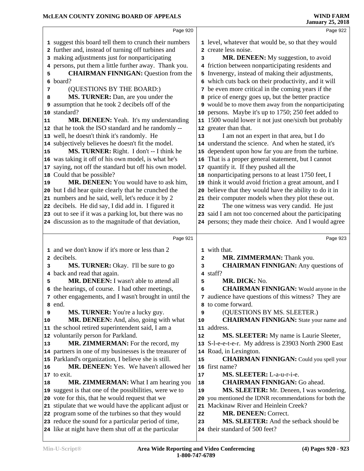|              | Page 920                                                                                                      |        | Page 922                                                                 |  |
|--------------|---------------------------------------------------------------------------------------------------------------|--------|--------------------------------------------------------------------------|--|
|              | 1 suggest this board tell them to crunch their numbers                                                        |        | 1 level, whatever that would be, so that they would                      |  |
|              | 2 further and, instead of turning off turbines and                                                            |        | 2 create less noise.                                                     |  |
|              | 3 making adjustments just for nonparticipating                                                                | 3      | MR. DENEEN: My suggestion, to avoid                                      |  |
| 4            | persons, put them a little further away. Thank you.                                                           |        | 4 friction between nonparticipating residents and                        |  |
| 5            | <b>CHAIRMAN FINNIGAN: Question from the</b>                                                                   |        | 5 Invenergy, instead of making their adjustments,                        |  |
|              | 6 board?                                                                                                      |        | 6 which cuts back on their productivity, and it will                     |  |
| 7            | (QUESTIONS BY THE BOARD:)                                                                                     |        | 7 be even more critical in the coming years if the                       |  |
| 8            | MS. TURNER: Dan, are you under the                                                                            |        | 8 price of energy goes up, but the better practice                       |  |
| 9            | assumption that he took 2 decibels off of the                                                                 |        | <b>9</b> would be to move them away from the nonparticipating            |  |
|              | 10 standard?                                                                                                  |        | 10 persons. Maybe it's up to 1750; 250 feet added to                     |  |
| 11           | MR. DENEEN: Yeah. It's my understanding                                                                       |        | 11 1500 would lower it not just one/sixth but probably                   |  |
|              | 12 that he took the ISO standard and he randomly --                                                           |        | 12 greater than that.                                                    |  |
|              | 13 well, he doesn't think it's randomly. He                                                                   | 13     | I am not an expert in that area, but I do                                |  |
|              | 14 subjectively believes he doesn't fit the model.                                                            |        | 14 understand the science. And when he stated, it's                      |  |
| 15           | MS. TURNER: Right. I don't -- I think he                                                                      | 15     | dependent upon how far you are from the turbine.                         |  |
|              | 16 was taking it off of his own model, is what he's                                                           | 16     | That is a proper general statement, but I cannot                         |  |
|              | 17 saying, not off the standard but off his own model.                                                        | 17     | quantify it. If they pushed all the                                      |  |
|              | 18 Could that be possible?                                                                                    | 18     | nonparticipating persons to at least 1750 feet, I                        |  |
| 19           | MR. DENEEN: You would have to ask him,                                                                        | 19     | think it would avoid friction a great amount, and I                      |  |
|              | 20 but I did hear quite clearly that he crunched the                                                          | 20     | believe that they would have the ability to do it in                     |  |
|              | 21 numbers and he said, well, let's reduce it by 2                                                            |        | 21 their computer models when they plot these out.                       |  |
|              | 22 decibels. He did say, I did add in. I figured it                                                           | 22     | The one witness was very candid. He just                                 |  |
|              | 23 out to see if it was a parking lot, but there was no                                                       |        | 23 said I am not too concerned about the participating                   |  |
|              | 24 discussion as to the magnitude of that deviation,                                                          |        | 24 persons; they made their choice. And I would agree                    |  |
|              |                                                                                                               |        |                                                                          |  |
|              |                                                                                                               |        |                                                                          |  |
|              | Page 921                                                                                                      |        | Page 923                                                                 |  |
|              |                                                                                                               |        |                                                                          |  |
| $\mathbf{2}$ | 1 and we don't know if it's more or less than 2                                                               |        | 1 with that.                                                             |  |
| 3            | decibels.                                                                                                     | 2<br>3 | MR. ZIMMERMAN: Thank you.                                                |  |
| 4            | MS. TURNER: Okay. I'll be sure to go                                                                          |        | <b>CHAIRMAN FINNIGAN:</b> Any questions of<br>4 staff?                   |  |
| 5            | back and read that again.<br>MR. DENEEN: I wasn't able to attend all                                          | 5      | MR. DICK: No.                                                            |  |
|              |                                                                                                               | 6      | <b>CHAIRMAN FINNIGAN:</b> Would anyone in the                            |  |
|              | 6 the hearings, of course. I had other meetings,<br>7 other engagements, and I wasn't brought in until the    |        |                                                                          |  |
|              | 8 end.                                                                                                        | 8      | 7 audience have questions of this witness? They are<br>to come forward.  |  |
| 9            | <b>MS. TURNER:</b> You're a lucky guy.                                                                        | 9      | (QUESTIONS BY MS. SLEETER.)                                              |  |
| 10           | MR. DENEEN: And, also, going with what                                                                        | 10     | <b>CHAIRMAN FINNIGAN:</b> State your name and                            |  |
|              | 11 the school retired superintendent said, I am a                                                             | 11     | address.                                                                 |  |
|              | 12 voluntarily person for Parkland.                                                                           | 12     | <b>MS. SLEETER:</b> My name is Laurie Sleeter,                           |  |
| 13           | MR. ZIMMERMAN: For the record, my                                                                             | 13     | S-l-e-e-t-e-r. My address is 23903 North 2900 East                       |  |
|              | 14 partners in one of my businesses is the treasurer of                                                       |        | 14 Road, in Lexington.                                                   |  |
|              | 15 Parkland's organization, I believe she is still.                                                           | 15     | <b>CHAIRMAN FINNIGAN:</b> Could you spell your                           |  |
| 16           | MR. DENEEN: Yes. We haven't allowed her                                                                       |        | 16 first name?                                                           |  |
|              | 17 to exit.                                                                                                   | $17$   | MS. SLEETER: L-a-u-r-i-e.                                                |  |
| 18           | MR. ZIMMERMAN: What I am hearing you                                                                          | 18     | <b>CHAIRMAN FINNIGAN: Go ahead.</b>                                      |  |
|              | 19 suggest is that one of the possibilities, were we to                                                       | 19     | MS. SLEETER: Mr. Deneen, I was wondering,                                |  |
|              | 20 vote for this, that he would request that we                                                               |        | 20 you mentioned the IDNR recommendations for both the                   |  |
|              | 21 stipulate that we would have the applicant adjust or                                                       |        | 21 Mackinaw River and Heinlein Creek?                                    |  |
|              | 22 program some of the turbines so that they would                                                            | 22     | <b>MR. DENEEN: Correct.</b>                                              |  |
|              | 23 reduce the sound for a particular period of time,<br>24 like at night have them shut off at the particular | 23     | MS. SLEETER: And the setback should be<br>24 their standard of 500 feet? |  |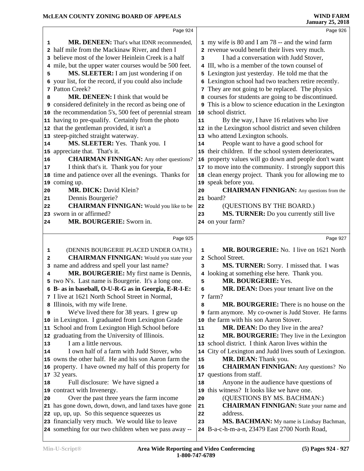| Page 926                                                                                                                                                                                                                                                                                                                                                                                                                                                                                                                                                                                                                                                                                                                                                                                                                                                                                                                                                                                                                                                                                                                           |
|------------------------------------------------------------------------------------------------------------------------------------------------------------------------------------------------------------------------------------------------------------------------------------------------------------------------------------------------------------------------------------------------------------------------------------------------------------------------------------------------------------------------------------------------------------------------------------------------------------------------------------------------------------------------------------------------------------------------------------------------------------------------------------------------------------------------------------------------------------------------------------------------------------------------------------------------------------------------------------------------------------------------------------------------------------------------------------------------------------------------------------|
| 1 my wife is 80 and I am 78 -- and the wind farm<br>2 revenue would benefit their lives very much.<br>I had a conversation with Judd Stover,<br>3<br>4 III, who is a member of the town counsel of<br>5 Lexington just yesterday. He told me that the<br>6 Lexington school had two teachers retire recently.<br>7 They are not going to be replaced. The physics<br>8 courses for students are going to be discontinued.<br>This is a blow to science education in the Lexington<br>10 school district.<br>By the way, I have 16 relatives who live<br>11<br>12 in the Lexington school district and seven children<br>13 who attend Lexington schools.<br>People want to have a good school for<br>14<br>15 their children. If the school system deteriorates,<br>property values will go down and people don't want<br>16<br>17 to move into the community. I strongly support this<br>18 clean energy project. Thank you for allowing me to<br>19 speak before you.<br><b>CHAIRMAN FINNIGAN:</b> Any questions from the<br>20<br>21 board?<br>(QUESTIONS BY THE BOARD.)<br>22<br>MS. TURNER: Do you currently still live<br>23 |
| 24 on your farm?                                                                                                                                                                                                                                                                                                                                                                                                                                                                                                                                                                                                                                                                                                                                                                                                                                                                                                                                                                                                                                                                                                                   |
|                                                                                                                                                                                                                                                                                                                                                                                                                                                                                                                                                                                                                                                                                                                                                                                                                                                                                                                                                                                                                                                                                                                                    |
| Page 927                                                                                                                                                                                                                                                                                                                                                                                                                                                                                                                                                                                                                                                                                                                                                                                                                                                                                                                                                                                                                                                                                                                           |
| MR. BOURGERIE: No. I live on 1621 North<br>1<br>2 School Street.<br>MS. TURNER: Sorry. I missed that. I was<br>3<br>4 looking at something else here. Thank you.<br>MR. BOURGERIE: Yes.<br>5                                                                                                                                                                                                                                                                                                                                                                                                                                                                                                                                                                                                                                                                                                                                                                                                                                                                                                                                       |
| MR. DEAN: Does your tenant live on the<br>6<br>7 farm?                                                                                                                                                                                                                                                                                                                                                                                                                                                                                                                                                                                                                                                                                                                                                                                                                                                                                                                                                                                                                                                                             |
| <b>MR. BOURGERIE:</b> There is no house on the<br>8<br>9 farm anymore. My co-owner is Judd Stover. He farms<br>the farm with his son Aaron Stover.<br>10<br><b>MR. DEAN:</b> Do they live in the area?<br>11<br>MR. BOURGERIE: They live in the Lexington<br>12                                                                                                                                                                                                                                                                                                                                                                                                                                                                                                                                                                                                                                                                                                                                                                                                                                                                    |
| school district. I think Aaron lives within the<br>13<br>City of Lexington and Judd lives south of Lexington.<br>14<br>MR. DEAN: Thank you.<br>15<br><b>CHAIRMAN FINNIGAN:</b> Any questions? No<br>16<br>17 questions from staff.                                                                                                                                                                                                                                                                                                                                                                                                                                                                                                                                                                                                                                                                                                                                                                                                                                                                                                 |
| Page 924<br>MR. DENEEN: That's what IDNR recommended,<br>4 mile, but the upper water courses would be 500 feet.<br>10 the recommendation 5's, 500 feet of perennial stream<br><b>CHAIRMAN FINNIGAN:</b> Any other questions?<br><b>CHAIRMAN FINNIGAN:</b> Would you like to be                                                                                                                                                                                                                                                                                                                                                                                                                                                                                                                                                                                                                                                                                                                                                                                                                                                     |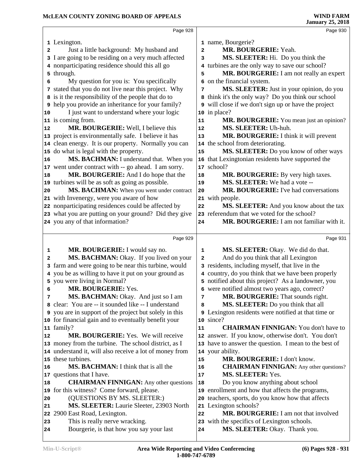|          | Page 928                                                                                   |                | Page 930                                                                     |  |
|----------|--------------------------------------------------------------------------------------------|----------------|------------------------------------------------------------------------------|--|
|          |                                                                                            |                |                                                                              |  |
|          | 1 Lexington.                                                                               |                | 1 name, Bourgerie?                                                           |  |
| 2        | Just a little background: My husband and                                                   | $\overline{a}$ | MR. BOURGERIE: Yeah.                                                         |  |
|          | 3 I are going to be residing on a very much affected                                       | 3              | MS. SLEETER: Hi. Do you think the                                            |  |
|          | 4 nonparticipating residence should this all go                                            |                | 4 turbines are the only way to save our school?                              |  |
|          | 5 through.                                                                                 | 5              | MR. BOURGERIE: I am not really an expert                                     |  |
| 6        | My question for you is: You specifically                                                   |                | 6 on the financial system.                                                   |  |
|          | 7 stated that you do not live near this project. Why                                       | 7              | MS. SLEETER: Just in your opinion, do you                                    |  |
|          | 8 is it the responsibility of the people that do to                                        |                | 8 think it's the only way? Do you think our school                           |  |
|          | 9 help you provide an inheritance for your family?                                         |                | <b>9</b> will close if we don't sign up or have the project                  |  |
| 10       | I just want to understand where your logic                                                 |                | 10 in place?                                                                 |  |
|          | 11 is coming from.                                                                         | 11             | MR. BOURGERIE: You mean just an opinion?                                     |  |
| 12       | MR. BOURGERIE: Well, I believe this                                                        | 12             | MS. SLEETER: Uh-huh.                                                         |  |
|          | 13 project is environmentally safe. I believe it has                                       | 13             | MR. BOURGERIE: I think it will prevent                                       |  |
|          | 14 clean energy. It is our property. Normally you can                                      |                | 14 the school from deteriorating.                                            |  |
|          | 15 do what is legal with the property.                                                     | 15             | MS. SLEETER: Do you know of other ways                                       |  |
| 16       | MS. BACHMAN: I understand that. When you                                                   |                | 16 that Lexingtonian residents have supported the                            |  |
|          | 17 went under contract with -- go ahead. I am sorry.                                       |                | 17 school?                                                                   |  |
| 18       | MR. BOURGERIE: And I do hope that the                                                      | 18             | MR. BOURGERIE: By very high taxes.                                           |  |
|          | 19 turbines will be as soft as going as possible.                                          | 19             | MS. SLEETER: We had a vote --                                                |  |
| 20       | MS. BACHMAN: When you went under contract                                                  | 20             | MR. BOURGERIE: I've had conversations                                        |  |
|          | 21 with Invenergy, were you aware of how                                                   |                | 21 with people.                                                              |  |
|          | 22 nonparticipating residences could be affected by                                        | 22             | MS. SLEETER: And you know about the tax                                      |  |
|          | 23 what you are putting on your ground? Did they give                                      |                | 23 referendum that we voted for the school?                                  |  |
|          | 24 you any of that information?                                                            | 24             | MR. BOURGERIE: I am not familiar with it.                                    |  |
|          |                                                                                            |                |                                                                              |  |
|          |                                                                                            |                |                                                                              |  |
|          | Page 929                                                                                   |                | Page 931                                                                     |  |
|          |                                                                                            | 1              |                                                                              |  |
| 1<br>2   | MR. BOURGERIE: I would say no.                                                             | $\mathbf{2}$   | MS. SLEETER: Okay. We did do that.                                           |  |
| 3        | MS. BACHMAN: Okay. If you lived on your                                                    |                | And do you think that all Lexington                                          |  |
| 4        | farm and were going to be near this turbine, would                                         |                | 3 residents, including myself, that live in the                              |  |
|          | you be as willing to have it put on your ground as                                         |                | 4 country, do you think that we have been properly                           |  |
| 6        | 5 you were living in Normal?                                                               |                | 5 notified about this project? As a landowner, you                           |  |
| 7        | MR. BOURGERIE: Yes.                                                                        | 7              | 6 were notified almost two years ago, correct?                               |  |
|          | MS. BACHMAN: Okay. And just so I am<br>8 clear: You are -- it sounded like -- I understand | 8              | MR. BOURGERIE: That sounds right.                                            |  |
|          |                                                                                            |                | MS. SLEETER: Do you think that all                                           |  |
|          | <b>9</b> you are in support of the project but solely in this                              |                | <b>9</b> Lexington residents were notified at that time or                   |  |
|          | 10 for financial gain and to eventually benefit your                                       | 11             | 10 since?<br><b>CHAIRMAN FINNIGAN:</b> You don't have to                     |  |
| 12       | 11 family?<br>MR. BOURGERIE: Yes. We will receive                                          |                |                                                                              |  |
|          |                                                                                            |                | 12 answer. If you know, otherwise don't. You don't                           |  |
|          | 13 money from the turbine. The school district, as I                                       |                | 13 have to answer the question. I mean to the best of                        |  |
|          | 14 understand it, will also receive a lot of money from<br>15 these turbines.              | 15             | 14 your ability.<br>MR. BOURGERIE: I don't know.                             |  |
| 16       | MS. BACHMAN: I think that is all the                                                       | 16             |                                                                              |  |
|          |                                                                                            |                | <b>CHAIRMAN FINNIGAN:</b> Any other questions?<br>MS. SLEETER: Yes.          |  |
|          | 17 questions that I have.                                                                  | $17\,$         |                                                                              |  |
| 18       | <b>CHAIRMAN FINNIGAN:</b> Any other questions                                              | 18             | Do you know anything about school                                            |  |
|          | 19 for this witness? Come forward, please.                                                 | 19             | enrollment and how that affects the programs,                                |  |
| 20       | (QUESTIONS BY MS. SLEETER:)                                                                | 20             | teachers, sports, do you know how that affects                               |  |
| 21       | MS. SLEETER: Laurie Sleeter, 23903 North                                                   | 21<br>22       | Lexington schools?                                                           |  |
| 22       | 2900 East Road, Lexington.                                                                 |                | MR. BOURGERIE: I am not that involved                                        |  |
| 23<br>24 | This is really nerve wracking.<br>Bourgerie, is that how you say your last                 | 24             | 23 with the specifics of Lexington schools.<br>MS. SLEETER: Okay. Thank you. |  |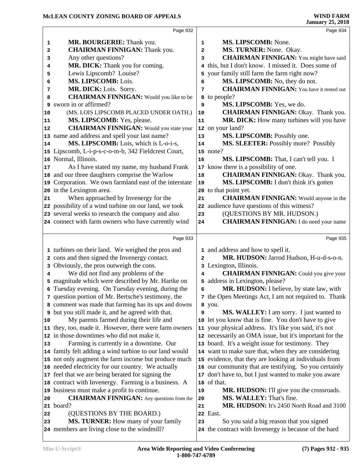|    | Page 932                                                                            |              | Page 934                                                                                          |
|----|-------------------------------------------------------------------------------------|--------------|---------------------------------------------------------------------------------------------------|
|    |                                                                                     |              |                                                                                                   |
| 1  | MR. BOURGERIE: Thank you.                                                           | 1            | MS. LIPSCOMB: None.                                                                               |
| 2  | <b>CHAIRMAN FINNIGAN: Thank you.</b>                                                | 2            | MS. TURNER: None. Okay.                                                                           |
| 3  | Any other questions?                                                                | 3            | <b>CHAIRMAN FINNIGAN:</b> You might have said                                                     |
| 4  | MR. DICK: Thank you for coming.                                                     | 4            | this, but I don't know. I missed it. Does some of                                                 |
| 5  | Lewis Lipscomb? Louise?                                                             | 5            | your family still farm the farm right now?                                                        |
| 6  | MS. LIPSCOMB: Lois.                                                                 | 6            | MS. LIPSCOMB: No, they do not.                                                                    |
| 7  | MR. DICK: Lois. Sorry.                                                              | 7            | <b>CHAIRMAN FINNIGAN:</b> You have it rented out                                                  |
| 8  | <b>CHAIRMAN FINNIGAN:</b> Would you like to be                                      |              | 8 to people?                                                                                      |
| 9  | sworn in or affirmed?                                                               | 9            | MS. LIPSCOMB: Yes, we do.                                                                         |
| 10 | (MS. LOIS LIPSCOMB PLACED UNDER OATH.)                                              | 10           | <b>CHAIRMAN FINNIGAN: Okay. Thank you.</b>                                                        |
| 11 | MS. LIPSCOMB: Yes, please.                                                          | 11           | MR. DICK: How many turbines will you have                                                         |
| 12 | <b>CHAIRMAN FINNIGAN:</b> Would you state your                                      |              | 12 on your land?                                                                                  |
|    | 13 name and address and spell your last name?                                       | 13           | MS. LIPSCOMB: Possibly one.                                                                       |
| 14 | MS. LIPSCOMB: Lois, which is L-o-i-s,                                               | 14           | MS. SLEETER: Possibly more? Possibly                                                              |
|    | 15 Lipscomb, L-i-p-s-c-o-m-b, 342 Fieldcrest Court,                                 |              | $15$ none?                                                                                        |
|    | 16 Normal, Illinois.                                                                | 16           | MS. LIPSCOMB: That, I can't tell you. I                                                           |
| 17 | As I have stated my name, my husband Frank                                          | 17           | know there is a possibility of one.                                                               |
|    | 18 and our three daughters comprise the Warlow                                      | 18           | <b>CHAIRMAN FINNIGAN: Okay. Thank you.</b>                                                        |
|    | 19 Corporation. We own farmland east of the interstate                              | 19           | MS. LIPSCOMB: I don't think it's gotten                                                           |
|    | 20 in the Lexington area.                                                           | 20           | to that point yet.                                                                                |
| 21 | When approached by Invenergy for the                                                | 21           | <b>CHAIRMAN FINNIGAN:</b> Would anyone in the                                                     |
|    | 22 possibility of a wind turbine on our land, we took                               | 22           | audience have questions of this witness?                                                          |
|    | 23 several weeks to research the company and also                                   | 23           | (QUESTIONS BY MR. HUDSON.)                                                                        |
|    | 24 connect with farm owners who have currently wind                                 | 24           | <b>CHAIRMAN FINNIGAN:</b> I do need your name                                                     |
|    |                                                                                     |              |                                                                                                   |
|    | Page 933                                                                            |              | Page 935                                                                                          |
|    | 1 turbines on their land. We weighed the pros and                                   |              | 1 and address and how to spell it.                                                                |
|    | 2 cons and then signed the Invenergy contact.                                       | $\mathbf{2}$ | MR. HUDSON: Jarrod Hudson, H-u-d-s-o-n.                                                           |
| 3  | Obviously, the pros outweigh the cons.                                              |              | 3 Lexington, Illinois.                                                                            |
| 4  | We did not find any problems of the                                                 | 4            | <b>CHAIRMAN FINNIGAN:</b> Could you give your                                                     |
| 5  | magnitude which were described by Mr. Hartke on                                     | 5            | address in Lexington, please?                                                                     |
|    | 6 Tuesday evening. On Tuesday evening, during the                                   | 6            | MR. HUDSON: I believe, by state law, with                                                         |
|    | 7 question portion of Mr. Bertsche's testimony, the                                 |              | 7 the Open Meetings Act, I am not required to. Thank                                              |
|    | 8 comment was made that farming has its ups and downs                               |              | 8 you.                                                                                            |
|    | <b>9</b> but you still made it, and he agreed with that.                            | 9            | MS. WALLEY: I am sorry. I just wanted to                                                          |
| 10 | My parents farmed during their life and                                             | 10           | let you know that is fine. You don't have to give                                                 |
|    | 11 they, too, made it. However, there were farm owners                              |              | 11 your physical address. It's like you said, it's not                                            |
|    | 12 in those downtimes who did not make it.                                          |              | 12 necessarily an OMA issue, but it's important for the                                           |
| 13 | Farming is currently in a downtime. Our                                             |              | 13 board. It's a weight issue for testimony. They                                                 |
|    | 14 family felt adding a wind turbine to our land would                              |              | 14 want to make sure that, when they are considering                                              |
|    | 15 not only augment the farm income but produce much                                |              | 15 evidence, that they are looking at individuals from                                            |
|    | 16 needed electricity for our country. We actually                                  |              | 16 our community that are testifying. So you certainly                                            |
|    | 17 feel that we are being berated for signing the                                   | 17           | don't have to, but I just wanted to make you aware                                                |
|    |                                                                                     |              | 18 of that.                                                                                       |
|    |                                                                                     |              |                                                                                                   |
|    | 18 contract with Invenergy. Farming is a business. A                                |              |                                                                                                   |
|    | 19 business must make a profit to continue.                                         | 19           | MR. HUDSON: I'll give you the crossroads.                                                         |
| 20 | <b>CHAIRMAN FINNIGAN:</b> Any questions from the                                    | 20           | MS. WALLEY: That's fine.                                                                          |
|    | 21 board?                                                                           | 21           | MR. HUDSON: It's 2450 North Road and 3100                                                         |
| 22 | (QUESTIONS BY THE BOARD.)                                                           |              | 22 East.                                                                                          |
| 23 | MS. TURNER: How many of your family<br>24 members are living close to the windmill? | 23           | So you said a big reason that you signed<br>24 the contract with Invenergy is because of the hard |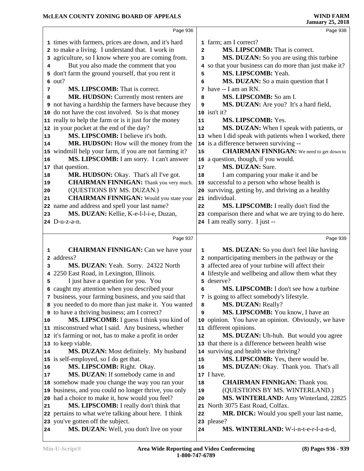|          | Page 936                                                                                                           |                | Page 938                                                               |  |
|----------|--------------------------------------------------------------------------------------------------------------------|----------------|------------------------------------------------------------------------|--|
|          |                                                                                                                    |                |                                                                        |  |
|          | 1 times with farmers, prices are down, and it's hard                                                               |                | 1 farm; am I correct?                                                  |  |
|          | 2 to make a living. I understand that. I work in                                                                   | $\overline{a}$ | MS. LIPSCOMB: That is correct.                                         |  |
|          | 3 agriculture, so I know where you are coming from.                                                                | 3              | MS. DUZAN: So you are using this turbine                               |  |
| 4        | But you also made the comment that you                                                                             |                | 4 so that your business can do more than just make it?                 |  |
|          | 5 don't farm the ground yourself, that you rent it                                                                 | 5              | MS. LIPSCOMB: Yeah.                                                    |  |
|          | $6$ out?                                                                                                           | 6              | MS. DUZAN: So a main question that I<br>7 have -- I am an RN.          |  |
| 7        | MS. LIPSCOMB: That is correct.                                                                                     |                |                                                                        |  |
| 8        | MR. HUDSON: Currently most renters are                                                                             | 8              | MS. LIPSCOMB: So am I.                                                 |  |
|          | <b>9</b> not having a hardship the farmers have because they<br>10 do not have the cost involved. So is that money | 9              | MS. DUZAN: Are you? It's a hard field,<br>10 isn't it?                 |  |
|          | 11 really to help the farm or is it just for the money                                                             | 11             | MS. LIPSCOMB: Yes.                                                     |  |
|          | 12 in your pocket at the end of the day?                                                                           | 12             | MS. DUZAN: When I speak with patients, or                              |  |
|          | MS. LIPSCOMB: I believe it's both.                                                                                 |                | 13 when I did speak with patients when I worked, there                 |  |
| 13       | MR. HUDSON: How will the money from the                                                                            |                | 14 is a difference between surviving --                                |  |
| 14       | windmill help your farm, if you are not farming it?                                                                | 15             | <b>CHAIRMAN FINNIGAN:</b> We need to get down to                       |  |
| 15<br>16 | MS. LIPSCOMB: I am sorry. I can't answer                                                                           |                | 16 a question, though, if you would.                                   |  |
|          | 17 that question.                                                                                                  | $17$           | MS. DUZAN: Sure.                                                       |  |
| 18       | MR. HUDSON: Okay. That's all I've got.                                                                             | 18             | I am comparing your make it and be                                     |  |
| 19       | <b>CHAIRMAN FINNIGAN:</b> Thank you very much.                                                                     |                | 19 successful to a person who whose health is                          |  |
| 20       | (QUESTIONS BY MS. DUZAN.)                                                                                          |                | 20 surviving, getting by, and thriving as a healthy                    |  |
| 21       | <b>CHAIRMAN FINNIGAN:</b> Would you state your                                                                     |                | 21 individual.                                                         |  |
|          | 22 name and address and spell your last name?                                                                      | 22             | MS. LIPSCOMB: I really don't find the                                  |  |
| 23       | MS. DUZAN: Kellie, K-e-l-l-i-e, Duzan,                                                                             |                | 23 comparison there and what we are trying to do here.                 |  |
|          | 24 D-u-z-a-n.                                                                                                      |                | 24 I am really sorry. I just --                                        |  |
|          |                                                                                                                    |                |                                                                        |  |
|          |                                                                                                                    |                |                                                                        |  |
|          | Page 937                                                                                                           |                | Page 939                                                               |  |
|          |                                                                                                                    |                |                                                                        |  |
| 1        | <b>CHAIRMAN FINNIGAN:</b> Can we have your                                                                         | $\mathbf{1}$   | MS. DUZAN: So you don't feel like having                               |  |
| 2        | address?                                                                                                           |                | 2 nonparticipating members in the pathway or the                       |  |
| 3        | MS. DUZAN: Yeah. Sorry. 24322 North                                                                                |                | 3 affected area of your turbine will affect their                      |  |
| 4        | 2250 East Road, in Lexington, Illinois.                                                                            |                | 4 lifestyle and wellbeing and allow them what they                     |  |
| 5        | I just have a question for you. You                                                                                |                | 5 deserve?                                                             |  |
|          | 6 caught my attention when you described your                                                                      | 6              | MS. LIPSCOMB: I don't see how a turbine                                |  |
|          | 7 business, your farming business, and you said that                                                               |                | 7 is going to affect somebody's lifestyle.                             |  |
|          | 8 you needed to do more than just make it. You wanted                                                              | 8              | <b>MS. DUZAN: Really?</b>                                              |  |
|          | <b>9</b> to have a thriving business; am I correct?                                                                | 9              | MS. LIPSCOMB: You know, I have an                                      |  |
| 10       | MS. LIPSCOMB: I guess I think you kind of                                                                          |                | 10 opinion. You have an opinion. Obviously, we have                    |  |
|          | 11 misconstrued what I said. Any business, whether                                                                 |                | 11 different opinions.                                                 |  |
|          | 12 it's farming or not, has to make a profit in order                                                              | 12             | MS. DUZAN: Uh-huh. But would you agree                                 |  |
| 14       | 13 to keep viable.                                                                                                 |                | 13 that there is a difference between health wise                      |  |
|          | MS. DUZAN: Most definitely. My husband                                                                             | 15             | 14 surviving and health wise thriving?                                 |  |
| 16       | 15 is self-employed, so I do get that.                                                                             | 16             | MS. LIPSCOMB: Yes, there would be.                                     |  |
| 17       | MS. LIPSCOMB: Right. Okay.                                                                                         |                | MS. DUZAN: Okay. Thank you. That's all<br>17 I have.                   |  |
|          | MS. DUZAN: If somebody came in and                                                                                 | 18             |                                                                        |  |
|          | 18 somehow made you change the way you ran your                                                                    | 19             | <b>CHAIRMAN FINNIGAN:</b> Thank you.                                   |  |
|          | 19 business, and you could no longer thrive, you only                                                              | 20             | (QUESTIONS BY MS. WINTERLAND.)                                         |  |
| 21       | 20 had a choice to make it, how would you feel?<br>MS. LIPSCOMB: I really don't think that                         | 21             | MS. WINTERLAND: Amy Winterland, 22825<br>North 3075 East Road, Colfax. |  |
|          | 22 pertains to what we're talking about here. I think                                                              | 22             | MR. DICK: Would you spell your last name,                              |  |
|          | 23 you've gotten off the subject.                                                                                  |                | 23 please?                                                             |  |
| 24       | MS. DUZAN: Well, you don't live on your                                                                            | 24             | MS. WINTERLAND: W-i-n-t-e-r-l-a-n-d,                                   |  |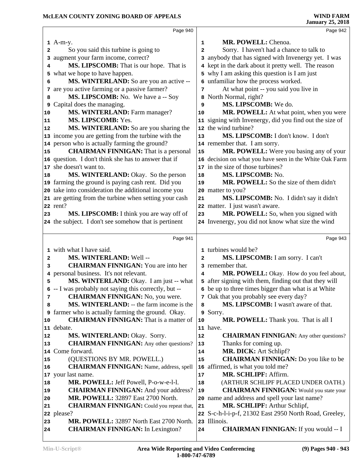|    | Page 940                                               |              | Page 942                                                                        |  |
|----|--------------------------------------------------------|--------------|---------------------------------------------------------------------------------|--|
|    | $1$ A-m-y.                                             | 1            | MR. POWELL: Chenoa.                                                             |  |
| 2  | So you said this turbine is going to                   | 2            | Sorry. I haven't had a chance to talk to                                        |  |
|    | 3 augment your farm income, correct?                   |              | 3 anybody that has signed with Invenergy yet. I was                             |  |
| 4  | MS. LIPSCOMB: That is our hope. That is                |              | 4 kept in the dark about it pretty well. The reason                             |  |
|    | 5 what we hope to have happen.                         |              | 5 why I am asking this question is I am just                                    |  |
|    | MS. WINTERLAND: So are you an active --                |              | 6 unfamiliar how the process worked.                                            |  |
| 6  |                                                        |              | At what point -- you said you live in                                           |  |
|    | 7 are you active farming or a passive farmer?          | 7            |                                                                                 |  |
| 8  | MS. LIPSCOMB: No. We have a -- Soy                     |              | 8 North Normal, right?<br>MS. LIPSCOMB: We do.                                  |  |
|    | <b>9</b> Capital does the managing.                    | 9            |                                                                                 |  |
| 10 | MS. WINTERLAND: Farm manager?<br>MS. LIPSCOMB: Yes.    | 10           | MR. POWELL: At what point, when you were                                        |  |
| 11 |                                                        |              | 11 signing with Invenergy, did you find out the size of<br>12 the wind turbine? |  |
| 12 | MS. WINTERLAND: So are you sharing the                 |              |                                                                                 |  |
|    | 13 income you are getting from the turbine with the    | 13           | MS. LIPSCOMB: I don't know. I don't                                             |  |
|    | 14 person who is actually farming the ground?          |              | 14 remember that. I am sorry.                                                   |  |
| 15 | <b>CHAIRMAN FINNIGAN:</b> That is a personal           | 15           | MR. POWELL: Were you basing any of your                                         |  |
|    | 16 question. I don't think she has to answer that if   |              | 16 decision on what you have seen in the White Oak Farm                         |  |
|    | 17 she doesn't want to.                                |              | 17 in the size of those turbines?                                               |  |
| 18 | MS. WINTERLAND: Okay. So the person                    | 18           | MS. LIPSCOMB: No.                                                               |  |
|    | 19 farming the ground is paying cash rent. Did you     | 19           | MR. POWELL: So the size of them didn't                                          |  |
|    | 20 take into consideration the additional income you   |              | 20 matter to you?                                                               |  |
|    | 21 are getting from the turbine when setting your cash | 21           | MS. LIPSCOMB: No. I didn't say it didn't                                        |  |
|    | 22 rent?                                               |              | 22 matter. I just wasn't aware.                                                 |  |
| 23 | MS. LIPSCOMB: I think you are way off of               | 23           | MR. POWELL: So, when you signed with                                            |  |
|    | 24 the subject. I don't see somehow that is pertinent  |              | 24 Invenergy, you did not know what size the wind                               |  |
|    |                                                        |              |                                                                                 |  |
|    | Page 941                                               |              | Page 943                                                                        |  |
|    | 1 with what I have said.                               |              | 1 turbines would be?                                                            |  |
| 2  | MS. WINTERLAND: Well --                                | $\mathbf{2}$ | MS. LIPSCOMB: I am sorry. I can't                                               |  |
| 3  | <b>CHAIRMAN FINNIGAN:</b> You are into her             |              | 3 remember that.                                                                |  |
|    | 4 personal business. It's not relevant.                | 4            | MR. POWELL: Okay. How do you feel about,                                        |  |
| 5  | MS. WINTERLAND: Okay. I am just -- what                |              | 5 after signing with them, finding out that they will                           |  |
|    | 6 -- I was probably not saying this correctly, but --  |              | 6 be up to three times bigger than what is at White                             |  |
| 7  | <b>CHAIRMAN FINNIGAN:</b> No, you were.                |              | 7 Oak that you probably see every day?                                          |  |
| 8  | MS. WINTERLAND: -- the farm income is the              | 8            | MS. LIPSCOMB: I wasn't aware of that.                                           |  |
| 9  | farmer who is actually farming the ground. Okay.       |              | 9 Sorry.                                                                        |  |
| 10 | <b>CHAIRMAN FINNIGAN:</b> That is a matter of          | 10           | MR. POWELL: Thank you. That is all I                                            |  |
|    | 11 debate.                                             |              | 11 have.                                                                        |  |
| 12 | MS. WINTERLAND: Okay. Sorry.                           | 12           | <b>CHAIRMAN FINNIGAN:</b> Any other questions?                                  |  |
| 13 | <b>CHAIRMAN FINNIGAN:</b> Any other questions?         | 13           | Thanks for coming up.                                                           |  |
|    | 14 Come forward.                                       | 14           | MR. DICK: Art Schlipf?                                                          |  |
| 15 | (QUESTIONS BY MR. POWELL.)                             | 15           | <b>CHAIRMAN FINNIGAN:</b> Do you like to be                                     |  |
| 16 | <b>CHAIRMAN FINNIGAN:</b> Name, address, spell         | 16           | affirmed, is what you told me?                                                  |  |
|    | 17 your last name.                                     | 17           | MR. SCHLIPF: Affirm.                                                            |  |
| 18 | MR. POWELL: Jeff Powell, P-o-w-e-l-l.                  | 18           | (ARTHUR SCHLIPF PLACED UNDER OATH.)                                             |  |
| 19 | <b>CHAIRMAN FINNIGAN:</b> And your address?            | 19           | <b>CHAIRMAN FINNIGAN:</b> Would you state your                                  |  |
| 20 | <b>MR. POWELL: 32897 East 2700 North.</b>              |              | 20 name and address and spell your last name?                                   |  |
| 21 | <b>CHAIRMAN FINNIGAN:</b> Could you repeat that,       | 21           | MR. SCHLIPF: Arthur Schlipf,                                                    |  |
|    | 22 please?                                             |              | 22 S-c-h-l-i-p-f, 21302 East 2950 North Road, Greeley,                          |  |
| 23 | MR. POWELL: 32897 North East 2700 North.               |              | 23 Illinois.                                                                    |  |
| 24 | <b>CHAIRMAN FINNIGAN:</b> In Lexington?                | 24           | <b>CHAIRMAN FINNIGAN:</b> If you would -- I                                     |  |
|    |                                                        |              |                                                                                 |  |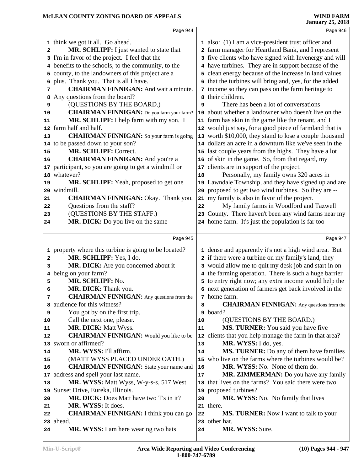|                 | Page 944                                              |    | Page 946                                                |  |
|-----------------|-------------------------------------------------------|----|---------------------------------------------------------|--|
|                 | 1 think we got it all. Go ahead.                      |    | 1 also: (1) I am a vice-president trust officer and     |  |
| 2               | MR. SCHLIPF: I just wanted to state that              |    | 2 farm manager for Heartland Bank, and I represent      |  |
|                 | 3 I'm in favor of the project. I feel that the        |    | 3 five clients who have signed with Invenergy and will  |  |
|                 | 4 benefits to the schools, to the community, to the   |    | 4 have turbines. They are in support because of the     |  |
|                 | 5 county, to the landowners of this project are a     |    | 5 clean energy because of the increase in land values   |  |
|                 | 6 plus. Thank you. That is all I have.                |    | 6 that the turbines will bring and, yes, for the added  |  |
| 7               | <b>CHAIRMAN FINNIGAN:</b> And wait a minute.          |    | 7 income so they can pass on the farm heritage to       |  |
| 8               | Any questions from the board?                         | 8  | their children.                                         |  |
| 9               | (QUESTIONS BY THE BOARD.)                             | 9  | There has been a lot of conversations                   |  |
| 10              | <b>CHAIRMAN FINNIGAN:</b> Do you farm your farm?      | 10 | about whether a landowner who doesn't live on the       |  |
| 11              | MR. SCHLIPF: I help farm with my son. I               |    | 11 farm has skin in the game like the tenant, and I     |  |
| 12 <sub>1</sub> | farm half and half.                                   |    | 12 would just say, for a good piece of farmland that is |  |
| 13              | <b>CHAIRMAN FINNIGAN:</b> So your farm is going       |    | 13 worth \$10,000, they stand to lose a couple thousand |  |
|                 | 14 to be passed down to your son?                     |    | 14 dollars an acre in a downturn like we've seen in the |  |
| 15              | MR. SCHLIPF: Correct.                                 |    | 15 last couple years from the highs. They have a lot    |  |
| 16              | <b>CHAIRMAN FINNIGAN:</b> And you're a                |    | 16 of skin in the game. So, from that regard, my        |  |
| 17              | participant, so you are going to get a windmill or    |    | 17 clients are in support of the project.               |  |
|                 | 18 whatever?                                          | 18 | Personally, my family owns 320 acres in                 |  |
| 19              | MR. SCHLIPF: Yeah, proposed to get one                |    | 19 Lawndale Township, and they have signed up and are   |  |
|                 | 20 windmill.                                          |    | 20 proposed to get two wind turbines. So they are --    |  |
| 21              | <b>CHAIRMAN FINNIGAN: Okay. Thank you.</b>            |    | 21 my family is also in favor of the project.           |  |
| 22              | Questions from the staff?                             | 22 | My family farms in Woodford and Tazwell                 |  |
| 23              | (QUESTIONS BY THE STAFF.)                             |    | 23 County. There haven't been any wind farms near my    |  |
| 24              | MR. DICK: Do you live on the same                     |    | 24 home farm. It's just the population is far too       |  |
|                 |                                                       |    |                                                         |  |
|                 |                                                       |    |                                                         |  |
|                 |                                                       |    |                                                         |  |
|                 | Page 945                                              |    | Page 947                                                |  |
|                 | 1 property where this turbine is going to be located? |    | 1 dense and apparently it's not a high wind area. But   |  |
| 2               | MR. SCHLIPF: Yes, I do.                               |    | 2 if there were a turbine on my family's land, they     |  |
| 3               | MR. DICK: Are you concerned about it                  |    | 3 would allow me to quit my desk job and start in on    |  |
| 4               | being on your farm?                                   |    | 4 the farming operation. There is such a huge barrier   |  |
| 5               | MR. SCHLIPF: No.                                      |    | 5 to entry right now; any extra income would help the   |  |
| 6               | MR. DICK: Thank you.                                  |    | 6 next generation of farmers get back involved in the   |  |
| 7               | <b>CHAIRMAN FINNIGAN:</b> Any questions from the      |    | 7 home farm.                                            |  |
|                 | 8 audience for this witness?                          | 8  | <b>CHAIRMAN FINNIGAN:</b> Any questions from the        |  |
| 9               | You got by on the first trip.                         | 9  | board?                                                  |  |
| 10              | Call the next one, please.                            | 10 | (QUESTIONS BY THE BOARD.)                               |  |
| 11              | <b>MR. DICK: Matt Wyss.</b>                           | 11 | MS. TURNER: You said you have five                      |  |
| 12              | <b>CHAIRMAN FINNIGAN:</b> Would you like to be        | 12 | clients that you help manage the farm in that area?     |  |
|                 | 13 sworn or affirmed?                                 | 13 | MR. WYSS: I do, yes.                                    |  |
| 14              | MR. WYSS: I'll affirm.                                | 14 | MS. TURNER: Do any of them have families                |  |
| 15              | (MATT WYSS PLACED UNDER OATH.)                        | 15 | who live on the farms where the turbines would be?      |  |
| 16              | <b>CHAIRMAN FINNIGAN:</b> State your name and         | 16 | MR. WYSS: No. None of them do.                          |  |
| 17              | address and spell your last name.                     | 17 | MR. ZIMMERMAN: Do you have any family                   |  |
| 18              | MR. WYSS: Matt Wyss, W-y-s-s, 517 West                | 18 | that lives on the farms? You said there were two        |  |
| 19              | Sunset Drive, Eureka, Illinois.                       | 19 | proposed turbines?                                      |  |
| 20              | MR. DICK: Does Matt have two T's in it?               | 20 | <b>MR. WYSS:</b> No. No family that lives               |  |
| 21              | MR. WYSS: It does.                                    |    | 21 there.                                               |  |
| 22              | <b>CHAIRMAN FINNIGAN:</b> I think you can go          | 22 | MS. TURNER: Now I want to talk to your                  |  |
| 24              | 23 ahead.<br>MR. WYSS: I am here wearing two hats     | 24 | 23 other hat.<br>MR. WYSS: Sure.                        |  |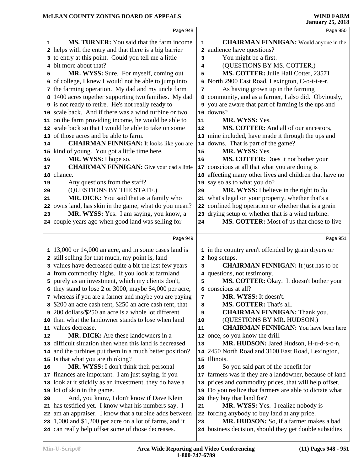|    | Page 948                                                 |             | Page 950                                                   |
|----|----------------------------------------------------------|-------------|------------------------------------------------------------|
| 1  | MS. TURNER: You said that the farm income                | $\mathbf 1$ | <b>CHAIRMAN FINNIGAN:</b> Would anyone in the              |
|    | 2 helps with the entry and that there is a big barrier   |             | 2 audience have questions?                                 |
|    | 3 to entry at this point. Could you tell me a little     | 3           | You might be a first.                                      |
|    | 4 bit more about that?                                   | 4           | (QUESTIONS BY MS. COTTER.)                                 |
| 5  | MR. WYSS: Sure. For myself, coming out                   | 5           | MS. COTTER: Julie Hall Cotter, 23571                       |
|    | 6 of college, I knew I would not be able to jump into    | 6           | North 2900 East Road, Lexington, C-o-t-t-e-r.              |
|    | 7 the farming operation. My dad and my uncle farm        | 7           | As having grown up in the farming                          |
|    | 8 1400 acres together supporting two families. My dad    |             | 8 community, and as a farmer, I also did. Obviously,       |
|    | 9 is not ready to retire. He's not really ready to       |             | <b>9</b> you are aware that part of farming is the ups and |
|    | 10 scale back. And if there was a wind turbine or two    |             | 10 downs?                                                  |
|    | 11 on the farm providing income, he would be able to     | 11          | MR. WYSS: Yes.                                             |
|    | 12 scale back so that I would be able to take on some    | 12          | MS. COTTER: And all of our ancestors,                      |
|    | 13 of those acres and be able to farm.                   |             | 13 mine included, have made it through the ups and         |
| 14 | <b>CHAIRMAN FINNIGAN:</b> It looks like you are          |             | 14 downs. That is part of the game?                        |
|    | 15 kind of young. You got a little time here.            | 15          | MR. WYSS: Yes.                                             |
| 16 | MR. WYSS: I hope so.                                     | 16          | MS. COTTER: Does it not bother your                        |
| 17 | <b>CHAIRMAN FINNIGAN:</b> Give your dad a little         |             | 17 conscious at all that what you are doing is             |
|    | 18 chance.                                               |             | 18 affecting many other lives and children that have no    |
| 19 | Any questions from the staff?                            |             | 19 say so as to what you do?                               |
| 20 | (QUESTIONS BY THE STAFF.)                                | 20          | MR. WYSS: I believe in the right to do                     |
| 21 | MR. DICK: You said that as a family who                  |             | 21 what's legal on your property, whether that's a         |
|    | 22 owns land, has skin in the game, what do you mean?    |             | 22 confined hog operation or whether that is a grain       |
| 23 | MR. WYSS: Yes. I am saying, you know, a                  |             | 23 drying setup or whether that is a wind turbine.         |
|    | 24 couple years ago when good land was selling for       | 24          | MS. COTTER: Most of us that chose to live                  |
|    |                                                          |             |                                                            |
|    | Page 949                                                 |             | Page 951                                                   |
|    | 1 13,000 or 14,000 an acre, and in some cases land is    |             | 1 in the country aren't offended by grain dryers or        |
|    | 2 still selling for that much, my point is, land         |             | 2 hog setups.                                              |
|    | 3 values have decreased quite a bit the last few years   | 3           | <b>CHAIRMAN FINNIGAN:</b> It just has to be                |
|    | 4 from commodity highs. If you look at farmland          |             | 4 questions, not testimony.                                |
|    | 5 purely as an investment, which my clients don't,       | 5           | MS. COTTER: Okay. It doesn't bother your                   |
|    | 6 they stand to lose 2 or 3000, maybe \$4,000 per acre,  |             | 6 conscious at all?                                        |
|    | 7 whereas if you are a farmer and maybe you are paying   | 7           | MR. WYSS: It doesn't.                                      |
|    | 8 \$200 an acre cash rent, \$250 an acre cash rent, that | 8           | MS. COTTER: That's all.                                    |
|    | 200 dollars/\$250 an acre is a whole lot different       | 9           | <b>CHAIRMAN FINNIGAN: Thank you.</b>                       |
|    | 10 than what the landowner stands to lose when land      | 10          | (QUESTIONS BY MR. HUDSON.)                                 |
|    | 11 values decrease.                                      | 11          | <b>CHAIRMAN FINNIGAN:</b> You have been here               |
| 12 | MR. DICK: Are these landowners in a                      | $12 \,$     | once, so you know the drill.                               |
|    | 13 difficult situation then when this land is decreased  | 13          | MR. HUDSON: Jared Hudson, H-u-d-s-o-n,                     |
|    | 14 and the turbines put them in a much better position?  |             | 14 2450 North Road and 3100 East Road, Lexington,          |
|    | 15 Is that what you are thinking?                        |             | 15 Illinois.                                               |
| 16 | MR. WYSS: I don't think their personal                   | 16          | So you said part of the benefit for                        |
|    | 17 finances are important. I am just saying, if you      | 17          | farmers was if they are a landowner, because of land       |
|    | 18 look at it stickily as an investment, they do have a  | 18          | prices and commodity prices, that will help offset.        |
|    | 19 lot of skin in the game.                              |             | 19 Do you realize that farmers are able to dictate what    |
| 20 | And, you know, I don't know if Dave Klein                | 20          | they buy that land for?                                    |
|    | 21 has testified yet. I know what his numbers say. I     | 21          | <b>MR. WYSS:</b> Yes. I realize nobody is                  |
|    | 22 am an appraiser. I know that a turbine adds between   |             | 22 forcing anybody to buy land at any price.               |
|    | 23 1,000 and \$1,200 per acre on a lot of farms, and it  | 23          | MR. HUDSON: So, if a farmer makes a bad                    |
|    | 24 can really help offset some of those decreases.       |             | 24 business decision, should they get double subsidies     |
|    |                                                          |             |                                                            |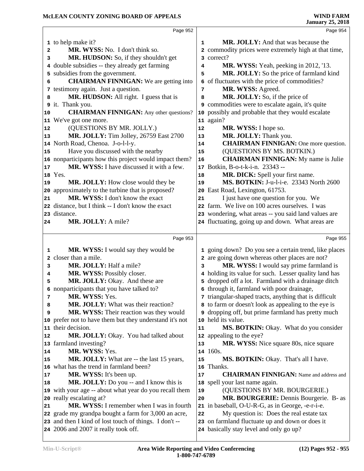|              | Page 952                                                                                       |    | Page 954                                                                                   |  |
|--------------|------------------------------------------------------------------------------------------------|----|--------------------------------------------------------------------------------------------|--|
|              | 1 to help make it?                                                                             | 1  | MR. JOLLY: And that was because the                                                        |  |
| 2            | MR. WYSS: No. I don't think so.                                                                |    | 2 commodity prices were extremely high at that time,                                       |  |
| з            | MR. HUDSON: So, if they shouldn't get                                                          |    | 3 correct?                                                                                 |  |
|              | 4 double subsidies -- they already get farming                                                 | 4  | MR. WYSS: Yeah, peeking in 2012, '13.                                                      |  |
| 5            | subsidies from the government.                                                                 | 5  | MR. JOLLY: So the price of farmland kind                                                   |  |
| 6            | <b>CHAIRMAN FINNIGAN:</b> We are getting into                                                  |    | 6 of fluctuates with the price of commodities?                                             |  |
|              | 7 testimony again. Just a question.                                                            | 7  | MR. WYSS: Agreed.                                                                          |  |
| 8            | MR. HUDSON: All right. I guess that is                                                         | 8  | MR. JOLLY: So, if the price of                                                             |  |
|              | 9 it. Thank you.                                                                               | 9  | commodities were to escalate again, it's quite                                             |  |
| 10           | <b>CHAIRMAN FINNIGAN:</b> Any other questions?                                                 |    | 10 possibly and probable that they would escalate                                          |  |
| 11           | We've got one more.                                                                            |    | 11 again?                                                                                  |  |
| 12           | (QUESTIONS BY MR. JOLLY.)                                                                      | 12 | MR. WYSS: I hope so.                                                                       |  |
| 13           | MR. JOLLY: Tim Jolley, 26759 East 2700                                                         | 13 | MR. JOLLY: Thank you.                                                                      |  |
|              | 14 North Road, Chenoa. J-o-l-l-y.                                                              | 14 | <b>CHAIRMAN FINNIGAN:</b> One more question.                                               |  |
| 15           | Have you discussed with the nearby                                                             | 15 | (QUESTIONS BY MS. BOTKIN.)                                                                 |  |
|              | 16 nonparticipants how this project would impact them?                                         | 16 | <b>CHAIRMAN FINNIGAN:</b> My name is Julie                                                 |  |
| 17           | MR. WYSS: I have discussed it with a few.                                                      |    | 17 Botkin, B-o-t-k-i-n. 23343 --                                                           |  |
|              | 18 Yes.                                                                                        | 18 | MR. DICK: Spell your first name.                                                           |  |
| 19           | MR. JOLLY: How close would they be                                                             | 19 | MS. BOTKIN: J-u-l-i-e. 23343 North 2600                                                    |  |
|              | 20 approximately to the turbine that is proposed?                                              |    | 20 East Road, Lexington, 61753.                                                            |  |
| 21           | MR. WYSS: I don't know the exact                                                               | 21 | I just have one question for you. We                                                       |  |
|              | 22 distance, but I think -- I don't know the exact                                             |    | 22 farm. We live on 100 acres ourselves. I was                                             |  |
|              | 23 distance.                                                                                   |    | 23 wondering, what areas -- you said land values are                                       |  |
| 24           | MR. JOLLY: A mile?                                                                             |    | 24 fluctuating, going up and down. What areas are                                          |  |
|              |                                                                                                |    |                                                                                            |  |
|              | Page 953                                                                                       |    | Page 955                                                                                   |  |
|              |                                                                                                |    |                                                                                            |  |
| 1            | <b>MR. WYSS:</b> I would say they would be                                                     |    | 1 going down? Do you see a certain trend, like places                                      |  |
| $\mathbf{2}$ | closer than a mile.                                                                            |    | 2 are going down whereas other places are not?                                             |  |
| 3            | MR. JOLLY: Half a mile?                                                                        | 3  | MR. WYSS: I would say prime farmland is                                                    |  |
| 4            | MR. WYSS: Possibly closer.                                                                     |    | 4 holding its value for such. Lesser quality land has                                      |  |
| 5            | MR. JOLLY: Okay. And these are                                                                 |    | 5 dropped off a lot. Farmland with a drainage ditch                                        |  |
|              | 6 nonparticipants that you have talked to?                                                     |    | 6 through it, farmland with poor drainage,                                                 |  |
| 7            | MR. WYSS: Yes.                                                                                 |    | 7 triangular-shaped tracts, anything that is difficult                                     |  |
| 8            | MR. JOLLY: What was their reaction?                                                            |    | 8 to farm or doesn't look as appealing to the eye is                                       |  |
| 9            | MR. WYSS: Their reaction was they would                                                        |    | g dropping off, but prime farmland has pretty much                                         |  |
|              | 10 prefer not to have them but they understand it's not                                        |    | 10 held its value.                                                                         |  |
| 11           | their decision.                                                                                | 11 | MS. BOTKIN: Okay. What do you consider                                                     |  |
| 12           | MR. JOLLY: Okay. You had talked about                                                          |    | 12 appealing to the eye?                                                                   |  |
|              | 13 farmland investing?                                                                         | 13 | <b>MR. WYSS:</b> Nice square 80s, nice square                                              |  |
| 14           | MR. WYSS: Yes.                                                                                 |    | 14 160s.                                                                                   |  |
| 15           | MR. JOLLY: What are -- the last 15 years,                                                      | 15 | MS. BOTKIN: Okay. That's all I have.                                                       |  |
| 16           | what has the trend in farmland been?                                                           | 16 | Thanks.                                                                                    |  |
| 17           | MR. WYSS: It's been up.                                                                        | 17 | <b>CHAIRMAN FINNIGAN:</b> Name and address and                                             |  |
| 18           | MR. JOLLY: Do you -- and I know this is                                                        |    | 18 spell your last name again.                                                             |  |
|              | 19 with your age -- about what year do you recall them                                         | 19 | (QUESTIONS BY MR. BOURGERIE.)                                                              |  |
|              | 20 really escalating at?                                                                       | 20 | MR. BOURGERIE: Dennis Bourgerie. B- as                                                     |  |
| 21           | MR. WYSS: I remember when I was in fourth                                                      |    | 21 in baseball, O-U-R-G, as in George, -e-r-i-e.                                           |  |
|              | 22 grade my grandpa bought a farm for 3,000 an acre,                                           | 22 | My question is: Does the real estate tax                                                   |  |
|              | 23 and then I kind of lost touch of things. I don't --<br>24 2006 and 2007 it really took off. |    | 23 on farmland fluctuate up and down or does it<br>24 basically stay level and only go up? |  |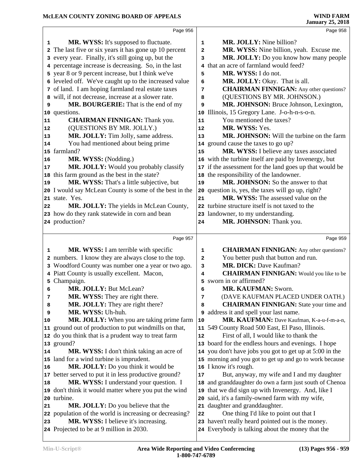| Page 956<br><b>MR. WYSS:</b> It's supposed to fluctuate.<br><b>MR. JOLLY:</b> Nine billion?<br>1<br>1<br>2 The last five or six years it has gone up 10 percent<br>MR. WYSS: Nine billion, yeah. Excuse me.<br>$\overline{a}$<br>MR. JOLLY: Do you know how many people<br>3 every year. Finally, it's still going up, but the<br>3<br>4 that an acre of farmland would feed?<br>4 percentage increase is decreasing. So, in the last<br>5 year 8 or 9 percent increase, but I think we've<br>MR. WYSS: I do not.<br>5<br>6 leveled off. We've caught up to the increased value<br>MR. JOLLY: Okay. That is all.<br>6<br>7 of land. I am hoping farmland real estate taxes<br><b>CHAIRMAN FINNIGAN:</b> Any other questions?<br>7<br>will, if not decrease, increase at a slower rate.<br>(QUESTIONS BY MR. JOHNSON.)<br>8<br>8<br>MR. BOURGERIE: That is the end of my<br>MR. JOHNSON: Bruce Johnson, Lexington,<br>9<br>9<br>10 Illinois, 15 Gregory Lane. J-o-h-n-s-o-n.<br>10 questions.<br>You mentioned the taxes?<br><b>CHAIRMAN FINNIGAN:</b> Thank you.<br>11<br>11<br>(QUESTIONS BY MR. JOLLY.)<br>MR. WYSS: Yes.<br>12<br>12<br>MR. JOLLY: Tim Jolly, same address.<br>MR. JOHNSON: Will the turbine on the farm<br>13<br> 13<br>You had mentioned about being prime<br>14 ground cause the taxes to go up?<br>14 | Page 958 |
|------------------------------------------------------------------------------------------------------------------------------------------------------------------------------------------------------------------------------------------------------------------------------------------------------------------------------------------------------------------------------------------------------------------------------------------------------------------------------------------------------------------------------------------------------------------------------------------------------------------------------------------------------------------------------------------------------------------------------------------------------------------------------------------------------------------------------------------------------------------------------------------------------------------------------------------------------------------------------------------------------------------------------------------------------------------------------------------------------------------------------------------------------------------------------------------------------------------------------------------------------------------------------------------------------------------------------|----------|
|                                                                                                                                                                                                                                                                                                                                                                                                                                                                                                                                                                                                                                                                                                                                                                                                                                                                                                                                                                                                                                                                                                                                                                                                                                                                                                                              |          |
|                                                                                                                                                                                                                                                                                                                                                                                                                                                                                                                                                                                                                                                                                                                                                                                                                                                                                                                                                                                                                                                                                                                                                                                                                                                                                                                              |          |
|                                                                                                                                                                                                                                                                                                                                                                                                                                                                                                                                                                                                                                                                                                                                                                                                                                                                                                                                                                                                                                                                                                                                                                                                                                                                                                                              |          |
|                                                                                                                                                                                                                                                                                                                                                                                                                                                                                                                                                                                                                                                                                                                                                                                                                                                                                                                                                                                                                                                                                                                                                                                                                                                                                                                              |          |
|                                                                                                                                                                                                                                                                                                                                                                                                                                                                                                                                                                                                                                                                                                                                                                                                                                                                                                                                                                                                                                                                                                                                                                                                                                                                                                                              |          |
|                                                                                                                                                                                                                                                                                                                                                                                                                                                                                                                                                                                                                                                                                                                                                                                                                                                                                                                                                                                                                                                                                                                                                                                                                                                                                                                              |          |
|                                                                                                                                                                                                                                                                                                                                                                                                                                                                                                                                                                                                                                                                                                                                                                                                                                                                                                                                                                                                                                                                                                                                                                                                                                                                                                                              |          |
|                                                                                                                                                                                                                                                                                                                                                                                                                                                                                                                                                                                                                                                                                                                                                                                                                                                                                                                                                                                                                                                                                                                                                                                                                                                                                                                              |          |
|                                                                                                                                                                                                                                                                                                                                                                                                                                                                                                                                                                                                                                                                                                                                                                                                                                                                                                                                                                                                                                                                                                                                                                                                                                                                                                                              |          |
|                                                                                                                                                                                                                                                                                                                                                                                                                                                                                                                                                                                                                                                                                                                                                                                                                                                                                                                                                                                                                                                                                                                                                                                                                                                                                                                              |          |
|                                                                                                                                                                                                                                                                                                                                                                                                                                                                                                                                                                                                                                                                                                                                                                                                                                                                                                                                                                                                                                                                                                                                                                                                                                                                                                                              |          |
|                                                                                                                                                                                                                                                                                                                                                                                                                                                                                                                                                                                                                                                                                                                                                                                                                                                                                                                                                                                                                                                                                                                                                                                                                                                                                                                              |          |
|                                                                                                                                                                                                                                                                                                                                                                                                                                                                                                                                                                                                                                                                                                                                                                                                                                                                                                                                                                                                                                                                                                                                                                                                                                                                                                                              |          |
|                                                                                                                                                                                                                                                                                                                                                                                                                                                                                                                                                                                                                                                                                                                                                                                                                                                                                                                                                                                                                                                                                                                                                                                                                                                                                                                              |          |
|                                                                                                                                                                                                                                                                                                                                                                                                                                                                                                                                                                                                                                                                                                                                                                                                                                                                                                                                                                                                                                                                                                                                                                                                                                                                                                                              |          |
| 15 farmland?<br>MR. WYSS: I believe any taxes associated<br>15                                                                                                                                                                                                                                                                                                                                                                                                                                                                                                                                                                                                                                                                                                                                                                                                                                                                                                                                                                                                                                                                                                                                                                                                                                                               |          |
| 16 with the turbine itself are paid by Invenergy, but<br>MR. WYSS: (Nodding.)<br>16                                                                                                                                                                                                                                                                                                                                                                                                                                                                                                                                                                                                                                                                                                                                                                                                                                                                                                                                                                                                                                                                                                                                                                                                                                          |          |
| MR. JOLLY: Would you probably classify<br>17 if the assessment for the land goes up that would be<br>17                                                                                                                                                                                                                                                                                                                                                                                                                                                                                                                                                                                                                                                                                                                                                                                                                                                                                                                                                                                                                                                                                                                                                                                                                      |          |
| 18 this farm ground as the best in the state?<br>18 the responsibility of the landowner.                                                                                                                                                                                                                                                                                                                                                                                                                                                                                                                                                                                                                                                                                                                                                                                                                                                                                                                                                                                                                                                                                                                                                                                                                                     |          |
| MR. WYSS: That's a little subjective, but<br>MR. JOHNSON: So the answer to that<br>19<br>19                                                                                                                                                                                                                                                                                                                                                                                                                                                                                                                                                                                                                                                                                                                                                                                                                                                                                                                                                                                                                                                                                                                                                                                                                                  |          |
| 20 I would say McLean County is some of the best in the<br>20 question is, yes, the taxes will go up, right?                                                                                                                                                                                                                                                                                                                                                                                                                                                                                                                                                                                                                                                                                                                                                                                                                                                                                                                                                                                                                                                                                                                                                                                                                 |          |
| MR. WYSS: The assessed value on the<br>21 state. Yes.<br>21                                                                                                                                                                                                                                                                                                                                                                                                                                                                                                                                                                                                                                                                                                                                                                                                                                                                                                                                                                                                                                                                                                                                                                                                                                                                  |          |
| MR. JOLLY: The yields in McLean County,<br>22 turbine structure itself is not taxed to the<br>22                                                                                                                                                                                                                                                                                                                                                                                                                                                                                                                                                                                                                                                                                                                                                                                                                                                                                                                                                                                                                                                                                                                                                                                                                             |          |
| 23 how do they rank statewide in corn and bean<br>23 landowner, to my understanding.                                                                                                                                                                                                                                                                                                                                                                                                                                                                                                                                                                                                                                                                                                                                                                                                                                                                                                                                                                                                                                                                                                                                                                                                                                         |          |
| MR. JOHNSON: Thank you.<br>24 production?<br>24                                                                                                                                                                                                                                                                                                                                                                                                                                                                                                                                                                                                                                                                                                                                                                                                                                                                                                                                                                                                                                                                                                                                                                                                                                                                              |          |
|                                                                                                                                                                                                                                                                                                                                                                                                                                                                                                                                                                                                                                                                                                                                                                                                                                                                                                                                                                                                                                                                                                                                                                                                                                                                                                                              |          |
| Page 957                                                                                                                                                                                                                                                                                                                                                                                                                                                                                                                                                                                                                                                                                                                                                                                                                                                                                                                                                                                                                                                                                                                                                                                                                                                                                                                     | Page 959 |
|                                                                                                                                                                                                                                                                                                                                                                                                                                                                                                                                                                                                                                                                                                                                                                                                                                                                                                                                                                                                                                                                                                                                                                                                                                                                                                                              |          |
| <b>MR. WYSS:</b> I am terrible with specific<br>1<br>1                                                                                                                                                                                                                                                                                                                                                                                                                                                                                                                                                                                                                                                                                                                                                                                                                                                                                                                                                                                                                                                                                                                                                                                                                                                                       |          |
| <b>CHAIRMAN FINNIGAN:</b> Any other questions?<br>2 numbers. I know they are always close to the top.<br>You better push that button and run.<br>2                                                                                                                                                                                                                                                                                                                                                                                                                                                                                                                                                                                                                                                                                                                                                                                                                                                                                                                                                                                                                                                                                                                                                                           |          |
| 3 Woodford County was number one a year or two ago.<br>MR. DICK: Dave Kaufman?<br>3                                                                                                                                                                                                                                                                                                                                                                                                                                                                                                                                                                                                                                                                                                                                                                                                                                                                                                                                                                                                                                                                                                                                                                                                                                          |          |
| 4 Piatt County is usually excellent. Macon,<br><b>CHAIRMAN FINNIGAN:</b> Would you like to be<br>4                                                                                                                                                                                                                                                                                                                                                                                                                                                                                                                                                                                                                                                                                                                                                                                                                                                                                                                                                                                                                                                                                                                                                                                                                           |          |
| 5 Champaign.<br>sworn in or affirmed?<br>5                                                                                                                                                                                                                                                                                                                                                                                                                                                                                                                                                                                                                                                                                                                                                                                                                                                                                                                                                                                                                                                                                                                                                                                                                                                                                   |          |
| MR. JOLLY: But McLean?<br>MR. KAUFMAN: Sworn.<br>6<br>6                                                                                                                                                                                                                                                                                                                                                                                                                                                                                                                                                                                                                                                                                                                                                                                                                                                                                                                                                                                                                                                                                                                                                                                                                                                                      |          |
| <b>MR. WYSS:</b> They are right there.<br>(DAVE KAUFMAN PLACED UNDER OATH.)<br>7<br>7                                                                                                                                                                                                                                                                                                                                                                                                                                                                                                                                                                                                                                                                                                                                                                                                                                                                                                                                                                                                                                                                                                                                                                                                                                        |          |
| <b>MR. JOLLY:</b> They are right there?<br><b>CHAIRMAN FINNIGAN:</b> State your time and<br>8<br>8                                                                                                                                                                                                                                                                                                                                                                                                                                                                                                                                                                                                                                                                                                                                                                                                                                                                                                                                                                                                                                                                                                                                                                                                                           |          |
| MR. WYSS: Uh-huh.<br>address it and spell your last name.<br>9<br>9                                                                                                                                                                                                                                                                                                                                                                                                                                                                                                                                                                                                                                                                                                                                                                                                                                                                                                                                                                                                                                                                                                                                                                                                                                                          |          |
| MR. JOLLY: When you are taking prime farm<br>MR. KAUFMAN: Dave Kaufman, K-a-u-f-m-a-n,<br>10<br>10                                                                                                                                                                                                                                                                                                                                                                                                                                                                                                                                                                                                                                                                                                                                                                                                                                                                                                                                                                                                                                                                                                                                                                                                                           |          |
| 11 ground out of production to put windmills on that,<br>11 549 County Road 500 East, El Paso, Illinois.                                                                                                                                                                                                                                                                                                                                                                                                                                                                                                                                                                                                                                                                                                                                                                                                                                                                                                                                                                                                                                                                                                                                                                                                                     |          |
| 12 do you think that is a prudent way to treat farm<br>First of all, I would like to thank the<br>12                                                                                                                                                                                                                                                                                                                                                                                                                                                                                                                                                                                                                                                                                                                                                                                                                                                                                                                                                                                                                                                                                                                                                                                                                         |          |
| 13 board for the endless hours and evenings. I hope<br>13 ground?                                                                                                                                                                                                                                                                                                                                                                                                                                                                                                                                                                                                                                                                                                                                                                                                                                                                                                                                                                                                                                                                                                                                                                                                                                                            |          |
| 14 you don't have jobs you got to get up at 5:00 in the<br>MR. WYSS: I don't think taking an acre of<br>14                                                                                                                                                                                                                                                                                                                                                                                                                                                                                                                                                                                                                                                                                                                                                                                                                                                                                                                                                                                                                                                                                                                                                                                                                   |          |
| 15 land for a wind turbine is imprudent.<br>15 morning and you got to get up and go to work because                                                                                                                                                                                                                                                                                                                                                                                                                                                                                                                                                                                                                                                                                                                                                                                                                                                                                                                                                                                                                                                                                                                                                                                                                          |          |
| MR. JOLLY: Do you think it would be<br>16 I know it's rough.<br>16                                                                                                                                                                                                                                                                                                                                                                                                                                                                                                                                                                                                                                                                                                                                                                                                                                                                                                                                                                                                                                                                                                                                                                                                                                                           |          |
| 17 better served to put it in less productive ground?<br>But, anyway, my wife and I and my daughter<br>17                                                                                                                                                                                                                                                                                                                                                                                                                                                                                                                                                                                                                                                                                                                                                                                                                                                                                                                                                                                                                                                                                                                                                                                                                    |          |
| MR. WYSS: I understand your question. I<br>18 and granddaughter do own a farm just south of Chenoa<br>18                                                                                                                                                                                                                                                                                                                                                                                                                                                                                                                                                                                                                                                                                                                                                                                                                                                                                                                                                                                                                                                                                                                                                                                                                     |          |
| 19 that we did sign up with Invenergy. And, like I<br>19 don't think it would matter where you put the wind                                                                                                                                                                                                                                                                                                                                                                                                                                                                                                                                                                                                                                                                                                                                                                                                                                                                                                                                                                                                                                                                                                                                                                                                                  |          |
| said, it's a family-owned farm with my wife,<br>20 turbine.<br>20                                                                                                                                                                                                                                                                                                                                                                                                                                                                                                                                                                                                                                                                                                                                                                                                                                                                                                                                                                                                                                                                                                                                                                                                                                                            |          |
| 21 daughter and granddaughter.<br>MR. JOLLY: Do you believe that the<br>21                                                                                                                                                                                                                                                                                                                                                                                                                                                                                                                                                                                                                                                                                                                                                                                                                                                                                                                                                                                                                                                                                                                                                                                                                                                   |          |
| 22 population of the world is increasing or decreasing?<br>One thing I'd like to point out that I<br>22                                                                                                                                                                                                                                                                                                                                                                                                                                                                                                                                                                                                                                                                                                                                                                                                                                                                                                                                                                                                                                                                                                                                                                                                                      |          |
| MR. WYSS: I believe it's increasing.<br>23 haven't really heard pointed out is the money.<br>23<br>24 Everybody is talking about the money that the<br>24 Projected to be at 9 million in 2030.                                                                                                                                                                                                                                                                                                                                                                                                                                                                                                                                                                                                                                                                                                                                                                                                                                                                                                                                                                                                                                                                                                                              |          |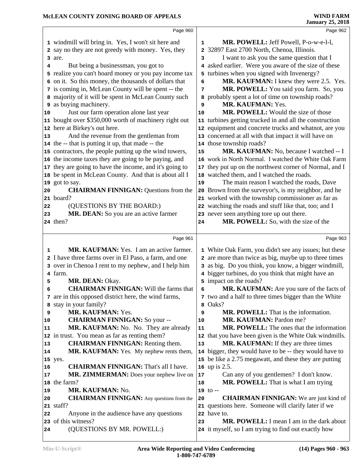|    | Page 960                                                |              | Page 962                                                                                          |
|----|---------------------------------------------------------|--------------|---------------------------------------------------------------------------------------------------|
|    | 1 windmill will bring in. Yes, I won't sit here and     | 1            | MR. POWELL: Jeff Powell, P-o-w-e-l-l,                                                             |
|    | 2 say no they are not greedy with money. Yes, they      | $\mathbf{2}$ | 32897 East 2700 North, Chenoa, Illinois.                                                          |
|    | 3 are.                                                  | 3            | I want to ask you the same question that I                                                        |
| 4  | But being a businessman, you got to                     | 4            | asked earlier. Were you aware of the size of these                                                |
|    | 5 realize you can't hoard money or you pay income tax   | 5            | turbines when you signed with Invenergy?                                                          |
|    | 6 on it. So this money, the thousands of dollars that   | 6            | MR. KAUFMAN: I knew they were 2.5. Yes.                                                           |
|    | 7 is coming in, McLean County will be spent -- the      | 7            | MR. POWELL: You said you farm. So, you                                                            |
|    | 8 majority of it will be spent in McLean County such    | 8            | probably spent a lot of time on township roads?                                                   |
|    | <b>9</b> as buying machinery.                           | 9            | MR. KAUFMAN: Yes.                                                                                 |
| 10 | Just our farm operation alone last year                 | 10           | MR. POWELL: Would the size of those                                                               |
|    | 11 bought over \$350,000 worth of machinery right out   |              | 11 turbines getting trucked in and all the construction                                           |
|    | 12 here at Birkey's out here.                           |              | 12 equipment and concrete trucks and whatnot, are you                                             |
| 13 | And the revenue from the gentleman from                 |              | 13 concerned at all with that impact it will have on                                              |
|    | 14 the -- that is putting it up, that made -- the       |              | 14 those township roads?                                                                          |
|    | 15 contractors, the people putting up the wind towers,  | 15           | MR. KAUFMAN: No, because I watched -- I                                                           |
|    | 16 the income taxes they are going to be paying, and    |              | 16 work in North Normal. I watched the White Oak Farm                                             |
|    | 17 they are going to have the income, and it's going to |              | 17 they put up on the northwest corner of Normal, and I                                           |
|    | 18 be spent in McLean County. And that is about all I   |              | 18 watched them, and I watched the roads.                                                         |
|    | 19 got to say.                                          | 19           | The main reason I watched the roads, Dave                                                         |
| 20 | <b>CHAIRMAN FINNIGAN: Questions from the</b>            |              | 20 Brown from the surveyor's, is my neighbor, and he                                              |
|    | 21 board?                                               |              | 21 worked with the township commissioner as far as                                                |
| 22 | (QUESTIONS BY THE BOARD:)                               |              | 22 watching the roads and stuff like that, too; and I                                             |
| 23 | MR. DEAN: So you are an active farmer                   |              | 23 never seen anything tore up out there.                                                         |
|    | 24 then?                                                | 24           | MR. POWELL: So, with the size of the                                                              |
|    |                                                         |              |                                                                                                   |
|    |                                                         |              |                                                                                                   |
|    | Page 961                                                |              | Page 963                                                                                          |
| 1  | MR. KAUFMAN: Yes. I am an active farmer.                |              | 1 White Oak Farm, you didn't see any issues; but these                                            |
|    | 2 I have three farms over in El Paso, a farm, and one   |              | 2 are more than twice as big, maybe up to three times                                             |
|    | 3 over in Chenoa I rent to my nephew, and I help him    |              | 3 as big. Do you think, you know, a bigger windmill,                                              |
|    | 4 farm.                                                 |              | 4 bigger turbines, do you think that might have an                                                |
| 5  | MR. DEAN: Okay.                                         |              | 5 impact on the roads?                                                                            |
| 6  | <b>CHAIRMAN FINNIGAN:</b> Will the farms that           | 6            | MR. KAUFMAN: Are you sure of the facts of                                                         |
|    | 7 are in this opposed district here, the wind farms,    |              | 7 two and a half to three times bigger than the White                                             |
|    | 8 stay in your family?                                  | 8            | Oaks?                                                                                             |
| 9  | MR. KAUFMAN: Yes.                                       | 9            | MR. POWELL: That is the information.                                                              |
| 10 | <b>CHAIRMAN FINNIGAN: So your --</b>                    | 10           | MR. KAUFMAN: Pardon me?                                                                           |
| 11 | MR. KAUFMAN: No. No. They are already                   | 11           | <b>MR. POWELL:</b> The ones that the information                                                  |
|    | 12 in trust. You mean as far as renting them?           |              | 12 that you have been given is the White Oak windmills.                                           |
| 13 | <b>CHAIRMAN FINNIGAN:</b> Renting them.                 | 13           | MR. KAUFMAN: If they are three times                                                              |
| 14 | MR. KAUFMAN: Yes. My nephew rents them,                 |              | 14 bigger, they would have to be -- they would have to                                            |
|    | 15 yes.                                                 |              | 15 be like a 2.75 megawatt, and these they are putting                                            |
| 16 | <b>CHAIRMAN FINNIGAN:</b> That's all I have.            |              | 16 up is 2.5.                                                                                     |
| 17 | MR. ZIMMERMAN: Does your nephew live on                 | 17           | Can any of you gentlemen? I don't know.                                                           |
|    | 18 the farm?                                            | 18           | MR. POWELL: That is what I am trying                                                              |
| 19 | MR. KAUFMAN: No.                                        |              | $19$ to $-$                                                                                       |
| 20 | <b>CHAIRMAN FINNIGAN:</b> Any questions from the        | 20           | <b>CHAIRMAN FINNIGAN:</b> We are just kind of                                                     |
|    | 21 staff?                                               |              | 21 questions here. Someone will clarify later if we                                               |
| 22 | Anyone in the audience have any questions               |              | 22 have to.                                                                                       |
| 24 | 23 of this witness?<br>(QUESTIONS BY MR. POWELL:)       | 23           | MR. POWELL: I mean I am in the dark about<br>24 it myself, so I am trying to find out exactly how |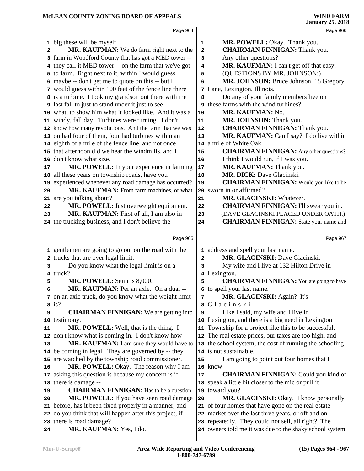|              | Page 964                                                                                   |                         | Page 966                                                                          |
|--------------|--------------------------------------------------------------------------------------------|-------------------------|-----------------------------------------------------------------------------------|
|              | 1 big these will be myself.                                                                | $\mathbf 1$             | MR. POWELL: Okay. Thank you.                                                      |
| $\mathbf{2}$ | MR. KAUFMAN: We do farm right next to the                                                  | $\mathbf{2}$            | <b>CHAIRMAN FINNIGAN:</b> Thank you.                                              |
|              | 3 farm in Woodford County that has got a MED tower --                                      | 3                       | Any other questions?                                                              |
|              | 4 they call it MED tower -- on the farm that we've got                                     | 4                       | MR. KAUFMAN: I can't get off that easy.                                           |
|              | 5 to farm. Right next to it, within I would guess                                          | 5                       | (QUESTIONS BY MR. JOHNSON:)                                                       |
|              | 6 maybe -- don't get me to quote on this -- but I                                          | 6                       | MR. JOHNSON: Bruce Johnson, 15 Gregory                                            |
|              | 7 would guess within 100 feet of the fence line there                                      | 7                       | Lane, Lexington, Illinois.                                                        |
|              | 8 is a turbine. I took my grandson out there with me                                       | 8                       | Do any of your family members live on                                             |
|              | <b>9</b> last fall to just to stand under it just to see                                   |                         | <b>9</b> these farms with the wind turbines?                                      |
|              | 10 what, to show him what it looked like. And it was a                                     | 10                      | MR. KAUFMAN: No.                                                                  |
|              | 11 windy, fall day. Turbines were turning. I don't                                         | 11                      | MR. JOHNSON: Thank you.                                                           |
|              | 12 know how many revolutions. And the farm that we was                                     | 12                      | <b>CHAIRMAN FINNIGAN: Thank you.</b>                                              |
|              | 13 on had four of them, four had turbines within an                                        | 13                      | MR. KAUFMAN: Can I say? I do live within                                          |
|              | 14 eighth of a mile of the fence line, and not once                                        |                         | 14 a mile of White Oak.                                                           |
|              | 15 that afternoon did we hear the windmills, and I                                         | 15                      | <b>CHAIRMAN FINNIGAN:</b> Any other questions?                                    |
|              | 16 don't know what size.                                                                   | 16                      | I think I would run, if I was you.                                                |
| 17           | MR. POWELL: In your experience in farming                                                  | $17\,$                  | MR. KAUFMAN: Thank you.                                                           |
|              | 18 all these years on township roads, have you                                             | 18                      | MR. DICK: Dave Glacinski.                                                         |
|              | 19 experienced whenever any road damage has occurred?                                      | 19                      | <b>CHAIRMAN FINNIGAN:</b> Would you like to be                                    |
| 20           | MR. KAUFMAN: From farm machines, or what                                                   |                         | 20 sworn in or affirmed?                                                          |
|              | 21 are you talking about?                                                                  | 21                      | MR. GLACINSKI: Whatever.                                                          |
| 22           | MR. POWELL: Just overweight equipment.                                                     | 22                      | <b>CHAIRMAN FINNIGAN:</b> I'll swear you in.                                      |
| 23           | MR. KAUFMAN: First of all, I am also in                                                    | 23                      | (DAVE GLACINSKI PLACED UNDER OATH.)                                               |
|              | 24 the trucking business, and I don't believe the                                          | 24                      | <b>CHAIRMAN FINNIGAN:</b> State your name and                                     |
|              |                                                                                            |                         |                                                                                   |
|              | Page 965                                                                                   |                         | Page 967                                                                          |
|              | 1 gentlemen are going to go out on the road with the                                       |                         | 1 address and spell your last name.                                               |
|              | 2 trucks that are over legal limit.                                                        | $\overline{\mathbf{c}}$ | MR. GLACINSKI: Dave Glacinski.                                                    |
| 3            | Do you know what the legal limit is on a                                                   | 3                       | My wife and I live at 132 Hilton Drive in                                         |
|              | 4 truck?                                                                                   | 4                       | Lexington.                                                                        |
| 5            | MR. POWELL: Semi is 8,000.                                                                 | 5                       | <b>CHAIRMAN FINNIGAN:</b> You are going to have                                   |
| 6            | MR. KAUFMAN: Per an axle. On a dual --                                                     |                         | 6 to spell your last name.                                                        |
|              | 7 on an axle truck, do you know what the weight limit                                      | 7                       | MR. GLACINSKI: Again? It's                                                        |
|              | $8$ is?                                                                                    | 8                       | G-l-a-c-i-n-s-k-i.                                                                |
| 9            | <b>CHAIRMAN FINNIGAN:</b> We are getting into                                              | 9                       | Like I said, my wife and I live in                                                |
|              | 10 testimony.                                                                              |                         | 10 Lexington, and there is a big need in Lexington                                |
| 11           | <b>MR. POWELL:</b> Well, that is the thing. I                                              |                         | 11 Township for a project like this to be successful.                             |
|              | 12 don't know what is coming in. I don't know how --                                       |                         | 12 The real estate prices, our taxes are too high, and                            |
| 13           | MR. KAUFMAN: I am sure they would have to                                                  |                         | 13 the school system, the cost of running the schooling<br>14 is not sustainable. |
|              | 14 be coming in legal. They are governed by -- they                                        |                         |                                                                                   |
|              | 15 are watched by the township road commissioner.<br>MR. POWELL: Okay. The reason why I am | 15                      | I am going to point out four homes that I<br>16 know --                           |
| 16           | 17 asking this question is because my concern is if                                        |                         | <b>CHAIRMAN FINNIGAN: Could you kind of</b>                                       |
|              | 18 there is damage --                                                                      | 17                      | 18 speak a little bit closer to the mic or pull it                                |
| 19           | <b>CHAIRMAN FINNIGAN:</b> Has to be a question.                                            |                         | 19 toward you?                                                                    |
| 20           | MR. POWELL: If you have seen road damage                                                   | 20                      | MR. GLACINSKI: Okay. I know personally                                            |
|              | 21 before, has it been fixed properly in a manner, and                                     |                         | 21 of four homes that have gone on the real estate                                |
|              | 22 do you think that will happen after this project, if                                    |                         | 22 market over the last three years, or off and on                                |
|              | 23 there is road damage?                                                                   |                         | 23 repeatedly. They could not sell, all right? The                                |
| 24           | MR. KAUFMAN: Yes, I do.                                                                    |                         | 24 owners told me it was due to the shaky school system                           |
|              |                                                                                            |                         |                                                                                   |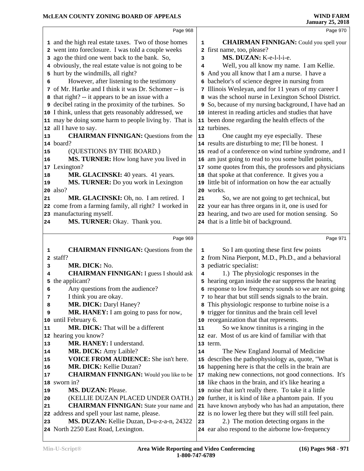|                                                          | Page 968                                                                    |    | Page 970                                                                                                     |  |
|----------------------------------------------------------|-----------------------------------------------------------------------------|----|--------------------------------------------------------------------------------------------------------------|--|
|                                                          | 1 and the high real estate taxes. Two of those homes                        | 1  | <b>CHAIRMAN FINNIGAN:</b> Could you spell your                                                               |  |
|                                                          | 2 went into foreclosure. I was told a couple weeks                          |    | 2 first name, too, please?                                                                                   |  |
|                                                          | 3 ago the third one went back to the bank. So,                              | 3  | MS. DUZAN: K-e-l-l-i-e.                                                                                      |  |
|                                                          | 4 obviously, the real estate value is not going to be                       | 4  | Well, you all know my name. I am Kellie.                                                                     |  |
|                                                          | 5 hurt by the windmills, all right?                                         |    | 5 And you all know that I am a nurse. I have a                                                               |  |
| 6                                                        | However, after listening to the testimony                                   |    | 6 bachelor's of science degree in nursing from                                                               |  |
|                                                          | 7 of Mr. Hartke and I think it was Dr. Schomer -- is                        |    | 7 Illinois Wesleyan, and for 11 years of my career I                                                         |  |
|                                                          | 8 that right? -- it appears to be an issue with a                           |    | 8 was the school nurse in Lexington School District.                                                         |  |
|                                                          | <b>9</b> decibel rating in the proximity of the turbines. So                |    | 9 So, because of my nursing background, I have had an                                                        |  |
|                                                          | 10 I think, unless that gets reasonably addressed, we                       |    | 10 interest in reading articles and studies that have                                                        |  |
|                                                          | 11 may be doing some harm to people living by. That is                      |    | 11 been done regarding the health effects of the                                                             |  |
|                                                          | 12 all I have to say.                                                       |    | 12 turbines.                                                                                                 |  |
| 13                                                       | <b>CHAIRMAN FINNIGAN: Questions from the</b>                                | 13 | One caught my eye especially. These                                                                          |  |
|                                                          | 14 board?                                                                   |    | 14 results are disturbing to me; I'll be honest. I                                                           |  |
| 15                                                       | (QUESTIONS BY THE BOARD.)                                                   |    | 15 read of a conference on wind turbine syndrome, and I                                                      |  |
| 16                                                       | MS. TURNER: How long have you lived in                                      |    | 16 am just going to read to you some bullet points,                                                          |  |
|                                                          | 17 Lexington?                                                               |    | 17 some quotes from this, the professors and physicians                                                      |  |
| 18                                                       | MR. GLACINSKI: 40 years. 41 years.                                          |    | 18 that spoke at that conference. It gives you a                                                             |  |
| 19                                                       | MS. TURNER: Do you work in Lexington                                        |    | 19 little bit of information on how the ear actually                                                         |  |
|                                                          | $20$ also?                                                                  |    | 20 works.                                                                                                    |  |
| 21                                                       | MR. GLACINSKI: Oh, no. I am retired. I                                      | 21 | So, we are not going to get technical, but                                                                   |  |
|                                                          | 22 come from a farming family, all right? I worked in                       |    | 22 your ear has three organs in it, one is used for                                                          |  |
|                                                          | 23 manufacturing myself.                                                    |    | 23 hearing, and two are used for motion sensing. So                                                          |  |
| 24                                                       | MS. TURNER: Okay. Thank you.                                                |    | 24 that is a little bit of background.                                                                       |  |
|                                                          | Page 969                                                                    |    |                                                                                                              |  |
|                                                          |                                                                             |    |                                                                                                              |  |
|                                                          |                                                                             |    | Page 971                                                                                                     |  |
| 1                                                        | <b>CHAIRMAN FINNIGAN: Questions from the</b>                                | 1  | So I am quoting these first few points                                                                       |  |
|                                                          | 2 staff?                                                                    |    | 2 from Nina Pierpont, M.D., Ph.D., and a behavioral                                                          |  |
| 3                                                        | MR. DICK: No.                                                               |    | 3 pediatric specialist:                                                                                      |  |
| 4                                                        | <b>CHAIRMAN FINNIGAN:</b> I guess I should ask                              | 4  | 1.) The physiologic responses in the                                                                         |  |
| 5                                                        | the applicant?                                                              |    | 5 hearing organ inside the ear suppress the hearing                                                          |  |
| 6                                                        | Any questions from the audience?                                            |    | 6 response to low frequency sounds so we are not going                                                       |  |
| 7                                                        | I think you are okay.                                                       |    | 7 to hear that but still sends signals to the brain.                                                         |  |
| 8                                                        | MR. DICK: Daryl Haney?                                                      |    | This physiologic response to turbine noise is a                                                              |  |
| 9                                                        | MR. HANEY: I am going to pass for now,                                      |    | 9 trigger for tinnitus and the brain cell level                                                              |  |
|                                                          | until February 6.                                                           |    | 10 reorganization that that represents.                                                                      |  |
|                                                          | <b>MR. DICK:</b> That will be a different                                   | 11 | So we know tinnitus is a ringing in the                                                                      |  |
|                                                          | 12 hearing you know?                                                        |    | 12 ear. Most of us are kind of familiar with that                                                            |  |
|                                                          | MR. HANEY: I understand.                                                    | 14 | 13 term.                                                                                                     |  |
|                                                          | <b>MR. DICK:</b> Amy Laible?<br><b>VOICE FROM AUDIENCE:</b> She isn't here. |    | The New England Journal of Medicine                                                                          |  |
|                                                          | MR. DICK: Kellie Duzan?                                                     |    | 15 describes the pathophysiology as, quote, "What is                                                         |  |
|                                                          | <b>CHAIRMAN FINNIGAN:</b> Would you like to be                              |    | 16 happening here is that the cells in the brain are                                                         |  |
|                                                          | 18 sworn in?                                                                |    | 17 making new connections, not good connections. It's<br>18 like chaos in the brain, and it's like hearing a |  |
|                                                          | <b>MS. DUZAN: Please.</b>                                                   |    | 19 noise that isn't really there. To take it a little                                                        |  |
|                                                          | (KELLIE DUZAN PLACED UNDER OATH.)                                           |    | 20 further, it is kind of like a phantom pain. If you                                                        |  |
| 10<br>11<br>13<br>14<br>15<br>16<br>17<br>19<br>20<br>21 | <b>CHAIRMAN FINNIGAN:</b> State your name and                               |    | 21 have known anybody who has had an amputation, there                                                       |  |
|                                                          | 22 address and spell your last name, please.                                |    | 22 is no lower leg there but they will still feel pain.                                                      |  |
| 23                                                       | MS. DUZAN: Kellie Duzan, D-u-z-a-n, 24322                                   | 23 | 2.) The motion detecting organs in the                                                                       |  |
|                                                          | 24 North 2250 East Road, Lexington.                                         |    | 24 ear also respond to the airborne low-frequency                                                            |  |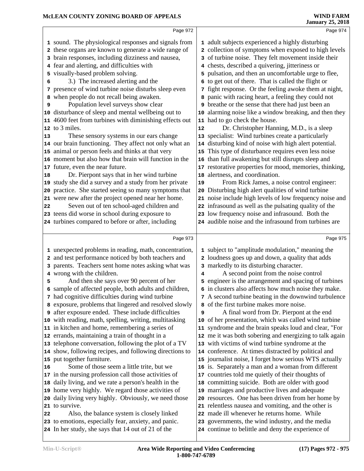|    | Page 972                                                                                                   |    | Page 974                                                                                               |
|----|------------------------------------------------------------------------------------------------------------|----|--------------------------------------------------------------------------------------------------------|
|    | 1 sound. The physiological responses and signals from                                                      |    | 1 adult subjects experienced a highly disturbing                                                       |
|    | 2 these organs are known to generate a wide range of                                                       |    | 2 collection of symptoms when exposed to high levels                                                   |
|    | 3 brain responses, including dizziness and nausea,                                                         |    | 3 of turbine noise. They felt movement inside their                                                    |
|    | 4 fear and alerting, and difficulties with                                                                 |    | 4 chests, described a quivering, jitteriness or                                                        |
| 5  | visually-based problem solving.                                                                            |    | 5 pulsation, and then an uncomfortable urge to flee,                                                   |
| 6  | 3.) The increased alerting and the                                                                         | 6  | to get out of there. That is called the flight or                                                      |
| 7  | presence of wind turbine noise disturbs sleep even                                                         |    | 7 fight response. Or the feeling awoke them at night,                                                  |
| 8  | when people do not recall being awaken.                                                                    |    | 8 panic with racing heart, a feeling they could not                                                    |
| 9  | Population level surveys show clear                                                                        |    | <b>9</b> breathe or the sense that there had just been an                                              |
|    | 10 disturbance of sleep and mental wellbeing out to                                                        |    | 10 alarming noise like a window breaking, and then they                                                |
| 11 | 4600 feet from turbines with diminishing effects out                                                       |    | 11 had to go check the house.                                                                          |
|    | 12 to 3 miles.                                                                                             | 12 | Dr. Christopher Hanning, M.D., is a sleep                                                              |
|    |                                                                                                            |    |                                                                                                        |
| 13 | These sensory systems in our ears change                                                                   |    | 13 specialist: Wind turbines create a particularly                                                     |
|    | 14 our brain functioning. They affect not only what an                                                     |    | 14 disturbing kind of noise with high alert potential.                                                 |
|    | 15 animal or person feels and thinks at that very                                                          | 15 | This type of disturbance requires even less noise                                                      |
|    | 16 moment but also how that brain will function in the                                                     |    | 16 than full awakening but still disrupts sleep and                                                    |
|    | 17 future, even the near future.                                                                           |    | 17 restorative properties for mood, memories, thinking,                                                |
| 18 | Dr. Pierpont says that in her wind turbine                                                                 |    | 18 alertness, and coordination.                                                                        |
|    | 19 study she did a survey and a study from her private                                                     | 19 | From Rick James, a noise control engineer:                                                             |
|    | 20 practice. She started seeing so many symptoms that                                                      | 20 | Disturbing high alert qualities of wind turbine                                                        |
|    | 21 were new after the project opened near her home.                                                        |    | 21 noise include high levels of low frequency noise and                                                |
| 22 | Seven out of ten school-aged children and                                                                  |    | 22 infrasound as well as the pulsating quality of the                                                  |
|    | 23 teens did worse in school during exposure to                                                            |    | 23 low frequency noise and infrasound. Both the                                                        |
|    | 24 turbines compared to before or after, including                                                         |    | 24 audible noise and the infrasound from turbines are                                                  |
|    | Page 973                                                                                                   |    | Page 975                                                                                               |
|    |                                                                                                            |    |                                                                                                        |
|    | 1 unexpected problems in reading, math, concentration,                                                     |    | 1 subject to "amplitude modulation," meaning the                                                       |
|    | 2 and test performance noticed by both teachers and                                                        |    | 2 loudness goes up and down, a quality that adds                                                       |
|    | 3 parents. Teachers sent home notes asking what was                                                        |    | 3 markedly to its disturbing character.                                                                |
|    | 4 wrong with the children.                                                                                 | 4  | A second point from the noise control                                                                  |
| 5  | And then she says over 90 percent of her                                                                   |    | 5 engineer is the arrangement and spacing of turbines                                                  |
|    | 6 sample of affected people, both adults and children,                                                     |    | 6 in clusters also affects how much noise they make.                                                   |
|    | 7 had cognitive difficulties during wind turbine                                                           |    | 7 A second turbine beating in the downwind turbulence                                                  |
|    | 8 exposure, problems that lingered and resolved slowly                                                     |    | 8 of the first turbine makes more noise.                                                               |
|    |                                                                                                            |    |                                                                                                        |
|    | <b>9</b> after exposure ended. These include difficulties                                                  | 9  | A final word from Dr. Pierpont at the end                                                              |
|    | 10 with reading, math, spelling, writing, multitasking                                                     | 10 | of her presentation, which was called wind turbine                                                     |
|    | 11 in kitchen and home, remembering a series of                                                            |    | 11 syndrome and the brain speaks loud and clear, "For                                                  |
|    | 12 errands, maintaining a train of thought in a                                                            |    | 12 me it was both sobering and energizing to talk again                                                |
|    | 13 telephone conversation, following the plot of a TV                                                      |    | 13 with victims of wind turbine syndrome at the                                                        |
|    | 14 show, following recipes, and following directions to                                                    |    | 14 conference. At times distracted by political and                                                    |
|    | 15 put together furniture.                                                                                 |    | 15 journalist noise, I forget how serious WTS actually                                                 |
| 16 | Some of those seem a little trite, but we                                                                  |    | 16 is. Separately a man and a woman from different                                                     |
|    | 17 in the nursing profession call those activities of                                                      |    | 17 countries told me quietly of their thoughts of                                                      |
|    | 18 daily living, and we rate a person's health in the                                                      |    | 18 committing suicide. Both are older with good                                                        |
|    | 19 home very highly. We regard those activities of                                                         |    | 19 marriages and productive lives and adequate                                                         |
| 20 | daily living very highly. Obviously, we need those                                                         |    | 20 resources. One has been driven from her home by                                                     |
| 21 | to survive.                                                                                                |    | 21 relentless nausea and vomiting, and the other is                                                    |
| 22 | Also, the balance system is closely linked                                                                 |    | 22 made ill whenever he returns home. While                                                            |
|    | 23 to emotions, especially fear, anxiety, and panic.<br>24 In her study, she says that 14 out of 21 of the |    | 23 governments, the wind industry, and the media<br>24 continue to belittle and deny the experience of |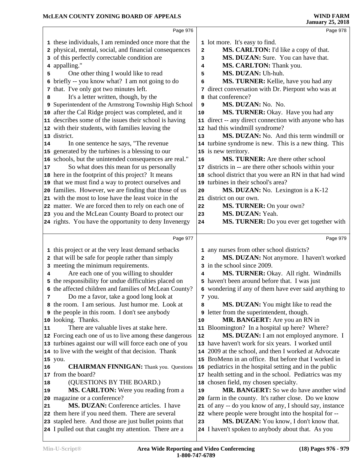|    | Page 976                                                                                                        |                         | Page 978                                                                                     |  |
|----|-----------------------------------------------------------------------------------------------------------------|-------------------------|----------------------------------------------------------------------------------------------|--|
|    | 1 these individuals, I am reminded once more that the                                                           |                         | 1 lot more. It's easy to find.                                                               |  |
|    | 2 physical, mental, social, and financial consequences                                                          | $\overline{\mathbf{2}}$ | MS. CARLTON: I'd like a copy of that.                                                        |  |
|    | 3 of this perfectly correctable condition are                                                                   | 3                       | MS. DUZAN: Sure. You can have that.                                                          |  |
|    | 4 appalling."                                                                                                   | 4                       | MS. CARLTON: Thank you.                                                                      |  |
| 5  | One other thing I would like to read                                                                            | 5                       | MS. DUZAN: Uh-huh.                                                                           |  |
|    | 6 briefly -- you know what? I am not going to do                                                                | 6                       | MS. TURNER: Kellie, have you had any                                                         |  |
|    | 7 that. I've only got two minutes left.                                                                         |                         | 7 direct conversation with Dr. Pierpont who was at                                           |  |
| 8  | It's a letter written, though, by the                                                                           |                         | 8 that conference?                                                                           |  |
|    | 9 Superintendent of the Armstrong Township High School                                                          | 9                       | MS. DUZAN: No. No.                                                                           |  |
|    | 10 after the Cal Ridge project was completed, and it                                                            | 10                      | MS. TURNER: Okay. Have you had any                                                           |  |
|    | 11 describes some of the issues their school is having                                                          |                         | 11 direct -- any direct connection with anyone who has                                       |  |
|    | 12 with their students, with families leaving the                                                               |                         | 12 had this windmill syndrome?                                                               |  |
|    | 13 district.                                                                                                    | 13                      | MS. DUZAN: No. And this term windmill or                                                     |  |
| 14 | In one sentence he says, "The revenue                                                                           |                         | 14 turbine syndrome is new. This is a new thing. This                                        |  |
|    | 15 generated by the turbines is a blessing to our                                                               |                         | 15 is new territory.                                                                         |  |
|    | 16 schools, but the unintended consequences are real."                                                          | 16                      | <b>MS. TURNER:</b> Are there other school                                                    |  |
| 17 | So what does this mean for us personally                                                                        |                         | 17 districts in -- are there other schools within your                                       |  |
|    | 18 here in the footprint of this project? It means                                                              |                         | 18 school district that you were an RN in that had wind                                      |  |
|    | 19 that we must find a way to protect ourselves and                                                             |                         | 19 turbines in their school's area?                                                          |  |
|    | 20 families. However, we are finding that those of us                                                           | 20                      | MS. DUZAN: No. Lexington is a K-12                                                           |  |
|    | 21 with the most to lose have the least voice in the                                                            |                         | 21 district on our own.                                                                      |  |
|    | 22 matter. We are forced then to rely on each one of                                                            | 22                      | MS. TURNER: On your own?                                                                     |  |
|    | 23 you and the McLean County Board to protect our                                                               | 23                      | MS. DUZAN: Yeah.                                                                             |  |
|    | 24 rights. You have the opportunity to deny Invenergy                                                           | 24                      | MS. TURNER: Do you ever get together with                                                    |  |
|    |                                                                                                                 |                         |                                                                                              |  |
|    |                                                                                                                 |                         |                                                                                              |  |
|    | Page 977                                                                                                        |                         | Page 979                                                                                     |  |
|    | 1 this project or at the very least demand setbacks                                                             |                         | 1 any nurses from other school districts?                                                    |  |
|    | 2 that will be safe for people rather than simply                                                               | $\mathbf{2}$            | MS. DUZAN: Not anymore. I haven't worked                                                     |  |
|    | 3 meeting the minimum requirements.                                                                             |                         | 3 in the school since 2009.                                                                  |  |
| 4  | Are each one of you willing to shoulder                                                                         | 4                       | MS. TURNER: Okay. All right. Windmills                                                       |  |
|    | 5 the responsibility for undue difficulties placed on                                                           |                         | 5 haven't been around before that. I was just                                                |  |
|    | 6 the affected children and families of McLean County?                                                          |                         | 6 wondering if any of them have ever said anything to                                        |  |
| 7  | Do me a favor, take a good long look at                                                                         |                         | 7 you.                                                                                       |  |
|    | 8 the room. I am serious. Just humor me. Look at                                                                | 8                       | MS. DUZAN: You might like to read the                                                        |  |
| 9  | the people in this room. I don't see anybody                                                                    |                         | <b>9</b> letter from the superintendent, though.                                             |  |
|    | 10 looking. Thanks.                                                                                             | 10                      | MR. BANGERT: Are you an RN in                                                                |  |
| 11 | There are valuable lives at stake here.                                                                         |                         | 11 Bloomington? In a hospital up here? Where?                                                |  |
|    | 12 Forcing each one of us to live among these dangerous                                                         | 12                      | MS. DUZAN: I am not employed anymore. I                                                      |  |
|    | 13 turbines against our will will force each one of you                                                         |                         | 13 have haven't work for six years. I worked until                                           |  |
|    | 14 to live with the weight of that decision. Thank                                                              |                         | 14 2009 at the school, and then I worked at Advocate                                         |  |
|    | 15 you.                                                                                                         |                         | 15 BroMenn in an office. But before that I worked in                                         |  |
| 16 | <b>CHAIRMAN FINNIGAN:</b> Thank you. Questions                                                                  |                         | 16 pediatrics in the hospital setting and in the public                                      |  |
| 17 | from the board?                                                                                                 |                         | 17 health setting and in the school. Pediatrics was my                                       |  |
| 18 | (QUESTIONS BY THE BOARD.)                                                                                       |                         | 18 chosen field, my chosen specialty.                                                        |  |
| 19 | MS. CARLTON: Were you reading from a                                                                            | 19                      | MR. BANGERT: So we do have another wind                                                      |  |
| 20 | magazine or a conference?                                                                                       |                         | 20 farm in the county. It's rather close. Do we know                                         |  |
| 21 | <b>MS. DUZAN:</b> Conference articles. I have                                                                   |                         | 21 of any -- do you know of any, I should say, instance                                      |  |
|    | 22 them here if you need them. There are several                                                                |                         | 22 where people were brought into the hospital for --                                        |  |
|    | 23 stapled here. And those are just bullet points that<br>24 I pulled out that caught my attention. There are a | 23                      | MS. DUZAN: You know, I don't know that.<br>24 I haven't spoken to anybody about that. As you |  |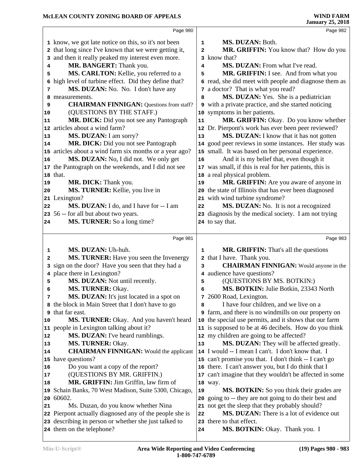|        | Page 980                                                                                        |                | Page 982                                                          |  |
|--------|-------------------------------------------------------------------------------------------------|----------------|-------------------------------------------------------------------|--|
|        | 1 know, we got late notice on this, so it's not been                                            | $\mathbf{1}$   | MS. DUZAN: Both.                                                  |  |
|        | 2 that long since I've known that we were getting it,                                           | $\overline{a}$ | MR. GRIFFIN: You know that? How do you                            |  |
| 3      | and then it really peaked my interest even more.                                                |                | 3 know that?                                                      |  |
| 4      | MR. BANGERT: Thank you.                                                                         | 4              | MS. DUZAN: From what I've read.                                   |  |
| 5      | MS. CARLTON: Kellie, you referred to a                                                          | 5              | MR. GRIFFIN: I see. And from what you                             |  |
| 6      | high level of turbine effect. Did they define that?                                             |                | 6 read, she did meet with people and diagnose them as             |  |
| 7      | MS. DUZAN: No. No. I don't have any                                                             |                | 7 a doctor? That is what you read?                                |  |
| 8      | measurements.                                                                                   | 8              | MS. DUZAN: Yes. She is a pediatrician                             |  |
| 9      | <b>CHAIRMAN FINNIGAN:</b> Questions from staff?                                                 |                | <b>9</b> with a private practice, and she started noticing        |  |
| 10     | (QUESTIONS BY THE STAFF.)                                                                       |                | 10 symptoms in her patients.                                      |  |
| 11     | MR. DICK: Did you not see any Pantograph                                                        | 11             | MR. GRIFFIN: Okay. Do you know whether                            |  |
|        | 12 articles about a wind farm?                                                                  |                | 12 Dr. Pierpont's work has ever been peer reviewed?               |  |
| 13     | MS. DUZAN: I am sorry?                                                                          | 13             | MS. DUZAN: I know that it has not gotten                          |  |
| 14     | MR. DICK: Did you not see Pantograph                                                            |                | 14 good peer reviews in some instances. Her study was             |  |
|        | 15 articles about a wind farm six months or a year ago?                                         |                | 15 small. It was based on her personal experience.                |  |
| 16     | MS. DUZAN: No, I did not. We only get                                                           | 16             | And it is my belief that, even though it                          |  |
|        | 17 the Pantograph on the weekends, and I did not see                                            |                | 17 was small, if this is real for her patients, this is           |  |
|        | 18 that.                                                                                        |                | 18 a real physical problem.                                       |  |
| 19     | MR. DICK: Thank you.                                                                            | 19             | MR. GRIFFIN: Are you aware of anyone in                           |  |
| 20     | MS. TURNER: Kellie, you live in                                                                 |                | 20 the state of Illinois that has ever been diagnosed             |  |
| 21     | Lexington?                                                                                      |                | 21 with wind turbine syndrome?                                    |  |
| 22     | MS. DUZAN: I do, and I have for -- I am                                                         | 22             | MS. DUZAN: No. It is not a recognized                             |  |
|        | 23 56 -- for all but about two years.                                                           |                | 23 diagnosis by the medical society. I am not trying              |  |
| 24     | MS. TURNER: So a long time?                                                                     |                | 24 to say that.                                                   |  |
|        |                                                                                                 |                |                                                                   |  |
|        | Page 981                                                                                        |                | Page 983                                                          |  |
|        |                                                                                                 |                |                                                                   |  |
| 1      | MS. DUZAN: Uh-huh.                                                                              | 1              | <b>MR. GRIFFIN:</b> That's all the questions                      |  |
| 2      | MS. TURNER: Have you seen the Invenergy                                                         |                | 2 that I have. Thank you.                                         |  |
| 3      | sign on the door? Have you seen that they had a                                                 | 3              | <b>CHAIRMAN FINNIGAN:</b> Would anyone in the                     |  |
| 4      | place there in Lexington?                                                                       |                | 4 audience have questions?                                        |  |
| 5<br>6 | MS. DUZAN: Not until recently.                                                                  | 5<br>6         | (QUESTIONS BY MS. BOTKIN:)                                        |  |
| 7      | MS. TURNER: Okay.                                                                               |                | MS. BOTKIN: Julie Botkin, 23343 North                             |  |
|        | MS. DUZAN: It's just located in a spot on<br>8 the block in Main Street that I don't have to go | 8              | 7 2600 Road, Lexington.<br>I have four children, and we live on a |  |
| 9      | that far east.                                                                                  |                | <b>9</b> farm, and there is no windmills on our property on       |  |
| 10     | MS. TURNER: Okay. And you haven't heard                                                         |                | 10 the special use permits, and it shows that our farm            |  |
|        | 11 people in Lexington talking about it?                                                        |                | 11 is supposed to be at 46 decibels. How do you think             |  |
| 12     | MS. DUZAN: I've heard rumblings.                                                                |                | 12 my children are going to be affected?                          |  |
| 13     | MS. TURNER: Okay.                                                                               | 13             | MS. DUZAN: They will be affected greatly.                         |  |
| 14     | <b>CHAIRMAN FINNIGAN:</b> Would the applicant                                                   |                | 14 I would -- I mean I can't. I don't know that. I                |  |
| 15     | have questions?                                                                                 |                | 15 can't promise you that. I don't think -- I can't go            |  |
| 16     | Do you want a copy of the report?                                                               |                | 16 there. I can't answer you, but I do think that I               |  |
| 17     | (QUESTIONS BY MR. GRIFFIN.)                                                                     | 17             | can't imagine that they wouldn't be affected in some              |  |
| 18     | MR. GRIFFIN: Jim Griffin, law firm of                                                           |                | 18 way.                                                           |  |
| 19     | Schain Banks, 70 West Madison, Suite 5300, Chicago,                                             | 19             | <b>MS. BOTKIN:</b> So you think their grades are                  |  |
| 20     | 60602.                                                                                          | 20             | going to -- they are not going to do their best and               |  |
| 21     | Ms. Duzan, do you know whether Nina                                                             |                | 21 not get the sleep that they probably should?                   |  |
|        | 22 Pierpont actually diagnosed any of the people she is                                         | 22             | MS. DUZAN: There is a lot of evidence out                         |  |
|        | 23 describing in person or whether she just talked to<br>24 them on the telephone?              | 24             | 23 there to that effect.<br>MS. BOTKIN: Okay. Thank you. I        |  |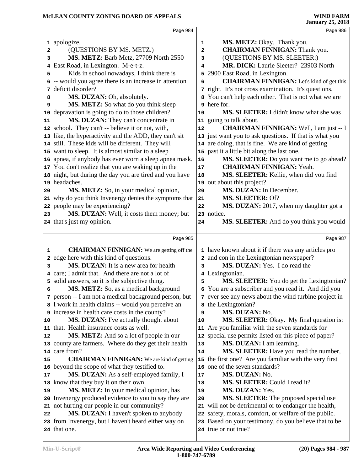|    | Page 984                                                             |        | Page 986                                                                      |  |
|----|----------------------------------------------------------------------|--------|-------------------------------------------------------------------------------|--|
|    | 1 apologize.                                                         | 1      | MS. METZ: Okay. Thank you.                                                    |  |
| 2  | (QUESTIONS BY MS. METZ.)                                             | 2      | <b>CHAIRMAN FINNIGAN:</b> Thank you.                                          |  |
| 3  | MS. METZ: Barb Metz, 27709 North 2550                                | 3      | (QUESTIONS BY MS. SLEETER:)                                                   |  |
| 4  | East Road, in Lexington. M-e-t-z.                                    | 4      | MR. DICK: Laurie Sleeter? 23903 North                                         |  |
| 5  | Kids in school nowadays, I think there is                            | 5      | 2900 East Road, in Lexington.                                                 |  |
|    | 6 -- would you agree there is an increase in attention               | 6      | <b>CHAIRMAN FINNIGAN:</b> Let's kind of get this                              |  |
| 7  | deficit disorder?                                                    |        | 7 right. It's not cross examination. It's questions.                          |  |
| 8  | MS. DUZAN: Oh, absolutely.                                           |        | 8 You can't help each other. That is not what we are                          |  |
| 9  | MS. METZ: So what do you think sleep                                 |        | 9 here for.                                                                   |  |
|    | 10 depravation is going to do to those children?                     | 10     | MS. SLEETER: I didn't know what she was                                       |  |
| 11 | MS. DUZAN: They can't concentrate in                                 |        | 11 going to talk about.                                                       |  |
|    | 12 school. They can't -- believe it or not, with,                    | 12     | <b>CHAIRMAN FINNIGAN:</b> Well, I am just -- I                                |  |
|    | 13 like, the hyperactivity and the ADD, they can't sit               |        | 13 just want you to ask questions. If that is what you                        |  |
|    | 14 still. These kids will be different. They will                    |        | 14 are doing, that is fine. We are kind of getting                            |  |
|    | 15 want to sleep. It is almost similar to a sleep                    |        | 15 past it a little bit along the last one.                                   |  |
|    | 16 apnea, if anybody has ever worn a sleep apnea mask.               | 16     | MS. SLEETER: Do you want me to go ahead?                                      |  |
|    | 17 You don't realize that you are waking up in the                   | 17     | <b>CHAIRMAN FINNIGAN: Yeah.</b>                                               |  |
|    | 18 night, but during the day you are tired and you have              | 18     | MS. SLEETER: Kellie, when did you find                                        |  |
|    | 19 headaches.                                                        |        | 19 out about this project?                                                    |  |
| 20 | MS. METZ: So, in your medical opinion,                               | 20     | MS. DUZAN: In December.                                                       |  |
|    | 21 why do you think Invenergy denies the symptoms that               | 21     | MS. SLEETER: Of?                                                              |  |
|    | 22 people may be experiencing?                                       | 22     | MS. DUZAN: 2017, when my daughter got a                                       |  |
| 23 | MS. DUZAN: Well, it costs them money; but                            |        | 23 notice.                                                                    |  |
|    | 24 that's just my opinion.                                           | 24     | MS. SLEETER: And do you think you would                                       |  |
|    |                                                                      |        |                                                                               |  |
|    | Page 985                                                             |        |                                                                               |  |
|    |                                                                      |        | Page 987                                                                      |  |
| 1  | <b>CHAIRMAN FINNIGAN:</b> We are getting off the                     |        | 1 have known about it if there was any articles pro                           |  |
| 2  | edge here with this kind of questions.                               |        | 2 and con in the Lexingtonian newspaper?                                      |  |
| 3  | MS. DUZAN: It is a new area for health                               | 3      | MS. DUZAN: Yes. I do read the                                                 |  |
|    | 4 care; I admit that. And there are not a lot of                     |        | 4 Lexingtonian.                                                               |  |
| 5  | solid answers, so it is the subjective thing.                        | 5      | MS. SLEETER: You do get the Lexingtonian?                                     |  |
| 6  | MS. METZ: So, as a medical background                                |        | 6 You are a subscriber and you read it. And did you                           |  |
|    | 7 person -- I am not a medical background person, but                |        | 7 ever see any news about the wind turbine project in                         |  |
|    | 8 I work in health claims -- would you perceive an                   |        | 8 the Lexingtonian?                                                           |  |
|    | 9 increase in health care costs in the county?                       | 9      | MS. DUZAN: No.                                                                |  |
| 10 | MS. DUZAN: I've actually thought about                               | 10     | <b>MS. SLEETER:</b> Okay. My final question is:                               |  |
|    | 11 that. Health insurance costs as well.                             | 11     | Are you familiar with the seven standards for                                 |  |
| 12 | MS. METZ: And so a lot of people in our                              | 12     | special use permits listed on this piece of paper?                            |  |
|    | 13 county are farmers. Where do they get their health                | 13     | MS. DUZAN: I am learning.                                                     |  |
|    | 14 care from?                                                        | 14     | MS. SLEETER: Have you read the number,                                        |  |
| 15 | <b>CHAIRMAN FINNIGAN:</b> We are kind of getting                     |        | 15 the first one? Are you familiar with the very first                        |  |
|    | 16 beyond the scope of what they testified to.                       | 16     | one of the seven standards?                                                   |  |
| 17 | MS. DUZAN: As a self-employed family, I                              | $17\,$ | MS. DUZAN: No.                                                                |  |
|    | 18 know that they buy it on their own.                               | 18     | MS. SLEETER: Could I read it?                                                 |  |
| 19 | MS. METZ: In your medical opinion, has                               | 19     | MS. DUZAN: Yes.                                                               |  |
|    | 20 Invenergy produced evidence to you to say they are                | 20     | <b>MS. SLEETER:</b> The proposed special use                                  |  |
|    | 21 not hurting our people in our community?                          |        | 21 will not be detrimental or to endanger the health,                         |  |
| 22 | MS. DUZAN: I haven't spoken to anybody                               | 22     | safety, morals, comfort, or welfare of the public.                            |  |
|    | 23 from Invenergy, but I haven't heard either way on<br>24 that one. |        | 23 Based on your testimony, do you believe that to be<br>24 true or not true? |  |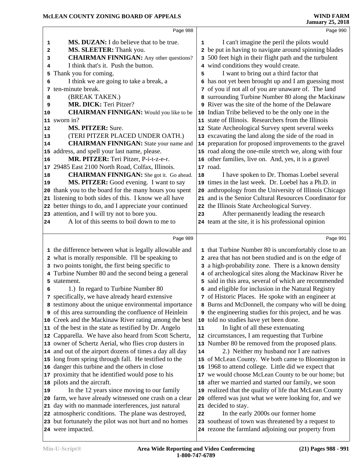|    | Page 988                                                     |    | Page 990                                                      |
|----|--------------------------------------------------------------|----|---------------------------------------------------------------|
| 1  | MS. DUZAN: I do believe that to be true.                     | 1  | I can't imagine the peril the pilots would                    |
| 2  | MS. SLEETER: Thank you.                                      |    | 2 be put in having to navigate around spinning blades         |
| 3  | <b>CHAIRMAN FINNIGAN:</b> Any other questions?               | 3  | 500 feet high in their flight path and the turbulent          |
| 4  | I think that's it. Push the button.                          |    | 4 wind conditions they would create.                          |
| 5  | Thank you for coming.                                        | 5  | I want to bring out a third factor that                       |
| 6  | I think we are going to take a break, a                      | 6  | has not yet been brought up and I am guessing most            |
| 7  | ten-minute break.                                            |    | 7 of you if not all of you are unaware of. The land           |
| 8  | (BREAK TAKEN.)                                               |    | 8 surrounding Turbine Number 80 along the Mackinaw            |
| 9  | MR. DICK: Teri Pitzer?                                       |    | <b>9</b> River was the site of the home of the Delaware       |
| 10 | <b>CHAIRMAN FINNIGAN:</b> Would you like to be               |    | 10 Indian Tribe believed to be the only one in the            |
|    | 11 sworn in?                                                 |    | 11 state of Illinois. Researchers from the Illinois           |
| 12 | <b>MS. PITZER: Sure.</b>                                     |    | 12 State Archeological Survey spent several weeks             |
| 13 | (TERI PITZER PLACED UNDER OATH.)                             |    | 13 excavating the land along the side of the road in          |
| 14 | <b>CHAIRMAN FINNIGAN:</b> State your name and                | 14 | preparation for proposed improvements to the gravel           |
| 15 | address, and spell your last name, please.                   |    | 15 road along the one-mile stretch we, along with four        |
| 16 | MR. PITZER: Teri Pitzer, P-i-t-z-e-r.                        |    | 16 other families, live on. And, yes, it is a gravel          |
| 17 | 29485 East 2100 North Road, Colfax, Illinois.                |    | 17 road.                                                      |
| 18 | <b>CHAIRMAN FINNIGAN:</b> She got it. Go ahead.              | 18 | I have spoken to Dr. Thomas Loebel several                    |
| 19 | MS. PITZER: Good evening. I want to say                      | 19 | times in the last week. Dr. Loebel has a Ph.D. in             |
| 20 | thank you to the board for the many hours you spent          | 20 | anthropology from the University of Illinois Chicago          |
| 21 | listening to both sides of this. I know we all have          |    | 21 and is the Senior Cultural Resources Coordinator for       |
|    | 22 better things to do, and I appreciate your continued      |    | 22 the Illinois State Archeological Survey.                   |
|    | 23 attention, and I will try not to bore you.                | 23 | After permanently leading the research                        |
| 24 | A lot of this seems to boil down to me to                    |    | 24 team at the site, it is his professional opinion           |
|    |                                                              |    |                                                               |
|    | Page 989                                                     |    | Page 991                                                      |
|    | 1 the difference between what is legally allowable and       |    | 1 that Turbine Number 80 is uncomfortably close to an         |
| 2  | what is morally responsible. I'll be speaking to             |    | area that has not been studied and is on the edge of          |
| 3  | two points tonight, the first being specific to              |    | a high-probability zone. There is a known density             |
|    | Turbine Number 80 and the second being a general             |    | 4 of archeological sites along the Mackinaw River he          |
| 5. | statement.                                                   | 5  | said in this area, several of which are recommended           |
| 6  | 1.) In regard to Turbine Number 80                           |    | 6 and eligible for inclusion in the Natural Registry          |
|    | 7 specifically, we have already heard extensive              |    | 7 of Historic Places. He spoke with an engineer at            |
|    | 8 testimony about the unique environmental importance        |    | Burns and McDonnell, the company who will be doing            |
|    | <b>9</b> of this area surrounding the confluence of Heinlein |    | <b>9</b> the engineering studies for this project, and he was |
|    | 10 Creek and the Mackinaw River rating among the best        |    | 10 told no studies have yet been done.                        |
|    | 11 of the best in the state as testified by Dr. Angelo       | 11 | In light of all these extenuating                             |
|    | 12 Capparella. We have also heard from Scott Schertz,        |    | 12 circumstances, I am requesting that Turbine                |
|    | 13 owner of Schertz Aerial, who flies crop dusters in        |    | 13 Number 80 be removed from the proposed plans.              |
|    | 14 and out of the airport dozens of times a day all day      | 14 | 2.) Neither my husband nor I are natives                      |
|    | 15 long from spring through fall. He testified to the        |    | 15 of McLean County. We both came to Bloomington in           |
|    | 16 danger this turbine and the others in close               |    | 16 1968 to attend college. Little did we expect that          |
| 17 | proximity that he identified would pose to his               |    | 17 we would choose McLean County to be our home; but          |
|    | 18 pilots and the aircraft.                                  | 18 | after we married and started our family, we soon              |
| 19 |                                                              |    |                                                               |
|    | In the 12 years since moving to our family                   |    | 19 realized that the quality of life that McLean County       |
|    | 20 farm, we have already witnessed one crash on a clear      | 20 | offered was just what we were looking for, and we             |
| 21 | day with no manmade interferences, just natural              | 21 | decided to stay.                                              |
|    | 22 atmospheric conditions. The plane was destroyed,          | 22 | In the early 2000s our former home                            |
|    | 23 but fortunately the pilot was not hurt and no homes       |    | 23 southeast of town was threatened by a request to           |
|    | 24 were impacted.                                            |    | 24 rezone the farmland adjoining our property from            |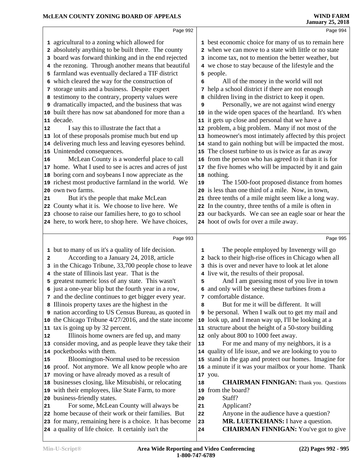|    | Page 992                                                                                                      |    | Page 994                                                                           |  |
|----|---------------------------------------------------------------------------------------------------------------|----|------------------------------------------------------------------------------------|--|
|    | 1 agricultural to a zoning which allowed for                                                                  |    | 1 best economic choice for many of us to remain here                               |  |
|    | 2 absolutely anything to be built there. The county                                                           |    | 2 when we can move to a state with little or no state                              |  |
| з  | board was forward thinking and in the end rejected                                                            |    | 3 income tax, not to mention the better weather, but                               |  |
|    | 4 the rezoning. Through another means that beautiful                                                          |    | 4 we chose to stay because of the lifestyle and the                                |  |
|    | 5 farmland was eventually declared a TIF district                                                             |    | 5 people.                                                                          |  |
|    | 6 which cleared the way for the construction of                                                               | 6  | All of the money in the world will not                                             |  |
|    | 7 storage units and a business. Despite expert                                                                |    | 7 help a school district if there are not enough                                   |  |
|    | 8 testimony to the contrary, property values were                                                             |    | 8 children living in the district to keep it open.                                 |  |
|    | 9 dramatically impacted, and the business that was                                                            | 9  | Personally, we are not against wind energy                                         |  |
|    | 10 built there has now sat abandoned for more than a                                                          |    | 10 in the wide open spaces of the heartland. It's when                             |  |
|    | 11 decade.                                                                                                    |    | 11 it gets up close and personal that we have a                                    |  |
| 12 | I say this to illustrate the fact that a                                                                      |    | 12 problem, a big problem. Many if not most of the                                 |  |
|    | 13 lot of these proposals promise much but end up                                                             |    | 13 homeowner's most intimately affected by this project                            |  |
|    | 14 delivering much less and leaving eyesores behind.                                                          |    | 14 stand to gain nothing but will be impacted the most.                            |  |
|    | 15 Unintended consequences.                                                                                   |    | 15 The closest turbine to us is twice as far as away                               |  |
| 16 | McLean County is a wonderful place to call                                                                    |    | 16 from the person who has agreed to it than it is for                             |  |
|    | 17 home. What I used to see is acres and acres of just                                                        |    | 17 the five homes who will be impacted by it and gain                              |  |
|    | 18 boring corn and soybeans I now appreciate as the                                                           |    | 18 nothing.                                                                        |  |
|    | 19 richest most productive farmland in the world. We                                                          | 19 | The 1500-foot proposed distance from homes                                         |  |
|    | 20 own two farms.                                                                                             |    | 20 is less than one third of a mile. Now, in town,                                 |  |
| 21 | But it's the people that make McLean                                                                          |    | 21 three tenths of a mile might seem like a long way.                              |  |
|    | 22 County what it is. We choose to live here. We                                                              |    | 22 In the country, three tenths of a mile is often in                              |  |
|    | 23 choose to raise our families here, to go to school                                                         |    | 23 our backyards. We can see an eagle soar or hear the                             |  |
|    | 24 here, to work here, to shop here. We have choices,                                                         |    | 24 hoot of owls for over a mile away.                                              |  |
|    |                                                                                                               |    |                                                                                    |  |
|    |                                                                                                               |    |                                                                                    |  |
|    | Page 993                                                                                                      |    | Page 995                                                                           |  |
|    | 1 but to many of us it's a quality of life decision.                                                          | 1  | The people employed by Invenergy will go                                           |  |
| 2  | According to a January 24, 2018, article                                                                      |    | 2 back to their high-rise offices in Chicago when all                              |  |
|    | 3 in the Chicago Tribune, 33,700 people chose to leave                                                        |    | 3 this is over and never have to look at let alone                                 |  |
|    | 4 the state of Illinois last year. That is the                                                                |    | 4 live wit, the results of their proposal.                                         |  |
|    | 5 greatest numeric loss of any state. This wasn't                                                             | 5  | And I am guessing most of you live in town                                         |  |
|    | 6 just a one-year blip but the fourth year in a row,                                                          |    | 6 and only will be seeing these turbines from a                                    |  |
|    | 7 and the decline continues to get bigger every year.                                                         |    | 7 comfortable distance.                                                            |  |
|    | 8 Illinois property taxes are the highest in the                                                              | 8  | But for me it will be different. It will                                           |  |
|    | 9 nation according to US Census Bureau, as quoted in                                                          |    | 9 be personal. When I walk out to get my mail and                                  |  |
|    | 10 the Chicago Tribune 4/27/2016, and the state income                                                        |    | 10 look up, and I mean way up, I'll be looking at a                                |  |
|    | 11 tax is going up by 32 percent.                                                                             |    | 11 structure about the height of a 50-story building                               |  |
|    | Illinois home owners are fed up, and many                                                                     |    | 12 only about 800 to 1000 feet away.                                               |  |
|    | 13 consider moving, and as people leave they take their                                                       | 13 | For me and many of my neighbors, it is a                                           |  |
|    | 14 pocketbooks with them.                                                                                     |    | 14 quality of life issue, and we are looking to you to                             |  |
| 15 | Bloomington-Normal used to be recession                                                                       |    | 15 stand in the gap and protect our homes. Imagine for                             |  |
|    | 16 proof. Not anymore. We all know people who are                                                             |    | 16 a minute if it was your mailbox or your home. Thank                             |  |
|    | 17 moving or have already moved as a result of                                                                | 18 | 17 you.                                                                            |  |
|    | 18 businesses closing, like Mitsubishi, or relocating                                                         |    | <b>CHAIRMAN FINNIGAN:</b> Thank you. Questions<br>19 from the board?               |  |
|    | 19 with their employees, like State Farm, to more<br>20 business-friendly states.                             | 20 | Staff?                                                                             |  |
| 21 | For some, McLean County will always be                                                                        | 21 | Applicant?                                                                         |  |
| 12 | 22 home because of their work or their families. But                                                          | 22 | Anyone in the audience have a question?                                            |  |
|    | 23 for many, remaining here is a choice. It has become<br>24 a quality of life choice. It certainly isn't the | 23 | MR. LUETKEHANS: I have a question.<br><b>CHAIRMAN FINNIGAN:</b> You've got to give |  |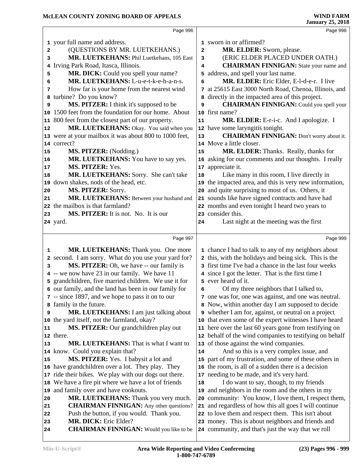|                |                                                                         |    | <b>January 25, 2018</b>                                                                                 |
|----------------|-------------------------------------------------------------------------|----|---------------------------------------------------------------------------------------------------------|
|                | Page 996                                                                |    | Page 998                                                                                                |
|                | 1 your full name and address.                                           |    | 1 sworn in or affirmed?                                                                                 |
| $\overline{a}$ | (QUESTIONS BY MR. LUETKEHANS.)                                          | 2  | MR. ELDER: Sworn, please.                                                                               |
| 3              | MR. LUETKEHANS: Phil Luetkehans, 105 East                               | 3  | (ERIC ELDER PLACED UNDER OATH.)                                                                         |
| 4              | Irving Park Road, Itasca, Illinois.                                     | 4  | <b>CHAIRMAN FINNIGAN:</b> State your name and                                                           |
| 5              | MR. DICK: Could you spell your name?                                    |    | 5 address, and spell your last name.                                                                    |
| 6              | MR. LUETKEHANS: L-u-e-t-k-e-h-a-n-s.                                    | 6  | MR. ELDER: Eric Elder, E-l-d-e-r. I live                                                                |
| 7              | How far is your home from the nearest wind                              |    | 7 at 25615 East 3000 North Road, Chenoa, Illinois, and                                                  |
|                | 8 turbine? Do you know?                                                 |    | a directly in the impacted area of this project.                                                        |
| 9              | MS. PITZER: I think it's supposed to be                                 | 9  | <b>CHAIRMAN FINNIGAN:</b> Could you spell your                                                          |
| 10             | 1500 feet from the foundation for our home. About                       |    | 10 first name?                                                                                          |
| 11             | 800 feet from the closest part of our property.                         | 11 | MR. ELDER: E-r-i-c. And I apologize. I                                                                  |
| 12             | MR. LUETKEHANS: Okay. You said when you                                 |    | 12 have some laryngitis tonight.                                                                        |
|                | 13 were at your mailbox it was about 800 to 1000 feet,                  | 13 | <b>CHAIRMAN FINNIGAN:</b> Don't worry about it.                                                         |
|                | 14 correct?                                                             |    | 14 Move a little closer.                                                                                |
| 15             | MS. PITZER: (Nodding.)                                                  | 15 | MR. ELDER: Thanks. Really, thanks for                                                                   |
| 16             | MR. LUETKEHANS: You have to say yes.                                    |    | 16 asking for our comments and our thoughts. I really                                                   |
| 17             | MS. PITZER: Yes.                                                        | 17 | appreciate it.                                                                                          |
| 18             | MR. LUETKEHANS: Sorry. She can't take                                   | 18 | Like many in this room, I live directly in                                                              |
|                | 19 down shakes, nods of the head, etc.                                  | 19 | the impacted area, and this is very new information,                                                    |
| 20             | MS. PITZER: Sorry.                                                      | 20 | and quite surprising to most of us. Others, it                                                          |
| 21             | MR. LUETKEHANS: Between your husband and                                |    | 21 sounds like have signed contracts and have had                                                       |
|                | 22 the mailbox is that farmland?                                        |    | 22 months and even tonight I heard two years to                                                         |
| 23             | MS. PITZER: It is not. No. It is our                                    |    | 23 consider this.                                                                                       |
|                | 24 yard.                                                                | 24 | Last night at the meeting was the first                                                                 |
|                | Page 997                                                                |    | Page 999                                                                                                |
| 1              | MR. LUETKEHANS: Thank you. One more                                     |    | 1 chance I had to talk to any of my neighbors about                                                     |
|                | 2 second. I am sorry. What do you use your yard for?                    |    | 2 this, with the holidays and being sick. This is the                                                   |
| 3              | MS. PITZER: Oh, we have -- our family is                                |    | 3 first time I've had a chance in the last four weeks                                                   |
|                | 4 -- we now have 23 in our family. We have 11                           |    | 4 since I got the letter. That is the first time I                                                      |
|                | 5 grandchildren, five married children. We use it for                   |    | 5 ever heard of it.                                                                                     |
|                | 6 our family, and the land has been in our family for                   | 6  | Of my three neighbors that I talked to,                                                                 |
|                | 7 -- since 1897, and we hope to pass it on to our                       |    | 7 one was for, one was against, and one was neutral.                                                    |
|                | 8 family in the future.                                                 |    | 8 Now, within another day I am supposed to decide                                                       |
| 9              | <b>MR. LUETKEHANS:</b> I am just talking about                          |    | 9 whether I am for, against, or neutral on a project                                                    |
|                | 10 the yard itself, not the farmland, okay?                             |    | 10 that even some of the expert witnesses I have heard                                                  |
| 11             | MS. PITZER: Our grandchildren play out                                  |    | 11 here over the last 60 years gone from testifying on                                                  |
|                | 12 there.                                                               |    | 12 behalf of the wind companies to testifying on behalf                                                 |
| 13             | MR. LUETKEHANS: That is what I want to                                  |    | 13 of those against the wind companies.                                                                 |
|                | 14 know. Could you explain that?                                        | 14 | And so this is a very complex issue, and                                                                |
| 15             | MS. PITZER: Yes. I babysit a lot and                                    |    | 15 part of my frustration, and some of these others in                                                  |
|                | 16 have grandchildren over a lot. They play. They                       |    | 16 the room, is all of a sudden there is a decision                                                     |
| 17             | ride their bikes. We play with our dogs out there.                      |    | 17 needing to be made, and it's very hard.                                                              |
| 18             | We have a fire pit where we have a lot of friends                       | 18 | I do want to say, though, to my friends                                                                 |
| 19             | and family over and have cookouts.                                      | 19 | and neighbors in the room and the others in my                                                          |
| 20             | MR. LUETKEHANS: Thank you very much.                                    |    | 20 community: You know, I love them, I respect them,                                                    |
| 21             | <b>CHAIRMAN FINNIGAN:</b> Any other questions?                          |    | 21 and regardless of how this all goes I will continue                                                  |
|                |                                                                         |    |                                                                                                         |
| 22             | Push the button, if you would. Thank you.                               |    | 22 to love them and respect them. This isn't about                                                      |
| 23<br>24       | MR. DICK: Eric Elder?<br><b>CHAIRMAN FINNIGAN:</b> Would you like to be |    | 23 money. This is about neighbors and friends and<br>24 community, and that's just the way that we roll |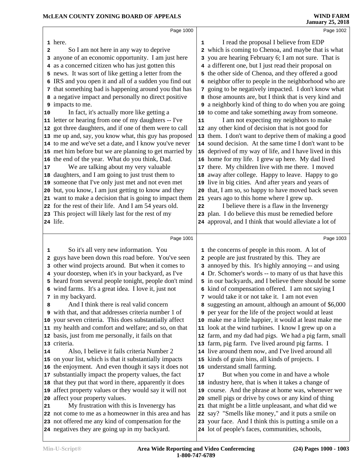|    | Page 1000                                                                                                          |    | Page 1002                                                                                                 |  |
|----|--------------------------------------------------------------------------------------------------------------------|----|-----------------------------------------------------------------------------------------------------------|--|
|    | 1 here.                                                                                                            | 1  | I read the proposal I believe from EDP                                                                    |  |
| 2  | So I am not here in any way to deprive                                                                             |    | 2 which is coming to Chenoa, and maybe that is what                                                       |  |
|    | 3 anyone of an economic opportunity. I am just here                                                                |    | 3 you are hearing February 6; I am not sure. That is                                                      |  |
|    | 4 as a concerned citizen who has just gotten this                                                                  |    | 4 a different one, but I just read their proposal on                                                      |  |
|    | 5 news. It was sort of like getting a letter from the                                                              |    | 5 the other side of Chenoa, and they offered a good                                                       |  |
|    | 6 IRS and you open it and all of a sudden you find out                                                             |    | 6 neighbor offer to people in the neighborhood who are                                                    |  |
|    | 7 that something bad is happening around you that has                                                              |    | 7 going to be negatively impacted. I don't know what                                                      |  |
|    | 8 a negative impact and personally no direct positive                                                              |    | 8 those amounts are, but I think that is very kind and                                                    |  |
|    | 9 impacts to me.                                                                                                   |    | <b>9</b> a neighborly kind of thing to do when you are going                                              |  |
| 10 | In fact, it's actually more like getting a                                                                         |    | 10 to come and take something away from someone.                                                          |  |
|    | 11 letter or hearing from one of my daughters -- I've                                                              | 11 | I am not expecting my neighbors to make                                                                   |  |
|    | 12 got three daughters, and if one of them were to call                                                            |    | 12 any other kind of decision that is not good for                                                        |  |
|    | 13 me up and, say, you know what, this guy has proposed                                                            |    | 13 them. I don't want to deprive them of making a good                                                    |  |
|    | 14 to me and we've set a date, and I know you've never                                                             |    | 14 sound decision. At the same time I don't want to be                                                    |  |
|    | 15 met him before but we are planning to get married by                                                            |    | 15 deprived of my way of life, and I have lived in this                                                   |  |
|    | 16 the end of the year. What do you think, Dad.                                                                    |    | 16 home for my life. I grew up here. My dad lived                                                         |  |
| 17 | We are talking about my very valuable                                                                              |    | 17 there. My children live with me there. I moved                                                         |  |
|    | 18 daughters, and I am going to just trust them to                                                                 |    | 18 away after college. Happy to leave. Happy to go                                                        |  |
|    | 19 someone that I've only just met and not even met                                                                |    | 19 live in big cities. And after years and years of                                                       |  |
|    | 20 but, you know, I am just getting to know and they                                                               |    | 20 that, I am so, so happy to have moved back seven                                                       |  |
|    | 21 want to make a decision that is going to impact them                                                            |    | 21 years ago to this home where I grew up.                                                                |  |
|    | 22 for the rest of their life. And I am 54 years old.                                                              | 22 | I believe there is a flaw in the Invenergy                                                                |  |
|    | 23 This project will likely last for the rest of my                                                                |    | 23 plan. I do believe this must be remedied before                                                        |  |
|    | 24 life.                                                                                                           |    | 24 approval, and I think that would alleviate a lot of                                                    |  |
|    | Page 1001                                                                                                          |    | Page 1003                                                                                                 |  |
| 1  | So it's all very new information. You                                                                              |    | 1 the concerns of people in this room. A lot of                                                           |  |
| 2  | guys have been down this road before. You've seen                                                                  |    | 2 people are just frustrated by this. They are                                                            |  |
|    | 3 other wind projects around. But when it comes to                                                                 |    | 3 annoyed by this. It's highly annoying -- and using                                                      |  |
|    | 4 your doorstep, when it's in your backyard, as I've                                                               |    | 4 Dr. Schomer's words -- to many of us that have this                                                     |  |
|    | 5 heard from several people tonight, people don't mind                                                             |    | 5 in our backyards, and I believe there should be some                                                    |  |
|    | 6 wind farms. It's a great idea. I love it, just not                                                               |    | 6 kind of compensation offered. I am not saying I                                                         |  |
|    | 7 in my backyard.                                                                                                  |    | 7 would take it or not take it. I am not even                                                             |  |
| 8  | And I think there is real valid concern                                                                            | 8  | suggesting an amount, although an amount of \$6,000                                                       |  |
|    | 9 with that, and that addresses criteria number 1 of                                                               |    | <b>9</b> per year for the life of the project would at least                                              |  |
|    | 10 your seven criteria. This does substantially affect                                                             |    | 10 make me a little happier, it would at least make me                                                    |  |
|    | 11 my health and comfort and welfare; and so, on that                                                              |    | 11 look at the wind turbines. I know I grew up on a                                                       |  |
|    | 12 basis, just from me personally, it fails on that                                                                |    | 12 farm, and my dad had pigs. We had a pig farm, small                                                    |  |
|    | 13 criteria.                                                                                                       |    | 13 farm, pig farm. I've lived around pig farms. I                                                         |  |
| 14 | Also, I believe it fails criteria Number 2                                                                         |    | 14 live around them now, and I've lived around all                                                        |  |
|    | 15 on your list, which is that it substantially impacts                                                            |    | 15 kinds of grain bins, all kinds of projects. I                                                          |  |
|    | 16 the enjoyment. And even though it says it does not                                                              |    | 16 understand small farming.                                                                              |  |
|    | 17 substantially impact the property values, the fact                                                              | 17 | But when you come in and have a whole                                                                     |  |
|    | 18 that they put that word in there, apparently it does<br>19 affect property values or they would say it will not |    | 18 industry here, that is when it takes a change of<br>19 course. And the phrase at home was, whenever we |  |
|    | 20 affect your property values.                                                                                    |    | 20 smell pigs or drive by cows or any kind of thing                                                       |  |
| 21 | My frustration with this is Invenergy has                                                                          | 21 | that might be a little unpleasant, and what did we                                                        |  |
|    | 22 not come to me as a homeowner in this area and has                                                              |    | 22 say? "Smells like money," and it puts a smile on                                                       |  |
|    | 23 not offered me any kind of compensation for the                                                                 |    | 23 your face. And I think this is putting a smile on a                                                    |  |
|    | 24 negatives they are going up in my backyard.                                                                     |    | 24 lot of people's faces, communities, schools,                                                           |  |
|    |                                                                                                                    |    |                                                                                                           |  |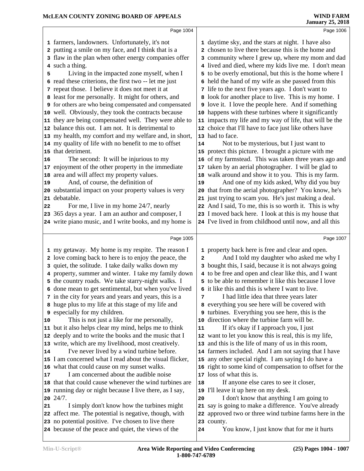|    | Page 1004                                                                                             |    | Page 1006                                                                                                   |  |
|----|-------------------------------------------------------------------------------------------------------|----|-------------------------------------------------------------------------------------------------------------|--|
|    | 1 farmers, landowners. Unfortunately, it's not                                                        |    | 1 daytime sky, and the stars at night. I have also                                                          |  |
|    | 2 putting a smile on my face, and I think that is a                                                   |    | 2 chosen to live there because this is the home and                                                         |  |
|    | 3 flaw in the plan when other energy companies offer                                                  |    | 3 community where I grew up, where my mom and dad                                                           |  |
|    | 4 such a thing.                                                                                       |    | 4 lived and died, where my kids live me. I don't mean                                                       |  |
| 5  | Living in the impacted zone myself, when I                                                            |    | 5 to be overly emotional, but this is the home where I                                                      |  |
|    | 6 read these criterions, the first two -- let me just                                                 |    | 6 held the hand of my wife as she passed from this                                                          |  |
|    | 7 repeat those. I believe it does not meet it at                                                      |    | 7 life to the next five years ago. I don't want to                                                          |  |
|    | 8 least for me personally. It might for others, and                                                   |    | 8 look for another place to live. This is my home. I                                                        |  |
|    | <b>9</b> for others are who being compensated and compensated                                         |    | I love the people here. And if something                                                                    |  |
|    | 10 well. Obviously, they took the contracts because                                                   |    | 10 happens with these turbines where it significantly                                                       |  |
|    | 11 they are being compensated well. They were able to                                                 |    | 11 impacts my life and my way of life, that will be the                                                     |  |
|    | 12 balance this out. I am not. It is detrimental to                                                   |    | 12 choice that I'll have to face just like others have                                                      |  |
|    | 13 my health, my comfort and my welfare and, in short,                                                |    | 13 had to face.                                                                                             |  |
|    | 14 my quality of life with no benefit to me to offset                                                 | 14 | Not to be mysterious, but I just want to                                                                    |  |
|    | 15 that detriment.                                                                                    |    | 15 protect this picture. I brought a picture with me                                                        |  |
| 16 | The second: It will be injurious to my                                                                |    | 16 of my farmstead. This was taken three years ago and                                                      |  |
|    | 17 enjoyment of the other property in the immediate                                                   |    | 17 taken by an aerial photographer. I will be glad to                                                       |  |
|    | 18 area and will affect my property values.                                                           |    | 18 walk around and show it to you. This is my farm.                                                         |  |
| 19 | And, of course, the definition of                                                                     | 19 | And one of my kids asked, Why did you buy                                                                   |  |
|    | 20 substantial impact on your property values is very                                                 |    | 20 that from the aerial photographer? You know, he's                                                        |  |
|    | 21 debatable.                                                                                         |    | 21 just trying to scam you. He's just making a deal.                                                        |  |
| 22 | For me, I live in my home 24/7, nearly                                                                |    | 22 And I said, To me, this is so worth it. This is why                                                      |  |
|    | 23 365 days a year. I am an author and composer, I                                                    |    | 23 I moved back here. I look at this is my house that                                                       |  |
|    | 24 write piano music, and I write books, and my home is                                               |    | 24 I've lived in from childhood until now, and all this                                                     |  |
|    | Page 1005                                                                                             |    | Page 1007                                                                                                   |  |
|    | 1 my getaway. My home is my respite. The reason I                                                     |    | 1 property back here is free and clear and open.                                                            |  |
|    | 2 love coming back to here is to enjoy the peace, the                                                 | 2  | And I told my daughter who asked me why I                                                                   |  |
|    | 3 quiet, the solitude. I take daily walks down my                                                     |    | 3 bought this, I said, because it is not always going                                                       |  |
|    | 4 property, summer and winter. I take my family down                                                  |    | 4 to be free and open and clear like this, and I want                                                       |  |
|    | 5 the country roads. We take starry-night walks. I                                                    |    | 5 to be able to remember it like this because I love                                                        |  |
|    | 6 done mean to get sentimental, but when you've lived                                                 |    | 6 it like this and this is where I want to live.                                                            |  |
|    | 7 in the city for years and years and years, this is a                                                | 7  | I had little idea that three years later                                                                    |  |
|    | 8 huge plus to my life at this stage of my life and                                                   |    | 8 everything you see here will be covered with                                                              |  |
|    | <b>9</b> especially for my children.                                                                  |    | <b>9</b> turbines. Everything you see here, this is the                                                     |  |
| 10 | This is not just a like for me personally,                                                            | 10 | direction where the turbine farm will be.                                                                   |  |
|    | 11 but it also helps clear my mind, helps me to think                                                 | 11 | If it's okay if I approach you, I just                                                                      |  |
|    | 12 deeply and to write the books and the music that I                                                 |    | 12 want to let you know this is real, this is my life,                                                      |  |
|    | 13 write, which are my livelihood, most creatively.                                                   |    | 13 and this is the life of many of us in this room,<br>14 farmers included. And I am not saying that I have |  |
| 14 | I've never lived by a wind turbine before.<br>15 I am concerned what I read about the visual flicker, |    | 15 any other special right. I am saying I do have a                                                         |  |
|    | 16 what that could cause on my sunset walks.                                                          |    | 16 right to some kind of compensation to offset for the                                                     |  |
| 17 | I am concerned about the audible noise                                                                |    | 17 loss of what this is.                                                                                    |  |
|    | 18 that that could cause whenever the wind turbines are                                               | 18 | If anyone else cares to see it closer,                                                                      |  |
|    | 19 running day or night because I live there, as I say,                                               |    | 19 I'll leave it up here on my desk.                                                                        |  |
|    | $20\ \frac{24}{7}$ .                                                                                  | 20 | I don't know that anything I am going to                                                                    |  |
| 21 | I simply don't know how the turbines might                                                            | 21 | say is going to make a difference. You've already                                                           |  |
|    | 22 affect me. The potential is negative, though, with                                                 |    | 22 approved two or three wind turbine farms here in the                                                     |  |
|    | 23 no potential positive. I've chosen to live there                                                   |    | 23 county.                                                                                                  |  |
|    | 24 because of the peace and quiet, the views of the                                                   | 24 | You know, I just know that for me it hurts                                                                  |  |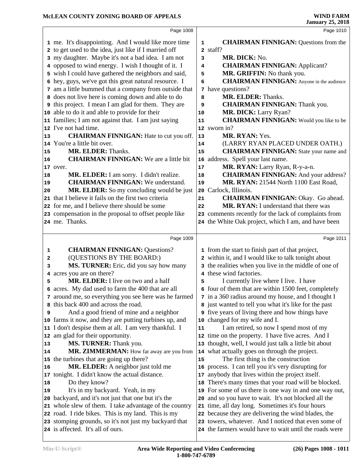|    | Page 1008                                                                                                       |    | Page 1010                                                                                    |  |
|----|-----------------------------------------------------------------------------------------------------------------|----|----------------------------------------------------------------------------------------------|--|
|    | 1 me. It's disappointing. And I would like more time                                                            | 1  | <b>CHAIRMAN FINNIGAN: Questions from the</b>                                                 |  |
|    | 2 to get used to the idea, just like if I married off                                                           |    | 2 staff?                                                                                     |  |
|    | 3 my daughter. Maybe it's not a bad idea. I am not                                                              | 3  | MR. DICK: No.                                                                                |  |
|    | 4 opposed to wind energy. I wish I thought of it. I                                                             | 4  | <b>CHAIRMAN FINNIGAN: Applicant?</b>                                                         |  |
|    | 5 wish I could have gathered the neighbors and said,                                                            | 5  | MR. GRIFFIN: No thank you.                                                                   |  |
|    | 6 hey, guys, we've got this great natural resource. I                                                           | 6  | <b>CHAIRMAN FINNIGAN:</b> Anyone in the audience                                             |  |
|    | 7 am a little bummed that a company from outside that                                                           |    | 7 have questions?                                                                            |  |
|    | 8 does not live here is coming down and able to do                                                              | 8  | <b>MR. ELDER: Thanks.</b>                                                                    |  |
|    | <b>9</b> this project. I mean I am glad for them. They are                                                      | 9  | <b>CHAIRMAN FINNIGAN: Thank you.</b>                                                         |  |
|    | 10 able to do it and able to provide for their                                                                  | 10 | MR. DICK: Larry Ryan?                                                                        |  |
|    | 11 families; I am not against that. I am just saying                                                            | 11 | <b>CHAIRMAN FINNIGAN:</b> Would you like to be                                               |  |
|    | 12 I've not had time.                                                                                           |    | 12 sworn in?                                                                                 |  |
| 13 | <b>CHAIRMAN FINNIGAN:</b> Hate to cut you off.                                                                  | 13 | MR. RYAN: Yes.                                                                               |  |
|    | 14 You're a little bit over.                                                                                    | 14 | (LARRY RYAN PLACED UNDER OATH.)                                                              |  |
| 15 | MR. ELDER: Thanks.                                                                                              | 15 | <b>CHAIRMAN FINNIGAN:</b> State your name and                                                |  |
| 16 | <b>CHAIRMAN FINNIGAN:</b> We are a little bit                                                                   | 16 | address. Spell your last name.                                                               |  |
|    | 17 over.                                                                                                        | 17 | MR. RYAN: Larry Ryan, R-y-a-n.                                                               |  |
| 18 | MR. ELDER: I am sorry. I didn't realize.                                                                        | 18 | <b>CHAIRMAN FINNIGAN:</b> And your address?                                                  |  |
| 19 | <b>CHAIRMAN FINNIGAN: We understand.</b>                                                                        | 19 | MR. RYAN: 21544 North 1100 East Road,                                                        |  |
| 20 | MR. ELDER: So my concluding would be just                                                                       | 20 | Carlock, Illinois.                                                                           |  |
|    | 21 that I believe it fails on the first two criteria                                                            | 21 | <b>CHAIRMAN FINNIGAN: Okay. Go ahead.</b>                                                    |  |
|    | 22 for me, and I believe there should be some                                                                   | 22 | MR. RYAN: I understand that there was                                                        |  |
|    | 23 compensation in the proposal to offset people like                                                           |    | 23 comments recently for the lack of complaints from                                         |  |
|    | 24 me. Thanks.                                                                                                  |    | 24 the White Oak project, which I am, and have been                                          |  |
|    | Page 1009                                                                                                       |    | Page 1011                                                                                    |  |
|    |                                                                                                                 |    |                                                                                              |  |
| 1  | <b>CHAIRMAN FINNIGAN: Questions?</b>                                                                            |    | 1 from the start to finish part of that project,                                             |  |
| 2  | (QUESTIONS BY THE BOARD:)                                                                                       |    | 2 within it, and I would like to talk tonight about                                          |  |
| 3  | MS. TURNER: Eric, did you say how many                                                                          |    | 3 the realities when you live in the middle of one of                                        |  |
|    | 4 acres you are on there?                                                                                       |    | 4 these wind factories.                                                                      |  |
| 5  | MR. ELDER: I live on two and a half                                                                             | 5  | I currently live where I live. I have                                                        |  |
|    | 6 acres. My dad used to farm the 400 that are all                                                               |    | 6 four of them that are within 1500 feet, completely                                         |  |
|    | 7 around me, so everything you see here was he farmed                                                           |    | 7 in a 360 radius around my house, and I thought I                                           |  |
|    | 8 this back 400 and across the road.                                                                            |    | 8 just wanted to tell you what it's like for the past                                        |  |
| 9  | And a good friend of mine and a neighbor                                                                        |    | <b>9</b> five years of living there and how things have                                      |  |
|    | 10 farms it now, and they are putting turbines up, and<br>11 I don't despise them at all. I am very thankful. I |    | 10 changed for my wife and I.                                                                |  |
|    | 12 am glad for their opportunity.                                                                               | 11 | I am retired, so now I spend most of my<br>12 time on the property. I have five acres. And I |  |
| 13 | MS. TURNER: Thank you.                                                                                          | 13 | thought, well, I would just talk a little bit about                                          |  |
| 14 | MR. ZIMMERMAN: How far away are you from                                                                        | 14 | what actually goes on through the project.                                                   |  |
|    | 15 the turbines that are going up there?                                                                        | 15 | The first thing is the construction                                                          |  |
| 16 | MR. ELDER: A neighbor just told me                                                                              | 16 | process. I can tell you it's very disrupting for                                             |  |
|    | 17 tonight. I didn't know the actual distance.                                                                  | 17 | anybody that lives within the project itself.                                                |  |
| 18 | Do they know?                                                                                                   | 18 | There's many times that your road will be blocked.                                           |  |
| 19 | It's in my backyard. Yeah, in my                                                                                | 19 | For some of us there is one way in and one way out,                                          |  |
|    | 20 backyard, and it's not just that one but it's the                                                            | 20 | and so you have to wait. It's not blocked all the                                            |  |
|    | 21 whole slew of them. I take advantage of the country                                                          |    | 21 time, all day long. Sometimes it's four hours                                             |  |
|    | 22 road. I ride bikes. This is my land. This is my                                                              |    | 22 because they are delivering the wind blades, the                                          |  |
|    | 23 stomping grounds, so it's not just my backyard that                                                          | 23 | towers, whatever. And I noticed that even some of                                            |  |
|    | 24 is affected. It's all of ours.                                                                               |    | 24 the farmers would have to wait until the roads were                                       |  |
|    |                                                                                                                 |    |                                                                                              |  |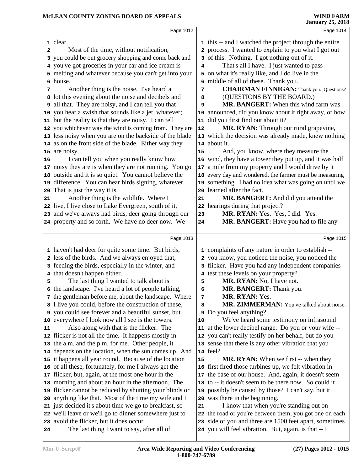|    | Page 1012                                                                                                        |    | Page 1014                                                                                       |  |
|----|------------------------------------------------------------------------------------------------------------------|----|-------------------------------------------------------------------------------------------------|--|
|    | 1 clear.                                                                                                         |    | 1 this -- and I watched the project through the entire                                          |  |
| 2  | Most of the time, without notification,                                                                          |    | 2 process. I wanted to explain to you what I got out                                            |  |
|    | 3 you could be out grocery shopping and come back and                                                            |    | 3 of this. Nothing. I got nothing out of it.                                                    |  |
|    | 4 you've got groceries in your car and ice cream is                                                              | 4  | That's all I have. I just wanted to pass                                                        |  |
|    | 5 melting and whatever because you can't get into your                                                           |    | 5 on what it's really like, and I do live in the                                                |  |
|    | 6 house.                                                                                                         | 6  | middle of all of these. Thank you.                                                              |  |
| 7  | Another thing is the noise. I've heard a                                                                         | 7  | <b>CHAIRMAN FINNIGAN:</b> Thank you. Questions?                                                 |  |
|    | 8 lot this evening about the noise and decibels and                                                              | 8  | (QUESTIONS BY THE BOARD.)                                                                       |  |
|    | <b>9</b> all that. They are noisy, and I can tell you that                                                       | 9  | MR. BANGERT: When this wind farm was                                                            |  |
|    | 10 you hear a swish that sounds like a jet, whatever;                                                            |    | 10 announced, did you know about it right away, or how                                          |  |
|    | 11 but the reality is that they are noisy. I can tell                                                            | 11 | did you first find out about it?                                                                |  |
|    | 12 you whichever way the wind is coming from. They are                                                           | 12 | MR. RYAN: Through our rural grapevine,                                                          |  |
|    | 13 less noisy when you are on the backside of the blade                                                          |    | 13 which the decision was already made, knew nothing                                            |  |
|    | 14 as on the front side of the blade. Either way they                                                            |    | 14 about it.                                                                                    |  |
|    | 15 are noisy.                                                                                                    | 15 | And, you know, where they measure the                                                           |  |
| 16 | I can tell you when you really know how                                                                          |    | 16 wind, they have a tower they put up, and it was half                                         |  |
|    | 17 noisy they are is when they are not running. You go                                                           | 17 | a mile from my property and I would drive by it                                                 |  |
|    | 18 outside and it is so quiet. You cannot believe the                                                            |    | 18 every day and wondered, the farmer must be measuring                                         |  |
|    | 19 difference. You can hear birds signing, whatever.                                                             |    | 19 something. I had no idea what was going on until we                                          |  |
|    | 20 That is just the way it is.                                                                                   | 20 | learned after the fact.                                                                         |  |
| 21 | Another thing is the wildlife. Where I                                                                           | 21 | MR. BANGERT: And did you attend the                                                             |  |
|    | 22 live, I live close to Lake Evergreen, south of it,                                                            | 22 | hearings during that project?                                                                   |  |
|    | 23 and we've always had birds, deer going through our                                                            | 23 | MR. RYAN: Yes. Yes, I did. Yes.                                                                 |  |
|    | 24 property and so forth. We have no deer now. We                                                                | 24 | MR. BANGERT: Have you had to file any                                                           |  |
|    |                                                                                                                  |    |                                                                                                 |  |
|    | Page 1013                                                                                                        |    | Page 1015                                                                                       |  |
|    | 1 haven't had deer for quite some time. But birds,                                                               |    | 1 complaints of any nature in order to establish --                                             |  |
|    | 2 less of the birds. And we always enjoyed that,                                                                 |    | 2 you know, you noticed the noise, you noticed the                                              |  |
|    | 3 feeding the birds, especially in the winter, and                                                               |    | 3 flicker. Have you had any independent companies                                               |  |
|    | 4 that doesn't happen either.                                                                                    |    | 4 test these levels on your property?                                                           |  |
| 5  | The last thing I wanted to talk about is                                                                         | 5  | MR. RYAN: No, I have not.                                                                       |  |
|    | 6 the landscape. I've heard a lot of people talking,                                                             | 6  | MR. BANGERT: Thank you.                                                                         |  |
|    | 7 the gentleman before me, about the landscape. Where                                                            | 7  | MR. RYAN: Yes.                                                                                  |  |
|    | 8 I live you could, before the construction of these,                                                            | 8  | MR. ZIMMERMAN: You've talked about noise.                                                       |  |
|    | 9 you could see forever and a beautiful sunset, but                                                              |    | <b>9</b> Do you feel anything?                                                                  |  |
|    | 10 everywhere I look now all I see is the towers.                                                                | 10 | We've heard some testimony on infrasound                                                        |  |
| 11 | Also along with that is the flicker. The                                                                         | 11 | at the lower decibel range. Do you or your wife --                                              |  |
|    | 12 flicker is not all the time. It happens mostly in                                                             |    | 12 you can't really testify on her behalf, but do you                                           |  |
|    | 13 the a.m. and the p.m. for me. Other people, it                                                                |    | 13 sense that there is any other vibration that you                                             |  |
|    | 14 depends on the location, when the sun comes up. And                                                           |    | <b>14</b> feel?                                                                                 |  |
|    | 15 it happens all year round. Because of the location                                                            | 15 | <b>MR. RYAN:</b> When we first -- when they                                                     |  |
|    | 16 of all these, fortunately, for me I always get the                                                            | 16 | first fired those turbines up, we felt vibration in                                             |  |
|    | 17 flicker, but, again, at the most one hour in the                                                              | 17 | the base of our house. And, again, it doesn't seem                                              |  |
|    | 18 morning and about an hour in the afternoon. The                                                               | 18 | to -- it doesn't seem to be there now. So could it                                              |  |
|    | 19 flicker cannot be reduced by shutting your blinds or                                                          | 19 | possibly be caused by those? I can't say, but it                                                |  |
|    | 20 anything like that. Most of the time my wife and I                                                            |    | 20 was there in the beginning.                                                                  |  |
|    | 21 just decided it's about time we go to breakfast, so<br>22 we'll leave or we'll go to dinner somewhere just to | 21 | I know that when you're standing out on<br>the road or you're between them, you got one on each |  |
|    | 23 avoid the flicker, but it does occur.                                                                         | 22 | 23 side of you and three are 1500 feet apart, sometimes                                         |  |
| 24 | The last thing I want to say, after all of                                                                       |    | 24 you will feel vibration. But, again, is that -- I                                            |  |
|    |                                                                                                                  |    |                                                                                                 |  |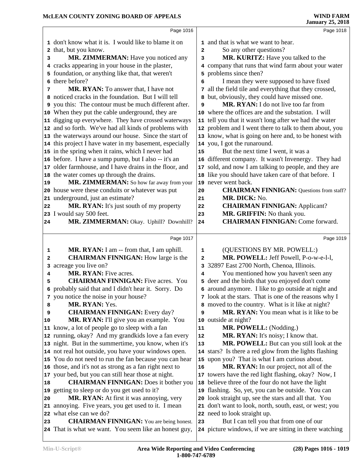|                | MCLEAN COUNTY ZONING BOARD OF APPEALS                                                                    |             | <b>WIND FARM</b><br><b>January 25, 2018</b>                                                        |
|----------------|----------------------------------------------------------------------------------------------------------|-------------|----------------------------------------------------------------------------------------------------|
|                | Page 1016                                                                                                |             | Page 1018                                                                                          |
|                | 1 don't know what it is. I would like to blame it on                                                     |             | 1 and that is what we want to hear.                                                                |
|                | 2 that, but you know.                                                                                    | 2           | So any other questions?                                                                            |
| 3              | MR. ZIMMERMAN: Have you noticed any                                                                      | 3           | MR. KURITZ: Have you talked to the                                                                 |
|                | 4 cracks appearing in your house in the plaster,                                                         |             | 4 company that runs that wind farm about your water                                                |
|                | 5 foundation, or anything like that, that weren't                                                        |             | 5 problems since then?                                                                             |
|                | 6 there before?                                                                                          | 6           | I mean they were supposed to have fixed                                                            |
| 7              | MR. RYAN: To answer that, I have not                                                                     |             | 7 all the field tile and everything that they crossed,                                             |
|                | 8 noticed cracks in the foundation. But I will tell                                                      | 8           | but, obviously, they could have missed one.                                                        |
|                | 9 you this: The contour must be much different after.                                                    | 9           | MR. RYAN: I do not live too far from                                                               |
|                | 10 When they put the cable underground, they are                                                         |             | 10 where the offices are and the substation. I will                                                |
|                | 11 digging up everywhere. They have crossed waterways                                                    |             | 11 tell you that it wasn't long after we had the water                                             |
|                | 12 and so forth. We've had all kinds of problems with                                                    |             | 12 problem and I went there to talk to them about, you                                             |
|                | 13 the waterways around our house. Since the start of                                                    |             | 13 know, what is going on here and, to be honest with                                              |
|                | 14 this project I have water in my basement, especially                                                  |             | 14 you, I got the runaround.                                                                       |
|                | 15 in the spring when it rains, which I never had                                                        | 15          | But the next time I went, it was a                                                                 |
|                | 16 before. I have a sump pump, but I also -- it's an                                                     |             | 16 different company. It wasn't Invenergy. They had                                                |
|                | 17 older farmhouse, and I have drains in the floor, and                                                  |             | 17 sold, and now I am talking to people, and they are                                              |
|                | 18 the water comes up through the drains.                                                                |             | 18 like you should have taken care of that before. I                                               |
| 19             | MR. ZIMMERMAN: So how far away from your                                                                 |             | 19 never went back.                                                                                |
|                | 20 house were these conduits or whatever was put                                                         | 20          | <b>CHAIRMAN FINNIGAN:</b> Questions from staff?                                                    |
|                | 21 underground, just an estimate?                                                                        | 21          | MR. DICK: No.                                                                                      |
| 22             | MR. RYAN: It's just south of my property                                                                 | 22          | <b>CHAIRMAN FINNIGAN: Applicant?</b>                                                               |
|                | 23 I would say 500 feet.                                                                                 | 23          | MR. GRIFFIN: No thank you.<br><b>CHAIRMAN FINNIGAN: Come forward.</b>                              |
| 24             | MR. ZIMMERMAN: Okay. Uphill? Downhill?                                                                   | 24          |                                                                                                    |
|                | Page 1017                                                                                                |             | Page 1019                                                                                          |
| 1              | MR. RYAN: I am -- from that, I am uphill.                                                                | $\mathbf 1$ | (QUESTIONS BY MR. POWELL:)                                                                         |
| 2              | <b>CHAIRMAN FINNIGAN:</b> How large is the                                                               | 2           | MR. POWELL: Jeff Powell, P-o-w-e-l-l,                                                              |
| з              | acreage you live on?                                                                                     | 3           | 32897 East 2700 North, Chenoa, Illinois.                                                           |
| 4              | MR. RYAN: Five acres.                                                                                    | 4           | You mentioned how you haven't seen any                                                             |
| 5              | <b>CHAIRMAN FINNIGAN:</b> Five acres. You                                                                |             | 5 deer and the birds that you enjoyed don't come                                                   |
|                | 6 probably said that and I didn't hear it. Sorry. Do                                                     |             | 6 around anymore. I like to go outside at night and                                                |
|                | 7 you notice the noise in your house?                                                                    | 7           | look at the stars. That is one of the reasons why I                                                |
| 8              | MR. RYAN: Yes.                                                                                           | 8           | moved to the country. What is it like at night?                                                    |
| 9              | <b>CHAIRMAN FINNIGAN:</b> Every day?                                                                     | 9           | MR. RYAN: You mean what is it like to be                                                           |
| 10             | MR. RYAN: I'll give you an example. You                                                                  |             | 10 outside at night?                                                                               |
|                | 11 know, a lot of people go to sleep with a fan                                                          | 11          | MR. POWELL: (Nodding.)                                                                             |
|                |                                                                                                          |             |                                                                                                    |
|                | 12 running, okay? And my grandkids love a fan every                                                      | 12          | MR. RYAN: It's noisy; I know that.                                                                 |
|                | 13 night. But in the summertime, you know, when it's                                                     | 13          | MR. POWELL: But can you still look at the                                                          |
|                | 14 not real hot outside, you have your windows open.                                                     |             | 14 stars? Is there a red glow from the lights flashing                                             |
|                | 15 You do not need to run the fan because you can hear                                                   |             | 15 upon you? That is what I am curious about.                                                      |
|                | 16 those, and it's not as strong as a fan right next to                                                  | 16          | MR. RYAN: In our project, not all of the                                                           |
|                | 17 your bed, but you can still hear those at night.                                                      |             | 17 towers have the red light flashing, okay? Now, I                                                |
|                | <b>CHAIRMAN FINNIGAN:</b> Does it bother you                                                             |             | 18 believe three of the four do not have the light                                                 |
|                | 19 getting to sleep or do you get used to it?                                                            |             | 19 flashing. So, yet, you can be outside. You can                                                  |
|                | MR. RYAN: At first it was annoying, very                                                                 |             | 20 look straight up, see the stars and all that. You                                               |
|                | 21 annoying. Five years, you get used to it. I mean                                                      |             | 21 don't want to look, north, south, east, or west; you                                            |
|                | 22 what else can we do?                                                                                  |             | 22 need to look straight up.                                                                       |
| 18<br>20<br>23 | <b>CHAIRMAN FINNIGAN:</b> You are being honest.<br>24 That is what we want. You seem like an honest guy, | 23          | But I can tell you that from one of our<br>24 picture windows, if we are sitting in there watching |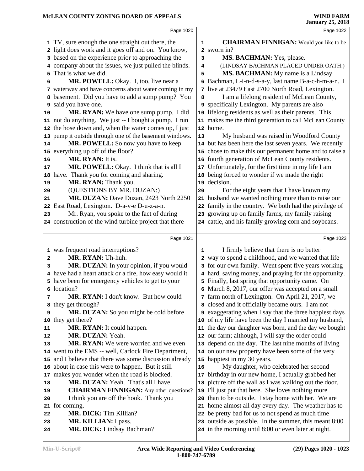|              | Page 1020                                                                                                 |        | Page 1022                                                                                                      |  |
|--------------|-----------------------------------------------------------------------------------------------------------|--------|----------------------------------------------------------------------------------------------------------------|--|
|              |                                                                                                           |        |                                                                                                                |  |
|              | 1 TV, sure enough the one straight out there, the                                                         | 1      | <b>CHAIRMAN FINNIGAN:</b> Would you like to be                                                                 |  |
|              | 2 light does work and it goes off and on. You know,<br>3 based on the experience prior to approaching the |        | 2 sworn in?<br>MS. BACHMAN: Yes, please.                                                                       |  |
|              | 4 company about the issues, we just pulled the blinds.                                                    | 3<br>4 | (LINDSAY BACHMAN PLACED UNDER OATH.)                                                                           |  |
| 5            | That is what we did.                                                                                      | 5      | MS. BACHMAN: My name is a Lindsay                                                                              |  |
| 6            | MR. POWELL: Okay. I, too, live near a                                                                     |        | 6 Bachman, L-i-n-d-s-a-y, last name B-a-c-h-m-a-n. I                                                           |  |
|              | 7 waterway and have concerns about water coming in my                                                     |        | 7 live at 23479 East 2700 North Road, Lexington.                                                               |  |
|              | 8 basement. Did you have to add a sump pump? You                                                          | 8      | I am a lifelong resident of McLean County,                                                                     |  |
| 9            | said you have one.                                                                                        |        | 9 specifically Lexington. My parents are also                                                                  |  |
| 10           | MR. RYAN: We have one sump pump. I did                                                                    |        | 10 lifelong residents as well as their parents. This                                                           |  |
|              | 11 not do anything. We just -- I bought a pump. I run                                                     |        | 11 makes me the third generation to call McLean County                                                         |  |
|              | 12 the hose down and, when the water comes up, I just                                                     |        | 12 home.                                                                                                       |  |
|              | 13 pump it outside through one of the basement windows.                                                   | 13     | My husband was raised in Woodford County                                                                       |  |
| 14           | MR. POWELL: So now you have to keep                                                                       |        | 14 but has been here the last seven years. We recently                                                         |  |
|              | 15 everything up off of the floor?                                                                        |        | 15 chose to make this our permanent home and to raise a                                                        |  |
| 16           | MR. RYAN: It is.                                                                                          |        | 16 fourth generation of McLean County residents.                                                               |  |
| 17           | MR. POWELL: Okay. I think that is all I                                                                   | 17     | Unfortunately, for the first time in my life I am                                                              |  |
| 18           | have. Thank you for coming and sharing.                                                                   | 18     | being forced to wonder if we made the right                                                                    |  |
| 19           | MR. RYAN: Thank you.                                                                                      | 19     | decision.                                                                                                      |  |
| 20           | (QUESTIONS BY MR. DUZAN:)                                                                                 | 20     | For the eight years that I have known my                                                                       |  |
| 21           | MR. DUZAN: Dave Duzan, 2423 North 2250                                                                    |        | 21 husband we wanted nothing more than to raise our                                                            |  |
|              | 22 East Road, Lexington. D-a-v-e D-u-z-a-n.                                                               |        | 22 family in the country. We both had the privilege of                                                         |  |
| 23           | Mr. Ryan, you spoke to the fact of during                                                                 |        | 23 growing up on family farms, my family raising                                                               |  |
|              | 24 construction of the wind turbine project that there                                                    |        | 24 cattle, and his family growing corn and soybeans.                                                           |  |
|              |                                                                                                           |        |                                                                                                                |  |
|              |                                                                                                           |        |                                                                                                                |  |
|              | Page 1021                                                                                                 |        | Page 1023                                                                                                      |  |
|              | 1 was frequent road interruptions?                                                                        | 1      | I firmly believe that there is no better                                                                       |  |
| $\mathbf{2}$ | MR. RYAN: Uh-huh.                                                                                         |        | 2 way to spend a childhood, and we wanted that life                                                            |  |
| 3            | MR. DUZAN: In your opinion, if you would                                                                  |        | 3 for our own family. Went spent five years working                                                            |  |
|              | 4 have had a heart attack or a fire, how easy would it                                                    |        | 4 hard, saving money, and praying for the opportunity.                                                         |  |
|              | 5 have been for emergency vehicles to get to your                                                         |        | 5 Finally, last spring that opportunity came. On                                                               |  |
|              | 6 location?                                                                                               |        | 6 March 8, 2017, our offer was accepted on a small                                                             |  |
| 7            | MR. RYAN: I don't know. But how could                                                                     |        | 7 farm north of Lexington. On April 21, 2017, we                                                               |  |
| 8            | they get through?                                                                                         |        | 8 closed and it officially became ours. I am not                                                               |  |
| 9            | MR. DUZAN: So you might be cold before                                                                    |        | 9 exaggerating when I say that the three happiest days                                                         |  |
|              | 10 they get there?                                                                                        |        | 10 of my life have been the day I married my husband,                                                          |  |
| 11           | MR. RYAN: It could happen.                                                                                |        | 11 the day our daughter was born, and the day we bought                                                        |  |
| 12<br>13     | MR. DUZAN: Yeah.<br><b>MR. RYAN:</b> We were worried and we even                                          |        | 12 our farm; although, I will say the order could                                                              |  |
|              | 14 went to the EMS -- well, Carlock Fire Department,                                                      |        | 13 depend on the day. The last nine months of living<br>14 on our new property have been some of the very      |  |
|              | 15 and I believe that there was some discussion already                                                   |        | 15 happiest in my 30 years.                                                                                    |  |
|              | 16 about in case this were to happen. But it still                                                        | 16     | My daughter, who celebrated her second                                                                         |  |
|              | 17 makes you wonder when the road is blocked.                                                             | 17     | birthday in our new home, I actually grabbed her                                                               |  |
| 18           | MR. DUZAN: Yeah. That's all I have.                                                                       | 18     | picture off the wall as I was walking out the door.                                                            |  |
| 19           | <b>CHAIRMAN FINNIGAN:</b> Any other questions?                                                            | 19     | I'll just put that here. She loves nothing more                                                                |  |
| 20           | I think you are off the hook. Thank you                                                                   | 20     | than to be outside. I stay home with her. We are                                                               |  |
|              | 21 for coming.                                                                                            |        | 21 home almost all day every day. The weather has to                                                           |  |
| 22           | <b>MR. DICK:</b> Tim Killian?                                                                             |        | 22 be pretty bad for us to not spend as much time                                                              |  |
| 23<br>24     | MR. KILLIAN: I pass.<br>MR. DICK: Lindsay Bachman?                                                        |        | 23 outside as possible. In the summer, this meant 8:00<br>24 in the morning until 8:00 or even later at night. |  |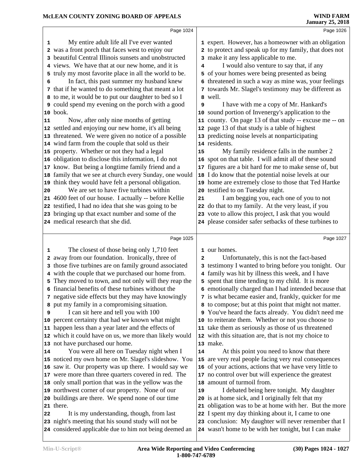|                         | Page 1024                                                                                                                                                                                                                                                                                                                                                                                                                                                                                                                                                                                                                                                                                                                                                                                                                                                                                                                                                                                                                                                                                                                                                                                                                                                  |                          | Page 1026                                                                                                                                                                                                                                                                                                                                                                                                                                                                                                                                                                                                                                                                                                                                                                                                                                                                                                                                                                                                                                                                                                                                                                                               |  |
|-------------------------|------------------------------------------------------------------------------------------------------------------------------------------------------------------------------------------------------------------------------------------------------------------------------------------------------------------------------------------------------------------------------------------------------------------------------------------------------------------------------------------------------------------------------------------------------------------------------------------------------------------------------------------------------------------------------------------------------------------------------------------------------------------------------------------------------------------------------------------------------------------------------------------------------------------------------------------------------------------------------------------------------------------------------------------------------------------------------------------------------------------------------------------------------------------------------------------------------------------------------------------------------------|--------------------------|---------------------------------------------------------------------------------------------------------------------------------------------------------------------------------------------------------------------------------------------------------------------------------------------------------------------------------------------------------------------------------------------------------------------------------------------------------------------------------------------------------------------------------------------------------------------------------------------------------------------------------------------------------------------------------------------------------------------------------------------------------------------------------------------------------------------------------------------------------------------------------------------------------------------------------------------------------------------------------------------------------------------------------------------------------------------------------------------------------------------------------------------------------------------------------------------------------|--|
| 1<br>5<br>6<br>11<br>20 | My entire adult life all I've ever wanted<br>2 was a front porch that faces west to enjoy our<br>3 beautiful Central Illinois sunsets and unobstructed<br>4 views. We have that at our new home, and it is<br>truly my most favorite place in all the world to be.<br>In fact, this past summer my husband knew<br>7 that if he wanted to do something that meant a lot<br>8 to me, it would be to put our daughter to bed so I<br><b>9</b> could spend my evening on the porch with a good<br>10 book.<br>Now, after only nine months of getting<br>12 settled and enjoying our new home, it's all being<br>13 threatened. We were given no notice of a possible<br>14 wind farm from the couple that sold us their<br>15 property. Whether or not they had a legal<br>16 obligation to disclose this information, I do not<br>17 know. But being a longtime family friend and a<br>18 family that we see at church every Sunday, one would<br>19 think they would have felt a personal obligation.<br>We are set to have five turbines within<br>21 4600 feet of our house. I actually -- before Kellie<br>22 testified, I had no idea that she was going to be<br>23 bringing up that exact number and some of the<br>24 medical research that she did. | 4<br>9<br>15<br>21       | 1 expert. However, has a homeowner with an obligation<br>2 to protect and speak up for my family, that does not<br>3 make it any less applicable to me.<br>I would also venture to say that, if any<br>5 of your homes were being presented as being<br>6 threatened in such a way as mine was, your feelings<br>7 towards Mr. Slagel's testimony may be different as<br>8 well.<br>I have with me a copy of Mr. Hankard's<br>10 sound portion of Invenergy's application to the<br>11 county. On page 13 of that study -- excuse me -- on<br>12 page 13 of that study is a table of highest<br>13 predicting noise levels at nonparticipating<br>14 residents.<br>My family residence falls in the number 2<br>16 spot on that table. I will admit all of these sound<br>17 figures are a bit hard for me to make sense of, but<br>18 I do know that the potential noise levels at our<br>19 home are extremely close to those that Ted Hartke<br>20 testified to on Tuesday night.<br>I am begging you, each one of you to not<br>22 do that to my family. At the very least, if you<br>23 vote to allow this project, I ask that you would<br>24 please consider safer setbacks of these turbines to |  |
|                         |                                                                                                                                                                                                                                                                                                                                                                                                                                                                                                                                                                                                                                                                                                                                                                                                                                                                                                                                                                                                                                                                                                                                                                                                                                                            |                          |                                                                                                                                                                                                                                                                                                                                                                                                                                                                                                                                                                                                                                                                                                                                                                                                                                                                                                                                                                                                                                                                                                                                                                                                         |  |
| 1<br>2<br>9<br>14       | Page 1025<br>The closest of those being only 1,710 feet<br>away from our foundation. Ironically, three of<br>3 those five turbines are on family ground associated<br>4 with the couple that we purchased our home from.<br>5 They moved to town, and not only will they reap the<br>6 financial benefits of these turbines without the<br>7 negative side effects but they may have knowingly<br>8 put my family in a compromising situation.<br>I can sit here and tell you with 100<br>10 percent certainty that had we known what might<br>11 happen less than a year later and the effects of<br>12 which it could have on us, we more than likely would<br>13 not have purchased our home.<br>You were all here on Tuesday night when I<br>15 noticed my own home on Mr. Slagel's slideshow. You<br>16 saw it. Our property was up there. I would say we<br>17 were more than three quarters covered in red. The<br>18 only small portion that was in the yellow was the<br>19 northwest corner of our property. None of our<br>20 buildings are there. We spend none of our time                                                                                                                                                                    | $\mathbf{2}$<br>14<br>19 | Page 1027<br>1 our homes.<br>Unfortunately, this is not the fact-based<br>3 testimony I wanted to bring before you tonight. Our<br>4 family was hit by illness this week, and I have<br>5 spent that time tending to my child. It is more<br>6 emotionally charged than I had intended because that<br>7 is what became easier and, frankly, quicker for me<br>8 to compose; but at this point that might not matter.<br>9 You've heard the facts already. You didn't need me<br>10 to reiterate them. Whether or not you choose to<br>11 take them as seriously as those of us threatened<br>12 with this situation are, that is not my choice to<br>13 make.<br>At this point you need to know that there<br>15 are very real people facing very real consequences<br>16 of your actions, actions that we have very little to<br>17 no control over but will experience the greatest<br>18 amount of turmoil from.<br>I debated being here tonight. My daughter<br>20 is at home sick, and I originally felt that my                                                                                                                                                                                  |  |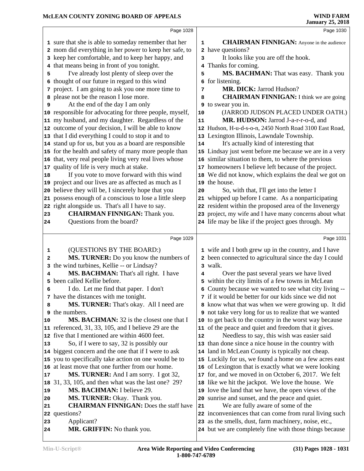|              | Page 1028                                                                                              |    | Page 1030                                                                                                       |
|--------------|--------------------------------------------------------------------------------------------------------|----|-----------------------------------------------------------------------------------------------------------------|
|              | 1 sure that she is able to someday remember that her                                                   | 1  | <b>CHAIRMAN FINNIGAN:</b> Anyone in the audience                                                                |
|              | 2 mom did everything in her power to keep her safe, to                                                 |    | 2 have questions?                                                                                               |
|              | 3 keep her comfortable, and to keep her happy, and                                                     | 3  | It looks like you are off the hook.                                                                             |
|              | 4 that means being in front of you tonight.                                                            | 4  | Thanks for coming.                                                                                              |
| 5            | I've already lost plenty of sleep over the                                                             | 5  | MS. BACHMAN: That was easy. Thank you                                                                           |
|              | 6 thought of our future in regard to this wind                                                         |    | 6 for listening.                                                                                                |
|              | 7 project. I am going to ask you one more time to                                                      | 7  | MR. DICK: Jarrod Hudson?                                                                                        |
|              | 8 please not be the reason I lose more.                                                                | 8  | <b>CHAIRMAN FINNIGAN:</b> I think we are going                                                                  |
| 9            | At the end of the day I am only                                                                        | 9  | to swear you in.                                                                                                |
|              | 10 responsible for advocating for three people, myself,                                                | 10 | (JARROD JUDSON PLACED UNDER OATH.)                                                                              |
|              | 11 my husband, and my daughter. Regardless of the                                                      | 11 | MR. HUDSON: Jarrod J-a-r-r-o-d, and                                                                             |
|              | 12 outcome of your decision, I will be able to know                                                    |    | 12 Hudson, H-u-d-s-o-n, 2450 North Road 3100 East Road,                                                         |
|              | 13 that I did everything I could to stop it and to                                                     |    | 13 Lexington Illinois, Lawndale Township.                                                                       |
|              | 14 stand up for us, but you as a board are responsible                                                 | 14 | It's actually kind of interesting that                                                                          |
|              | 15 for the health and safety of many more people than                                                  |    | 15 Lindsay just went before me because we are in a very                                                         |
|              | 16 that, very real people living very real lives whose                                                 |    | 16 similar situation to them, to where the previous                                                             |
|              | 17 quality of life is very much at stake.                                                              |    | 17 homeowners I believe left because of the project.                                                            |
| 18           | If you vote to move forward with this wind                                                             |    | 18 We did not know, which explains the deal we got on                                                           |
|              | 19 project and our lives are as affected as much as I                                                  |    | 19 the house.                                                                                                   |
| 20           | believe they will be, I sincerely hope that you                                                        | 20 | So, with that, I'll get into the letter I                                                                       |
|              | 21 possess enough of a conscious to lose a little sleep                                                |    | 21 whipped up before I came. As a nonparticipating                                                              |
|              | 22 right alongside us. That's all I have to say.                                                       |    | 22 resident within the proposed area of the Invenergy                                                           |
| 23           | <b>CHAIRMAN FINNIGAN: Thank you.</b>                                                                   |    | 23 project, my wife and I have many concerns about what                                                         |
| 24           | Questions from the board?                                                                              |    | 24 life may be like if the project goes through. My                                                             |
|              | Page 1029                                                                                              |    | Page 1031                                                                                                       |
|              |                                                                                                        |    |                                                                                                                 |
| 1            | (QUESTIONS BY THE BOARD:)                                                                              |    | 1 wife and I both grew up in the country, and I have                                                            |
| $\mathbf{2}$ | MS. TURNER: Do you know the numbers of                                                                 |    | 2 been connected to agricultural since the day I could                                                          |
| 3            | the wind turbines, Kellie -- or Lindsay?                                                               |    | 3 walk.                                                                                                         |
| 4            | MS. BACHMAN: That's all right. I have                                                                  | 4  | Over the past several years we have lived                                                                       |
| 5            | been called Kellie before.                                                                             |    | 5 within the city limits of a few towns in McLean                                                               |
| 6            | I do. Let me find that paper. I don't                                                                  |    | 6 County because we wanted to see what city living --                                                           |
|              | 7 have the distances with me tonight.                                                                  |    | 7 if it would be better for our kids since we did not                                                           |
| 8            | MS. TURNER: That's okay. All I need are                                                                |    | 8 know what that was when we were growing up. It did                                                            |
|              | <b>9</b> the numbers.                                                                                  |    | <b>9</b> not take very long for us to realize that we wanted                                                    |
| 10           | MS. BACHMAN: 32 is the closest one that I                                                              |    | 10 to get back to the country in the worst way because                                                          |
|              | 11 referenced, 31, 33, 105, and I believe 29 are the<br>12 five that I mentioned are within 4600 feet. |    | 11 of the peace and quiet and freedom that it gives.<br>Needless to say, this wish was easier said              |
|              | So, if I were to say, 32 is possibly our                                                               | 12 | 13 than done since a nice house in the country with                                                             |
| 13           | 14 biggest concern and the one that if I were to ask                                                   |    | 14 land in McLean County is typically not cheap.                                                                |
|              | 15 you to specifically take action on one would be to                                                  |    | 15 Luckily for us, we found a home on a few acres east                                                          |
|              | 16 at least move that one further from our home.                                                       |    | 16 of Lexington that is exactly what we were looking                                                            |
| 17           | MS. TURNER: And I am sorry. I got 32,                                                                  |    | 17 for, and we moved in on October 6, 2017. We felt                                                             |
|              |                                                                                                        |    |                                                                                                                 |
|              |                                                                                                        |    |                                                                                                                 |
| 18           | 31, 33, 105, and then what was the last one? 29?                                                       |    | 18 like we hit the jackpot. We love the house. We                                                               |
| 19           | <b>MS. BACHMAN: I believe 29.</b>                                                                      |    | 19 love the land that we have, the open views of the                                                            |
| 20           | MS. TURNER: Okay. Thank you.                                                                           |    | 20 sunrise and sunset, and the peace and quiet.                                                                 |
| 21           | <b>CHAIRMAN FINNIGAN:</b> Does the staff have                                                          | 21 | We are fully aware of some of the                                                                               |
| 23           | 22 questions?                                                                                          |    | 22 inconveniences that can come from rural living such                                                          |
| 24           | Applicant?<br>MR. GRIFFIN: No thank you.                                                               |    | 23 as the smells, dust, farm machinery, noise, etc.,<br>24 but we are completely fine with those things because |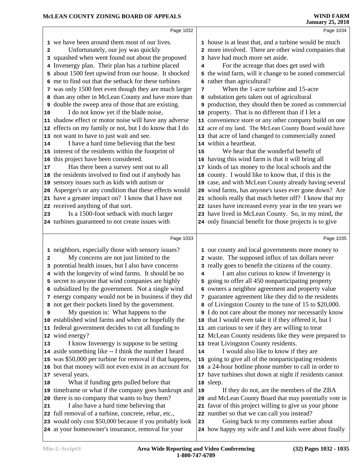|    | Page 1032                                                                                                      |    | Page 1034                                                                                         |
|----|----------------------------------------------------------------------------------------------------------------|----|---------------------------------------------------------------------------------------------------|
|    | 1 we have been around them most of our lives.                                                                  |    | 1 house is at least that, and a turbine would be much                                             |
| 2  | Unfortunately, our joy was quickly                                                                             |    | 2 more involved. There are other wind companies that                                              |
|    | 3 squashed when went found out about the proposed                                                              |    | 3 have had much more set aside.                                                                   |
|    | 4 Invenergy plan. Their plan has a turbine placed                                                              | 4  | For the acreage that does get used with                                                           |
|    | 5 about 1500 feet upwind from our house. It shocked                                                            |    | 5 the wind farm, will it change to be zoned commercial                                            |
|    | 6 me to find out that the setback for these turbines                                                           |    | 6 rather than agricultural?                                                                       |
|    | 7 was only 1500 feet even though they are much larger                                                          | 7  | When the 1-acre turbine and 15-acre                                                               |
|    | 8 than any other in McLean County and have more than                                                           |    | 8 substation gets taken out of agricultural                                                       |
| 9  | double the sweep area of those that are existing.                                                              |    | 9 production, they should then be zoned as commercial                                             |
| 10 | I do not know yet if the blade noise,                                                                          |    | 10 property. That is no different than if I let a                                                 |
|    | 11 shadow effect or motor noise will have any adverse                                                          |    | 11 convenience store or any other company build on one                                            |
|    | 12 effects on my family or not, but I do know that I do                                                        |    | 12 acre of my land. The McLean County Board would have                                            |
|    | 13 not want to have to just wait and see.                                                                      |    | 13 that acre of land changed to commercially zoned                                                |
| 14 | I have a hard time believing that the best                                                                     |    | 14 within a heartbeat.                                                                            |
|    | 15 interest of the residents within the footprint of                                                           | 15 | We hear that the wonderful benefit of                                                             |
|    | 16 this project have been considered.                                                                          |    | 16 having this wind farm is that it will bring all                                                |
| 17 | Has there been a survey sent out to all                                                                        | 17 | kinds of tax money to the local schools and the                                                   |
|    | 18 the residents involved to find out if anybody has                                                           | 18 | county. I would like to know that, if this is the                                                 |
|    | 19 sensory issues such as kids with autism or                                                                  |    | 19 case, and with McLean County already having several                                            |
|    | 20 Asperger's or any condition that these effects would                                                        |    | 20 wind farms, has anyone's taxes ever gone down? Are                                             |
|    | 21 have a greater impact on? I know that I have not                                                            |    | 21 schools really that much better off? I know that my                                            |
|    | 22 received anything of that sort.                                                                             |    | 22 taxes have increased every year in the ten years we                                            |
| 23 | Is a 1500-foot setback with much larger                                                                        |    | 23 have lived in McLean County. So, in my mind, the                                               |
|    | 24 turbines guaranteed to not create issues with                                                               |    | 24 only financial benefit for those projects is to give                                           |
|    |                                                                                                                |    |                                                                                                   |
|    | Page 1033                                                                                                      |    | Page 1035                                                                                         |
|    | 1 neighbors, especially those with sensory issues?                                                             |    | 1 our county and local governments more money to                                                  |
| 2  | My concerns are not just limited to the                                                                        |    | 2 waste. The supposed influx of tax dollars never                                                 |
| 3  | potential health issues, but I also have concerns                                                              |    | 3 really goes to benefit the citizens of the county.                                              |
|    | 4 with the longevity of wind farms. It should be no                                                            | 4  | I am also curious to know if Invenergy is                                                         |
|    | 5 secret to anyone that wind companies are highly                                                              |    | 5 going to offer all 450 nonparticipating property                                                |
|    | 6 subsidized by the government. Not a single wind                                                              |    | 6 owners a neighbor agreement and property value                                                  |
|    | 7 energy company would not be in business if they did                                                          |    | 7 guarantee agreement like they did to the residents                                              |
|    | 8 not get their pockets lined by the government.                                                               |    | 8 of Livingston County to the tune of 15 to \$20,000.                                             |
| 9  | My question is: What happens to the                                                                            |    | I do not care about the money nor necessarily know                                                |
|    | 10 established wind farms and when or hopefully the                                                            |    | 10 that I would even take it if they offered it, but I                                            |
|    | 11 federal government decides to cut all funding to                                                            |    | 11 am curious to see if they are willing to treat                                                 |
|    | 12 wind energy?<br>I know Invenergy is suppose to be setting                                                   |    | 12 McLean County residents like they were prepared to                                             |
| 13 |                                                                                                                |    | 13 treat Livingston County residents.                                                             |
|    |                                                                                                                |    |                                                                                                   |
|    | 14 aside something like -- I think the number I heard                                                          | 14 | I would also like to know if they are                                                             |
|    | 15 was \$50,000 per turbine for removal if that happens,                                                       | 15 | going to give all of the nonparticipating residents                                               |
|    | 16 but that money will not even exist in an account for                                                        | 16 | a 24-hour hotline phone number to call in order to                                                |
|    | 17 several years.                                                                                              | 17 | have turbines shut down at night if residents cannot                                              |
| 18 | What if funding gets pulled before that                                                                        |    | 18 sleep.                                                                                         |
|    | 19 timeframe or what if the company goes bankrupt and                                                          | 19 | If they do not, are the members of the ZBA                                                        |
|    | 20 there is no company that wants to buy them?                                                                 |    | 20 and McLean County Board that may potentially vote in                                           |
| 21 | I also have a hard time believing that                                                                         | 21 | favor of this project willing to give us your phone                                               |
|    | 22 full removal of a turbine, concrete, rebar, etc.,                                                           |    | 22 number so that we can call you instead?                                                        |
|    | 23 would only cost \$50,000 because if you probably look<br>24 at your homeowner's insurance, removal for your | 23 | Going back to my comments earlier about<br>24 how happy my wife and I and kids were about finally |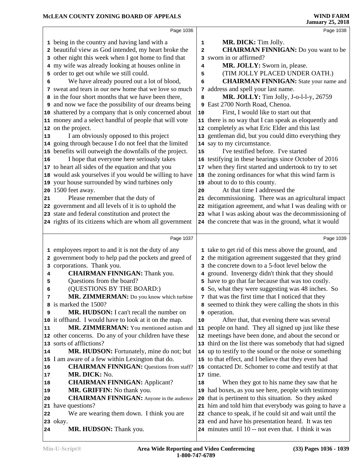|        | Page 1036                                                                         |              | Page 1038                                                                                                          |
|--------|-----------------------------------------------------------------------------------|--------------|--------------------------------------------------------------------------------------------------------------------|
|        |                                                                                   |              |                                                                                                                    |
|        | 1 being in the country and having land with a                                     | 1            | MR. DICK: Tim Jolly.                                                                                               |
|        | 2 beautiful view as God intended, my heart broke the                              | $\mathbf{2}$ | <b>CHAIRMAN FINNIGAN:</b> Do you want to be                                                                        |
|        | 3 other night this week when I got home to find that                              |              | 3 sworn in or affirmed?                                                                                            |
|        | 4 my wife was already looking at houses online in                                 | 4            | MR. JOLLY: Sworn in, please.                                                                                       |
|        | 5 order to get out while we still could.                                          | 5            | (TIM JOLLY PLACED UNDER OATH.)                                                                                     |
| 6      | We have already poured out a lot of blood,                                        | 6            | <b>CHAIRMAN FINNIGAN:</b> State your name and                                                                      |
|        | 7 sweat and tears in our new home that we love so much                            |              | 7 address and spell your last name.                                                                                |
| 8      | in the four short months that we have been there,                                 | 8            | MR. JOLLY: Tim Jolly, J-o-l-l-y, 26759                                                                             |
|        | and now we face the possibility of our dreams being                               |              | 9 East 2700 North Road, Chenoa.                                                                                    |
|        | 10 shattered by a company that is only concerned about                            | 10           | First, I would like to start out that                                                                              |
|        | 11 money and a select handful of people that will vote                            |              | 11 there is no way that I can speak as eloquently and                                                              |
|        | 12 on the project.                                                                |              | 12 completely as what Eric Elder and this last                                                                     |
| 13     | I am obviously opposed to this project                                            |              | 13 gentleman did, but you could ditto everything they                                                              |
|        | 14 going through because I do not feel that the limited                           |              | 14 say to my circumstance.                                                                                         |
|        | 15 benefits will outweigh the downfalls of the project.                           | 15           | I've testified before. I've started                                                                                |
| 16     | I hope that everyone here seriously takes                                         |              | 16 testifying in these hearings since October of 2016                                                              |
|        | 17 to heart all sides of the equation and that you                                |              | 17 when they first started and undertook to try to set                                                             |
|        | 18 would ask yourselves if you would be willing to have                           |              | 18 the zoning ordinances for what this wind farm is                                                                |
|        | 19 your house surrounded by wind turbines only                                    |              | 19 about to do to this county.                                                                                     |
|        | 20 1500 feet away.                                                                | 20           | At that time I addressed the                                                                                       |
| 21     | Please remember that the duty of                                                  |              | 21 decommissioning. There was an agricultural impact                                                               |
|        | 22 government and all levels of it is to uphold the                               |              | 22 mitigation agreement, and what I was dealing with or                                                            |
|        | 23 state and federal constitution and protect the                                 |              | 23 what I was asking about was the decommissioning of                                                              |
|        | 24 rights of its citizens which are whom all government                           |              | 24 the concrete that was in the ground, what it would                                                              |
|        |                                                                                   |              |                                                                                                                    |
|        |                                                                                   |              |                                                                                                                    |
|        | Page 1037                                                                         |              | Page 1039                                                                                                          |
|        |                                                                                   |              |                                                                                                                    |
|        | 1 employees report to and it is not the duty of any                               |              | 1 take to get rid of this mess above the ground, and                                                               |
|        | 2 government body to help pad the pockets and greed of                            |              | 2 the mitigation agreement suggested that they grind                                                               |
|        | 3 corporations. Thank you.                                                        |              | 3 the concrete down to a 5-foot level below the                                                                    |
| 4      | <b>CHAIRMAN FINNIGAN: Thank you.</b>                                              |              | 4 ground. Invenergy didn't think that they should                                                                  |
| 5<br>6 | Questions from the board?                                                         |              | 5 have to go that far because that was too costly.                                                                 |
| 7      | (QUESTIONS BY THE BOARD:)                                                         |              | 6 So, what they were suggesting was 48 inches. So                                                                  |
| 8      | MR. ZIMMERMAN: Do you know which turbine                                          |              | 7 that was the first time that I noticed that they                                                                 |
| 9      | is marked the 1500?                                                               |              | 8 seemed to think they were calling the shots in this                                                              |
|        | MR. HUDSON: I can't recall the number on                                          |              | <b>9</b> operation.                                                                                                |
| 11     | 10 it offhand. I would have to look at it on the map.                             | 10           | After that, that evening there was several                                                                         |
|        | MR. ZIMMERMAN: You mentioned autism and                                           |              | 11 people on hand. They all signed up just like these                                                              |
|        | 12 other concerns. Do any of your children have these<br>13 sorts of afflictions? |              | 12 meetings have been done, and about the second or                                                                |
| 14     | MR. HUDSON: Fortunately, mine do not; but                                         |              | 13 third on the list there was somebody that had signed<br>14 up to testify to the sound or the noise or something |
| 15     | I am aware of a few within Lexington that do.                                     |              | 15 to that effect, and I believe that they even had                                                                |
| 16     | <b>CHAIRMAN FINNIGAN:</b> Questions from staff?                                   |              | 16 contacted Dr. Schomer to come and testify at that                                                               |
| 17     | MR. DICK: No.                                                                     |              | 17 time.                                                                                                           |
| 18     | <b>CHAIRMAN FINNIGAN: Applicant?</b>                                              | 18           | When they got to his name they saw that he                                                                         |
| 19     | MR. GRIFFIN: No thank you.                                                        |              | 19 had boxes, as you see here, people with testimony                                                               |
| 20     | <b>CHAIRMAN FINNIGAN:</b> Anyone in the audience                                  |              | 20 that is pertinent to this situation. So they asked                                                              |
| 21     | have questions?                                                                   |              | 21 him and told him that everybody was going to have a                                                             |
| 22     | We are wearing them down. I think you are                                         |              |                                                                                                                    |
|        | 23 okay.                                                                          |              | 22 chance to speak, if he could sit and wait until the<br>23 end and have his presentation heard. It was ten       |
| 24     | MR. HUDSON: Thank you.                                                            |              | 24 minutes until 10 -- not even that. I think it was                                                               |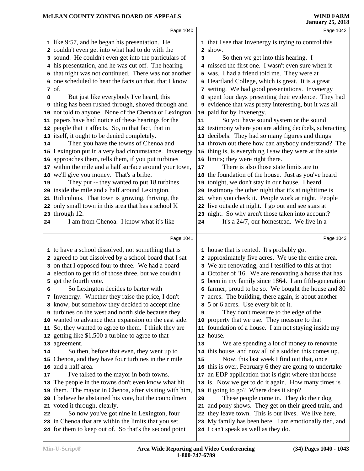|          | Page 1040                                                             |    | Page 1042                                                                                                    |
|----------|-----------------------------------------------------------------------|----|--------------------------------------------------------------------------------------------------------------|
|          | 1 like 9:57, and he began his presentation. He                        |    | 1 that I see that Invenergy is trying to control this                                                        |
|          | 2 couldn't even get into what had to do with the                      |    | 2 show.                                                                                                      |
|          | 3 sound. He couldn't even get into the particulars of                 | 3  | So then we get into this hearing. I                                                                          |
|          | 4 his presentation, and he was cut off. The hearing                   |    | 4 missed the first one. I wasn't even sure when it                                                           |
|          | 5 that night was not continued. There was not another                 |    | 5 was. I had a friend told me. They were at                                                                  |
|          | 6 one scheduled to hear the facts on that, that I know                |    | 6 Heartland College, which is great. It is a great                                                           |
|          | 7 of.                                                                 |    | 7 setting. We had good presentations. Invenergy                                                              |
| 8        | But just like everybody I've heard, this                              |    | 8 spent four days presenting their evidence. They had                                                        |
|          | 9 thing has been rushed through, shoved through and                   |    | 9 evidence that was pretty interesting, but it was all                                                       |
|          | 10 not told to anyone. None of the Chenoa or Lexington                |    | 10 paid for by Invenergy.                                                                                    |
| 11       | papers have had notice of these hearings for the                      | 11 | So you have sound system or the sound                                                                        |
| 12       | people that it affects. So, to that fact, that in                     |    | 12 testimony where you are adding decibels, subtracting                                                      |
|          | 13 itself, it ought to be denied completely.                          |    | 13 decibels. They had so many figures and things                                                             |
| 14       | Then you have the towns of Chenoa and                                 |    | 14 thrown out there how can anybody understand? The                                                          |
|          | 15 Lexington put in a very bad circumstance. Invenergy                | 15 | thing is, is everything I saw they were at the state                                                         |
|          | 16 approaches them, tells them, if you put turbines                   |    | 16 limits; they were right there.                                                                            |
|          | 17 within the mile and a half surface around your town,               | 17 | There is also those state limits are to                                                                      |
|          | 18 we'll give you money. That's a bribe.                              |    | 18 the foundation of the house. Just as you've heard                                                         |
| 19       | They put -- they wanted to put 18 turbines                            |    | 19 tonight, we don't stay in our house. I heard                                                              |
|          | 20 inside the mile and a half around Lexington.                       | 20 | testimony the other night that it's at nighttime is                                                          |
|          | 21 Ridiculous. That town is growing, thriving, the                    |    | 21 when you check it. People work at night. People                                                           |
|          | 22 only small town in this area that has a school K                   |    | 22 live outside at night. I go out and see stars at                                                          |
|          | 23 through 12.                                                        |    | 23 night. So why aren't those taken into account?                                                            |
| 24       | I am from Chenoa. I know what it's like                               | 24 | It's a 24/7, our homestead. We live in a                                                                     |
|          |                                                                       |    |                                                                                                              |
|          | Page 1041                                                             |    | Page 1043                                                                                                    |
|          | 1 to have a school dissolved, not something that is                   |    | 1 house that is rented. It's probably got                                                                    |
|          | 2 agreed to but dissolved by a school board that I sat                |    | 2 approximately five acres. We use the entire area.                                                          |
|          | 3 on that I opposed four to three. We had a board                     |    | 3 We are renovating, and I testified to this at that                                                         |
|          | 4 election to get rid of those three, but we couldn't                 |    | 4 October of '16. We are renovating a house that has                                                         |
|          | 5 get the fourth vote.                                                |    | 5 been in my family since 1864. I am fifth-generation                                                        |
| 6        | So Lexington decides to barter with                                   |    | 6 farmer, proud to be so. We bought the house and 80                                                         |
|          | 7 Invenergy. Whether they raise the price, I don't                    |    | 7 acres. The building, there again, is about another                                                         |
|          | 8 know; but somehow they decided to accept nine                       |    | 8 5 or 6 acres. Use every bit of it.                                                                         |
|          | <b>9</b> turbines on the west and north side because they             | 9  | They don't measure to the edge of the                                                                        |
|          | 10 wanted to advance their expansion on the east side.                |    | 10 property that we use. They measure to that                                                                |
| 11       | So, they wanted to agree to them. I think they are                    |    | 11 foundation of a house. I am not staying inside my                                                         |
|          | 12 getting like \$1,500 a turbine to agree to that                    |    | 12 house.                                                                                                    |
|          | 13 agreement.                                                         | 13 | We are spending a lot of money to renovate                                                                   |
| 14       | So then, before that even, they went up to                            |    | 14 this house, and now all of a sudden this comes up.<br>Now, this last week I find out that, once           |
| 15       | Chenoa, and they have four turbines in their mile<br>and a half area. | 15 |                                                                                                              |
| 16<br>17 | I've talked to the mayor in both towns.                               | 17 | 16 this is over, February 6 they are going to undertake<br>an EDP application that is right where that house |
| 18       | The people in the towns don't even know what hit                      |    | 18 is. Now we get to do it again. How many times is                                                          |
| 19       | them. The mayor in Chenoa, after visiting with him,                   |    | 19 it going to go? Where does it stop?                                                                       |
|          | 20 I believe he abstained his vote, but the councilmen                | 20 | These people come in. They do their dog                                                                      |
|          | 21 voted it through, clearly.                                         |    | 21 and pony shows. They get on their greed train, and                                                        |

- So now you've got nine in Lexington, four
- in Chenoa that are within the limits that you set
- for them to keep out of. So that's the second point

 they leave town. This is our lives. We live here. My family has been here. I am emotionally tied, and

I can't speak as well as they do.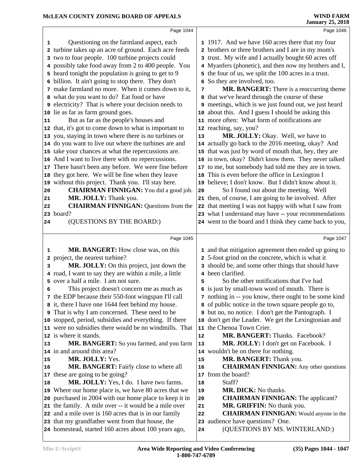|    | Page 1044                                                  |    | Page 1046                                               |
|----|------------------------------------------------------------|----|---------------------------------------------------------|
|    |                                                            |    |                                                         |
| 1  | Questioning on the farmland aspect, each                   |    | 1 1917. And we have 160 acres there that my four        |
|    | 2 turbine takes up an acre of ground. Each acre feeds      |    | 2 brothers or three brothers and I are in my mom's      |
|    | 3 two to four people. 100 turbine projects could           |    | 3 trust. My wife and I actually bought 60 acres off     |
|    | 4 possibly take food away from 2 to 400 people. You        |    | 4 Myanfers (phonetic), and then now my brothers and I,  |
|    | 5 heard tonight the population is going to get to 9        |    | 5 the four of us, we split the 100 acres in a trust.    |
|    | 6 billion. It ain't going to stop there. They don't        |    | So they are involved, too.                              |
|    | 7 make farmland no more. When it comes down to it,         | 7  | MR. BANGERT: There is a reoccurring theme               |
|    | 8 what do you want to do? Eat food or have                 |    | 8 that we've heard through the course of these          |
|    | <b>9</b> electricity? That is where your decision needs to |    | 9 meetings, which is we just found out, we just heard   |
|    | 10 lie as far as farm ground goes.                         |    | 10 about this. And I guess I should be asking this      |
| 11 | But as far as the people's houses and                      |    | 11 more often: What form of notifications are           |
|    | 12 that, it's got to come down to what is important to     |    | 12 reaching, say, you?                                  |
|    | 13 you, staying in town where there is no turbines or      | 13 | MR. JOLLY: Okay. Well, we have to                       |
|    | 14 do you want to live out where the turbines are and      |    | 14 actually go back to the 2016 meeting, okay? And      |
|    | 15 take your chances at what the repercussions are.        |    | 15 that was just by word of mouth that, hey, they are   |
|    | 16 And I want to live there with no repercussions.         |    | 16 in town, okay? Didn't know them. They never talked   |
|    | 17 There hasn't been any before. We were fine before       |    | 17 to me, but somebody had told me they are in town.    |
|    | 18 they got here. We will be fine when they leave          | 18 | This is even before the office in Lexington I           |
|    | 19 without this project. Thank you. I'll stay here.        | 19 | believe; I don't know. But I didn't know about it.      |
| 20 | <b>CHAIRMAN FINNIGAN:</b> You did a good job.              | 20 | So I found out about the meeting. Well                  |
| 21 | MR. JOLLY: Thank you.                                      |    | 21 then, of course, I am going to be involved. After    |
| 22 | <b>CHAIRMAN FINNIGAN: Questions from the</b>               |    | 22 that meeting I was not happy with what I saw from    |
|    | 23 board?                                                  |    | 23 what I understand may have -- your recommendations   |
| 24 | (QUESTIONS BY THE BOARD:)                                  |    | 24 went to the board and I think they came back to you, |
|    | Page 1045                                                  |    | Page 1047                                               |
|    | MR. BANGERT: How close was, on this                        |    | 1 and that mitigation agreement then ended up going to  |
| 1  | 2 project, the nearest turbine?                            |    | 2 5-foot grind on the concrete, which is what it        |
| 3  | MR. JOLLY: On this project, just down the                  |    | 3 should be, and some other things that should have     |
|    | 4 road, I want to say they are within a mile, a little     |    | 4 been clarified.                                       |
|    | 5 over a half a mile. I am not sure.                       | 5  | So the other notifications that I've had                |
| 6  | This project doesn't concern me as much as                 |    | 6 is just by small-town word of mouth. There is         |
|    | 7 the EDP because their 550-foot wingspan I'll call        |    | 7 nothing in -- you know, there ought to be some kind   |
|    | 8 it, there I have one 1644 feet behind my house.          |    | 8 of public notice in the town square people go to,     |
|    | <b>9</b> That is why I am concerned. These need to be      |    | 9 but no, no notice. I don't get the Pantograph. I      |
|    | 10 stopped, period, subsidies and everything. If there     | 10 | don't get the Leader. We get the Lexingtonian and       |
|    | 11 were no subsidies there would be no windmills. That     |    | 11 the Chenoa Town Crier.                               |
|    | 12 is where it stands.                                     | 12 | MR. BANGERT: Thanks. Facebook?                          |
| 13 | MR. BANGERT: So you farmed, and you farm                   | 13 | MR. JOLLY: I don't get on Facebook. I                   |
|    | 14 in and around this area?                                |    | 14 wouldn't be on there for nothing.                    |
| 15 | MR. JOLLY: Yes.                                            | 15 | MR. BANGERT: Thank you.                                 |
| 16 | <b>MR. BANGERT:</b> Fairly close to where all              | 16 | <b>CHAIRMAN FINNIGAN:</b> Any other questions           |
|    | 17 these are going to be going?                            |    | 17 from the board?                                      |
| 18 | MR. JOLLY: Yes, I do. I have two farms.                    | 18 | Staff?                                                  |
|    | 19 Where our home place is, we have 80 acres that we       | 19 | MR. DICK: No thanks.                                    |
|    | 20 purchased in 2004 with our home place to keep it in     | 20 | <b>CHAIRMAN FINNIGAN:</b> The applicant?                |
|    | 21 the family. A mile over -- it would be a mile over      | 21 | <b>MR. GRIFFIN:</b> No thank you.                       |
|    | 22 and a mile over is 160 acres that is in our family      | 22 | <b>CHAIRMAN FINNIGAN:</b> Would anyone in the           |
|    | 23 that my grandfather went from that house, the           | 23 | audience have questions? One.                           |
|    |                                                            |    | (QUESTIONS BY MS. WINTERLAND:)                          |
|    | 24 homestead, started 160 acres about 100 years ago,       | 24 |                                                         |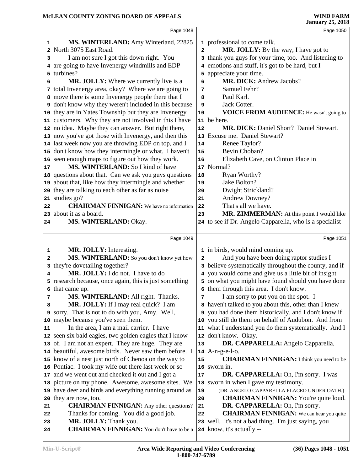|                  | Page 1048                                                                                                   |                | Page 1050                                                                        |
|------------------|-------------------------------------------------------------------------------------------------------------|----------------|----------------------------------------------------------------------------------|
| 1                | MS. WINTERLAND: Amy Winterland, 22825                                                                       |                | 1 professional to come talk.                                                     |
|                  | 2 North 3075 East Road.                                                                                     | $\overline{a}$ | MR. JOLLY: By the way, I have got to                                             |
| 3                | I am not sure I got this down right. You                                                                    | 3              | thank you guys for your time, too. And listening to                              |
|                  | 4 are going to have Invenergy windmills and EDP                                                             | 4              | emotions and stuff, it's got to be hard, but I                                   |
|                  | 5 turbines?                                                                                                 | 5              | appreciate your time.                                                            |
| 6                | <b>MR. JOLLY:</b> Where we currently live is a                                                              | 6              | MR. DICK: Andrew Jacobs?                                                         |
|                  | 7 total Invenergy area, okay? Where we are going to                                                         | 7              | Samuel Fehr?                                                                     |
|                  | 8 move there is some Invenergy people there that I                                                          | 8              | Paul Karl.                                                                       |
|                  | <b>9</b> don't know why they weren't included in this because                                               | 9              | Jack Cotter.                                                                     |
|                  | 10 they are in Yates Township but they are Invenergy                                                        | 10             | <b>VOICE FROM AUDIENCE:</b> He wasn't going to                                   |
|                  | 11 customers. Why they are not involved in this I have                                                      |                | 11 be here.                                                                      |
|                  | 12 no idea. Maybe they can answer. But right there,                                                         | 12             | MR. DICK: Daniel Short? Daniel Stewart.                                          |
|                  | 13 now you've got those with Invenergy, and then this                                                       | 13             | Excuse me. Daniel Stewart?                                                       |
|                  | 14 last week now you are throwing EDP on top, and I                                                         | 14             | Renee Taylor?                                                                    |
|                  | 15 don't know how they intermingle or what. I haven't                                                       | 15             | Bevin Choban?                                                                    |
|                  | 16 seen enough maps to figure out how they work.                                                            | 16             | Elizabeth Cave, on Clinton Place in                                              |
| 17               | MS. WINTERLAND: So I kind of have                                                                           |                | 17 Normal?                                                                       |
|                  | 18 questions about that. Can we ask you guys questions                                                      | 18             | Ryan Worthy?                                                                     |
|                  | 19 about that, like how they intermingle and whether                                                        | 19             | Jake Bolton?                                                                     |
|                  | 20 they are talking to each other as far as noise                                                           | 20             | Dwight Strickland?                                                               |
|                  | 21 studies go?                                                                                              | 21             | Andrew Downey?                                                                   |
| 22               | <b>CHAIRMAN FINNIGAN:</b> We have no information                                                            | 22             | That's all we have.                                                              |
|                  | 23 about it as a board.                                                                                     | 23             | MR. ZIMMERMAN: At this point I would like                                        |
| 24               | <b>MS. WINTERLAND: Okay.</b>                                                                                |                | 24 to see if Dr. Angelo Capparella, who is a specialist                          |
|                  | Page 1049                                                                                                   |                | Page 1051                                                                        |
|                  |                                                                                                             |                |                                                                                  |
| 1                | MR. JOLLY: Interesting.                                                                                     |                | 1 in birds, would mind coming up.                                                |
|                  |                                                                                                             |                | And you have been doing raptor studies I                                         |
| 2                | MS. WINTERLAND: So you don't know yet how                                                                   | 2              |                                                                                  |
| 3                | they're dovetailing together?                                                                               | 3              | believe systematically throughout the county, and if                             |
| 4                | MR. JOLLY: I do not. I have to do                                                                           |                | 4 you would come and give us a little bit of insight                             |
|                  | 5 research because, once again, this is just something                                                      |                | 5 on what you might have found should you have done                              |
|                  | 6 that came up.                                                                                             |                | 6 them through this area. I don't know.                                          |
| 7                | MS. WINTERLAND: All right. Thanks.                                                                          | 7              | I am sorry to put you on the spot. I                                             |
| 8                | MR. JOLLY: If I may real quick? I am                                                                        | 8              | haven't talked to you about this, other than I knew                              |
|                  | 9 sorry. That is not to do with you, Amy. Well,                                                             |                | 9 you had done them historically, and I don't know if                            |
|                  | 10 maybe because you've seen them.                                                                          | 10             | you still do them on behalf of Audubon. And from                                 |
| 11               | In the area, I am a mail carrier. I have                                                                    |                | 11 what I understand you do them systematically. And I                           |
|                  | 12 seen six bald eagles, two golden eagles that I know                                                      | 13             | 12 don't know. Okay.                                                             |
|                  | 13 of. I am not an expert. They are huge. They are<br>14 beautiful, awesome birds. Never saw them before. I |                | DR. CAPPARELLA: Angelo Capparella,<br>$14$ A-n-g-e-l-o.                          |
|                  | 15 know of a nest just north of Chenoa on the way to                                                        | 15             | <b>CHAIRMAN FINNIGAN:</b> I think you need to be                                 |
|                  | 16 Pontiac. I took my wife out there last week or so                                                        | 16             | sworn in.                                                                        |
|                  | 17 and we went out and checked it out and I got a                                                           | 17             | DR. CAPPARELLA: Oh, I'm sorry. I was                                             |
|                  | 18 picture on my phone. Awesome, awesome sites. We                                                          |                | 18 sworn in when I gave my testimony.                                            |
|                  | 19 have deer and birds and everything running around as                                                     | 19             | (DR. ANGELO CAPPARELLA PLACED UNDER OATH.)                                       |
|                  | 20 they are now, too.                                                                                       | 20             | <b>CHAIRMAN FINNIGAN:</b> You're quite loud.                                     |
| 21               | <b>CHAIRMAN FINNIGAN:</b> Any other questions?                                                              | 21             | DR. CAPPARELLA: Oh, I'm sorry.                                                   |
| 22               | Thanks for coming. You did a good job.                                                                      | 22             | <b>CHAIRMAN FINNIGAN:</b> We can hear you quite                                  |
| 23<br>${\bf 24}$ | MR. JOLLY: Thank you.<br><b>CHAIRMAN FINNIGAN:</b> You don't have to be a                                   |                | 23 well. It's not a bad thing. I'm just saying, you<br>24 know, it's actually -- |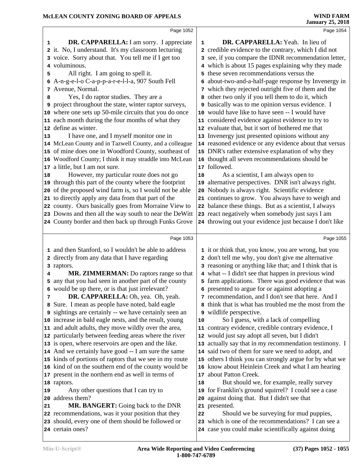|    | Page 1052                                                              |    | Page 1054                                                                                                    |  |  |
|----|------------------------------------------------------------------------|----|--------------------------------------------------------------------------------------------------------------|--|--|
| 1  | DR. CAPPARELLA: I am sorry. I appreciate                               | 1  | DR. CAPPARELLA: Yeah. In lieu of                                                                             |  |  |
|    | 2 it. No, I understand. It's my classroom lecturing                    |    | 2 credible evidence to the contrary, which I did not                                                         |  |  |
|    | 3 voice. Sorry about that. You tell me if I get too                    |    | 3 see, if you compare the IDNR recommendation letter,                                                        |  |  |
| 4  | voluminous.                                                            |    | 4 which is about 15 pages explaining why they made                                                           |  |  |
| 5  | All right. I am going to spell it.                                     |    | 5 these seven recommendations versus the                                                                     |  |  |
| 6  | A-n-g-e-l-o C-a-p-p-a-r-e-l-l-a, 907 South Fell                        |    | 6 about-two-and-a-half-page response by Invenergy in                                                         |  |  |
|    | 7 Avenue, Normal.                                                      |    | 7 which they rejected outright five of them and the                                                          |  |  |
| 8  | Yes, I do raptor studies. They are a                                   |    | 8 other two only if you tell them to do it, which                                                            |  |  |
| 9  | project throughout the state, winter raptor surveys,                   |    | 9 basically was to me opinion versus evidence. I                                                             |  |  |
| 10 | where one sets up 50-mile circuits that you do once                    |    | 10 would have like to have seen -- I would have                                                              |  |  |
|    | 11 each month during the four months of what they                      |    | 11 considered evidence against evidence to try to                                                            |  |  |
| 12 | define as winter.                                                      |    | 12 evaluate that, but it sort of bothered me that                                                            |  |  |
| 13 | I have one, and I myself monitor one in                                |    | 13 Invenergy just presented opinions without any                                                             |  |  |
|    | 14 McLean County and in Tazwell County, and a colleague                |    | 14 reasoned evidence or any evidence about that versus                                                       |  |  |
| 15 | of mine does one in Woodford County, southeast of                      |    | 15 DNR's rather extensive explanation of why they                                                            |  |  |
|    | 16 Woodford County; I think it may straddle into McLean                |    | 16 thought all seven recommendations should be                                                               |  |  |
| 17 | a little, but I am not sure.                                           |    | 17 followed.                                                                                                 |  |  |
| 18 | However, my particular route does not go                               | 18 | As a scientist, I am always open to                                                                          |  |  |
| 19 | through this part of the county where the footprint                    |    | 19 alternative perspectives. DNR isn't always right.                                                         |  |  |
| 20 | of the proposed wind farm is, so I would not be able                   |    | 20 Nobody is always right. Scientific evidence                                                               |  |  |
|    | 21 to directly apply any data from that part of the                    |    | 21 continues to grow. You always have to weigh and                                                           |  |  |
|    | 22 county. Ours basically goes from Morraine View to                   |    | 22 balance these things. But as a scientist, I always                                                        |  |  |
|    | 23 Downs and then all the way south to near the DeWitt                 |    | 23 react negatively when somebody just says I am                                                             |  |  |
|    | 24 County border and then back up through Funks Grove                  |    | 24 throwing out your evidence just because I don't like                                                      |  |  |
|    |                                                                        |    |                                                                                                              |  |  |
|    |                                                                        |    |                                                                                                              |  |  |
|    | Page 1053                                                              |    | Page 1055                                                                                                    |  |  |
|    | 1 and then Stanford, so I wouldn't be able to address                  |    | 1 it or think that, you know, you are wrong, but you                                                         |  |  |
|    | 2 directly from any data that I have regarding                         |    |                                                                                                              |  |  |
|    | 3 raptors.                                                             |    | 2 don't tell me why, you don't give me alternative<br>3 reasoning or anything like that; and I think that is |  |  |
| 4  | MR. ZIMMERMAN: Do raptors range so that                                |    | 4 what -- I didn't see that happen in previous wind                                                          |  |  |
| 5  | any that you had seen in another part of the county                    |    | 5 farm applications. There was good evidence that was                                                        |  |  |
|    | 6 would be up there, or is that just irrelevant?                       |    | 6 presented to argue for or against adopting a                                                               |  |  |
| 7  | DR. CAPPARELLA: Oh, yea. Oh, yeah.                                     |    | 7 recommendation, and I don't see that here. And I                                                           |  |  |
| 8  | Sure. I mean as people have noted, bald eagle                          |    | 8 think that is what has troubled me the most from the                                                       |  |  |
|    | <b>9</b> sightings are certainly -- we have certainly seen an          |    | 9 wildlife perspective.                                                                                      |  |  |
|    | 10 increase in bald eagle nests, and the result, young                 | 10 | So I guess, with a lack of compelling                                                                        |  |  |
| 11 | and adult adults, they move wildly over the area,                      |    | 11 contrary evidence, credible contrary evidence, I                                                          |  |  |
|    | 12 particularly between feeding areas where the river                  |    | 12 would just say adopt all seven, but I didn't                                                              |  |  |
|    | 13 is open, where reservoirs are open and the like.                    |    | 13 actually say that in my recommendation testimony. I                                                       |  |  |
|    | 14 And we certainly have good -- I am sure the same                    |    | 14 said two of them for sure we need to adopt, and                                                           |  |  |
|    | 15 kinds of portions of raptors that we see in my route                |    | 15 others I think you can strongly argue for by what we                                                      |  |  |
|    | 16 kind of on the southern end of the county would be                  |    | 16 know about Heinlein Creek and what I am hearing                                                           |  |  |
|    | 17 present in the northern end as well in terms of                     | 17 | about Patton Creek.                                                                                          |  |  |
|    | 18 raptors.                                                            | 18 | But should we, for example, really survey                                                                    |  |  |
| 19 | Any other questions that I can try to                                  | 19 | for Franklin's ground squirrel? I could see a case                                                           |  |  |
| 20 | address them?                                                          |    | 20 against doing that. But I didn't see that                                                                 |  |  |
| 21 | MR. BANGERT: Going back to the DNR                                     |    | 21 presented.                                                                                                |  |  |
|    | 22 recommendations, was it your position that they                     | 22 | Should we be surveying for mud puppies,                                                                      |  |  |
|    | 23 should, every one of them should be followed or<br>24 certain ones? |    | 23 which is one of the recommendations? I can see a<br>24 case you could make scientifically against doing   |  |  |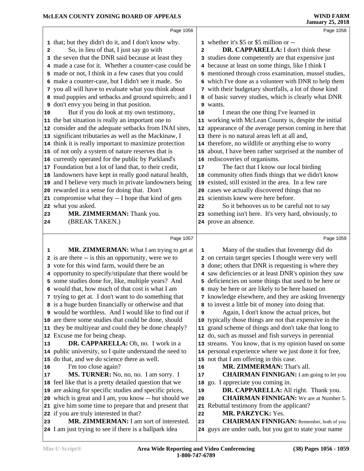|    | Page 1056                                                                                                     |                | Page 1058                                                                                             |
|----|---------------------------------------------------------------------------------------------------------------|----------------|-------------------------------------------------------------------------------------------------------|
|    | 1 that; but they didn't do it, and I don't know why.                                                          |                | 1 whether it's \$5 or \$5 million or --                                                               |
|    | So, in lieu of that, I just say go with                                                                       | $\overline{a}$ | DR. CAPPARELLA: I don't think these                                                                   |
| 2  | 3 the seven that the DNR said because at least they                                                           |                | 3 studies done competently are that expensive just                                                    |
|    | 4 made a case for it. Whether a counter-case could be                                                         |                | 4 because at least on some things, like I think I                                                     |
|    | 5 made or not, I think in a few cases that you could                                                          |                | 5 mentioned through cross examination, mussel studies,                                                |
|    | 6 make a counter-case, but I didn't see it made. So                                                           |                | 6 which I've done as a volunteer with DNR to help them                                                |
|    | 7 you all will have to evaluate what you think about                                                          |                | 7 with their budgetary shortfalls, a lot of those kind                                                |
|    | 8 mud puppies and setbacks and ground squirrels; and I                                                        |                | 8 of basic survey studies, which is clearly what DNR                                                  |
| 9  | don't envy you being in that position.                                                                        |                | 9 wants.                                                                                              |
| 10 | But if you do look at my own testimony,                                                                       | 10             | I mean the one thing I've learned in                                                                  |
|    | 11 the bat situation is really an important one to                                                            |                | 11 working with McLean County is, despite the initial                                                 |
|    | 12 consider and the adequate setbacks from INAI sites,                                                        |                | 12 appearance of the average person coming in here that                                               |
|    | 13 significant tributaries as well as the Mackinaw, I                                                         |                | 13 there is no natural areas left at all and,                                                         |
|    | 14 think it is really important to maximize protection                                                        |                | 14 therefore, no wildlife or anything else to worry                                                   |
|    | 15 of not only a system of nature reserves that is                                                            |                | 15 about, I have been rather surprised at the number of                                               |
|    | 16 currently operated for the public by Parkland's                                                            |                | 16 rediscoveries of organisms.                                                                        |
|    | 17 Foundation but a lot of land that, to their credit,                                                        | $17$           | The fact that I know our local birding                                                                |
|    | 18 landowners have kept in really good natural health,                                                        |                | 18 community often finds things that we didn't know                                                   |
|    | 19 and I believe very much in private landowners being                                                        |                | 19 existed, still existed in the area. In a few rare                                                  |
|    | 20 rewarded in a sense for doing that. Don't                                                                  |                | 20 cases we actually discovered things that no                                                        |
|    | 21 compromise what they -- I hope that kind of gets                                                           |                | 21 scientists knew were here before.                                                                  |
|    | 22 what you asked.                                                                                            | 22             | So it behooves us to be careful not to say                                                            |
| 23 | MR. ZIMMERMAN: Thank you.                                                                                     |                | 23 something isn't here. It's very hard, obviously, to                                                |
| 24 | (BREAK TAKEN.)                                                                                                |                | 24 prove an absence.                                                                                  |
|    |                                                                                                               |                |                                                                                                       |
|    | Page 1057                                                                                                     |                | Page 1059                                                                                             |
| 1  | <b>MR. ZIMMERMAN:</b> What I am trying to get at                                                              | 1              | Many of the studies that Invenergy did do                                                             |
|    | 2 is are there -- is this an opportunity, were we to                                                          |                | 2 on certain target species I thought were very well                                                  |
|    | 3 vote for this wind farm, would there be an                                                                  |                | 3 done; others that DNR is requesting is where they                                                   |
|    |                                                                                                               |                |                                                                                                       |
|    |                                                                                                               |                |                                                                                                       |
|    | 4 opportunity to specify/stipulate that there would be                                                        | 5              | 4 saw deficiencies or at least DNR's opinion they saw                                                 |
|    | 5 some studies done for, like, multiple years? And                                                            |                | deficiencies on some things that used to be here or                                                   |
|    | 6 would that, how much of that cost is what I am                                                              |                | 6 may be here or are likely to be here based on                                                       |
|    | 7 trying to get at. I don't want to do something that                                                         |                | 7 knowledge elsewhere, and they are asking Invenergy                                                  |
|    | 8 is a huge burden financially or otherwise and that<br>9 would be worthless. And I would like to find out if | 9              | 8 to invest a little bit of money into doing that.                                                    |
|    | 10 are there some studies that could be done, should                                                          |                | Again, I don't know the actual prices, but<br>10 typically those things are not that expensive in the |
|    | 11 they be multiyear and could they be done cheaply?                                                          |                | 11 grand scheme of things and don't take that long to                                                 |
|    | 12 Excuse me for being cheap.                                                                                 |                | 12 do, such as mussel and fish surveys in perennial                                                   |
| 13 | DR. CAPPARELLA: Oh, no. I work in a                                                                           |                | 13 streams. You know, that is my opinion based on some                                                |
|    | 14 public university, so I quite understand the need to                                                       |                | 14 personal experience where we just done it for free,                                                |
|    | 15 do that, and we do science there as well.                                                                  |                | 15 not that I am offering in this case.                                                               |
| 16 | I'm too close again?                                                                                          | 16             | MR. ZIMMERMAN: That's all.                                                                            |
| 17 | MS. TURNER: No, no, no. I am sorry. I                                                                         | 17             | <b>CHAIRMAN FINNIGAN:</b> I am going to let you                                                       |
|    | 18 feel like that is a pretty detailed question that we                                                       | 18             | go. I appreciate you coming in.                                                                       |
|    | 19 are asking for specific studies and specific prices,                                                       | 19             | DR. CAPPARELLA: All right. Thank you.                                                                 |
|    | 20 which is great and I am, you know -- but should we                                                         | 20             | <b>CHAIRMAN FINNIGAN:</b> We are at Number 5.                                                         |
|    | 21 give him some time to prepare that and present that                                                        |                | 21 Rebuttal testimony from the applicant?                                                             |
|    | 22 if you are truly interested in that?                                                                       | 22             | MR. PARZYCK: Yes.                                                                                     |
| 23 | MR. ZIMMERMAN: I am sort of interested.                                                                       | 23             | <b>CHAIRMAN FINNIGAN:</b> Remember, both of you                                                       |
|    | 24 I am just trying to see if there is a ballpark idea                                                        |                | 24 guys are under oath, but you got to state your name                                                |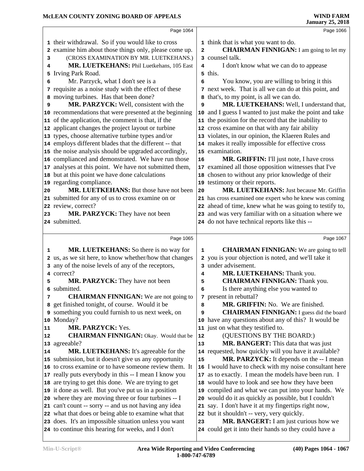|    | Page 1064                                                                                                   |                         | Page 1066                                                                                      |  |
|----|-------------------------------------------------------------------------------------------------------------|-------------------------|------------------------------------------------------------------------------------------------|--|
|    | 1 their withdrawal. So if you would like to cross                                                           |                         | 1 think that is what you want to do.                                                           |  |
| 2  | examine him about those things only, please come up.                                                        | $\overline{\mathbf{2}}$ | <b>CHAIRMAN FINNIGAN:</b> I am going to let my                                                 |  |
| 3  | (CROSS EXAMINATION BY MR. LUETKEHANS.)                                                                      |                         | 3 counsel talk.                                                                                |  |
| 4  | MR. LUETKEHANS: Phil Luetkehans, 105 East                                                                   | 4                       | I don't know what we can do to appease                                                         |  |
| 5  | Irving Park Road.                                                                                           |                         | 5 this.                                                                                        |  |
| 6  | Mr. Parzyck, what I don't see is a                                                                          | 6                       | You know, you are willing to bring it this                                                     |  |
|    | 7 requisite as a noise study with the effect of these                                                       |                         | 7 next week. That is all we can do at this point, and                                          |  |
|    | 8 moving turbines. Has that been done?                                                                      |                         | 8 that's, to my point, is all we can do.                                                       |  |
| 9  | MR. PARZYCK: Well, consistent with the                                                                      | 9                       | MR. LUETKEHANS: Well, I understand that,                                                       |  |
|    | 10 recommendations that were presented at the beginning                                                     | 10                      | and I guess I wanted to just make the point and take                                           |  |
|    | 11 of the application, the comment is that, if the                                                          |                         | 11 the position for the record that the inability to                                           |  |
|    | 12 applicant changes the project layout or turbine                                                          |                         | 12 cross examine on that with any fair ability                                                 |  |
|    | 13 types, choose alternative turbine types and/or                                                           |                         | 13 violates, in our opinion, the Klaeren Rules and                                             |  |
|    | 14 employs different blades that the different -- that                                                      |                         | 14 makes it really impossible for effective cross                                              |  |
|    | 15 the noise analysis should be upgraded accordingly,                                                       |                         | 15 examination.                                                                                |  |
|    | 16 complianced and demonstrated. We have run those                                                          | 16                      | MR. GRIFFIN: I'll just note, I have cross                                                      |  |
| 17 | analyses at this point. We have not submitted them,                                                         | 17                      | examined all those opposition witnesses that I've                                              |  |
|    | 18 but at this point we have done calculations                                                              | 18                      | chosen to without any prior knowledge of their                                                 |  |
|    | 19 regarding compliance.                                                                                    |                         | 19 testimony or their reports.                                                                 |  |
| 20 | MR. LUETKEHANS: But those have not been                                                                     | 20                      | MR. LUETKEHANS: Just because Mr. Griffin                                                       |  |
|    | 21 submitted for any of us to cross examine on or                                                           |                         | 21 has cross examined one expert who he knew was coming                                        |  |
|    | 22 review, correct?                                                                                         |                         | 22 ahead of time, knew what he was going to testify to,                                        |  |
| 23 | MR. PARZYCK: They have not been<br>24 submitted.                                                            |                         | 23 and was very familiar with on a situation where we                                          |  |
|    |                                                                                                             |                         | 24 do not have technical reports like this --                                                  |  |
|    | Page 1065                                                                                                   |                         | Page 1067                                                                                      |  |
| 1  | MR. LUETKEHANS: So there is no way for                                                                      | $\mathbf 1$             | <b>CHAIRMAN FINNIGAN:</b> We are going to tell                                                 |  |
|    | 2 us, as we sit here, to know whether/how that changes                                                      |                         | 2 you is your objection is noted, and we'll take it                                            |  |
|    | any of the noise levels of any of the receptors,                                                            |                         | 3 under advisement.                                                                            |  |
| 4  | correct?                                                                                                    | 4                       | MR. LUETKEHANS: Thank you.                                                                     |  |
| 5  | <b>MR. PARZYCK:</b> They have not been                                                                      | 5                       | <b>CHAIRMAN FINNIGAN: Thank you.</b>                                                           |  |
|    | 6 submitted.                                                                                                | 6                       | Is there anything else you wanted to                                                           |  |
| 7  | <b>CHAIRMAN FINNIGAN:</b> We are not going to                                                               |                         | 7 present in rebuttal?                                                                         |  |
|    | 8 get finished tonight, of course. Would it be                                                              | 8                       | <b>MR. GRIFFIN:</b> No. We are finished.                                                       |  |
|    | 9 something you could furnish to us next week, on                                                           | 9                       | <b>CHAIRMAN FINNIGAN:</b> I guess did the board                                                |  |
|    | 10 Monday?                                                                                                  |                         | 10 have any questions about any of this? It would be                                           |  |
| 11 | MR. PARZYCK: Yes.                                                                                           |                         | 11 just on what they testified to.                                                             |  |
| 12 | <b>CHAIRMAN FINNIGAN:</b> Okay. Would that be                                                               | 12                      | (QUESTIONS BY THE BOARD:)                                                                      |  |
|    | 13 agreeable?                                                                                               | 13                      | <b>MR. BANGERT:</b> This data that was just                                                    |  |
| 14 | MR. LUETKEHANS: It's agreeable for the                                                                      |                         | 14 requested, how quickly will you have it available?                                          |  |
|    | 15 submission, but it doesn't give us any opportunity                                                       | 15                      | MR. PARZYCK: It depends on the -- I mean                                                       |  |
|    | 16 to cross examine or to have someone review them. It                                                      |                         | 16 I would have to check with my noise consultant here                                         |  |
|    | 17 really puts everybody in this -- I mean I know you                                                       | 17                      | as to exactly. I mean the models have been run. I                                              |  |
|    | 18 are trying to get this done. We are trying to get                                                        | 18                      | would have to look and see how they have been                                                  |  |
|    | 19 it done as well. But you've put us in a position                                                         | 19                      | compiled and what we can put into your hands. We                                               |  |
|    | 20 where they are moving three or four turbines -- I                                                        | 20                      | would do it as quickly as possible, but I couldn't                                             |  |
|    |                                                                                                             |                         |                                                                                                |  |
|    | 21 can't count -- sorry -- and us not having any idea                                                       | 21                      | say. I don't have it at my fingertips right now,                                               |  |
|    | 22 what that does or being able to examine what that                                                        | 22                      | but it shouldn't -- very, very quickly.                                                        |  |
|    | 23 does. It's an impossible situation unless you want<br>24 to continue this hearing for weeks, and I don't | 23                      | MR. BANGERT: I am just curious how we<br>24 could get it into their hands so they could have a |  |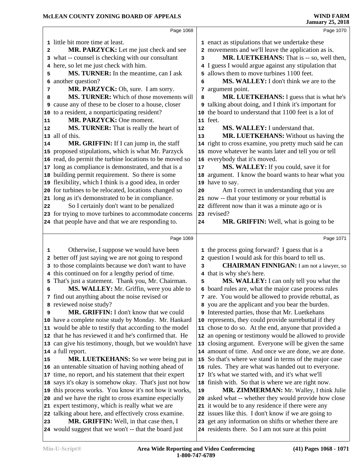|          | Page 1068                                                                                                         |    | Page 1070                                                                                                   |  |  |
|----------|-------------------------------------------------------------------------------------------------------------------|----|-------------------------------------------------------------------------------------------------------------|--|--|
|          | 1 little bit more time at least.                                                                                  |    | 1 enact as stipulations that we undertake these                                                             |  |  |
| 2        | MR. PARZYCK: Let me just check and see                                                                            |    | 2 movements and we'll leave the application as is.                                                          |  |  |
|          | 3 what -- counsel is checking with our consultant                                                                 | 3  | MR. LUETKEHANS: That is -- so, well then,                                                                   |  |  |
|          | 4 here, so let me just check with him.                                                                            |    | 4 I guess I would argue against any stipulation that                                                        |  |  |
| 5        | MS. TURNER: In the meantime, can I ask                                                                            |    | 5 allows them to move turbines 1100 feet.                                                                   |  |  |
| 6        | another question?                                                                                                 | 6  | MS. WALLEY: I don't think we are to the                                                                     |  |  |
| 7        | MR. PARZYCK: Oh, sure. I am sorry.                                                                                |    | 7 argument point.                                                                                           |  |  |
| 8        | MS. TURNER: Which of those movements will                                                                         | 8  | MR. LUETKEHANS: I guess that is what he's                                                                   |  |  |
|          | <b>9</b> cause any of these to be closer to a house, closer                                                       |    | a talking about doing, and I think it's important for                                                       |  |  |
|          | 10 to a resident, a nonparticipating resident?                                                                    |    | 10 the board to understand that 1100 feet is a lot of                                                       |  |  |
| 11       | MR. PARZYCK: One moment.                                                                                          |    | 11 feet.                                                                                                    |  |  |
| 12       | MS. TURNER: That is really the heart of                                                                           | 12 | MS. WALLEY: I understand that.                                                                              |  |  |
|          | 13 all of this.                                                                                                   | 13 | MR. LUETKEHANS: Without us having the                                                                       |  |  |
| 14       | MR. GRIFFIN: If I can jump in, the staff                                                                          |    | 14 right to cross examine, you pretty much said he can                                                      |  |  |
|          | 15 proposed stipulations, which is what Mr. Parzyck                                                               |    | 15 move whatever he wants later and tell you or tell                                                        |  |  |
|          | 16 read, do permit the turbine locations to be moved so                                                           |    | 16 everybody that it's moved.                                                                               |  |  |
|          | 17 long as compliance is demonstrated, and that is a                                                              | 17 | MS. WALLEY: If you could, save it for                                                                       |  |  |
|          | 18 building permit requirement. So there is some                                                                  |    | 18 argument. I know the board wants to hear what you                                                        |  |  |
|          | 19 flexibility, which I think is a good idea, in order                                                            |    | 19 have to say.                                                                                             |  |  |
|          | 20 for turbines to be relocated, locations changed so                                                             | 20 | Am I correct in understanding that you are                                                                  |  |  |
|          | 21 long as it's demonstrated to be in compliance.                                                                 |    | 21 now -- that your testimony or your rebuttal is                                                           |  |  |
| 22       | So I certainly don't want to be penalized                                                                         |    | 22 different now than it was a minute ago or is                                                             |  |  |
|          | 23 for trying to move turbines to accommodate concerns                                                            |    | 23 revised?                                                                                                 |  |  |
|          | 24 that people have and that we are responding to.                                                                | 24 | <b>MR. GRIFFIN:</b> Well, what is going to be                                                               |  |  |
|          |                                                                                                                   |    |                                                                                                             |  |  |
|          | Page 1069                                                                                                         |    | Page 1071                                                                                                   |  |  |
| 1        | Otherwise, I suppose we would have been                                                                           |    | 1 the process going forward? I guess that is a                                                              |  |  |
|          | 2 better off just saying we are not going to respond                                                              |    | 2 question I would ask for this board to tell us.                                                           |  |  |
|          | 3 to those complaints because we don't want to have                                                               | 3  | <b>CHAIRMAN FINNIGAN:</b> I am not a lawyer, so                                                             |  |  |
|          | 4 this continued on for a lengthy period of time.                                                                 |    | 4 that is why she's here.                                                                                   |  |  |
|          | 5 That's just a statement. Thank you, Mr. Chairman.                                                               | 5  | MS. WALLEY: I can only tell you what the                                                                    |  |  |
| 6        | MS. WALLEY: Mr. Griffin, were you able to                                                                         |    | 6 board rules are, what the major case process rules                                                        |  |  |
|          | 7 find out anything about the noise revised or                                                                    |    | 7 are. You would be allowed to provide rebuttal, as                                                         |  |  |
|          | 8 reviewed noise study?                                                                                           |    | 8 you are the applicant and you bear the burden.                                                            |  |  |
| 9        | MR. GRIFFIN: I don't know that we could                                                                           |    | 9 Interested parties, those that Mr. Luetkehans                                                             |  |  |
|          | 10 have a complete noise study by Monday. Mr. Hankard                                                             |    | 10 represents, they could provide surrebuttal if they                                                       |  |  |
|          | 11 would be able to testify that according to the model                                                           |    | 11 chose to do so. At the end, anyone that provided a                                                       |  |  |
|          | 12 that he has reviewed it and he's confirmed that. He                                                            |    | 12 an opening or testimony would be allowed to provide                                                      |  |  |
|          | 13 can give his testimony, though, but we wouldn't have                                                           |    | 13 closing argument. Everyone will be given the same                                                        |  |  |
|          | 14 a full report.                                                                                                 |    | 14 amount of time. And once we are done, we are done.                                                       |  |  |
|          | <b>MR. LUETKEHANS:</b> So we were being put in                                                                    |    | 15 So that's where we stand in terms of the major case                                                      |  |  |
|          | 16 an untenable situation of having nothing ahead of                                                              |    | 16 rules. They are what was handed out to everyone.<br>17 It's what we started with, and it's what we'll    |  |  |
|          | 17 time, no report, and his statement that their expert<br>18 says it's okay is somehow okay. That's just not how |    | 18 finish with. So that is where we are right now.                                                          |  |  |
|          | 19 this process works. You know it's not how it works,                                                            | 19 | MR. ZIMMERMAN: Mr. Walley, I think Julie                                                                    |  |  |
|          | 20 and we have the right to cross examine especially                                                              |    | 20 asked what -- whether they would provide how close                                                       |  |  |
|          | 21 expert testimony, which is really what we are                                                                  |    | 21 it would be to any residence if there were any                                                           |  |  |
|          | 22 talking about here, and effectively cross examine.                                                             |    | 22 issues like this. I don't know if we are going to                                                        |  |  |
| 15<br>23 | MR. GRIFFIN: Well, in that case then, I<br>24 would suggest that we won't -- that the board just                  |    | 23 get any information on shifts or whether there are<br>24 residents there. So I am not sure at this point |  |  |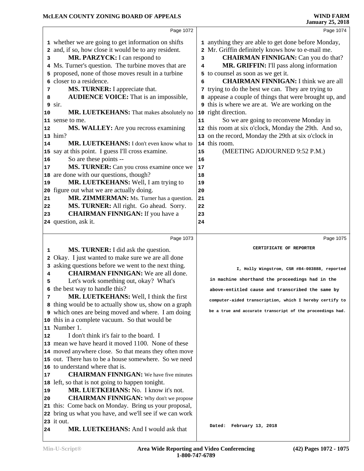|                                                                                  |                                                                                                                                                                                                                                                                                                                                                                                                                                                                                                                                                                                                                                                                                                                                                                                                                                                                                                                                                                      |                                                                                     | January 25, 2018                                                                                                                                                                                                                                                                                                                                                                                                                                                                                                                                                                                                                                                                               |
|----------------------------------------------------------------------------------|----------------------------------------------------------------------------------------------------------------------------------------------------------------------------------------------------------------------------------------------------------------------------------------------------------------------------------------------------------------------------------------------------------------------------------------------------------------------------------------------------------------------------------------------------------------------------------------------------------------------------------------------------------------------------------------------------------------------------------------------------------------------------------------------------------------------------------------------------------------------------------------------------------------------------------------------------------------------|-------------------------------------------------------------------------------------|------------------------------------------------------------------------------------------------------------------------------------------------------------------------------------------------------------------------------------------------------------------------------------------------------------------------------------------------------------------------------------------------------------------------------------------------------------------------------------------------------------------------------------------------------------------------------------------------------------------------------------------------------------------------------------------------|
|                                                                                  | Page 1072                                                                                                                                                                                                                                                                                                                                                                                                                                                                                                                                                                                                                                                                                                                                                                                                                                                                                                                                                            |                                                                                     | Page 1074                                                                                                                                                                                                                                                                                                                                                                                                                                                                                                                                                                                                                                                                                      |
| з<br>5<br>6<br>7<br>8<br>9<br>10<br>12<br>14<br>16<br>17<br>19<br>21<br>22<br>23 | 1 whether we are going to get information on shifts<br>2 and, if so, how close it would be to any resident.<br>MR. PARZYCK: I can respond to<br>4 Ms. Turner's question. The turbine moves that are<br>proposed, none of those moves result in a turbine<br>closer to a residence.<br>MS. TURNER: I appreciate that.<br><b>AUDIENCE VOICE:</b> That is an impossible,<br>sir.<br>MR. LUETKEHANS: That makes absolutely no<br>11 sense to me.<br>MS. WALLEY: Are you recross examining<br>13 him?<br>MR. LUETKEHANS: I don't even know what to<br>15 say at this point. I guess I'll cross examine.<br>So are these points --<br>MS. TURNER: Can you cross examine once we<br>18 are done with our questions, though?<br>MR. LUETKEHANS: Well, I am trying to<br>20 figure out what we are actually doing.<br>MR. ZIMMERMAN: Ms. Turner has a question.<br>MS. TURNER: All right. Go ahead. Sorry.<br><b>CHAIRMAN FINNIGAN:</b> If you have a<br>24 question, ask it. | 3<br>4<br>6<br>11<br>14<br>15<br>16<br>17<br>18<br>19<br>20<br>21<br>22<br>23<br>24 | 1 anything they are able to get done before Monday,<br>2 Mr. Griffin definitely knows how to e-mail me.<br><b>CHAIRMAN FINNIGAN:</b> Can you do that?<br>MR. GRIFFIN: I'll pass along information<br>5 to counsel as soon as we get it.<br><b>CHAIRMAN FINNIGAN: I think we are all</b><br>trying to do the best we can. They are trying to<br>appease a couple of things that were brought up, and<br><b>9</b> this is where we are at. We are working on the<br>10 right direction.<br>So we are going to reconvene Monday in<br>12 this room at six o'clock, Monday the 29th. And so,<br>13 on the record, Monday the 29th at six o'clock in<br>this room.<br>(MEETING ADJOURNED 9:52 P.M.) |
|                                                                                  | Page 1073                                                                                                                                                                                                                                                                                                                                                                                                                                                                                                                                                                                                                                                                                                                                                                                                                                                                                                                                                            |                                                                                     | Page 1075                                                                                                                                                                                                                                                                                                                                                                                                                                                                                                                                                                                                                                                                                      |
|                                                                                  |                                                                                                                                                                                                                                                                                                                                                                                                                                                                                                                                                                                                                                                                                                                                                                                                                                                                                                                                                                      |                                                                                     | CERTIFICATE OF REPORTER                                                                                                                                                                                                                                                                                                                                                                                                                                                                                                                                                                                                                                                                        |
|                                                                                  |                                                                                                                                                                                                                                                                                                                                                                                                                                                                                                                                                                                                                                                                                                                                                                                                                                                                                                                                                                      |                                                                                     |                                                                                                                                                                                                                                                                                                                                                                                                                                                                                                                                                                                                                                                                                                |
| 1                                                                                | <b>MS. TURNER:</b> I did ask the question.                                                                                                                                                                                                                                                                                                                                                                                                                                                                                                                                                                                                                                                                                                                                                                                                                                                                                                                           |                                                                                     |                                                                                                                                                                                                                                                                                                                                                                                                                                                                                                                                                                                                                                                                                                |
| 2<br>3<br>4                                                                      | Okay. I just wanted to make sure we are all done<br>asking questions before we went to the next thing.<br><b>CHAIRMAN FINNIGAN:</b> We are all done.                                                                                                                                                                                                                                                                                                                                                                                                                                                                                                                                                                                                                                                                                                                                                                                                                 |                                                                                     | I, Holly Wingstrom, CSR #84-003888, reported                                                                                                                                                                                                                                                                                                                                                                                                                                                                                                                                                                                                                                                   |
| 5                                                                                | Let's work something out, okay? What's                                                                                                                                                                                                                                                                                                                                                                                                                                                                                                                                                                                                                                                                                                                                                                                                                                                                                                                               |                                                                                     | in machine shorthand the proceedings had in the                                                                                                                                                                                                                                                                                                                                                                                                                                                                                                                                                                                                                                                |
|                                                                                  | 6 the best way to handle this?                                                                                                                                                                                                                                                                                                                                                                                                                                                                                                                                                                                                                                                                                                                                                                                                                                                                                                                                       |                                                                                     | above-entitled cause and transcribed the same by                                                                                                                                                                                                                                                                                                                                                                                                                                                                                                                                                                                                                                               |
| 7                                                                                | MR. LUETKEHANS: Well, I think the first                                                                                                                                                                                                                                                                                                                                                                                                                                                                                                                                                                                                                                                                                                                                                                                                                                                                                                                              |                                                                                     | computer-aided transcription, which I hereby certify to                                                                                                                                                                                                                                                                                                                                                                                                                                                                                                                                                                                                                                        |
|                                                                                  | 8 thing would be to actually show us, show on a graph<br>9 which ones are being moved and where. I am doing                                                                                                                                                                                                                                                                                                                                                                                                                                                                                                                                                                                                                                                                                                                                                                                                                                                          |                                                                                     | be a true and accurate transcript of the proceedings had.                                                                                                                                                                                                                                                                                                                                                                                                                                                                                                                                                                                                                                      |
|                                                                                  | 10 this in a complete vacuum. So that would be                                                                                                                                                                                                                                                                                                                                                                                                                                                                                                                                                                                                                                                                                                                                                                                                                                                                                                                       |                                                                                     |                                                                                                                                                                                                                                                                                                                                                                                                                                                                                                                                                                                                                                                                                                |
|                                                                                  | 11 Number 1.                                                                                                                                                                                                                                                                                                                                                                                                                                                                                                                                                                                                                                                                                                                                                                                                                                                                                                                                                         |                                                                                     |                                                                                                                                                                                                                                                                                                                                                                                                                                                                                                                                                                                                                                                                                                |
| 12                                                                               | I don't think it's fair to the board. I                                                                                                                                                                                                                                                                                                                                                                                                                                                                                                                                                                                                                                                                                                                                                                                                                                                                                                                              |                                                                                     |                                                                                                                                                                                                                                                                                                                                                                                                                                                                                                                                                                                                                                                                                                |
|                                                                                  | 13 mean we have heard it moved 1100. None of these                                                                                                                                                                                                                                                                                                                                                                                                                                                                                                                                                                                                                                                                                                                                                                                                                                                                                                                   |                                                                                     |                                                                                                                                                                                                                                                                                                                                                                                                                                                                                                                                                                                                                                                                                                |
|                                                                                  | 14 moved anywhere close. So that means they often move                                                                                                                                                                                                                                                                                                                                                                                                                                                                                                                                                                                                                                                                                                                                                                                                                                                                                                               |                                                                                     |                                                                                                                                                                                                                                                                                                                                                                                                                                                                                                                                                                                                                                                                                                |
|                                                                                  | 15 out. There has to be a house somewhere. So we need                                                                                                                                                                                                                                                                                                                                                                                                                                                                                                                                                                                                                                                                                                                                                                                                                                                                                                                |                                                                                     |                                                                                                                                                                                                                                                                                                                                                                                                                                                                                                                                                                                                                                                                                                |
|                                                                                  | 16 to understand where that is.                                                                                                                                                                                                                                                                                                                                                                                                                                                                                                                                                                                                                                                                                                                                                                                                                                                                                                                                      |                                                                                     |                                                                                                                                                                                                                                                                                                                                                                                                                                                                                                                                                                                                                                                                                                |
| 17                                                                               | <b>CHAIRMAN FINNIGAN:</b> We have five minutes                                                                                                                                                                                                                                                                                                                                                                                                                                                                                                                                                                                                                                                                                                                                                                                                                                                                                                                       |                                                                                     |                                                                                                                                                                                                                                                                                                                                                                                                                                                                                                                                                                                                                                                                                                |
| 19                                                                               | 18 left, so that is not going to happen tonight.<br>MR. LUETKEHANS: No. I know it's not.                                                                                                                                                                                                                                                                                                                                                                                                                                                                                                                                                                                                                                                                                                                                                                                                                                                                             |                                                                                     |                                                                                                                                                                                                                                                                                                                                                                                                                                                                                                                                                                                                                                                                                                |
| 20                                                                               | <b>CHAIRMAN FINNIGAN:</b> Why don't we propose                                                                                                                                                                                                                                                                                                                                                                                                                                                                                                                                                                                                                                                                                                                                                                                                                                                                                                                       |                                                                                     |                                                                                                                                                                                                                                                                                                                                                                                                                                                                                                                                                                                                                                                                                                |
|                                                                                  | 21 this: Come back on Monday. Bring us your proposal,                                                                                                                                                                                                                                                                                                                                                                                                                                                                                                                                                                                                                                                                                                                                                                                                                                                                                                                |                                                                                     |                                                                                                                                                                                                                                                                                                                                                                                                                                                                                                                                                                                                                                                                                                |
|                                                                                  | 22 bring us what you have, and we'll see if we can work                                                                                                                                                                                                                                                                                                                                                                                                                                                                                                                                                                                                                                                                                                                                                                                                                                                                                                              |                                                                                     |                                                                                                                                                                                                                                                                                                                                                                                                                                                                                                                                                                                                                                                                                                |
| 24                                                                               | 23 it out.<br>MR. LUETKEHANS: And I would ask that                                                                                                                                                                                                                                                                                                                                                                                                                                                                                                                                                                                                                                                                                                                                                                                                                                                                                                                   |                                                                                     | Dated: February 13, 2018                                                                                                                                                                                                                                                                                                                                                                                                                                                                                                                                                                                                                                                                       |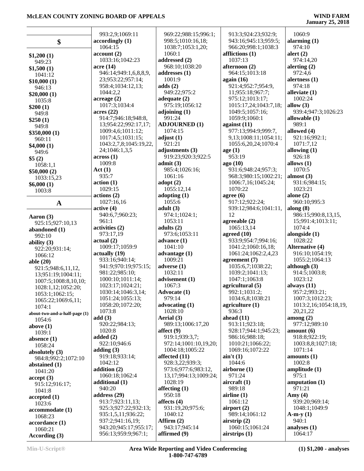|                                       | 993:2,9;1069:11                              | 969:22;988:15;996:1;          | 913:3;924:23;932:9;                  | 1060:9                     |
|---------------------------------------|----------------------------------------------|-------------------------------|--------------------------------------|----------------------------|
|                                       | accordingly(1)                               | 998:5;1010:16,18;             | 943:16;945:13;959:5;                 | alarming $(1)$             |
| \$                                    | 1064:15                                      | 1038:7;1053:1,20;             | 966:20;998:1;1038:3                  | 974:10                     |
|                                       | account(2)                                   | 1060:1                        | afflictions (1)                      | alert $(2)$                |
| \$1,200(1)                            | 1033:16;1042:23                              | addressed (2)                 | 1037:13                              | 974:14,20                  |
| 949:23                                | acre (14)                                    | 968:10;1038:20                | afternoon (2)                        | alerting $(2)$             |
| \$1,500(1)                            | 946:14;949:1,6,8,8,9,                        | addresses (1)                 | 964:15;1013:18                       | 972:4,6                    |
| 1041:12                               | 23;953:22;957:14;                            | 1001:9                        | again $(16)$                         | alertness $(1)$            |
| \$10,000(1)                           | 958:4;1034:12,13;                            | adds(2)                       | 921:4;952:7;954:9,                   | 974:18                     |
| 946:13<br>\$20,000(1)                 | 1044:2,2                                     | 949:22:975:2                  | 11;955:18;967:7;                     | alleviate $(1)$            |
| 1035:8                                | acreage(2)                                   | adequate $(2)$                | 975:12;1013:17;                      | 1002:24                    |
| \$200(1)                              | 1017:3;1034:4                                | 975:19;1056:12                | 1015:17,24;1043:7,18;                | allow $(3)$                |
| 949:8                                 | acres(22)                                    | adjoining $(1)$               | 1049:5;1057:16;                      | 939:4;947:3;1026:23        |
| \$250(1)                              | 914:7;946:18;948:8,                          | 991:24                        | 1059:9;1060:1                        | allowable $(1)$            |
| 949:8                                 | 13;954:22;992:17,17;                         | <b>ADJOURNED (1)</b>          | against $(11)$                       | 989:1                      |
| \$350,000(1)                          | 1009:4,6;1011:12;                            | 1074:15                       | 977:13;994:9;999:7,                  | allowed (4)                |
| 960:11                                | 1017:4,5;1031:15;                            | adjust $(1)$                  | 9,13;1008:11;1054:11;                | 921:16;992:1;              |
| \$4,000(1)                            | 1043:2,7,8;1045:19,22,                       | 921:21                        | 1055:6,20,24;1070:4                  | 1071:7,12                  |
| 949:6                                 | 24;1046:1,3,5                                | adjustments (3)               | age $(1)$                            | allowing $(1)$             |
| \$5(2)                                | across(1)                                    | 919:23;920:3;922:5            | 953:19                               | 926:18                     |
| 1058:1,1                              | 1009:8                                       | admit(3)                      | ago (10)                             | allows $(1)$               |
| \$50,000(2)                           | Act(1)                                       | 985:4;1026:16;                | 931:6;948:24;957:3;                  | 1070:5                     |
| 1033:15,23                            | 935:7                                        | 1061:16                       | 968:3;980:15;1002:21;                | almost $(3)$               |
| \$6,000(1)                            | action(1)                                    | adopt $(2)$                   | 1006:7,16;1045:24;                   | 931:6;984:15;              |
| 1003:8                                | 1029:15                                      | 1055:12,14                    | 1070:22                              | 1023:21                    |
|                                       | actions(2)                                   | adopting $(1)$                | agree $(6)$                          | alone $(2)$                |
| $\mathbf A$                           | 1027:16,16                                   | 1055:6                        | 917:12;922:24;                       | 960:10;995:3               |
|                                       | active(4)                                    | adult(3)                      | 939:12;984:6;1041:11,                | along $(8)$                |
| Aaron (3)                             | 940:6,7;960:23;                              | 974:1;1024:1;                 | 12                                   | 986:15;990:8,13,15,        |
| 925:15;927:10,13                      | 961:1                                        | 1053:11                       | agreeable $(2)$                      | 15;991:4;1013:11;          |
| abandoned (1)                         | activities (2)                               | adults $(2)$                  | 1065:13,14                           | 1074:4                     |
| 992:10                                | 973:17,19                                    | 973:6;1053:11                 | agreed $(10)$<br>933:9;954:7;994:16; | alongside $(1)$<br>1028:22 |
| ability $(3)$                         | actual(2)<br>1009:17;1059:9                  | advance $(1)$<br>1041:10      | 1041:2;1060:16,18;                   | <b>Alternative (4)</b>     |
| 922:20;931:14;                        | actually (19)                                | advantage $(1)$               | 1061:24;1062:2,4,23                  | 916:10;1054:19;            |
| 1066:12                               | 933:16;940:14;                               | 1009:21                       | agreement $(7)$                      | 1055:2;1064:13             |
| able $(20)$                           | 941:9;970:19;975:15;                         | adverse $(1)$                 | 1035:6,7;1038:22;                    | although $(3)$             |
| 921:5;948:6,11,12,                    | 981:22;985:10;                               | 1032:11                       | 1039:2;1041:13;                      | 914:5;1003:8;              |
| 13;951:19;1004:11;                    | 1000:10;1011:14;                             | advisement (1)                | 1047:1;1063:8                        | 1023:12                    |
| 1007:5;1008:8,10,10;                  | 1023:17;1024:21;                             | 1067:3                        | agricultural (5)                     | always $(11)$              |
| 1028:1,12;1052:20;<br>1053:1;1062:15; | 1030:14;1046:3,14;                           | Advocate (1)                  | 992:1;1031:2;                        | 957:2;993:21;              |
| 1065:22;1069:6,11;                    | 1051:24;1055:13;                             | 979:14                        | 1034:6,8;1038:21                     | 1007:3;1012:23;            |
| 1074:1                                | 1058:20;1072:20;                             | advocating $(1)$              | agriculture $(1)$                    | 1013:2,16;1054:18,19,      |
| about-two-and-a-half-page (1)         | 1073:8                                       | 1028:10                       | 936:3                                | 20,21,22                   |
| 1054:6                                | add(3)                                       | Aerial (3)                    | ahead $(11)$                         | among $(2)$                |
|                                       |                                              |                               |                                      |                            |
|                                       | 920:22;984:13;                               | 989:13;1006:17,20             | 913:11;923:18;                       | 977:12;989:10              |
| above $(1)$                           | 1020:8                                       | affect $(9)$                  | 928:17;944:1;945:23;                 | amount(6)                  |
| 1039:1                                | added $(2)$                                  | 919:1;939:3,7;                | 986:16;988:18;                       | 918:8;922:19;              |
| absence $(1)$<br>1058:24              | 922:10;946:6                                 | 972:14;1001:10,19,20;         | 1010:21;1066:22;                     | 1003:8,8;1027:18;          |
| absolutely (3)                        | adding $(3)$                                 | 1004:18;1005:22               | 1069:16;1072:22                      | 1071:14                    |
| 984:8;992:2;1072:10                   | 919:18;933:14;                               | affected (11)                 | $\sin' t(1)$                         | amounts $(1)$              |
| abstained (1)                         | 1042:12                                      | 928:3,22;939:3;               | 1044:6                               | 1002:8                     |
| 1041:20                               | addition $(2)$                               | 973:6;977:6;983:12,           | airborne $(1)$                       | amplitude $(1)$            |
| accept(3)                             | 1060:18;1062:4                               | 13, 17; 994: 13; 1009: 24;    | 971:24                               | 975:1                      |
| 915:12;916:17;                        | additional (1)                               | 1028:19                       | aircraft $(1)$                       | amputation $(1)$           |
| 1041:8                                | 940:20                                       | affecting $(1)$               | 989:18                               | 971:21                     |
| accepted(1)                           | address $(29)$                               | 950:18                        | airline(1)                           | Amy $(4)$                  |
| 1023:6                                | 913:7;923:11,13;                             | affects $(4)$                 | 1061:12                              | 939:20;969:14;             |
| accommodate (1)                       | 925:3;927:22;932:13;                         | 931:19,20;975:6;              | airport $(2)$                        | 1048:1;1049:9              |
| 1068:23                               | 935:1,5,11;936:22;                           | 1040:12                       | 989:14;1061:12                       | $A-m-y(1)$                 |
| accordance (1)                        | 937:2;941:16,19;                             | Affirm $(2)$                  | airstrip $(2)$                       | 940:1                      |
| 1060:21<br>According (3)              | 943:20;945:17;955:17;<br>956:13;959:9;967:1; | 943:17;945:14<br>affirmed (9) | 1060:15;1061:24<br>airstrips(1)      | analyses $(1)$<br>1064:17  |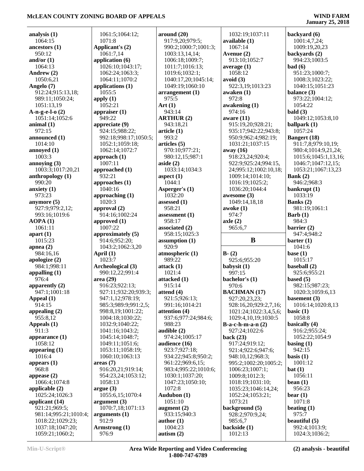**January 25, 2018**

| analysis $(1)$                            | 1        |
|-------------------------------------------|----------|
| 1064:15<br>ancestors (1)                  | 1<br>Ap  |
| 950:12                                    | 1        |
| and/or $(1)$<br>1064:13                   | app<br>I |
| Andrew (2)                                | 1        |
| 1050:6,21<br>Angelo (7)                   | 1<br>ap  |
| 912:24;915:13,18;                         | l        |
| 989:11;1050:24;<br>1051:13,19             | app<br>1 |
| $A-n-g-e-l-o(2)$                          | app      |
| 1051:14;1052:6<br>animal $(1)$            | ć<br>app |
| 972:15                                    | ς        |
| announced (1)<br>1014:10                  | ç<br>1   |
| annoyed (1)                               | 1        |
| 1003:3                                    | ap       |
| annoying (3)<br>1003:3;1017:20,21         | Ì<br>app |
| anthropology (1)                          | ć        |
| 990:20<br>anxiety (1)                     | ap<br>J  |
| 973:23                                    | app      |
| anymore (5)<br>927:9;979:2,12;            | 1        |
| 993:16;1019:6                             | apı<br>ć |
| AOPA(1)<br>1061:11                        | ap       |
| apart $(1)$                               | I<br>app |
| 1015:23                                   | ς        |
| apnea (2)<br>984:16,16                    | 1<br>Aр  |
| apologize (2)                             | 1        |
| 984:1;998:11<br>appalling $(1)$           | Ar<br>ς  |
| 976:4                                     | are      |
| apparently $(2)$<br>947:1;1001:18         | ς<br>Ç   |
| Appeal (1)                                | S        |
| 914:15                                    | ç<br>ç   |
| appealing $(2)$<br>955:8,12               | 1        |
| Appeals (1)                               | 1        |
| 911:3<br>appearance (1)                   | 1<br>1   |
| 1058:12                                   | 1        |
| appearing (1)<br>1016:4                   | 1<br>1   |
| appears (1)                               | are      |
| 968:8<br>appease (2)                      | ç<br>ç   |
| 1066:4;1074:8                             | 1        |
| applicable (2)<br>1025:24;1026:3          | arg<br>1 |
| applicant (14)                            | arg      |
| 921:21;969:5;                             | 1        |
| 981:14;995:21;1010:4;<br>1018:22;1029:23; | arg<br>ç |
| 1037:18;1047:20;                          | Arı      |
| 1059:21;1060:2;                           | ç        |

| 1061:5;1064:12;                          | arou        |
|------------------------------------------|-------------|
| 1071:8                                   | 91          |
| Applicant's (2)                          | 99          |
| 1061:7,14                                | 10          |
| application (6)                          | 10          |
| 1026:10;1043:17;                         | 10          |
| 1062:24;1063:3;                          | 10          |
| 1064:11;1070:2<br>applications (1)       | 10<br>10    |
| 1055:5                                   | arra        |
| apply $(1)$                              | 97          |
| 1052:21                                  | Art (       |
| appraiser (1)                            | 94          |
| 949:22                                   | ART         |
| appreciate (9)                           | 94          |
| 924:15;988:22;                           | artic       |
| 992:18;998:17;1050:5;                    | 99          |
| 1052:1;1059:18;                          | artic       |
| 1062:14;1072:7                           | 97          |
| approach (1)                             | 98          |
| 1007:11                                  | aside       |
| approached (1)                           | 10          |
| 932:21                                   | aspe        |
| approaches (1)                           | 10          |
| 1040:16                                  | Aspe        |
| approaching (1)                          | 10          |
| 1020:3                                   | asses       |
| approval (2)                             | 95          |
| 914:16;1002:24                           | asses       |
| approved (1)                             | 95          |
| 1007:22                                  | assoc       |
| approximately (5)                        | 95          |
| 914:6;952:20;                            | assui       |
| 1043:2;1062:3,20                         | 92          |
| April (1)                                | atmo        |
| 1023:7                                   | 98          |
| Archeological (3)                        | attac       |
| 990:12,22;991:4                          | 10          |
| area (29)                                | attac       |
| 916:23;922:13;                           | 91          |
| 927:11;932:20;939:3;                     | atten       |
| 947:1,12;978:19;<br>985:3;989:9;991:2,5; | 92          |
| 998:8,19;1001:22;                        | 99          |
| 1004:18;1030:22;                         | atten<br>93 |
| 1032:9;1040:22;                          | 98          |
| 1041:16;1043:2;                          | audi        |
| 1045:14;1048:7;                          | 97          |
| 1049:11;1051:6;                          | audi        |
| 1053:11;1058:19;                         | 92          |
| 1060:10;1063:13                          | 93          |
| areas(7)                                 | 96          |
| 916:20,21;919:14;                        | 98          |
| 954:23,24;1053:12;                       | 10          |
| 1058:13                                  | 10          |
| argue(3)                                 | 10          |
| 1055:6,15;1070:4                         | Aud         |
| argument(3)                              | 10          |
| 1070:7,18;1071:13                        | augn        |
| arguments (1)                            | 93          |
| 912:9                                    | auth        |
| Armstrong (1)                            | 10          |
| 976:9                                    | autis       |

| around $(20)$                          |              |
|----------------------------------------|--------------|
| 917:9,20;979:5;                        | a١           |
| 990:2;1000:7;1001:3;<br>1003:13,14,14; |              |
| 1006:18;1009:7;                        | A            |
| 1011:7;1016:13;                        | a١           |
|                                        |              |
| 1019:6;1032:1;<br>1040:17,20;1045:14;  |              |
| 1049:19;1060:10                        | a١           |
| arrangement (1)                        | a١           |
| 975:5                                  |              |
| Art $(1)$                              | a١           |
| 943:14                                 |              |
| <b>ARTHUR (2)</b>                      | a۱           |
| 943:18,21                              |              |
| article (1)                            |              |
| 993:2                                  |              |
| articles (5)                           |              |
| 970:10;977:21;                         | a١           |
| 980:12,15;987:1                        |              |
| aside (2)                              |              |
| 1033:14;1034:3                         |              |
| aspect $(1)$                           |              |
| 1044:1                                 |              |
| Asperger's (1)                         |              |
| 1032:20                                | a۱           |
| assessed (1)                           |              |
| 958:21                                 | a١           |
| assessment (1)                         |              |
| 958:17                                 | a            |
| associated (2)                         |              |
| 958:15;1025:3                          |              |
| assumption (1)                         |              |
| 920:9                                  |              |
| atmospheric (1)                        | $\mathbf{B}$ |
| 989:22                                 |              |
| attack (1)<br>1021:4                   | b            |
| attacked (1)                           |              |
| 915:14                                 | b            |
| attend (4)                             | $\mathbf{B}$ |
| 921:5;926:13;                          |              |
| 991:16;1014:21                         |              |
| attention (4)                          |              |
| 937:6;977:24;984:6;                    |              |
| 988:23                                 | B            |
| audible (2)                            |              |
| 974:24;1005:17                         | b            |
| audience (16)                          |              |
| 923:7;927:18;                          |              |
| 934:22;945:8;950:2;                    |              |
| 961:22;969:6,15;                       |              |
| 983:4;995:22;1010:6;                   |              |
| 1030:1;1037:20;                        |              |
| 1047:23;1050:10;                       |              |
| 1072:8                                 |              |
| Audubon (1)                            |              |
| 1051:10                                |              |
| augment $(2)$                          | b            |
| 933:15;940:3                           |              |
| author (1)<br>1004:23                  |              |
| autism $(2)$                           | b            |
|                                        |              |

 1032:19;1037:11 **available (1)** 1067:14 **Avenue (2)** 913:10;1052:7 **average (1)** 1058:12 **avoid (3)** 922:3,19;1013:23 **awaken (1)** 972:8 **awakening (1)** 974:16 **aware (11)** 915:19,20;928:21; 935:17;942:22;943:8; 950:9;962:4;982:19; 1031:21;1037:15 **away (16)** 918:23,24;920:4; 922:9;925:24;994:15, 24;995:12;1002:10,18; 1009:14;1014:10; 1016:19;1025:2; 1036:20;1044:4 **awesome (3)** 1049:14,18,18 **awoke (1)** 974:7 **axle (2)** 965:6,7 **B B- (2)** 925:6;955:20 **babysit (1)** 997:15 **bachelor's (1)** 970:6 **BACHMAN (17)** 927:20,23,23; 928:16,20;929:2,7,16; 1021:24;1022:3,4,5,6; 1029:4,10,19;1030:5 **B-a-c-h-m-a-n (2)** 927:24;1022:6 **back (23)** 917:24;919:12; 921:4;922:6;947:6; 948:10,12;968:3; 995:2;1002:20;1005:2; 1006:23;1007:1; 1009:8;1012:3; 1018:19;1031:10; 1035:23;1046:14,24; 1052:24;1053:21; 1073:21 **background (5)** 928:2;970:9,24; 985:6,7 **backside (1)** 1012:13

**backyard (6)** 1001:4,7,24; 1009:19,20,23 **backyards (2)** 994:23;1003:5 **bad (6)** 951:23;1000:7; 1008:3;1023:22; 1040:15;1051:23 **balance (3)** 973:22;1004:12; 1054:22 **bald (3)** 1049:12;1053:8,10 **ballpark (1)** 1057:24 **Bangert (18)** 911:7,8;979:10,19; 980:4;1014:9,21,24; 1015:6;1045:1,13,16; 1046:7;1047:12,15; 1053:21;1067:13,23 **Bank (2)** 946:2;968:3 **bankrupt (1)** 1033:19 **Banks (2)** 981:19;1061:1 **Barb (1)** 984:3 **barrier (2)** 947:4;948:2 **barter (1)** 1041:6 **base (1)** 1015:17 **baseball (2)** 925:6;955:21 **based (5)** 982:15;987:23; 1020:3;1059:6,13 **basement (3)** 1016:14;1020:8,13 **basic (1)** 1058:8 **basically (4)** 916:2;955:24; 1052:22;1054:9 **basing (1)** 942:15 **basis (1)** 1001:12 **bat (1)** 1056:11 **bean (1)** 956:23 **bear (1)** 1071:8 **beating (1)** 975:7 **beautiful (5)** 992:4;1013:9;

1024:3;1036:2;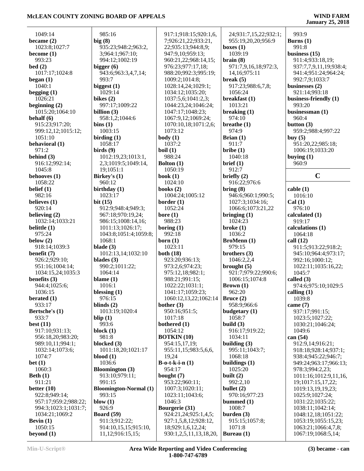| 1049:14                | 985:16                                | 917:1;918:15;920:1,6,                     | 24;931:7,15,22;932:1;    | 993:9                                      |
|------------------------|---------------------------------------|-------------------------------------------|--------------------------|--------------------------------------------|
| became $(2)$           | big $(8)$                             | 7;926:21,22;933:21,                       | 955:19,20,20;956:9       | Burns $(1)$                                |
| 1023:8;1027:7          | 935:23;948:2;963:2,                   | 22;935:13;944:8,9;                        | boxes $(1)$              | 991:8                                      |
| become $(1)$           | 3;964:1;967:10;                       | 947:9,10;959:13;                          | 1039:19                  | business $(15)$                            |
| 993:23                 | 994:12;1002:19                        | 960:21,22;968:14,15;                      | brain(8)                 | 911:4;933:18,19;                           |
| bed(2)                 | bigger $(6)$                          | 976:23;977:17,18;                         | 971:7,9,16,18;972:3,     | 937:7,7,9,11,19;938:4;                     |
| 1017:17;1024:8         | 943:6;963:3,4,7,14;                   | 988:20;992:3;995:19;                      | 14, 16; 975: 11          | 941:4;951:24;964:24;                       |
| began $(1)$            | 993:7                                 | 1009:2;1014:8;                            | break $(5)$              | 992:7,9;1033:7                             |
| 1040:1                 |                                       |                                           |                          | businesses (2)                             |
|                        | biggest $(1)$<br>1029:14              | 1028:14,24;1029:1;                        | 917:23;988:6,7,8;        | 921:14:993:18                              |
| begging $(1)$          |                                       | 1034:12;1035:20;                          | 1056:24                  |                                            |
| 1026:21                | bikes $(2)$                           | 1037:5,6;1041:2,3;                        | breakfast $(1)$          | business-friendly (1)                      |
| beginning $(2)$        | 997:17;1009:22                        | 1044:23,24;1046:24;                       | 1013:21                  | 993:20                                     |
| 1015:20;1064:10        | billion $(3)$                         | 1047:17;1048:23;                          | breaking $(1)$           | businessman (1)                            |
| behalf (6)             | 958:1,2;1044:6                        | 1067:9,12;1069:24;                        | 974:10                   | 960:4                                      |
| 915:23;917:20;         | bins(1)                               | 1070:10,18;1071:2,6;                      | breathe $(1)$            | button $(3)$                               |
| 999:12,12;1015:12;     | 1003:15                               | 1073:12                                   | 974:9                    | 959:2;988:4;997:22                         |
| 1051:10                | birding $(1)$                         | body(1)                                   | Brian $(1)$              | buy $(5)$                                  |
| behavioral (1)         | 1058:17                               | 1037:2                                    | 911:7                    | 951:20,22;985:18;                          |
| 971:2                  | $\boldsymbol{\text{birds}}$ $(9)$     | boil(1)                                   | $b$ ribe $(1)$           | 1006:19;1033:20                            |
| behind (3)             | 1012:19,23;1013:1,                    | 988:24                                    | 1040:18                  | buying $(1)$                               |
| 916:12;992:14;         | 2,3;1019:5;1049:14,                   | Bolton (1)                                | brief (1)                | 960:9                                      |
| 1045:8                 | 19:1051:1                             | 1050:19                                   | 912:7                    |                                            |
| behooves (1)           | Birkey's (1)                          | book $(1)$                                | briefly $(2)$            | $\mathbf C$                                |
| 1058:22                | 960:12                                | 1024:10                                   | 916:22;976:6             |                                            |
| belief $(1)$           | birthday $(1)$                        | books $(2)$                               | bring(8)                 | cable(1)                                   |
| 982:16                 | 1023:17                               | 1004:24;1005:12                           | 946:6;960:1;990:5;       | 1016:10                                    |
| believes $(1)$         | bit $(15)$                            | border $(1)$                              | 1027:3;1034:16;          | Cal(1)                                     |
| 920:14                 | 912:9;948:4;949:3;                    | 1052:24                                   | 1066:6;1073:21,22        | 976:10                                     |
| believing $(2)$        | 967:18;970:19,24;                     | bore $(1)$                                | bringing $(1)$           | calculated (1)                             |
| 1032:14;1033:21        | 986:15;1008:14,16;                    | 988:23                                    | 1024:23                  | 919:17                                     |
| belittle (1)           | 1011:13;1026:17;                      | boring $(1)$                              | broke $(1)$              | calculations (1)                           |
| 975:24                 | 1043:8;1051:4;1059:8;                 | 992:18                                    | 1036:2                   | 1064:18                                    |
| below $(2)$            | 1068:1                                | born $(1)$                                | <b>BroMenn</b> (1)       | call $(12)$                                |
| 918:14;1039:3          | blade $(3)$                           | 1023:11                                   | 979:15                   | 911:5;913:22;918:2;                        |
| benefit (7)            | 1012:13,14;1032:10                    | both $(18)$                               | brothers $(3)$           |                                            |
| 926:2;929:10;          | blades $(3)$                          | 923:20;936:13;                            | 1046:2,2,4               | 945:10;964:4;973:17;<br>992:16;1000:12;    |
|                        |                                       | 973:2,6;974:23;                           | brought $(5)$            |                                            |
| 951:16;1004:14;        | 990:2;1011:22;                        |                                           |                          | 1022:11;1035:16,22;                        |
| 1034:15,24;1035:3      | 1064:14                               | 975:12,18;982:1;                          | 921:7;979:22;990:6;      | 1045:7                                     |
| benefits $(3)$         | blame $(1)$                           | 988:21;991:15;                            | 1006:15;1074:8           | called $(3)$                               |
| 944:4;1025:6;          | 1016:1                                | 1022:22;1031:1;                           | Brown(1)                 | 974:6;975:10;1029:5                        |
| 1036:15                | blessing (1)                          | 1041:17;1059:23;                          | 962:20                   | calling $(1)$                              |
| berated $(1)$          | 976:15                                | 1060:12,13,22;1062:14                     | Bruce $(2)$              | 1039:8                                     |
| 933:17                 | blinds $(2)$                          | bother $(3)$                              | 958:9;966:6              | came $(7)$                                 |
| Bertsche's (1)         | 1013:19;1020:4                        | 950:16;951:5;                             | budgetary (1)            | 937:17;991:15;                             |
| 933:7                  | blip $(1)$                            | 1017:18                                   | 1058:7                   | 1023:5;1027:22;                            |
| best $(11)$            | 993:6                                 | bothered (1)                              | build $(3)$              | 1030:21;1046:24;                           |
| 917:10:931:13;         | block $(1)$                           | 1054:12                                   | 916:17;919:22;           | 1049:6                                     |
| 956:18,20;983:20;      | 981:8                                 | <b>BOTKIN</b> (10)                        | 1034:11                  | can $(54)$                                 |
| 989:10,11;994:1;       | blocked $(3)$                         | 954:15,17,19;                             | building $(3)$           | 912:9,14;916:21;                           |
| 1032:14;1073:6;        | 1011:18,20;1021:17                    | 955:11,15;983:5,6,6,                      | 995:11;1043:7;           | 918:18;928:14;937:1;                       |
| 1074:7                 | $blood (1)$                           | 19,24                                     | 1068:18                  | 938:4;945:22;946:7;                        |
| bet(1)                 | 1036:6                                | $B-o-t-k-i-n (1)$                         | buildings $(1)$          | 949:24;963:17;966:13;                      |
| 1060:3                 | <b>Bloomington</b> (3)                | 954:17                                    | 1025:20                  | 978:3;994:2,23;                            |
| Beth $(1)$             | 913:10;979:11;                        | bought $(7)$                              | built $(2)$              | 1011:16;1012:9,11,16,                      |
| 911:21                 | 991:15                                | 953:22;960:11;                            | 992:2,10                 | 19;1017:15,17,22;                          |
| better $(10)$          | <b>Bloomington-Normal</b> (1)         | 1007:3;1020:11;                           | bullet $(2)$             | 1019:13,19,19,23;                          |
| 922:8;949:14;          | 993:15                                | 1023:11;1043:6;                           | 970:16;977:23            | 1025:9;1027:24;                            |
| 957:17;959:2;988:22;   | blow $(1)$                            | 1046:3                                    | bummed $(1)$             | 1031:22;1035:22;                           |
| 994:3;1023:1;1031:7;   | 926:9                                 | Bourgerie (31)                            | 1008:7                   | 1038:11;1042:14;                           |
| 1034:21;1069:2         |                                       | 924:21,24;925:1,4,5;                      | burden $(3)$             | 1048:12,18;1051:22;                        |
|                        |                                       |                                           |                          |                                            |
|                        | <b>Board</b> (59)                     |                                           |                          |                                            |
| Bevin $(1)$<br>1050:15 | 911:3;912:22;<br>914:10,15,15;915:10, | 927:1,5,8,12;928:12,<br>18;929:1,6,12,24; | 915:15;1057:8;<br>1071:8 | 1053:19;1055:15,23;<br>1063:21;1066:4,7,8; |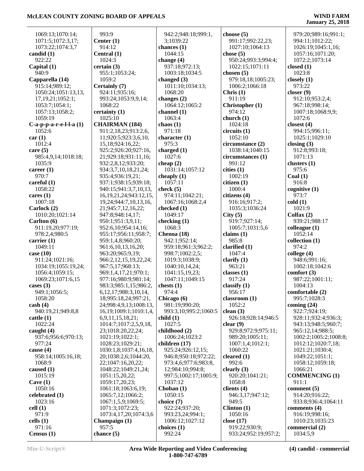| 1069:13;1070:14;         | 993:9                        | 942:2;948:18;999:1,   | choose $(5)$         | 979:20;989:16;991:1;  |
|--------------------------|------------------------------|-----------------------|----------------------|-----------------------|
| 1071:5;1072:3,17;        | Center $(1)$                 | 3;1039:22             | 991:17;992:22,23;    | 994:11;1012:22;       |
| 1073:22;1074:3,7         | 914:12                       | chances $(1)$         | 1027:10;1064:13      | 1026:19;1045:1,16;    |
| candid (1)               | Central (1)                  | 1044:15               | chose $(5)$          | 1057:16;1071:20;      |
| 922:22                   | 1024:3                       | change $(4)$          | 950:24;993:3;994:4;  | 1072:2;1073:14        |
| Capital $(1)$            | certain(3)                   | 937:18;972:13;        | 1022:15;1071:11      | closed $(1)$          |
| 940:9                    | 955:1;1053:24;               | 1003:18;1034:5        | chosen $(5)$         | 1023:8                |
| Capparella (14)          | 1059:2                       | changed (3)           | 979:18,18;1005:23;   | closely $(1)$         |
| 915:14;989:12;           | Certainly (7)                | 1011:10;1034:13;      | 1006:2;1066:18       | 973:22                |
| 1050:24;1051:13,13,      | 924:11;935:16;               | 1068:20               | Christ (1)           | closer $(9)$          |
| 17, 19, 21; 1052: 1;     | 993:24;1053:9,9,14;          | changes (2)           | 911:19               | 912:10;953:2,4;       |
| 1053:7;1054:1;           | 1068:22                      | 1064:12;1065:2        | Christopher (1)      | 967:18;998:14;        |
| 1057:13;1058:2;          | certainty (1)                | channel $(1)$         | 974:12               | 1007:18;1068:9,9;     |
| 1059:19                  | 1025:10                      | 1063:4                | church $(1)$         | 1072:6                |
|                          |                              |                       | 1024:18              |                       |
| $C-a-p-p-a-r-e-l-l-a(1)$ | <b>CHAIRMAN (184)</b>        | chaos $(1)$           |                      | closest $(4)$         |
| 1052:6                   | 911:2,18,23;913:2,6,         | 971:18                | circuits (1)         | 994:15;996:11;        |
| car(1)                   | 11;920:5;923:3,6,10,         | character $(1)$       | 1052:10              | 1025:1;1029:10        |
| 1012:4                   | 15,18;924:16,22;             | 975:3                 | circumstance (2)     | closing $(3)$         |
| care $(5)$               | 925:2;926:20;927:16,         | charged (1)           | 1038:14;1040:15      | 912:8;993:18;         |
| 985:4,9,14;1018:18;      | 21;929:18;931:11,16;         | 1027:6                | circumstances (1)    | 1071:13               |
| 1035:9                   | 932:2,8,12;933:20;           | cheap $(2)$           | 991:12               | clusters $(1)$        |
| career $(1)$             | 934:3,7,10,18,21,24;         | 1031:14;1057:12       | cities (1)           | 975:6                 |
| 970:7                    | 935:4;936:19,21;             | cheaply $(1)$         | 1002:19              | Coal(1)               |
| careful $(1)$            | 937:1;938:15;939:18;         | 1057:11               | citizen(1)           | 916:8                 |
| 1058:22                  | 940:15;941:3,7,10,13,        | check $(5)$           | 1000:4               | cognitive $(1)$       |
| cares $(1)$              | 16, 19, 21, 24; 943: 12, 15, | 974:11;1042:21;       | citizens (4)         | 973:7                 |
| 1007:18                  | 19,24;944:7,10,13,16,        | 1067:16;1068:2,4      | 916:16;917:2;        | cold(1)               |
| Carlock (2)              | 21;945:7,12,16,22;           | checked (1)           | 1035:3;1036:24       | 1021:9                |
| 1010:20;1021:14          | 947:8;948:14,17;             | 1049:17               | City(5)              | Colfax $(2)$          |
|                          |                              |                       |                      |                       |
| Carlton (6)              | 950:1;951:3,9,11;            | checking $(1)$        | 919:7;927:14;        | 939:21;988:17         |
| 911:19,20;977:19;        | 952:6, 10; 954: 14, 16;      | 1068:3                | 1005:7;1031:5,6      | colleague (1)         |
| 978:2,4;980:5            | 955:17;956:11;958:7;         | Chenoa (18)           | claims $(1)$         | 1052:14               |
| carrier $(1)$            | 959:1,4,8;960:20;            | 942:1;952:14;         | 985:8                | collection (1)        |
| 1049:11                  | 961:6,10,13,16,20;           | 959:18;961:3;962:2;   | clarified $(1)$      | 974:2                 |
| case $(10)$              | 963:20;965:9,19;             | 998:7;1002:2,5;       | 1047:4               | college $(4)$         |
| 911:24;1021:16;          | 966:2,12,15,19,22,24;        | 1019:3;1038:9;        | clarify $(1)$        | 948:6;991:16;         |
| 1034:19;1055:19,24;      | 967:5,17;968:13;             | 1040:10,14,24;        | 963:21               | 1002:18;1042:6        |
| 1056:4;1059:15;          | 969:1,4,17,21;970:1;         | 1041:15,19,23;        | classes $(1)$        | comfort $(3)$         |
| 1069:23;1071:6,15        | 977:16;980:9;981:14;         | 1047:11;1049:15       | 917:24               | 987:22;1001:11;       |
| cases $(3)$              | 983:3;985:1,15;986:2,        | chests $(1)$          | classify $(1)$       | 1004:13               |
| 949:1;1056:5;            | 6, 12, 17; 988: 3, 10, 14,   | 974:4                 | 956:17               | comfortable (2)       |
| 1058:20                  | 18;995:18,24;997:21,         | Chicago (6)           | classroom (1)        | 995:7;1028:3          |
| $\cosh(4)$               | 24;998:4,9,13;1008:13,       | 981:19;990:20;        | 1052:2               | coming $(24)$         |
| 940:19,21;949:8,8        | 16,19;1009:1;1010:1,4,       | 993:3,10;995:2;1060:5 | clean $(3)$          | 922:7;924:19;         |
| cattle(1)                | 6,9,11,15,18,21;             | child(1)              | 926:18;928:14;946:5  | 928:11;932:4;936:3;   |
| 1022:24                  | 1014:7;1017:2,5,9,18,        | 1027:5                | clear $(9)$          | 943:13:948:5:960:7:   |
| caught $(4)$             | 23;1018:20,22,24;            | childhood (2)         | 929:8;972:9;975:11;  | 965:12,14;988:5;      |
| 937:6;956:6;970:13;      | 1021:19;1022:1;              | 1006:24;1023:2        | 989:20;1005:11;      | 1002:2;1005:2;1008:8; |
|                          |                              |                       |                      |                       |
| 977:24                   | 1028:23;1029:21;             | children (17)         | 1007:1,4;1012:1;     | 1012:12;1020:7,18;    |
| cause $(4)$              | 1030:1,8;1037:4,16,18,       | 925:24;926:12,15;     | 1060:22              | 1021:21;1030:4;       |
| 958:14;1005:16,18;       | 20;1038:2,6;1044:20,         | 946:8;950:18;972:22;  | cleared $(1)$        | 1049:22;1051:1;       |
| 1068:9                   | 22;1047:16,20,22;            | 973:4,6;977:6;983:8,  | 992:6                | 1058:12;1059:18;      |
| caused $(1)$             | 1048:22;1049:21,24;          | 12;984:10;994:8;      | clearly $(3)$        | 1066:21               |
| 1015:19                  | 1051:15,20,22;               | 997:5;1002:17;1005:9; | 920:20;1041:21;      | <b>COMMENCING (1)</b> |
| Cave $(1)$               | 1059:17,20,23;               | 1037:12               | 1058:8               | 911:1                 |
| 1050:16                  | 1061:18;1063:6,19;           | Choban $(1)$          | clients $(4)$        | comment $(5)$         |
| celebrated (1)           | 1065:7,12;1066:2;            | 1050:15               | 946:3,17;947:12;     | 914:20;916:22;        |
| 1023:16                  | 1067:1,5,9;1069:5;           | choice (7)            | 949:5                | 933:8;936:4;1064:11   |
| cell(1)                  | 1071:3;1072:23;              | 922:24;937:20;        | Clinton(1)           | comments $(4)$        |
| 971:9                    | 1073:4,17,20;1074:3,6        | 993:23,24;994:1;      | 1050:16              | 916:19;998:16;        |
| cells $(1)$              | Champaign (1)                | 1006:12;1027:12       | close (17)           | 1010:23;1035:23       |
| 971:16                   | 957:5                        | choices $(1)$         | 919:22;930:9;        | commercial (2)        |
| Census $(1)$             | chance $(5)$                 | 992:24                | 933:24;952:19;957:2; | 1034:5,9              |
|                          |                              |                       |                      |                       |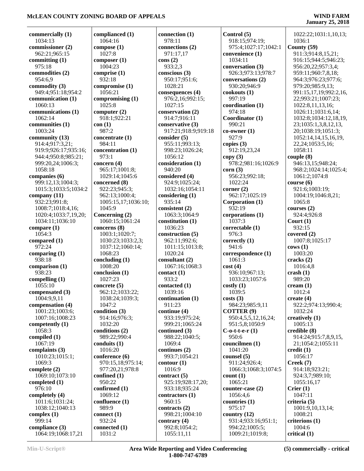## **January 25, 2018**

**commercially (1)** 1034:13 **commissioner (2)** 962:21;965:15 **committing (1)** 975:18 **commodities (2)** 954:6,9 **commodity (3)** 949:4;951:18;954:2 **communication (1)** 1060:13 **communications (1)** 1062:14 **communities (1)** 1003:24 **community (13)** 914:4;917:3,21; 919:9;926:17;935:16; 944:4;950:8;985:21; 999:20,24;1006:3; 1058:18 **companies (6)** 999:12,13;1004:3; 1015:3;1033:5;1034:2 **company (11)** 932:23;991:8; 1008:7;1018:4,16; 1020:4;1033:7,19,20; 1034:11;1036:10 **compare (1)** 1054:3 **compared (1)** 972:24 **comparing (1)** 938:18 **comparison (1)** 938:23 **compelling (1)** 1055:10 **compensated (3)** 1004:9,9,11 **compensation (4)** 1001:23;1003:6; 1007:16;1008:23 **competently (1)** 1058:3 **compiled (1)** 1067:19 **complaints (3)** 1010:23;1015:1; 1069:3 **complete (2)** 1069:10;1073:10 **completed (1)** 976:10 **completely (4)** 1011:6;1031:24; 1038:12;1040:13 **complex (1)** 999:14 **compliance (3)** 1064:19;1068:17,21

**complianced (1)** 1064:16 **compose (1)** 1027:8 **composer (1)** 1004:23 **comprise (1)** 932:18 **compromise (1)** 1056:21 **compromising (1)** 1025:8 **computer (2)** 918:1;922:21 **con (1)** 987:2 **concentrate (1)** 984:11 **concentration (1)** 973:1 **concern (4)** 965:17;1001:8; 1029:14;1045:6 **concerned (8)** 922:23;945:3; 962:13;1000:4; 1005:15,17;1036:10; 1045:9 **Concerning (2)** 1060:15;1061:24 **concerns (8)** 1003:1;1020:7; 1030:23;1033:2,3; 1037:12;1060:14; 1068:23 **concluding (1)** 1008:20 **conclusion (1)** 1027:23 **concrete (5)** 962:12;1033:22; 1038:24;1039:3; 1047:2 **condition (3)** 914:16;976:3; 1032:20 **conditions (2)** 989:22;990:4 **conduits (1)** 1016:20 **conference (6)** 970:15,18;975:14; 977:20,21;978:8 **confined (1)** 950:22 **confirmed (1)** 1069:12 **confluence (1)** 989:9 **connect (1)** 932:24 **connected (1)** 1031:2

**connection (1)** 978:11 **connections (2)** 971:17,17 **cons (2)** 933:2,3 **conscious (3)** 950:17;951:6; 1028:21 **consequences (4)** 976:2,16;992:15; 1027:15 **conservation (2)** 914:7;916:11 **conservative (3)** 917:21;918:9;919:18 **consider (5)** 955:11;993:13; 998:23;1026:24; 1056:12 **consideration (1)** 940:20 **considered (4)** 924:9;1025:24; 1032:16;1054:11 **considering (1)** 935:14 **consistent (2)** 1063:3;1064:9 **constitution (1)** 1036:23 **construction (5)** 962:11;992:6; 1011:15;1013:8; 1020:24 **consultant (2)** 1067:16;1068:3 **contact (1)** 933:2 **contacted (1)** 1039:16 **continuation (1)** 911:23 **continue (4)** 933:19;975:24; 999:21;1065:24 **continued (3)** 988:22;1040:5; 1069:4 **continues (2)** 993:7;1054:21 **contour (1)** 1016:9 **contract (5)** 925:19;928:17,20; 933:18;935:24 **contractors (1)** 960:15 **contracts (2)** 998:21;1004:10 **contrary (4)** 992:8;1054:2; 1055:11,11

**Control (5)** 918:15;974:19; 975:4;1027:17;1042:1 **convenience (1)** 1034:11 **conversation (3)** 926:3;973:13;978:7 **conversations (2)** 930:20;946:9 **cookouts (1)** 997:19 **coordination (1)** 974:18 **Coordinator (1)** 990:21 **co-owner (1)** 927:9 **copies (3)** 912:19,23,24 **copy (3)** 978:2;981:16;1026:9 **corn (3)** 956:23;992:18; 1022:24 **corner (2)** 962:17;1025:19 **Corporation (1)** 932:19 **corporations (1)** 1037:3 **correctable (1)** 976:3 **correctly (1)** 941:6 **correspondence (1)**  $1061:3$ **cost (4)** 936:10;967:13; 1033:23;1057:6 **costly (1)** 1039:5 **costs (3)** 984:23;985:9,11 **COTTER (9)** 950:4,5,5,12,16,24; 951:5,8;1050:9 **C-o-t-t-e-r (1)** 950:6 **councilmen (1)** 1041:20 **counsel (5)** 911:24;926:4; 1066:3;1068:3;1074:5 **count (1)** 1065:21 **counter-case (2)** 1056:4,6 **countries (1)** 975:17 **country (12)** 931:4;933:16;951:1; 994:22;1005:5; 1009:21;1019:8;

 1022:22;1031:1,10,13; 1036:1 **County (59)** 911:3;914:8,15,21; 916:15;944:5;946:23; 956:20,22;957:3,4; 959:11;960:7,8,18; 964:3;976:23;977:6; 979:20;985:9,13; 991:15,17,19;992:2,16, 22;993:21;1007:23; 1022:8,11,13,16; 1026:11;1031:6,14; 1032:8;1034:12,18,19, 23;1035:1,3,8,12,13, 20;1038:19;1051:3; 1052:14,14,15,16,19, 22,24;1053:5,16; 1058:11 **couple (8)** 946:13,15;948:24; 968:2;1024:14;1025:4; 1061:2;1074:8 **course (6)** 921:6;1003:19; 1004:19;1046:8,21; 1065:8 **courses (2)** 924:4;926:8 **Court (1)** 932:15 **covered (2)** 1007:8;1025:17 **cows (1)** 1003:20 **cracks (2)** 1016:4,8 **crash (1)** 989:20 **cream (1)** 1012:4 **create (4)** 922:2;974:13;990:4; 1032:24 **creatively (1)** 1005:13 **credible (8)** 914:24;915:7,8,9,15, 21;1054:2;1055:11 **credit (1)** 1056:17 **Creek (7)** 914:18;923:21; 924:3,7;989:10; 1055:16,17 **Crier (1)** 1047:11 **criteria (5)** 1001:9,10,13,14; 1008:21 **criterions (1)** 1004:6 **critical (1)**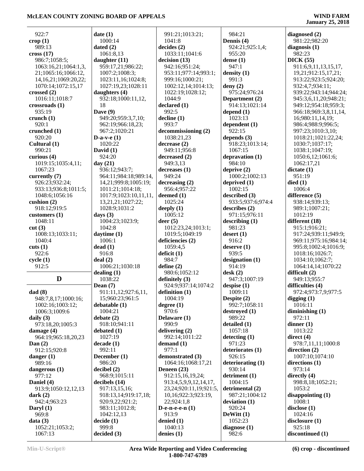## **January 25, 2018**

| 922:7                             | date                    |
|-----------------------------------|-------------------------|
| $\text{crop}(1)$<br>989:13        | 10<br>dated             |
| cross(17)                         | 10                      |
| 986:7;1058:5;                     | daug                    |
| 1063:16,21;1064:1,3,              | 95                      |
| 21;1065:16;1066:12,               | 10                      |
| 14, 16, 21; 1069: 20, 22;         | 10 <sup>°</sup>         |
| 1070:14;1072:15,17                | 10 <sup>°</sup>         |
| crossed (2)                       | daug                    |
| 1016:11;1018:7<br>crossroads (1)  | 93<br>18                |
| 935:19                            | Dave                    |
| crunch (1)                        | 94                      |
| 920:1                             | 96                      |
| crunched (1)                      | 96                      |
| 920:20                            | $D-a-$                  |
| Cultural (1)<br>990:21            | 10 <sup>°</sup><br>Davi |
| curious (4)                       | 92                      |
| 1019:15;1035:4,11;                | day (                   |
| 1067:23                           | 93                      |
| currently (7)                     | 96                      |
| 926:23;932:24;                    | 14                      |
| 933:13;936:8;1011:5;              | 10                      |
| 1048:6;1056:16<br>cushion $(2)$   | 10<br>13                |
| 918:12;919:5                      | 10 <sup>°</sup>         |
| customers (1)                     | days                    |
| 1048:11                           | 10                      |
| cut(3)                            | 10                      |
| 1008:13;1033:11;                  | dayti                   |
| 1040:4<br>cuts(1)                 | 10<br>dead              |
| 922:6                             | 91                      |
| cycle(1)                          | deal                    |
| 912:5                             | 10                      |
|                                   | deali                   |
| D                                 | 10                      |
| dad(8)                            | Dean<br>91              |
| 948:7,8,17;1000:16;               | 15                      |
| 1002:16;1003:12;                  | deba                    |
| 1006:3;1009:6                     | 10                      |
| daily (3)                         | deba                    |
| 973:18,20;1005:3                  | 91                      |
| damage (4)<br>964:19;965:18,20,23 | deba<br>10              |
| Dan $(2)$                         | deca                    |
| 912:15;920:8                      | 99                      |
| danger $(1)$                      | Dece                    |
| 989:16                            | 98                      |
| dangerous (1)<br>977:12           | decit<br>96             |
| Daniel (4)                        |                         |
| 913:9;1050:12,12,13               |                         |
| dark $(2)$                        | decit<br>91'            |
|                                   | 91                      |
| 942:4;963:23                      | 92                      |
| Daryl $(1)$                       | 98                      |
| 969:8                             | 10 <sup>°</sup>         |
| data(3)<br>1052:21;1053:2;        | decid<br>99             |

| date(1)               | 991:21;1013:21;             |
|-----------------------|-----------------------------|
| 1000:14               | 1041:8                      |
| dated $(2)$           | decides (2)                 |
| 1061:8,13             | 1033:11;1041:6              |
| daughter (11)         | decision (13)               |
| 959:17,21;986:22;     | 942:16;951:24;              |
| 1007:2;1008:3;        | 953:11;977:14;993:1;        |
| 1023:11,16;1024:8;    | 999:16;1000:21;             |
| 1027:19,23;1028:11    | 1002:12,14;1014:13;         |
| daughters (4)         | 1022:19;1028:12;            |
| 932:18;1000:11,12,    | 1044:9                      |
| 18                    | declared (1)                |
| Dave $(9)$            | 992:5                       |
| 949:20;959:3,7,10;    | decline(1)                  |
| 962:19;966:18,23;     | 993:7                       |
| 967:2;1020:21         | decommissioning (2)         |
| D-a-v- $e(1)$         | 1038:21,23                  |
| 1020:22               | decrease (2)                |
| David $(1)$           | 949:11;956:8                |
| 924:20                | decreased (2)               |
| day $(21)$            | 949:3,13                    |
| 936:12;943:7;         | decreases (1)               |
| 964:11;984:18;989:14, | 949:24                      |
| 14,21;999:8;1005:19;  | decreasing (2)              |
| 1011:21;1014:18;      | 956:4;957:22                |
| 1017:9;1023:10,11,11, | deemed $(1)$                |
| 13,21,21;1027:22;     | 1025:24                     |
| 1028:9;1031:2         | deeply $(1)$                |
| days $(3)$            | 1005:12                     |
| 1004:23;1023:9;       | deer(5)                     |
| 1042:8                | 1012:23,24;1013:1;          |
| daytime (1)           | 1019:5;1049:19              |
| 1006:1                | deficiencies (2)            |
| dead(1)               | 1059:4,5                    |
| 916:8                 | deficit (1)                 |
| deal(2)               | 984:7                       |
| 1006:21;1030:18       | define $(2)$                |
| dealing $(1)$         | 980:6;1052:12               |
| 1038:22               | definitely (3)              |
| Dean $(7)$            | 924:9;937:14;1074:2         |
| 911:11,12;927:6,11,   | definition $(1)$            |
| 15;960:23;961:5       | 1004:19                     |
| debatable (1)         | degree (1)                  |
| 1004:21               | 970:6                       |
| debate $(2)$          | Delaware (1)                |
| 918:10;941:11         | 990:9                       |
| debated (1)           | delivering (2)              |
| 1027:19               | 992:14;1011:22              |
| decade(1)<br>992:11   | demand (1)<br>977:1         |
| December (1)          | demonstrated (3)            |
| 986:20                | 1064:16;1068:17,21          |
| decibel(2)            | Deneen $(23)$               |
| 968:9;1015:11         | 912:15,16,19,24;            |
| decibels (14)         | 913:4,5,9,9,12,14,17,       |
| 917:13,15,16;         | 23, 24; 920: 11, 19; 921: 5 |
| 918:13,14;919:17,18;  | 10,16;922:3;923:19,         |
| 920:9,22;921:2;       | 22;924:1,8                  |
| 983:11;1012:8;        | D-e-n-e-e-n $(1)$           |
| 1042:12,13            | 913:9                       |
| decide(1)             | denied (1)                  |
| 999:8                 | 1040:13                     |
| decided (3)           | denies $(1)$                |
|                       |                             |

 23,24;920:11,19;921:5, 6;922:3;923:19, 24:1,8 **e-e-n** (1) 913:9 **denied (1)**  $): 13$ **denies (1)** 920:24 **DeWitt (1)** 1052:23 982:6 **1-800-747-6789**

 984:21 **Dennis (4)** 924:21;925:1,4; 955:20 **dense (1)** 947:1 **density (1)** 991:3 **deny (2)** 975:24;976:24 **Department (2)** 914:13;1021:14 **depend (1)** 1023:13 **dependent (1)** 922:15 **depends (3)** 918:23;1013:14; 1067:15 **depravation (1)** 984:10 **deprive (2)** 1000:2;1002:13 **deprived (1)** 1002:15 **described (3)** 933:5;937:6;974:4 **describes (2)** 971:15;976:11 **describing (1)** 981:23 **desert (1)** 916:2 **deserve (1)** 939:5 **designation (1)** 914:19 **desk (2)** 947:3;1007:19 **despise (1)** 1009:11 **Despite (2)** 992:7;1058:11 **destroyed (1)** 989:22 **detailed (1)** 1057:18 **detecting (1)** 971:23 **deteriorates (1)** 926:15 **deteriorating (1)** 930:14 **detriment (1)** 1004:15 **detrimental (2)** 987:21;1004:12 **deviation (1) diagnose (1)**

**diagnosed (2)** 981:22;982:20 **diagnosis (1)** 982:23 **DICK (55)** 911:6,9,11,13,15,17, 19,21;912:15,17,21; 913:22;923:5;924:20; 932:4,7;934:11; 939:22;943:14;944:24; 945:3,6,11,20;948:21; 949:12;954:18;959:3; 966:18;969:3,8,11,14, 16;980:11,14,19; 986:4;988:9;996:5; 997:23;1010:3,10; 1018:21;1021:22,24; 1030:7;1037:17; 1038:1;1047:19; 1050:6,12;1061:6; 1062:17,21 **dictate (1)** 951:19 **died (1)** 1006:4 **difference (5)** 938:14;939:13; 989:1;1007:21; 1012:19 **different (18)** 915:1;916:21; 917:24;939:11;949:9; 969:11;975:16;984:14; 995:8;1002:4;1016:9; 1018:16;1026:7; 1034:10;1062:7; 1064:14,14;1070:22 **difficult (2)** 949:13;955:7 **difficulties (4)** 972:4;973:7,9;977:5 **digging (1)** 1016:11 **diminishing (1)** 972:11 **dinner (1)** 1013:22 **direct (4)** 978:7,11,11;1000:8 **direction (2)** 1007:10;1074:10 **directions (1)** 973:14 **directly (4)** 998:8,18;1052:21; 1053:2 **disappointing (1)** 1008:1 **disclose (1)** 1024:16 **disclosure (1)** 925:18 **discontinued (1)**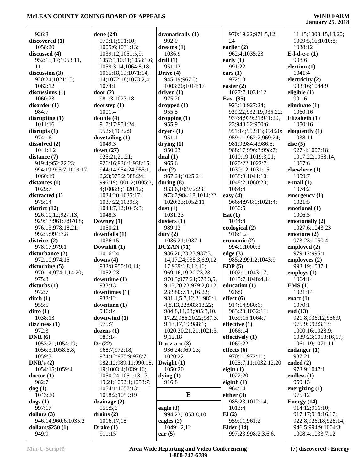| 926:8                       |                        |                               |                                     |                                         |
|-----------------------------|------------------------|-------------------------------|-------------------------------------|-----------------------------------------|
|                             | done $(24)$            | dramatically $(1)$            | 970:19,22;971:5,12,                 | 11,15;1008:15,18,20;                    |
| discovered (1)              | 970:11;991:10;         | 992:9                         | 24                                  | 1009:5,16;1010:8;                       |
| 1058:20                     | 1005:6;1031:13;        | dreams $(1)$                  | earlier $(2)$                       | 1038:12                                 |
| discussed (4)               | 1039:12;1051:5,9;      | 1036:9                        | 962:4;1035:23                       | E-l-d-e- $r(1)$                         |
| 952:15,17;1063:11,          | 1057:5,10,11;1058:3,6; | drill(1)                      | early $(1)$                         | 998:6                                   |
| 11                          | 1059:3,14;1064:8,18;   | 951:12                        | 991:22                              | election $(1)$                          |
| discussion (3)              | 1065:18,19;1071:14,    | Drive (4)                     | ears $(1)$                          | 1041:4                                  |
| 920:24;1021:15;             | 14;1072:18;1073:2,4;   | 945:19;967:3;                 | 972:13                              | electricity (2)                         |
| 1062:12                     | 1074:1                 | 1003:20;1014:17               | easier $(2)$                        | 933:16;1044:9                           |
| discussions (1)             | door $(2)$             | driven $(1)$                  | 1027:7;1031:12                      | eligible $(1)$                          |
| 1060:23                     | 981:3;1023:18          | 975:20                        | <b>East</b> (35)                    | 991:6                                   |
|                             |                        |                               |                                     |                                         |
| disorder(1)                 | doorstep $(1)$         | dropped(1)                    | 923:13;927:24;                      | eliminate (1)                           |
| 984:7                       | 1001:4                 | 955:5                         | 929:22;932:19;935:22;               | 1060:16                                 |
| disrupting $(1)$            | double $(4)$           | dropping $(1)$                | 937:4;939:21;941:20,                | Elizabeth (1)                           |
| 1011:16                     | 917:17;951:24;         | 955:9                         | 23;943:22;950:6;                    | 1050:16                                 |
| disrupts(1)                 | 952:4;1032:9           | dryers(1)                     | 951:14;952:13;954:20;               | eloquently $(1)$                        |
| 974:16                      | dovetailing $(1)$      | 951:1                         | 959:11;962:2;969:24;                | 1038:11                                 |
| dissolved (2)               | 1049:3                 | drying(1)                     | 981:9;984:4;986:5;                  | else $(5)$                              |
| 1041:1,2                    | down $(27)$            | 950:23                        | 988:17;996:3;998:7;                 | 927:4;1007:18;                          |
| distance (7)                | 925:21,21,21;          | dual $(1)$                    | 1010:19;1019:3,21;                  | 1017:22;1058:14;                        |
| 919:4;952:22,23;            | 926:16;936:1;938:15;   | 965:6                         | 1020:22;1022:7;                     | 1067:6                                  |
| 994:19;995:7;1009:17;       | 944:14;954:24;955:1,   | due $(2)$                     | 1030:12;1031:15;                    | elsewhere (1)                           |
| 1060:19                     | 2,23;975:2;988:24;     | 967:24;1025:24                | 1038:9;1041:10;                     | 1059:7                                  |
| distances $(1)$             | 996:19;1001:2;1005:3,  | during $(8)$                  | 1048:2;1060:20;                     | $e$ -mail $(1)$                         |
| 1029:7                      | 4;1008:8;1020:12;      | 933:6,10;972:23;              | 1064:4                              | 1074:2                                  |
| distracted (1)              | 1034:20;1035:17;       | 973:7;984:18;1014:22;         | easy $(4)$                          | emergency $(1)$                         |
|                             |                        |                               | 966:4;978:1;1021:4;                 | 1021:5                                  |
| 975:14                      | 1037:22;1039:3;        | 1020:23;1052:11               |                                     |                                         |
| district $(12)$             | 1044:7,12;1045:3;      | dust $(1)$                    | 1030:5                              | emotional (1)                           |
| 926:10,12;927:13;           | 1048:3                 | 1031:23                       | Eat $(1)$                           | 1006:5                                  |
| 929:13;961:7;970:8;         | Downey $(1)$           | dusters $(1)$                 | 1044:8                              | emotionally (2)                         |
| 976:13;978:18,21;           | 1050:21                | 989:13                        | ecological (2)                      | 1027:6;1043:23                          |
| 992:5;994:7,8               | downfalls $(1)$        | duty $(2)$                    | 916:1,2                             | emotions (2)                            |
| districts $(2)$             | 1036:15                | 1036:21;1037:1                | economic (2)                        | 973:23;1050:4                           |
| 978:17;979:1                | Downhill (1)           | DUZAN (71)                    | 994:1;1000:3                        | employed (2)                            |
| disturbance (2)             | 1016:24                | 936:20,23,23;937:3,           | edge(3)                             | 979:12;995:1                            |
| 972:10;974:15               | downs $(4)$            | 14, 17, 24; 938: 3, 6, 9, 12, | 985:2;991:2;1043:9                  | employees (2)                           |
| disturbing $(5)$            | 933:8;950:10,14;       | 17;939:1,8,12,16;             | EDP(5)                              | 993:19;1037:1                           |
| 970:14;974:1,14,20;         | 1052:23                | 969:16,19,20,23,23;           | 1002:1;1043:17;                     | employs $(1)$                           |
|                             |                        |                               |                                     |                                         |
|                             |                        |                               |                                     |                                         |
| 975:3                       | downtime (1)           | 970:3;977:21;978:3,5,         | 1045:7;1048:4,14                    | 1064:14                                 |
| disturbs(1)                 | 933:13                 | 9,13,20,23;979:2,8,12,        | education (1)                       | EMS(1)                                  |
| 972:7                       | downtimes $(1)$        | 23;980:7,13,16,22;            | 926:9                               | 1021:14                                 |
| $\text{ditch}(1)$           | 933:12                 | 981:1,5,7,12,21;982:1,        | effect (6)                          | enact $(1)$                             |
| 955:5                       | downturn (1)           | 4,8,13,22;983:13,22;          | 914:14;980:6;                       | 1070:1                                  |
| ditto(1)                    | 946:14                 | 984:8,11,23;985:3,10,         | 983:23;1032:11;                     | end $(13)$                              |
| 1038:13                     | downwind (1)           | 17,22;986:20,22;987:3,        | 1039:15;1064:7                      | 921:8;936:12;956:9;                     |
| dizziness(1)                | 975:7                  | 9,13,17,19;988:1;             | effective $(1)$                     | 975:9;992:3,13;                         |
| 972:3                       | dozens(1)              | 1020:20,21,21;1021:3,         | 1066:14                             | 1000:16;1028:9;                         |
| DNR(6)                      | 989:14                 | 9,12,18                       | effectively (1)                     | 1039:23;1053:16,17;                     |
| 1053:21;1054:19;            | Dr(22)                 | D-u-z-a- $n(3)$               | 1069:22                             | 1061:19;1071:11                         |
| 1056:3;1058:6,8;            | 968:7;972:18;          | 936:24;969:23;                | effects $(6)$                       | endanger $(1)$                          |
| 1059:3                      | 974:12;975:9;978:7;    | 1020:22                       | 970:11;972:11;                      | 987:21                                  |
| DNR's $(2)$                 | 982:12;989:11;990:18,  | Dwight $(1)$                  | 1025:7,11;1032:12,20                | ended $(2)$                             |
| 1054:15;1059:4              | 19;1003:4;1039:16;     | 1050:20                       | eight $(1)$                         | 973:9;1047:1                            |
| doctor(1)                   | 1050:24;1051:13,17,    | $\text{dying } (1)$           | 1022:20                             | endless $(1)$                           |
| 982:7                       | 19,21;1052:1;1053:7;   | 916:8                         | eighth $(1)$                        | 959:13                                  |
| dog(1)                      | 1054:1;1057:13;        |                               | 964:14                              | energizing $(1)$                        |
| 1043:20                     | 1058:2;1059:19         | E                             | either $(3)$                        | 975:12                                  |
|                             |                        |                               |                                     |                                         |
| $\text{dogs}(1)$            | drainage $(2)$         |                               | 985:23;1012:14;                     | Energy $(14)$                           |
| 997:17                      | 955:5,6                | eagle $(3)$                   | 1013:4                              | 914:12;916:10;                          |
| dollars $(3)$               | drains $(2)$           | 994:23;1053:8,10              | El(2)                               | 917:17;918:16,17;                       |
| 946:14;960:6;1035:2         | 1016:17,18             | eagles $(2)$                  | 959:11;961:2                        | 922:8;926:18;928:14;                    |
| dollars/ $$250(1)$<br>949:9 | Drake $(1)$<br>911:15  | 1049:12,12<br>ear $(5)$       | Elder $(14)$<br>997:23;998:2,3,6,6, | 946:5;994:9;1004:3;<br>1008:4;1033:7,12 |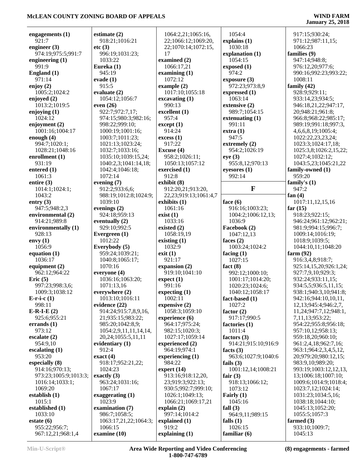| engagements $(1)$                  |                                         |                             |                              |                                          |
|------------------------------------|-----------------------------------------|-----------------------------|------------------------------|------------------------------------------|
|                                    | estimate $(2)$                          | 1064:2,21;1065:16,          | 1054:4                       | 917:15;930:24;                           |
| 921:7                              | 918:21;1016:21                          | 22;1066:12;1069:20,         | explains (1)                 | 971:12;987:11,15;                        |
| engineer $(3)$                     | etc(3)                                  | 22;1070:14;1072:15,         | 1030:18                      | 1066:23                                  |
| 974:19;975:5;991:7                 | 996:19;1031:23;                         | 17                          | explanation (1)              | families (9)                             |
| engineering $(1)$                  | 1033:22                                 | examined (2)                | 1054:15                      | 947:14:948:8:                            |
| 991:9                              | Eureka (1)                              | 1066:17,21                  | exposed(1)                   | 976:12,20;977:6;                         |
| England (1)                        | 945:19                                  | examining $(1)$             | 974:2                        | 990:16;992:23;993:22;                    |
| 971:14                             | evade $(1)$                             | 1072:12                     | exposure $(3)$               | 1008:11                                  |
| enjoy $(2)$                        | 915:5                                   | example (2)                 | 972:23;973:8,9               | family $(42)$                            |
| 1005:2;1024:2                      | evaluate (2)                            | 1017:10;1055:18             | expressed (1)                | 928:9:929:11:                            |
| enjoyed (2)                        | 1054:12;1056:7                          | excavating (1)              | 1063:14                      | 933:14,23;934:5;                         |
| 1013:2;1019:5                      | even $(26)$                             | 990:13                      | extensive (2)                | 946:18,21,22;947:17,                     |
| enjoying $(1)$                     | 922:7;972:7,17;                         | excellent (1)               | 989:7;1054:15                | 20;948:21;961:8;                         |
| 1024:12                            | 974:15;980:3;982:16;                    | 957:4                       | extenuating $(1)$<br>991:11  | 966:8;968:22;985:17;                     |
| enjoyment $(2)$                    | 998:22;999:10;                          | except (1)<br>914:24        |                              | 989:19;991:18;997:3,                     |
| 1001:16;1004:17                    | 1000:19;1001:16;                        |                             | extra(1)<br>947:5            | 4, 6, 6, 8, 19; 1005: 4;                 |
| enough $(4)$<br>994:7;1020:1;      | 1003:7;1011:23;                         | excess(1)<br>917:22         |                              | 1022:22,23,23,24;                        |
|                                    | 1021:13;1023:24;<br>1032:7;1033:16;     |                             | extremely (2)                | 1023:3;1024:17,18;                       |
| 1028:21;1048:16                    |                                         | Excuse (4)                  | 954:2;1026:19                | 1025:3,8;1026:2,15,22;                   |
| enrollment $(1)$                   | 1035:10;1039:15,24;                     | 958:2;1026:11;              | eye(3)                       | 1027:4;1032:12;                          |
| 931:19<br>entered $(1)$            | 1040:2,3;1041:14,18;<br>1042:4;1046:18; | 1050:13;1057:12             | 955:8,12;970:13              | 1043:5,23;1045:21,22<br>family-owned (1) |
| 1061:3                             | 1072:14                                 | exercised (1)<br>912:8      | eyesores (1)<br>992:14       | 959:20                                   |
|                                    |                                         |                             |                              |                                          |
| entire $(3)$                       | evening $(7)$<br>912:2;933:6,6;         | exhibit (8)                 | $\mathbf{F}$                 | family's $(1)$<br>947:2                  |
| 1014:1;1024:1;<br>1043:2           |                                         | 912:20,21;913:20,           |                              |                                          |
|                                    | 988:19;1012:8;1024:9;                   | 22,23;919:13;1061:4,7       |                              | fan $(4)$                                |
| entry $(3)$                        | 1039:10                                 | exhibits (1)                | face $(6)$                   | 1017:11,12,15,16                         |
| 947:5;948:2,3                      | evenings (2)                            | 1061:16                     | 916:16;1003:23;              | far $(15)$                               |
| environmental (2)                  | 924:18;959:13                           | exist(1)                    | 1004:2;1006:12,13;<br>1036:9 | 918:23;922:15;                           |
| 914:21;989:8                       | eventually (2)                          | 1033:16                     |                              | 946:24;961:12;962:21;                    |
| environmentally (1)<br>928:13      | 929:10;992:5                            | existed $(2)$<br>1058:19,19 | Facebook (2)                 | 981:9;994:15;996:7;                      |
|                                    | Evergreen (1)<br>1012:22                |                             | 1047:12,13                   | 1009:14;1016:19;                         |
| envy $(1)$<br>1056:9               |                                         | existing $(1)$              | faces $(2)$                  | 1018:9;1039:5;                           |
|                                    |                                         |                             |                              |                                          |
|                                    | Everybody (5)                           | 1032:9                      | 1003:24;1024:2               | 1044:10,11;1048:20                       |
| equation $(1)$                     | 959:24;1039:21;                         | exit(1)                     | facing $(1)$                 | farm $(92)$                              |
| 1036:17                            | 1040:8;1065:17;                         | 921:17                      | 1027:15                      | 916:3,4,8;918:7;                         |
| equipment $(2)$                    | 1070:16                                 | expansion (2)               | fact $(8)$                   | 925:14,15,20;926:1,24;                   |
| 962:12;964:22                      | everyone (4)                            | 919:10;1041:10              | 992:12;1000:10;              | 927:7,9,10;929:3;                        |
| Eric $(5)$                         | 1036:16;1063:20;                        | expect(1)                   | 1001:17;1014:20;             | 932:24;933:11,15;                        |
| 997:23;998:3,6;                    | 1071:13,16                              | 991:16                      | 1020:23;1024:6;              | 934:5,5;936:5,11,15;                     |
| 1009:3:1038:12                     | everywhere (2)                          | expecting (1)               | 1040:12;1058:17              | 938:1;940:3,10;941:8;                    |
| $E-r-i-c(1)$                       | 1013:10;1016:11                         | 1002:11                     | fact-based (1)               | 942:16;944:10,10,11,                     |
| 998:11                             | evidence (22)                           | expensive (2)               | 1027:2                       | 12, 13; 945: 4; 946: 2, 7,               |
| $E-R-I-E(2)$                       | 914:24;915:7,8,9,16,                    | 1058:3;1059:10              | factor $(2)$                 | 11,24;947:7,12;948:1,                    |
| 925:6;955:21                       | 21;935:15;983:22;                       | experience (6)              | 917:17;990:5                 | 7,11,13;953:22;                          |
| errands $(1)$                      | 985:20;1042:8,9;                        | 964:17;975:24;              | factories (1)                | 954:22;955:8;956:18;                     |
| 973:12                             | 1054:2,9,11,11,14,14,                   | 982:15;1020:3;              | 1011:4                       | 957:10,12;958:13;                        |
| escalate $(2)$                     | 20,24;1055:5,11,11                      | 1027:17;1059:14             | factors $(3)$                | 959:18,20;960:10;                        |
| 954:9,10                           | evidentiary $(1)$                       | experienced (2)             | 914:21;915:10;916:9          | 961:2,4,18;962:7,16;                     |
| escalating $(1)$                   | 912:4                                   | 964:19;974:1                | facts $(3)$                  | 963:1;964:2,3,4,5,12,                    |
| 953:20                             | exact $(4)$                             | experiencing $(1)$          | 963:6;1027:9;1040:6          | 20;979:20;980:12,15;                     |
| especially (8)                     | 918:17;952:21,22;                       | 984:22                      | fails $(3)$                  | 983:9,10;989:20;                         |
| 914:16;970:13;                     | 1024:23                                 | expert $(14)$               | 1001:12,14;1008:21           | 993:19;1003:12,12,13,                    |
| 973:23;1005:9;1013:3;              | exactly $(3)$                           | 913:16;918:12,20,           | fair $(3)$                   | 13;1006:18;1007:10;                      |
| 1016:14;1033:1;                    | 963:24;1031:16;                         | 23;919:3;922:13;            | 918:13;1066:12;              | 1009:6;1014:9;1018:4;                    |
| 1069:20                            | 1067:17                                 | 930:5;992:7;999:10;         | 1073:12                      | 1023:7,12;1024:14;                       |
| establish $(1)$                    | exaggerating $(1)$                      | 1026:1;1049:13;             | Fairly $(1)$                 | 1031:23;1034:5,16;                       |
| 1015:1                             | 1023:9                                  | 1066:21;1069:17,21          | 1045:16                      | 1038:18;1044:10;                         |
| established (1)                    | examination (7)                         | explain $(2)$               | fall $(3)$                   | 1045:13;1052:20;                         |
| 1033:10                            | 986:7;1058:5;                           | 997:14;1014:2               | 964:9,11;989:15              | 1055:5;1057:3                            |
| estate $(6)$                       | 1063:17,21,22;1064:3;                   | explained (1)               | falls $(1)$                  | farmed $(3)$                             |
| 955:22;956:7;<br>967:12,21;968:1,4 | 1066:15<br>examine (10)                 | 919:2<br>explaining $(1)$   | 1026:15<br>familiar (6)      | 933:10;1009:7;<br>1045:13                |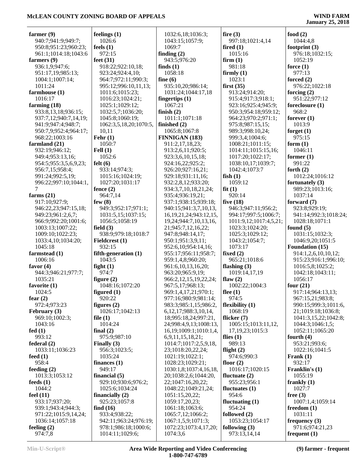| farmer $(9)$<br>940:7;941:9;949:7; | feelings $(1)$<br>1026:6      | 1032:6,18;1036:3;<br>1043:15;1057:9;      | fire $(3)$<br>997:18;1021:4,14 | food $(2)$<br>1044:4,8        |
|------------------------------------|-------------------------------|-------------------------------------------|--------------------------------|-------------------------------|
| 950:8;951:23;960:23;               | feels $(1)$                   | 1069:7                                    | fired $(1)$                    | footprint $(3)$               |
| 961:1;1014:18;1043:6               | 972:15                        | finding $(2)$                             | 1015:16                        | 976:18;1032:15;               |
| farmers (9)                        | feet $(31)$                   | 943:5;976:20                              | firm(1)                        | 1052:19                       |
| 936:1,9;947:6;                     | 918:22;922:10,18;             | finds $(1)$                               | 981:18                         | force $(1)$                   |
| 951:17,19;985:13;                  | 923:24;924:4,10;              | 1058:18                                   | firmly $(1)$                   | 977:13                        |
| 1004:1;1007:14;                    | 964:7;972:11;990:3;           | fine $(6)$                                | 1023:1                         | forced $(2)$                  |
| 1011:24                            | 995:12;996:10,11,13;          | 935:10,20;986:14;                         | first(35)                      | 976:22;1022:18                |
| farmhouse (1)                      | 1011:6;1015:23;               | 1031:24;1044:17,18                        | 913:24;914:20;                 | forcing $(2)$                 |
| 1016:17                            | 1016:23;1024:21;              | fingertips $(1)$                          | 915:4;917:3;918:1;             | 951:22;977:12                 |
| farming $(18)$                     | 1025:1;1029:12;               | 1067:21                                   | 923:16;925:4;945:9;            | foreclosure (1)               |
| 933:8,13,18;936:15;                | 1032:5,7;1036:20;             | finish $(2)$                              | 950:3;954:18;959:12;           | 968:2                         |
| 937:7,12;940:7,14,19;              | 1045:8;1060:19;               | 1011:1;1071:18                            | 964:23;970:2;971:1;            | forever $(1)$                 |
| 941:9;947:4;948:7;                 | 1062:3,5,18,20;1070:5,        | finished (2)                              | 975:8;987:15,15;               | 1013:9                        |
| 950:7,9;952:4;964:17;              | 10,11                         | 1065:8;1067:8                             | 989:3;998:10,24;               | forget $(1)$                  |
| 968:22;1003:16                     | Fehr $(1)$                    | <b>FINNIGAN (183)</b>                     | 999:3,4;1004:6;                | 975:15                        |
| farmland (21)                      | 1050:7                        | 911:2,17,18,23;                           | 1008:21;1011:15;               | form $(1)$                    |
| 932:19;946:12;                     | Fell $(1)$                    | 913:2,6,11;920:5;                         | 1014:11;1015:15,16;            | 1046:11                       |
| 949:4;953:13,16;                   | 1052:6                        | 923:3,6,10,15,18;                         | 1017:20;1022:17;               | former $(1)$                  |
| 954:5;955:3,5,6,9,23;              | felt(6)                       | 924:16,22;925:2;                          | 1038:10,17;1039:7;             | 991:22                        |
| 956:7,15;958:4;                    | 933:14;974:3;                 | 926:20;927:16,21;                         | 1042:4;1073:7                  | forth $(2)$                   |
| 991:24;992:5,19;                   | 1015:16;1024:19;              | 929:18;931:11,16;                         | fish $(1)$                     | 1012:24;1016:12               |
| 996:22;997:10;1044:1,<br>7         | 1027:20;1031:17               | 932:2,8,12;933:20;                        | 1059:12                        | fortunately (3)               |
| farms $(21)$                       | fence $(2)$<br>964:7,14       | 934:3,7,10,18,21,24;                      | fit(1)<br>920:14               | 989:23;1013:16;<br>1037:14    |
| 917:10;927:9;                      | few $(8)$                     | 935:4;936:19,21;<br>937:1;938:15;939:18;  | five $(18)$                    | forward $(7)$                 |
| 946:22,23;947:15,18;               | 949:3;952:17;971:1;           | 940:15;941:3,7,10,13,                     | 946:3;947:11;956:2;            | 923:8;929:19;                 |
| 949:23;961:2,6,7;                  | 1031:5,15;1037:15;            | 16, 19, 21, 24; 943: 12, 15,              | 994:17;997:5;1006:7;           | 941:14;992:3;1018:24;         |
| 966:9;992:20;1001:6;               | 1056:5;1058:19                | 19,24;944:7,10,13,16,                     | 1011:9,12;1017:4,5,21;         | 1028:18;1071:1                |
| 1003:13;1007:22;                   | field $(3)$                   | 21;945:7,12,16,22;                        | 1023:3;1024:20;                | found $(5)$                   |
| 1009:10;1022:23;                   | 938:9;979:18;1018:7           | 947:8;948:14,17;                          | 1025:3;1029:12;                | 1031:15;1032:3;               |
| 1033:4, 10; 1034: 20;              | Fieldcrest (1)                | 950:1;951:3,9,11;                         | 1043:2;1054:7;                 | 1046:9,20;1051:5              |
| 1045:18                            | 932:15                        | 952:6,10;954:14,16;                       | 1073:17                        | <b>Foundation (15)</b>        |
| farmstead (1)                      | fifth-generation (1)          | 955:17;956:11;958:7;                      | fixed $(2)$                    | 914:1,2,6,10,10,12;           |
| 1006:16                            | 1043:5                        | 959:1,4,8;960:20;                         | 965:21;1018:6                  | 915:23;916:1;996:10;          |
| favor $(4)$                        | fight $(1)$                   | 961:6,10,13,16,20;                        | flashing $(3)$                 | 1016:5,8;1025:2;              |
| 944:3;946:21;977:7;                | 974:7                         | 963:20;965:9,19;                          | 1019:14,17,19                  | 1042:18;1043:11;              |
| 1035:21                            | figure $(2)$                  | 966:2,12,15,19,22,24;                     | flaw $(2)$                     | 1056:17                       |
| favorite $(1)$                     | 1048:16;1072:20               | 967:5,17;968:13;                          | 1002:22;1004:3                 | four $(21)$                   |
| 1024:5                             | figured $(1)$                 | 969:1,4,17,21;970:1;                      | flee $(1)$                     | 917:14;964:13,13;             |
| fear $(2)$                         | 920:22                        | 977:16;980:9;981:14;                      | 974:5                          | 967:15,21;983:8;              |
| 972:4;973:23                       | figures $(2)$                 | 983:3;985:1,15;986:2,                     | flexibility (1)                | 990:15;999:3;1011:6,          |
| February (3)                       | 1026:17;1042:13               | 6, 12, 17; 988: 3, 10, 14,                | 1068:19                        | 21;1019:18;1036:8;            |
| 969:10:1002:3:                     | file $(1)$                    | 18;995:18,24;997:21,                      | flicker $(7)$                  | 1041:3,15,22;1042:8;          |
| 1043:16                            | 1014:24                       | 24;998:4,9,13;1008:13,                    | 1005:15;1013:11,12,            | 1044:3;1046:1,5;              |
| fed(1)                             | final $(2)$                   | 16, 19; 1009: 1; 1010: 1, 4,              | 17, 19, 23; 1015: 3            | 1052:11;1065:20               |
| 993:12<br>federal $(2)$            | 975:9;987:10<br>Finally $(3)$ | 6,9,11,15,18,21;<br>1014:7;1017:2,5,9,18, | flies $(1)$<br>989:13          | fourth $(4)$<br>953:21;993:6; |
| 1033:11;1036:23                    | 956:3;1023:5;                 | 23;1018:20,22,24;                         | flight $(2)$                   | 1022:16;1041:5                |
| feed $(1)$                         | 1035:24                       | 1021:19;1022:1;                           | 974:6;990:3                    | Frank $(1)$                   |
| 958:4                              | finances $(1)$                | 1028:23;1029:21;                          | floor $(2)$                    | 932:17                        |
| feeding $(2)$                      | 949:17                        | 1030:1,8;1037:4,16,18,                    | 1016:17;1020:15                | Franklin's (1)                |
| 1013:3;1053:12                     | financial $(5)$               | 20;1038:2,6;1044:20,                      | fluctuate $(2)$                | 1055:19                       |
| feeds $(1)$                        | 929:10;930:6;976:2;           | 22;1047:16,20,22;                         | 955:23;956:1                   | frankly $(1)$                 |
| 1044:2                             | 1025:6;1034:24                | 1048:22;1049:21,24;                       | fluctuates $(1)$               | 1027:7                        |
| feel $(11)$                        | financially $(2)$             | 1051:15,20,22;                            | 954:6                          | free $(3)$                    |
| 933:17;937:20;                     | 925:23;1057:8                 | 1059:17,20,23;                            | fluctuating $(1)$              | 1007:1,4;1059:14              |
| 939:1;943:4;944:3;                 | find $(16)$                   | 1061:18;1063:6;                           | 954:24                         | freedom (1)                   |
| 971:22;1015:9,14,24;               | 933:4;938:22;                 | 1065:7,12;1066:2;                         | followed (2)                   | 1031:11                       |
| 1036:14;1057:18                    | 942:11;963:24;976:19;         | 1067:1,5,9;1071:3;                        | 1053:23;1054:17                | frequency $(3)$               |
| feeling $(2)$                      | 978:1;986:18;1000:6;          | 1072:23;1073:4,17,20;                     | following $(3)$                | 971:6;974:21,23               |
| 974:7,8                            | 1014:11;1029:6;               | 1074:3,6                                  | 973:13,14,14                   | frequent $(1)$                |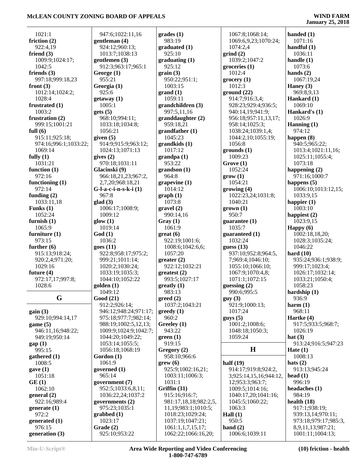| 1021:1                   | 947:6;1022:11,16           | grades(1)                                | 1067:8;1068:14;              | handed $(1)$                          |
|--------------------------|----------------------------|------------------------------------------|------------------------------|---------------------------------------|
| friction $(2)$           | gentleman (4)              | 983:19                                   | 1069:6,9,23;1070:24;         | 1071:16                               |
| 922:4,19                 | 924:12;960:13;             | graduated (1)                            | 1074:2,4                     | handful $(1)$                         |
| friend $(3)$             | 1013:7;1038:13             | 925:10                                   | grind(2)                     | 1036:11                               |
| 1009:9;1024:17;          | gentlemen $(3)$            | graduating(1)                            | 1039:2;1047:2                | handle $(1)$                          |
| 1042:5                   | 912:3;963:17;965:1         | 925:12                                   | groceries(1)                 | 1073:6                                |
| friends $(3)$            |                            |                                          | 1012:4                       | hands $(2)$                           |
|                          | George $(1)$               | grain(3)                                 |                              |                                       |
| 997:18;999:18,23         | 955:21                     | 950:22;951:1;                            | grocery(1)                   | 1067:19,24                            |
| front $(3)$              | Georgia (1)                | 1003:15                                  | 1012:3                       | Haney $(3)$                           |
| 1012:14;1024:2;          | 925:6                      | grand(1)                                 | ground(22)                   | 969:8,9,13                            |
| 1028:4                   | getaway(1)                 | 1059:11                                  | 914:7;916:3,4;               | Hankard (1)                           |
| frustrated $(1)$         | 1005:1                     | grandchildren (3)                        | 928:23;929:4;936:5;          | 1069:10                               |
| 1003:2                   | gets (5)                   | 997:5,11,16                              | 940:14,19;941:9;             | Hankard's (1)                         |
| frustration (2)          | 968:10;994:11;             | granddaughter(2)                         | 956:18;957:11,13,17;         | 1026:9                                |
| 999:15;1001:21           | 1033:18;1034:8;            | 959:18,21                                | 958:14;1025:3;               | Hanning $(1)$                         |
| full $(6)$               | 1056:21                    | grandfather(1)                           | 1038:24;1039:1,4;            | 974:12                                |
| 915:11;925:18;           | given $(5)$                | 1045:23                                  | 1044:2,10;1055:19;           | happen $(8)$                          |
| 974:16;996:1;1033:22;    | 914:9;915:9;963:12;        | grandkids(1)                             | 1056:8                       | 940:5;965:22;                         |
| 1069:14                  | 1024:13;1071:13            | 1017:12                                  | grounds(1)                   | 1013:4;1021:11,16;                    |
| fully $(1)$              | gives $(2)$                | grandpa (1)                              | 1009:23                      | 1025:11;1055:4;                       |
| 1031:21                  | 970:18;1031:11             | 953:22                                   | Grove (1)                    | 1073:18                               |
| function $(1)$           | Glacinski (9)              | grandson(1)                              | 1052:24                      | happening $(2)$                       |
| 972:16                   | 966:18,21,23;967:2,        | 964:8                                    | grow(1)                      | 971:16;1000:7                         |
| functioning $(1)$        | 2,7,20;968:18,21           | grapevine $(1)$                          | 1054:21                      | happens $(5)$                         |
| 972:14                   | $G$ -l-a-c-i-n-s-k-i $(1)$ | 1014:12                                  | growing(4)                   | 1006:10;1013:12,15;                   |
| funding $(2)$            | 967:8                      | graph(1)                                 | 1022:23,24;1031:8;           | 1033:9,15                             |
| 1033:11,18               | glad(3)                    | 1073:8                                   | 1040:21                      | happier $(1)$                         |
| Funks $(1)$              | 1006:17;1008:9;            | gravel(2)                                | $grown (1)$                  | 1003:10                               |
| 1052:24                  | 1009:12                    | 990:14,16                                | 950:7                        | happiest (2)                          |
| furnish $(1)$            | glow(1)                    | Gray(1)                                  | guarantee $(1)$              | 1023:9,15                             |
| 1065:9                   | 1019:14                    | 1061:9                                   | 1035:7                       | Happy $(6)$                           |
|                          |                            |                                          |                              |                                       |
|                          |                            |                                          |                              |                                       |
| furniture $(1)$          | God(1)                     | $gr(6)$                                  | guaranteed (1)               | 1002:18,18,20;                        |
| 973:15                   | 1036:2                     | 922:19;1001:6;                           | 1032:24                      | 1028:3;1035:24;                       |
| further $(6)$            | goes(11)                   | 1008:6;1042:6,6;                         | guess $(13)$                 | 1046:22                               |
| 915:13;918:24;           | 922:8;958:17;975:2;        | 1057:20                                  | 937:10;952:8;964:5,          | hard $(10)$                           |
| 920:2,4;971:20;          | 999:21;1011:14;            | greater(2)                               | 7;969:4;1046:10;             | 935:24;936:1;938:9;                   |
| 1029:16                  | 1020:2;1030:24;            | 922:12;1032:21                           | 1055:10;1066:10;             | 999:17;1023:4;                        |
| future $(4)$             | 1033:19;1035:3;            | greatest (2)                             | 1067:9;1070:4,8;             | 1026:17;1032:14;                      |
| 972:17,17;997:8;         | 1044:10;1052:22            | 993:5:1027:17                            | 1071:1;1072:15               | 1033:21;1050:4;                       |
| 1028:6                   | $\text{golden}$ $(1)$      | $g realty (1)$                           | guessing $(2)$               | 1058:23                               |
|                          | 1049:12                    | 983:13                                   | 990:6;995:5                  | hardship $(1)$                        |
| G                        | Good(21)                   | $\boldsymbol{\mathsf{greed}}$ (2)        | guy(3)                       | 936:9                                 |
|                          | 912:2;926:14;              | 1037:2;1043:21                           | 921:9;1000:13;               | harm(1)                               |
| gain(3)                  | 946:12;948:24;971:17;      | greedy(1)                                | 1017:24                      | 968:11                                |
| 929:10;994:14,17         | 975:18;977:7;982:14;       | 960:2                                    | gays(5)                      | Hartke $(4)$                          |
| game $(5)$               | 988:19;1002:5,12,13;       | Greeley (1)                              | 1001:2;1008:6;               | 917:5;933:5;968:7;                    |
| 946:11,16;948:22;        | 1009:9;1024:9;1042:7;      | 943:22                                   | 1048:18;1050:3;              | 1026:19                               |
| 949:19;950:14            | 1044:20;1049:22;           | green(1)                                 | 1059:24                      | hat $(3)$                             |
|                          | 1053:14;1055:5;            | 919:15                                   |                              | 913:24;916:5;947:23                   |
| gap(1)<br>995:15         | 1056:18;1068:19            |                                          | $\mathbf H$                  | Hate $(1)$                            |
|                          |                            | Gregory (2)                              |                              | 1008:13                               |
| gathered $(1)$<br>1008:5 | Gordon (1)<br>1061:9       | 958:10;966:6<br>$\text{grew}(6)$         | half $(19)$                  | hats $(2)$                            |
|                          |                            |                                          |                              |                                       |
| gave(1)                  | governed (1)               | 925:9;1002:16,21;                        | 914:17;919:8;924:2,          | 913:13;945:24                         |
| 1051:18                  | 965:14                     | 1003:11;1006:3;                          | 3;925:14,15,16;944:12,       | head $(1)$                            |
| GE(1)                    | government (7)             | 1031:1                                   | 12;953:3;963:7;              | 996:19                                |
| 1062:10                  | 952:5;1033:6,8,11;         | Griffin (31)                             | 1009:5;1014:16;              | headaches $(1)$                       |
| general(2)               | 1036:22,24;1037:2          | 915:16;916:7;                            | 1040:17,20;1041:16;          | 984:19                                |
| 922:16;989:4             | governments $(2)$          | 981:17,18,18;982:2,5,                    | 1045:5;1060:22;              | health $(18)$                         |
| generate $(1)$           | 975:23;1035:1              | 11,19;983:1;1010:5;                      | 1063:3                       | 917:1;938:19;                         |
| 972:2                    | graphed(1)                 | 1018:23;1029:24;                         | Hall $(1)$                   | 939:13,14;970:11;                     |
| generated $(1)$          | 1023:17                    | 1037:19;1047:21;                         | 950:5                        | 973:18;979:17;985:3,                  |
| 976:15<br>generation (3) | Grade (2)<br>925:10;953:22 | 1061:1,1,7,15,17;<br>1062:22;1066:16,20; | hand $(2)$<br>1006:6;1039:11 | 8,9,11,13;987:21;<br>1001:11;1004:13; |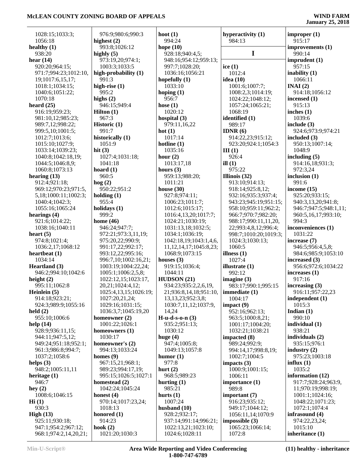| 1028:15;1033:3;                      | 976:9;980:6;990:3         | hoot $(1)$                             | hyperactivity (1)                 | improper(1)                 |
|--------------------------------------|---------------------------|----------------------------------------|-----------------------------------|-----------------------------|
| 1056:18                              | highest (2)               | 994:24                                 | 984:13                            | 915:17                      |
| healthy $(1)$                        | 993:8;1026:12             | hope $(10)$                            |                                   | improvements (1)            |
| 938:20                               | highly $(5)$              | 928:18;940:4,5;                        | $\mathbf I$                       | 990:14                      |
| hear $(14)$                          | 973:19,20;974:1;          | 948:16;954:12;959:13;                  |                                   | imprudent $(1)$             |
| 920:20;964:15;                       | 1003:3;1033:5             | 997:7;1028:20;                         | ice $(1)$                         | 957:15                      |
| 971:7;994:23;1012:10,                | high-probability (1)      | 1036:16;1056:21                        | 1012:4                            | inability $(1)$             |
| 19;1017:6,15,17;                     | 991:3                     | hopefully $(1)$                        | idea $(10)$                       | 1066:11                     |
| 1018:1;1034:15;                      | high-rise $(1)$           | 1033:10                                | 1001:6;1007:7;                    | INAI(2)                     |
| 1040:6;1051:22;                      | 995:2                     | hoping $(1)$                           | 1008:2,3;1014:19;                 | 914:18;1056:12              |
| 1070:18                              | highs $(2)$               | 956:7                                  | 1024:22;1048:12;                  | incensed $(1)$              |
| heard $(25)$                         | 946:15;949:4              | hose $(1)$                             | 1057:24;1065:21;                  | 915:13                      |
| 916:19;959:23;                       | <b>Hilton</b> $(1)$       | 1020:12                                | 1068:19                           | inches $(1)$                |
| 981:10,12;985:23;                    | 967:3                     | hospital (3)                           | identified (1)                    | 1039:6                      |
| 989:7,12;998:22;                     | Historic $(1)$            | 979:11,16,22                           | 989:17                            | include $(3)$               |
| 999:5,10;1001:5;                     | 991:7                     | hot $(1)$                              | IDNR $(6)$                        | 924:6;973:9;974:21          |
| 1012:7;1013:6;                       | historically (1)          | 1017:14                                | 914:22,23;915:12;                 | included $(3)$              |
| 1015:10;1027:9;                      | 1051:9                    | hotline $(1)$                          | 923:20;924:1;1054:3               | 950:13;1007:14;             |
| 1033:14;1039:23;                     | hit $(3)$                 | 1035:16                                | III(1)                            | 1048:9                      |
| 1040:8;1042:18,19;                   | 1027:4;1031:18;           | hour $(2)$                             | 926:4                             | including $(5)$             |
| 1044:5;1046:8,9;                     | 1041:18                   | 1013:17,18                             | ill $(1)$                         | 914:16,18;931:3;            |
| 1060:8;1073:13<br>hearing $(13)$     | hoard $(1)$<br>960:5      | hours $(3)$<br>959:13;988:20;          | 975:22                            | 972:3,24<br>inclusion $(1)$ |
| 912:4;921:18;                        | $\log(2)$                 | 1011:21                                | Illinois $(32)$<br>913:10;914:13; | 991:6                       |
| 969:12;970:23;971:5,                 | 950:22;951:2              | house $(30)$                           | 918:14;925:8,12;                  | income $(15)$               |
| 5,18;1000:11;1002:3;                 | holding $(1)$             | 927:8;974:11;                          | 932:16;935:3;937:4;               | 925:20;933:15;              |
| 1040:4;1042:3;                       | 955:4                     | 1006:23;1011:7;                        | 943:23;945:19;951:15;             | 940:3,13,20;941:8;          |
| 1055:16;1065:24                      | holidays (1)              | 1012:6;1015:17;                        | 958:10;959:11;962:2;              | 946:7;947:5;948:1,11;       |
| hearings $(4)$                       | 999:2                     | 1016:4,13,20;1017:7;                   | 966:7;970:7;982:20;               | 960:5,16,17;993:10;         |
| 921:6;1014:22;                       | home $(46)$               | 1024:21;1030:19;                       | 988:17;990:11,11,20,              | 994:3                       |
| 1038:16;1040:11                      | 946:24;947:7;             | 1031:13,18;1032:5;                     | 22;993:4,8,12;996:4;              | inconveniences (1)          |
| heart $(5)$                          | 972:21;973:3,11,19;       | 1034:1;1036:19;                        | 998:7;1010:20;1019:3;             | 1031:22                     |
| 974:8;1021:4;                        | 975:20,22;990:9;          | 1042:18,19;1043:1,4,6,                 | 1024:3;1030:13;                   | increase (7)                |
| 1036:2,17;1068:12                    | 991:17,22;992:17;         | 11, 12, 14, 17; 1045: 8, 23;           | 1060:5                            | 946:5;956:4,5,8;            |
| heartbeat $(1)$                      | 993:12,22;995:16;         | 1068:9;1073:15                         | illness $(1)$                     | 984:6;985:9;1053:10         |
| 1034:14                              | 996:7,10;1002:16,21;      | houses $(3)$                           | 1027:4                            | increased (3)               |
| Heartland (3)                        | 1003:19;1004:22,24;       | 919:15;1036:4;                         | illustrate (1)                    | 956:6;972:6;1034:22         |
| 946:2;994:10;1042:6                  | 1005:1;1006:2,5,8;        | 1044:11                                | 992:12                            | increases (1)               |
| height $(2)$                         | 1022:12,15;1023:17,       | HUDSON(21)                             | imagine $(3)$                     | 917:16                      |
| 995:11;1062:8                        | 20, 21; 1024: 4, 12;      | 934:23;935:2,2,6,19,                   | 983:17;990:1;995:15               | increasing $(3)$            |
| Heinlein $(5)$                       | 1025:4,13,15;1026:19;     | 21;936:8,14,18;951:10,   immediate (1) |                                   | 916:11;957:22,23            |
| 914:18;923:21;                       | 1027:20,21,24;            | 13, 13, 23; 952: 3, 8;                 | 1004:17                           | independent (1)             |
| 924:3;989:9;1055:16                  | 1029:16;1031:15;          | 1030:7,11,12;1037:9,                   | impact(9)                         | 1015:3                      |
| $\text{held}(2)$                     | 1036:3,7;1045:19,20       | 14,24                                  | 952:16;962:13;                    | Indian $(1)$                |
| 955:10;1006:6                        | homeowner $(2)$           | $H-u-d-s-o-n(3)$                       | 963:5;1000:8,21;                  | 990:10                      |
| help $(14)$                          | 1001:22;1026:1            | 935:2;951:13;                          | 1001:17;1004:20;                  | individual (1)              |
| 928:9;936:11,15;<br>944:11;947:5,12; | homeowners (1)<br>1030:17 | 1030:12<br>huge $(4)$                  | 1032:21;1038:21<br>impacted (8)   | 938:21<br>individuals (2)   |
| 949:24;951:18;952:1;                 | homeowner's (2)           | 947:4;1005:8;                          | 989:24;992:9;                     | 935:15;976:1                |
| 961:3;986:8;994:7;                   | 994:13;1033:24            | 1049:13;1057:8                         | 994:14,17;998:8,19;               | industry $(2)$              |
| 1037:2;1058:6                        | homes $(9)$               | humor $(1)$                            | 1002:7;1004:5                     | 975:23;1003:18              |
| helps $(3)$                          | 967:15,21;968:1;          | 977:8                                  | impacts $(3)$                     | influx $(1)$                |
| 948:2;1005:11,11                     | 989:23;994:17,19;         | hurt $(2)$                             | 1000:9;1001:15;                   | 1035:2                      |
| heritage $(1)$                       | 995:15;1026:5;1027:1      | 968:5;989:23                           | 1006:11                           | information (12)            |
| 946:7                                | homestead (2)             | hurting $(1)$                          | importance $(1)$                  | 917:7;928:24;963:9,         |
| hey $(2)$                            | 1042:24;1045:24           | 985:21                                 | 989:8                             | 11;970:19;998:19;           |
| 1008:6;1046:15                       | honest $(4)$              | hurts $(1)$                            | important (7)                     | 1001:1;1024:16;             |
| $\mathbf{Hi}$ (1)                    | 970:14;1017:23,24;        | 1007:24                                | 916:23;935:12;                    | 1048:22;1071:23;            |
| 930:3                                | 1018:13                   | husband $(10)$                         | 949:17;1044:12;                   | 1072:1;1074:4               |
| High $(13)$                          | honored $(1)$             | 928:2;932:17;                          | 1056:11,14;1070:9                 | infrasound (4)              |
| 925:11;930:18;                       | 914:23                    | 937:14;991:14;996:21;                  | impossible $(3)$                  | 974:22,23,24;               |
| 947:1;954:2;967:12;                  | hook $(2)$                | 1022:13,21;1023:10;                    | 1065:23;1066:14;                  | 1015:10                     |
| 968:1;974:2,14,20,21;                | 1021:20;1030:3            | 1024:6;1028:11                         | 1072:8                            | inheritance (1)             |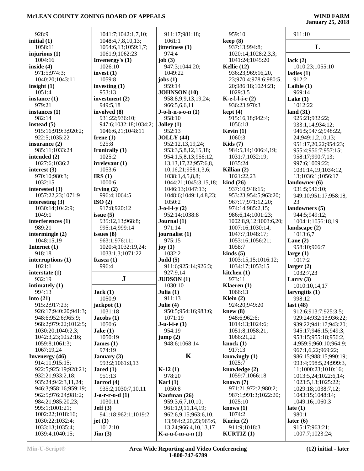| 928:9                           | 1041:7;1042:1,7,10;           | 911:17;981:18;             | 959:10                              | 911:10                     |
|---------------------------------|-------------------------------|----------------------------|-------------------------------------|----------------------------|
| initial $(1)$                   | 1048:4,7,8,10,13;             | 1061:1                     | keep(8)                             |                            |
| 1058:11                         | 1054:6,13;1059:1,7;           | jitteriness (1)            | 937:13;994:8;                       | L                          |
| injurious $(1)$                 | 1061:9;1062:23                | 974:4                      | 1020:14;1028:2,3,3;                 |                            |
| 1004:16                         | Invenergy's $(1)$             | job $(3)$                  | 1041:24;1045:20                     | lack $(2)$                 |
| inside $(4)$                    | 1026:10                       | 947:3;1044:20;             | Kellie $(12)$                       | 1010:23;1055:10            |
| 971:5;974:3;                    | invest $(1)$                  | 1049:22                    | 936:23;969:16,20,                   | ladies $(1)$               |
| 1040:20;1043:11                 | 1059:8                        | jobs $(1)$                 | 23;970:4;978:6;980:5,               | 912:2                      |
| insight $(1)$                   | investing $(1)$               | 959:14                     | 20;986:18;1024:21;                  | Laible $(1)$               |
| 1051:4                          | 953:13                        | <b>JOHNSON</b> (10)        | 1029:3,5                            | 969:14                     |
| instance $(1)$                  | investment (2)                | 958:8,9,9,13,19,24;        | $K-e-l-l-e(2)$                      | Lake $(1)$                 |
| 979:21                          | 949:5,18                      | 966:5,6,6,11               | 936:23;970:3                        | 1012:22                    |
| instances $(1)$                 | involved (8)                  | $J$ -o-h-n-s-o-n $(1)$     | kept(4)                             | land $(31)$                |
| 982:14                          | 931:22;936:10;                | 958:10                     | 915:16,18;942:4;                    | 925:21;932:22;             |
| instead $(5)$                   | 947:6;1032:18;1034:2;         | Jolley $(1)$               | 1056:18                             | 933:1,14;934:12;           |
| 915:16;919:3;920:2;             | 1046:6,21;1048:11             | 952:13                     | Kevin $(1)$                         | 946:5;947:2;948:22,        |
| 922:5;1035:22                   | Irene $(1)$                   | JOLLY(44)                  | 1060:3                              | 24;949:1,2,10,13;          |
| insurance $(2)$                 | 925:8                         | 952:12,13,19,24;           | Kids $(7)$                          | 951:17,20,22;954:23;       |
| 985:11;1033:24                  | Ironically (1)                | 953:3,5,8,12,15,18;        | 984:5,14;1006:4,19;                 | 955:4;956:7;957:15;        |
| intended (2)                    | 1025:2                        | 954:1,5,8,13;956:12,       | 1031:7;1032:19;                     | 958:17;990:7,13;           |
| 1027:6;1036:2                   | irrelevant(1)                 | 13, 13, 17, 22; 957: 6, 8, | 1035:24                             | 997:6;1009:22;             |
| interest $(3)$                  | 1053:6                        | 10,16,21;958:1,3,6;        | Killian $(2)$                       | 1031:14,19;1034:12,        |
| 970:10;980:3;                   | IRS(1)                        | 1038:1,4,5,8,8;            | 1021:22,23                          | 13;1036:1;1056:17          |
| 1032:15                         | 1000:6                        | 1044:21;1045:3,15,18;      | $\boldsymbol{\mathrm{kind}}$ (26)   | landowner (6)              |
| interested (3)                  | Irving $(2)$                  | 1046:13;1047:13;           | 937:10;948:15;                      | 931:5;946:10;              |
| 1057:22,23;1071:9               | 996:4;1064:5                  | 1048:6;1049:1,4,8,23;      | 953:23;954:5;963:20;                | 949:10;951:17;958:18,      |
| interesting $(3)$               | ISO(2)                        | 1050:2                     | 967:17;971:12,20;                   | 23                         |
| 1030:14;1042:9;                 | 917:8;920:12                  | $J-o-l-ly(2)$              | 974:14;985:2,15;                    | landowners (5)             |
| 1049:1                          | issue $(5)$                   | 952:14;1038:8              | 986:6,14;1001:23;                   | 944:5;949:12;              |
| interferences (1)<br>989:21     | 935:12,13;968:8;              | Journal $(1)$<br>971:14    | 1002:8,9,12;1003:6,20;              | 1004:1;1056:18,19          |
|                                 | 995:14;999:14                 |                            | 1007:16;1030:14;                    | landscape (2)              |
| intermingle $(2)$<br>1048:15,19 | issues $(8)$<br>963:1;976:11; | journalist (1)<br>975:15   | 1047:7;1048:17;<br>1053:16;1056:21; | 1013:6,7                   |
| Internet (1)                    | 1020:4;1032:19,24;            | joy $(1)$                  | 1058:7                              | Lane $(2)$<br>958:10;966:7 |
| 918:18                          | 1033:1,3;1071:22              | 1032:2                     | $\text{kinds}(5)$                   | large $(1)$                |
| interruptions (1)               | Itasca $(1)$                  | Judd(5)                    | 1003:15,15;1016:12;                 | 1017:2                     |
| 1021:1                          | 996:4                         | 911:6;925:14;926:3;        | 1034:17;1053:15                     | larger $(2)$               |
| interstate (1)                  |                               | 927:9,14                   | kitchen (1)                         | 1032:7,23                  |
| 932:19                          | ${\bf J}$                     | JUDSON (1)                 | 973:11                              | Larry $(3)$                |
| intimately $(1)$                |                               | 1030:10                    | Klaeren (1)                         | 1010:10,14,17              |
| 994:13                          | Jack(1)                       | Julia $(1)$                | 1066:13                             | laryngitis (1)             |
| into $(21)$                     | 1050:9                        | 911:13                     | Klein $(2)$                         | 998:12                     |
| 915:2;917:23;                   | jackpot $(1)$                 | Julie $(4)$                | 924:20;949:20                       | last $(48)$                |
| 926:17;940:20;941:3;            | 1031:18                       | 950:5;954:16;983:6;        | knew(8)                             | 912:6;913:7;925:3,5;       |
| 948:6;952:6;965:9;              | Jacobs(1)                     | 1071:19                    | 948:6:962:6;                        | 929:24;932:13;936:22;      |
| 968:2;979:22;1012:5;            | 1050:6                        | $J-u-l-i-e(1)$             | 1014:13;1024:6;                     | 939:22;941:17;943:20;      |
| 1030:20;1040:2,3;               | Jake $(1)$                    | 954:19                     | 1051:8;1058:21;                     | 945:17;946:15;949:3;       |
| 1042:3,23;1052:16;              | 1050:19                       | jump(2)                    | 1066:21,22                          | 953:15;955:18;956:2,       |
| 1059:8;1061:3;                  | James $(1)$                   | 948:6;1068:14              | knock $(1)$                         | 4;959:9;960:10;964:9;      |
| 1067:19,24                      | 974:19                        |                            | 917:13                              | 967:1,6,22;969:22;         |
| <b>Invenergy</b> (46)           | January $(3)$                 | K                          | knowingly $(1)$                     | 986:15;988:15;990:19;      |
| 914:11;915:15;                  | 993:2;1061:8,13               |                            | 1025:7                              | 993:4;998:5,24;999:3,      |
| 922:5;925:19;928:21;            | Jared $(1)$                   | $K-12(1)$                  | knowledge (2)                       | 11;1000:23;1010:16;        |
| 932:21;933:2,18;                | 951:13                        | 978:20                     | 1059:7;1066:18                      | 1013:5,24;1022:6,14;       |
| 935:24;942:3,11,24;             | Jarrod (4)                    | Karl $(1)$                 | known $(7)$                         | 1023:5,13;1025:22;         |
| 946:3;958:16;959:19;            | 935:2;1030:7,10,11            | 1050:8                     | 971:21;972:2;980:2;                 | 1029:18;1038:7,12;         |
| 962:5;976:24;981:2;             | $J-a-r-r-o-d(1)$              | Kaufman (26)               | 987:1;991:3;1022:20;                | 1043:15;1048:14;           |
| 984:21;985:20,23;               | 1030:11                       | 959:3,6,7,10,10;           | 1025:10                             | 1049:16;1060:3             |
| 995:1;1001:21;                  | Jeff(3)                       | 961:1,9,11,14,19;          | knows $(1)$                         | late $(1)$                 |
| 1002:22;1018:16;                | 941:18;962:1;1019:2           | 962:6,9,15;963:6,10,       | 1074:2                              | 980:1                      |
| 1030:22;1032:4;                 | jet $(1)$                     | 13;964:2,20,23;965:6,      | Kuritz $(2)$                        | later $(6)$                |
| 1033:13;1035:4;                 | 1012:10                       | 13,24;966:4,10,13,17       | 911:9;1018:3                        | 915:17;963:21;             |
| 1039:4;1040:15;                 | $\text{Jim} (3)$              | $K-a-u-f-m-a-n(1)$         | <b>KURTIZ</b> (1)                   | 1007:7;1023:24;            |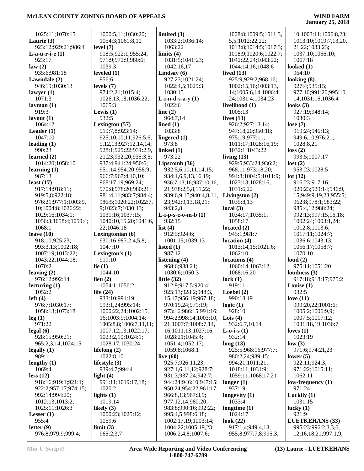| 1025:11;1070:15                | 1000:5,11;1030:20;          | limited $(3)$                              | 1008:8;1009:5;1011:3,                       | 10;1003:11;1006:8,23;                         |
|--------------------------------|-----------------------------|--------------------------------------------|---------------------------------------------|-----------------------------------------------|
| Laurie $(3)$                   | 1054:3;1061:8,10            | 1033:2;1036:14;                            | 5,5;1012:22,22;                             | 1013:10;1019:7,13,20,                         |
| 923:12;929:21;986:4            | level $(7)$                 | 1063:22                                    | 1013:8;1014:5;1017:3;                       | 21, 22; 1033: 23;                             |
| L-a-u-r-i-e $(1)$              | 918:5;922:1;955:24;         | limits $(4)$                               | 1018:9;1020:6;1022:7;                       | 1037:10;1056:10;                              |
| 923:17                         | 971:9;972:9;980:6;          | 1031:5;1041:23;                            | 1042:22,24;1043:22;                         | 1067:18                                       |
| law(2)                         | 1039:3                      | 1042:16,17                                 | 1044:14,16;1048:6                           | looked $(1)$<br>964:10                        |
| 935:6;981:18                   | leveled $(1)$<br>956:6      | Lindsay (6)<br>927:23;1021:24;             | lived $(13)$<br>925:9;929:2;968:16;         |                                               |
| Lawndale (2)                   | levels $(7)$                |                                            |                                             | looking $(8)$<br>927:4;935:15;                |
| 946:19;1030:13<br>lawyer $(1)$ | 974:2,21;1015:4;            | 1022:4,5;1029:3;<br>1030:15                | 1002:15,16;1003:13,<br>14;1005:6,14;1006:4, | 977:10;991:20;995:10,                         |
| 1071:3                         | 1026:13,18;1036:22;         | L-i-n-d-s-a-y $(1)$                        | 24;1031:4;1034:23                           | 14;1031:16;1036:4                             |
| layman $(1)$                   | 1065:3                      | 1022:6                                     | livelihood (1)                              | looks $(3)$                                   |
| 919:3                          | Lewis $(1)$                 | line $(2)$                                 | 1005:13                                     | 927:19;948:14;                                |
| layout $(1)$                   | 932:5                       | 964:7,14                                   | lives $(13)$                                | 1030:3                                        |
| 1064:12                        | Lexington (57)              | lined $(1)$                                | 926:2;927:13,14;                            | lose $(7)$                                    |
| Leader $(1)$                   | 919:7,8;923:14;             | 1033:8                                     | 947:18,20;950:18;                           | 919:24;946:13;                                |
| 1047:10                        | 925:10,10,11;926:5,6,       | lingered $(1)$                             | 975:19;977:11;                              | 949:6,10;976:21;                              |
| leading $(1)$                  | 9, 12, 13; 927: 12, 14, 14; | 973:8                                      | 1011:17;1028:16,19;                         | 1028:8,21                                     |
| 990:23                         | 928:1;929:22;931:2,9,       | linked $(1)$                               | 1032:1;1043:22                              | loss(2)                                       |
| learned $(2)$                  | 21, 23; 932: 20; 935: 3, 5; | 973:22                                     | living $(13)$                               | 993:5;1007:17                                 |
| 1014:20;1058:10                | 937:4;941:24;950:6;         | Lipscomb (36)                              | 929:5;933:24;936:2;                         | lost(2)                                       |
| learning $(1)$                 | 951:14;954:20;958:9;        | 932:5,6,10,11,14,15;                       | 968:11;973:18,20;                           | 953:23;1028:5                                 |
| 987:13                         | 966:7;967:4,10,10;          | 934:1,6,9,13,16,19;                        | 994:8;1004:5;1011:9;                        | lot(32)                                       |
| least $(17)$                   | 968:17,19:969:24;           | 936:7,13,16;937:10,16,                     | 1023:13;1028:16;                            | 916:23;917:16;                                |
| 917:14;918:11;                 | 970:8;978:20;980:21;        | 21;938:2,5,8,11,22;                        | 1031:6,22                                   | 920:23;929:14;946:9,                          |
| 919:5,8;922:18;                | 981:4,11;983:7;984:4;       | 939:6,9,15;940:4,8,11,                     | Livingston (2)                              | 15;949:9,19,23;955:5;                         |
| 976:21;977:1;1003:9,           | 986:5;1020:22;1022:7,       | 23;942:9,13,18,21;                         | 1035:8,13                                   | 962:8;978:1;983:22;                           |
| 10;1004:8;1026:22;             | 9;1023:7;1030:13;           | 943:2,8                                    | local(3)                                    | 985:4,12;988:24;                              |
| 1029:16;1034:1;                | 1031:16;1037:15;            | $L-i-p-s-c-o-m-b(1)$                       | 1034:17;1035:1;                             | 992:13;997:15,16,18;                          |
| 1056:3;1058:4;1059:4;          | 1040:10,15,20;1041:6,       | 932:15                                     | 1058:17                                     | 1002:24;1003:1,24;                            |
| 1068:1                         | 22;1046:18                  | list $(4)$                                 | located $(2)$                               | 1012:8;1013:6;                                |
| leave $(10)$                   | Lexingtonian (6)            | 912:5;924:6;                               |                                             |                                               |
|                                |                             |                                            | 945:1;981:7                                 | 1017:11;1024:7;                               |
| 918:10;925:23;                 | 930:16;987:2,4,5,8;         | 1001:15;1039:13                            | location $(4)$                              | 1036:6;1043:13;                               |
| 993:3,13;1002:18;              | 1047:10                     | listed $(1)$                               | 1013:14,15;1021:6;                          | 1056:17;1058:7;                               |
| 1007:19;1013:22;               | Lexington's $(1)$           | 987:12                                     | 1062:10                                     | 1070:10                                       |
| 1043:22;1044:18;               | 919:10                      | listening $(4)$                            | locations (4)                               | loud $(2)$                                    |
| 1070:2                         | lie $(1)$                   | 968:6;988:21;                              | 1060:14;1063:12;                            | 975:11;1051:20                                |
| leaving $(2)$                  | 1044:10                     | 1030:6;1050:3                              | 1068:16,20                                  | loudness $(3)$                                |
| 976:12;992:14                  | lieu $(2)$                  | little $(32)$                              | lock(1)                                     | 917:18;918:17;975:2                           |
| lecturing $(1)$                | 1054:1;1056:2               | 912:9;917:5;920:4;                         | 919:11                                      | Louise $(1)$                                  |
| 1052:2                         | life $(24)$                 | 925:13;928:2;948:3,                        | Loebel $(2)$                                | 932:5                                         |
| left $(4)$                     | 933:10;991:19;              | 15, 17; 956: 19; 967: 18;                  | 990:18,19                                   | love $(11)$                                   |
| 976:7;1030:17;                 | 993:1,24;995:14;            | 970:19,24;971:19;                          | logic $(1)$                                 | 999:20,22;1001:6;                             |
| 1058:13;1073:18                | 1000:22,24;1002:15,         | 973:16;986:15;991:16;                      | 928:10                                      | 1005:2;1006:9,9;                              |
| leg(1)                         | 16;1003:9;1004:14;          | 994:2;998:14;1003:10,                      | Lois $(4)$                                  | 1007:5;1017:12;                               |
| 971:22                         | 1005:8,8;1006:7,11,11;      | 21;1007:7;1008:7,14,                       | 932:6,7,10,14                               | 1031:18,19;1036:7                             |
| legal(6)                       | 1007:12,13;1022:17;         | 16;1011:13;1027:16;                        | <b>L</b> -o-i-s $(1)$                       | loves $(1)$                                   |
| 928:15;950:21;                 | 1023:2,10;1024:1;           | 1028:21;1045:4;                            | 932:14                                      | 1023:19                                       |
| 965:2,3,14;1024:15             | 1028:17;1030:24             | 1051:4;1052:17;                            | long(13)                                    | low(3)                                        |
| legally $(1)$                  | lifelong $(2)$              | 1059:8;1068:1                              | 925:5;968:16;977:7;                         | 971:6;974:21,23                               |
| 989:1                          | 1022:8,10                   | live $(60)$                                | 980:2,24;989:15;                            | lower $(5)$                                   |
| lengthy $(1)$                  | lifestyle $(3)$             | 925:7;926:11,23;                           | 994:21;1011:21;                             | 922:11;924:3;                                 |
| 1069:4                         | 939:4,7;994:4               | 927:1,6,11,12;928:7;                       | 1018:11;1031:9;                             | 971:22;1015:11;                               |
| less (12)                      | light $(4)$                 | 931:3;937:24;942:7;                        | 1059:11;1068:17,21                          | 1062:11                                       |
| 918:16;919:1;921:1;            | 991:11;1019:17,18;          | 944:24;946:10;947:15;                      | longer $(1)$                                | low-frequency $(1)$                           |
| 922:2;957:17;974:15;           | 1020:2                      | 950:24;954:22;961:17;                      | 937:19                                      | 971:24                                        |
| 992:14;994:20;                 | lights $(1)$                | 966:8,13;967:3,9;                          | longevity $(1)$                             | Luckily $(1)$                                 |
| 1012:13;1013:2;                | 1019:14                     | 977:12,14;980:20;                          | 1033:4                                      | 1031:15                                       |
| 1025:11;1026:3                 | likely $(3)$                | 983:8;990:16;992:22;                       | longtime $(1)$                              | lucky $(1)$                                   |
| Lesser $(1)$                   | 1000:23;1025:12;            | 995:4,5;998:6,18;                          | 1024:17                                     | 921:9                                         |
| 955:4<br>letter $(9)$          | 1059:6<br>limit (3)         | 1002:17,19;1003:14;<br>1004:22;1005:19,23; | look $(22)$<br>917:1,4;949:4,18;            | <b>LUETKEHANS (33)</b><br>995:23;996:2,3,3,6, |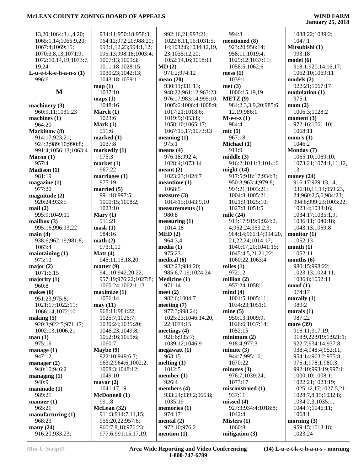## **January 25, 2018**

| 13,20;1064:3,4,4,20;      | 934:11;950:18;958:3;  | 992:16,21;993:21;     | 994:3                 | 1038:22;1039:2;       |
|---------------------------|-----------------------|-----------------------|-----------------------|-----------------------|
| 1065:1,14;1066:9,20;      | 964:12;972:20;988:20; | 1022:8,11,16;1031:5,  | mentioned (8)         | 1047:1                |
| 1067:4;1069:15;           | 993:1,12,23;994:1,12; | 14;1032:8;1034:12,19, | 923:20;956:14;        | Mitsubishi (1)        |
| 1070:3,8,13;1071:9;       | 995:13;998:18;1003:4; | 23;1035:12,20;        | 958:11;1019:4;        | 993:18                |
| 1072:10,14,19;1073:7,     | 1007:13;1009:3;       | 1052:14,16;1058:11    | 1029:12;1037:11;      | model(6)              |
| 19,24                     | 1011:18;1028:15;      | MD(2)                 | 1058:5;1062:6         | 918:1;920:14,16,17;   |
| L-u-e-t-k-e-h-a-n-s $(1)$ | 1030:23;1042:13;      | 971:2;974:12          | mess(1)               | 1062:10;1069:11       |
| 996:6                     | 1043:18;1059:1        | mean $(20)$           | 1039:1                | models(2)             |
|                           | map(1)                | 930:11;931:13;        | met(3)                | 922:21;1067:17        |
| M                         | 1037:10               | 948:22;961:12;963:23; | 1000:15,19,19         | modulation(1)         |
|                           | maps(1)               | 976:17;983:14;995:10; | METZ (9)              | 975:1                 |
| machinery $(3)$           | 1048:16               | 1005:6;1006:4;1008:9; | 984:2,3,3,9,20;985:6, | mom(2)                |
| 960:9,11;1031:23          | March $(1)$           | 1017:21;1018:6;       | 12,19;986:1           | 1006:3;1028:2         |
| machines $(1)$            | 1023:6                | 1019:9;1053:8;        | $M-e-t-z(1)$          | moment $(3)$          |
| 964:20                    | Mark $(1)$            | 1058:10;1065:17;      | 984:4                 | 972:16;1061:10;       |
| Mackinaw (8)              | 911:6                 | 1067:15,17;1073:13    | mic(1)                | 1068:11               |
| 914:17;923:21;            | marked(1)             | meaning $(1)$         | 967:18                | mom's $(1)$           |
| 924:2;989:10;990:8;       | 1037:8                | 975:1                 | Michael (1)           | 1046:2                |
| 991:4;1056:13;1063:4      | markedly (1)          | means $(4)$           | 911:9                 | Monday (7)            |
| Macon(1)                  | 975:3                 | 976:18;992:4;         | middle(3)             | 1065:10;1069:10;      |
| 957:4                     | market(1)             | 1028:4;1073:14        | 916:2;1011:3;1014:6   | 1073:21;1074:1,11,12, |
| <b>Madison</b> (1)        | 967:22                | meant $(2)$           | might $(14)$          | 13                    |
| 981:19                    | marriages $(1)$       | 1023:23;1024:7        | 917:5;918:17;934:3;   | money $(24)$          |
| magazine(1)               | 975:19                | meantime $(1)$        | 950:3;963:4;979:8;    | 916:17;929:13,14;     |
| 977:20                    | married $(5)$         | 1068:5                | 994:21;1003:21;       | 936:10,11,14;959:23,  |
| magnitude $(2)$           | 991:18;997:5;         | measure $(3)$         | 1004:8;1005:21;       | 24;960:2,5,6;984:23;  |
| 920:24;933:5              | 1000:15;1008:2;       | 1014:15;1043:9,10     | 1021:9;1025:10;       | 994:6;999:23;1003:22; |
| mail(2)                   | 1023:10               | measurements (1)      | 1027:8;1051:5         | 1023:4;1033:16;       |
| 995:9;1049:11             | Mary $(1)$            | 980:8                 | mile $(24)$           | 1034:17;1035:1,9;     |
| mailbox $(3)$             | 911:21                | measuring (1)         | 914:17;919:9;924:2,   | 1036:11;1040:18;      |
| 995:16;996:13,22          | mask(1)               | 1014:18               | 4;952:24;953:2,3;     | 1043:13;1059:8        |
| main(4)                   | 984:16                | MED(2)                | 964:14;966:14;994:20, | monitor $(1)$         |
| 938:6;962:19;981:8;       | math(2)               | 964:3,4               | 21, 22, 24; 1014: 17; | 1052:13               |
| 1063:4                    | 973:1,10              | media(1)              | 1040:17,20;1041:15;   | month(1)              |
| maintaining $(1)$         | Matt $(4)$            | 975:23                | 1045:4,5,21,21,22;    | 1052:11               |
| 973:12                    | 945:11,15,18,20       | medical $(6)$         | 1060:22;1063:4        | months $(6)$          |
| major $(2)$               | matter $(9)$          | 982:23;984:20;        | miles $(1)$           | 980:15;998:22;        |
| 1071:6,15                 | 941:10;942:20,22;     | 985:6,7,19;1024:24    | 972:12                | 1023:13;1024:11;      |
| majority $(1)$            | 957:19;976:22;1027:8; | Medicine (1)          | million $(2)$         | 1036:8;1052:11        |
| 960:8                     | 1060:24;1062:1,13     | 971:14                | 957:24;1058:1         | $\mod(1)$             |
| makes $(6)$               | maximize(1)           | meet $(2)$            | mind(4)               | 974:17                |
| 951:23;975:8;             | 1056:14               | 982:6;1004:7          | 1001:5;1005:11;       | morally $(1)$         |
| 1021:17;1022:11;          | may(11)               | meeting $(7)$         | 1034:23;1051:1        | 989:2                 |
| 1066:14;1072:10           | 968:11;984:22;        | 977:3;998:24;         | mine(5)               | morals $(1)$          |
| making $(5)$              | 1025:7;1026:7;        | 1025:23;1046:14,20,   | 950:13;1009:9;        | 987:22                |
| 920:3;922:5;971:17;       | 1030:24;1035:20;      | 22;1074:15            | 1026:6;1037:14;       | more (39)             |
| 1002:13;1006:21           | 1046:23;1049:8;       | meetings $(4)$        | 1052:15               | 916:11;917:19;        |
| man(1)                    | 1052:16;1059:6;       | 921:6;935:7;          | minimum(2)            | 918:9,22;919:1;921:1; |
| 975:16                    | 1060:7                | 1039:12;1046:9        | 918:4;977:3           | 922:7;934:14;937:8;   |
| manage $(1)$              | Maybe (9)             | megawatt(1)           | minute $(3)$          | 938:4;948:4;952:11;   |
| 947:12                    | 922:10;949:6,7;       | 963:15                | 944:7;995:16;         | 954:14;963:2;975:8;   |
| manager $(2)$             | 963:2;964:6;1002:2;   | melting $(1)$         | 1070:22               | 976:1;978:1;980:3;    |
| 940:10:946:2              | 1008:3;1048:12;       | 1012:5                | minutes $(3)$         | 992:10;993:19;997:1;  |
| managing $(1)$            | 1049:10               | member $(1)$          | 976:7;1039:24;        | 1000:10;1008:1;       |
| 940:9                     | mayor $(2)$           | 926:4                 | 1073:17               | 1022:21;1023:19;      |
| $manmade (1)$             | 1041:17,19            | members $(4)$         | misconstrued (1)      | 1025:12,17;1027:5,21; |
| 989:21                    | <b>McDonnell</b> (1)  | 933:24;939:2;966:8;   | 937:11                | 1028:7,8,15;1032:8;   |
| manner $(1)$              | 991:8                 | 1035:19               | missed $(4)$          | 1034:2,3;1035:1;      |
| 965:21                    | McLean (32)           | memories $(1)$        | 927:3;934:4;1018:8;   | 1044:7;1046:11;       |
| manufacturing $(1)$       | 911:3;914:7,11,15;    | 974:17                | 1042:4                | 1068:1                |
| 968:23                    | 956:20,22;957:6;      | mental $(2)$          | Misters $(1)$         | morning $(3)$         |
| many $(24)$               | 960:7,8,18;976:23;    | 972:10;976:2          | 1060:8                | 959:15;1013:18;       |
| 916:20;933:23;            | 977:6;991:15,17,19;   | mention $(1)$         | mitigation (3)        | 1023:24               |

**Min-U-Script® Area Wide Reporting and Video Conferencing 1-800-747-6789**

**(14) L-u-e-t-k-e-h-a-n-s - morning**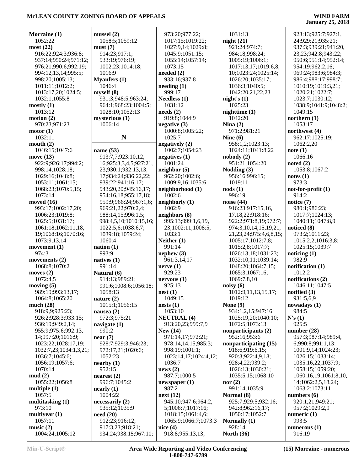| Morraine (1)               | mussel(2)                  | 973:20;977:22;                         | 1031:13                            | 923:13;925:7;927:1,               |
|----------------------------|----------------------------|----------------------------------------|------------------------------------|-----------------------------------|
| 1052:22                    | 1058:5;1059:12             | 1017:15;1019:22;                       | night(21)                          | 24;929:21;935:21;                 |
| most(22)                   | must(7)                    | 1027:9,14;1029:8;                      | 921:24;974:7;                      | 937:3;939:21;941:20,              |
| 916:22;924:3;936:8;        | 914:23;917:1;              | 1045:9;1051:15;                        | 984:18;998:24;                     | 23, 23; 942: 8; 943: 22;          |
| 937:14;950:24;971:12;      | 933:19;976:19;             | 1055:14;1057:14;                       | 1005:19;1006:1;                    | 950:6;951:14;952:14;              |
| 976:21;990:6;992:19;       | 1002:23;1014:18;           | 1073:15                                | 1017:13,17;1019:6,8,               | 954:19;962:2,16;                  |
| 994:12,13,14;995:5;        | 1016:9                     | needed $(2)$                           | 10;1023:24;1025:14;                | 969:24;983:6;984:3;               |
| 998:20;1005:13;            | <b>Myanfers</b> (1)        | 933:16;937:8                           | 1026:20;1035:17;                   | 986:4;988:17;998:7;               |
| 1011:11;1012:2;            | 1046:4                     | $\mathbf{needing}\left(1\right)$       | 1036:3;1040:5;                     | 1010:19;1019:3,21;                |
| 1013:17,20;1024:5;         | myself(8)                  | 999:17                                 | 1042:20,21,22,23                   | 1020:21;1022:7;                   |
| 1032:1;1055:8              | 931:3;948:5;963:24;        | Needless $(1)$                         | night's $(1)$                      | 1023:7;1030:12;                   |
| mostly(1)                  | 964:1;968:23;1004:5;       | 1031:12                                | 1025:23                            | 1038:9;1041:9;1048:2;             |
| 1013:12                    | 1028:10;1052:13            | needs(2)                               | nighttime(1)                       | 1049:15                           |
| motion $(2)$               | mysterious (1)             | 919:8;1044:9                           | 1042:20                            | northern $(1)$                    |
| 970:23;971:23              | 1006:14                    | negative $(3)$                         | Nina $(2)$                         | 1053:17                           |
| motor(1)                   |                            | 1000:8;1005:22;                        | 971:2;981:21                       | northwest (4)                     |
| 1032:11                    | $\mathbf N$                | 1025:7                                 | Nine $(6)$                         | 962:17;1025:19;                   |
| mouth $(2)$                |                            | negatively $(2)$                       | 958:1,2;1023:13;                   | 1062:2,20                         |
| 1046:15;1047:6             | name $(53)$                | 1002:7;1054:23                         | 1024:11;1041:8,22                  | note(1)                           |
| move $(13)$                | 913:7,7;923:10,12,         | negatives $(1)$                        | nobody(2)                          | 1066:16                           |
| 922:9;926:17;994:2;        | 16;925:3,3,4,5;927:21,     | 1001:24                                | 951:21;1054:20                     | noted $(2)$                       |
| 998:14;1028:18;            | 23;930:1;932:13,13,        | neighbor(5)                            | Nodding (3)                        | 1053:8;1067:2                     |
| 1029:16;1048:8;            | 17;934:24;936:22,22;       | 962:20;1002:6;                         | 956:16;996:15;                     | notes(1)                          |
| 1053:11;1061:15;           | 939:22;941:16,17;          | 1009:9,16;1035:6                       | 1019:11                            | 973:3                             |
| 1068:23;1070:5,15;         | 943:20,20;945:16,17;       | neighborhood (1)                       | $\text{nodes}(1)$                  | $not-for-profit (1)$              |
| 1073:14                    | 954:16,18;955:17,18;       | 1002:6                                 | 996:19                             | 914:2                             |
| moved $(16)$               | 959:9;966:24;967:1,6;      | neighborly (1)                         | noise $(44)$                       | notice $(7)$                      |
| 993:17;1002:17,20;         | 969:21,22;970:2,4;         | 1002:9                                 | 916:23;917:15,16,                  | 980:1;986:23;                     |
| 1006:23;1019:8;            | 988:14,15;996:1,5;         | neighbors (8)                          | 17,18,22;918:16;                   | 1017:7;1024:13;                   |
| 1025:5;1031:17;            | 998:4,5,10;1010:15,16;     | 995:13;999:1,6,19,                     | 922:2;971:8,19;972:7;              | 1040:11;1047:8,9                  |
| 1061:18;1062:11,18,        | 1022:5,6;1038:6,7;         | 23;1002:11;1008:5;                     | 974:3,10,14,15,19,21,              | noticed (8)                       |
| 19;1068:16;1070:16;        | 1039:18;1059:24;           | 1033:1                                 | 21, 23, 24; 975: 4, 6, 8, 15;      | 973:2;1011:23;                    |
| 1073:9,13,14               | 1060:4                     | Neither $(1)$                          | 1005:17;1012:7,8;                  | 1015:2,2;1016:3,8;                |
| movement $(1)$             | nation $(1)$               | 991:14                                 | 1015:2,8;1017:7;                   | 1025:15;1039:7                    |
| 974:3                      | 993:9                      | nephew(3)                              | 1026:13,18;1031:23;                | noticing (1)                      |
| movements $(2)$            | natives $(1)$              | 961:3,14,17                            | 1032:10,11;1039:14;                | 982:9                             |
| 1068:8;1070:2              | 991:14                     | nerve(1)                               | 1048:20;1064:7,15;                 | notification $(1)$                |
| moves $(2)$                | Natural (6)                | 929:23                                 | 1065:3;1067:16;                    | 1012:2                            |
| 1072:4,5                   | 914:13;989:21;             | nervous(1)                             | 1069:7,8,10                        | notifications (2)                 |
| moving $(5)$               | 991:6;1008:6;1056:18;      | 925:13                                 | noisy(6)                           | 1046:11;1047:5                    |
| 989:19;993:13,17;          | 1058:13                    | nest(1)                                | 1012:9,11,13,15,17;                | notified (3)                      |
| 1064:8;1065:20             | nature $(2)$               | 1049:15                                | 1019:12                            | 931:5,6,9                         |
| much $(28)$                | 1015:1;1056:15             | nests(1)                               | None $(9)$                         | nowadays(1)                       |
| 918:9,9;925:23;            | nausea $(2)$               | 1053:10                                | 934:1,2,15;947:16;                 | 984:5                             |
| 926:2;928:3;933:15;        | 972:3;975:21               | <b>NEUTRAL (4)</b>                     | 1025:19,20;1040:10;                | N's(1)                            |
| 936:19;949:2,14;           | navigate $(1)$             | 913:20,23;999:7,9                      | 1072:5;1073:13                     | 925:5                             |
| 955:9;975:6;992:13,        | 990:2                      | New $(14)$                             | nonparticipants (2)                | number $(28)$                     |
| 14;997:20;1016:9;          | near(7)                    | 971:14,17;972:21;                      | 952:16;953:6                       | 957:3;987:14;989:4,               |
| 1023:22;1028:17,19;        | 928:7;929:3;946:23;        | 978:14,14,15;985:3;                    | nonparticipating (15)              | 6;990:8;991:1,13;                 |
| 1032:7,23;1034:1,3,21;     | 972:17,21;1020:6;          | 998:19;1001:1;                         | 918:6;919:6,15;                    | 1001:9,14;1024:23;                |
| 1036:7;1045:6;             | 1052:23                    | 1023:14,17;1024:4,12;                  | 920:3;922:4,9,18;                  | 1026:15;1033:14;                  |
| 1056:19;1057:6;            | nearby (1)                 | 1036:7                                 | 928:4,22;939:2;                    | 1035:16,22;1037:9;                |
| 1070:14                    | 952:15                     | news(2)                                | 1026:13;1030:21;                   | 1058:15;1059:20;                  |
| mud(2)                     | nearest $(2)$              | 987:7;1000:5                           | 1035:5,15;1068:10                  | 1060:16,19;1061:8,10,             |
| 1055:22;1056:8             | 996:7;1045:2               | newspaper(1)                           | nor $(2)$                          | 14;1062:2,5,18,24;                |
| multiple $(1)$             | nearly (1)                 | 987:2                                  | 991:14;1035:9                      | 1063:2;1073:11                    |
| 1057:5                     | 1004:22                    | next (12)<br>945:10;947:6;964:2,       | Normal (8)<br>925:7;929:5;932:16;  | numbers $(6)$<br>920:1,21;949:21; |
| multitasking (1)<br>973:10 | necessarily (2)            |                                        |                                    |                                   |
| multiyear $(1)$            | 935:12;1035:9              | 5;1006:7;1017:16;<br>1018:15;1061:4,6; | 942:8;962:16,17;<br>1050:17;1052:7 | 957:2;1029:2,9                    |
| 1057:11                    | need(20)<br>912:23;916:12; | 1065:9;1066:7;1073:3                   | Normally (1)                       | numeric $(1)$<br>993:5            |
| music $(2)$                | 917:3,23;918:21;           | nice $(4)$                             | 928:14                             | numerous $(1)$                    |
| 1004:24;1005:12            | 934:24;938:15;967:10;      | 918:8;955:13,13;                       | <b>North (36)</b>                  | 916:19                            |
|                            |                            |                                        |                                    |                                   |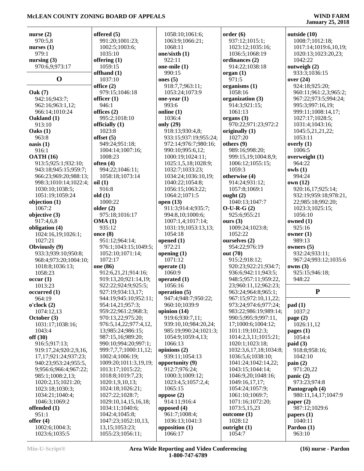|                                        | offered $(5)$                               |                                    |                                             |                                            |
|----------------------------------------|---------------------------------------------|------------------------------------|---------------------------------------------|--------------------------------------------|
| nurse $(2)$<br>970:5,8                 | 991:20;1001:23;                             | 1058:10;1061:6;<br>1063:9;1066:21; | order(6)<br>937:12;1015:1;                  | outside (10)<br>1008:7;1012:18;            |
| nurses $(1)$                           | 1002:5;1003:6;                              | 1068:11                            | 1023:12;1035:16;                            | 1017:14;1019:6,10,19;                      |
| 979:1                                  | 1035:10                                     | one/sixth (1)                      | 1036:5;1068:19                              | 1020:13;1023:20,23;                        |
| nursing $(3)$                          | offering $(1)$                              | 922:11                             | ordinances (2)                              | 1042:22                                    |
| 970:6,9;973:17                         | 1059:15                                     | one-mile $(1)$                     | 914:22;1038:18                              | outweigh (2)                               |
|                                        | offhand (1)                                 | 990:15                             | organ(1)                                    | 933:3;1036:15                              |
| $\mathbf 0$                            | 1037:10                                     | ones $(5)$                         | 971:5                                       | over (24)                                  |
|                                        | office $(2)$                                | 918:7,7;963:11;                    | organisms (1)                               | 924:18;925:20;                             |
| <b>Oak</b> (7)                         | 979:15:1046:18                              | 1053:24;1073:9                     | 1058:16                                     | 960:11;961:2,3;965:2;                      |
| 942:16;943:7;                          | officer $(1)$                               | one-year $(1)$                     | organization (3)                            | 967:22;973:5;994:24;                       |
| 962:16;963:1,12;                       | 946:1                                       | 993:6                              | 914:3;921:15;                               | 995:3;997:16,19;                           |
| 966:14;1010:24<br>Oakland (1)          | offices $(2)$<br>995:2;1018:10              | online (1)<br>1036:4               | 1061:13<br>organs $(3)$                     | 999:11;1008:14,17;<br>1027:17;1028:5;      |
| 913:10                                 | officially (1)                              | only (29)                          | 970:22;971:23;972:2                         | 1031:4;1043:16;                            |
| Oaks(1)                                | 1023:8                                      | 918:13;930:4,8;                    | originally $(1)$                            | 1045:5,21,21,22;                           |
| 963:8                                  | offset $(5)$                                | 933:15;937:19;955:24;              | 1027:20                                     | 1053:11                                    |
| oasis(1)                               | 949:24;951:18;                              | 972:14;976:7;980:16;               | others $(9)$                                | overly $(1)$                               |
| 916:1                                  | 1004:14;1007:16;                            | 990:10;995:6,12;                   | 989:16;998:20;                              | 1006:5                                     |
| <b>OATH (16)</b>                       | 1008:23                                     | 1000:19;1024:11;                   | 999:15,19;1004:8,9;                         | overweight (1)                             |
| 913:5;925:1;932:10;                    | often $(4)$                                 | 1025:1,5,18;1028:9;                | 1006:12;1055:15;                            | 964:22                                     |
| 943:18;945:15;959:7;                   | 994:22;1046:11;                             | 1032:7;1033:23;                    | 1059:3                                      | owls(1)                                    |
| 966:23;969:20;988:13;                  | 1058:18;1073:14                             | 1034:24;1036:10,19;                | otherwise (4)                               | 994:24                                     |
| 998:3;1010:14;1022:4;                  | oil(1)<br>916:8                             | 1040:22;1054:8;                    | 914:24;931:12;                              | own (12)                                   |
| 1030:10;1038:5;<br>1051:19;1059:24     | old(1)                                      | 1056:15;1063:22;<br>1064:2;1071:5  | 1057:8;1069:1<br>ought $(2)$                | 920:16,17;925:14;<br>932:19;959:18;978:21, |
| objection (1)                          | 1000:22                                     | open $(13)$                        | 1040:13;1047:7                              | 22;985:18;992:20;                          |
| 1067:2                                 | older $(2)$                                 | 911:3;914:4;935:7;                 | $O-U-R-G(2)$                                | 1023:3;1025:15;                            |
| objective (3)                          | 975:18;1016:17                              | 994:8,10;1000:6;                   | 925:6;955:21                                | 1056:10                                    |
| 917:4,6,8                              | OMA(1)                                      | 1007:1,4;1017:14;                  | ours $(3)$                                  | owned $(1)$                                |
| obligation (4)                         | 935:12                                      | 1031:19;1053:13,13;                | 1009:24;1023:8;                             | 925:16                                     |
| 1024:16,19;1026:1;                     | once $(8)$                                  | 1054:18                            | 1052:22                                     | owner $(1)$                                |
| 1027:21                                | 951:12;964:14;                              | opened $(1)$                       | ourselves (2)                               | 989:13                                     |
| Obviously (9)                          | 976:1;1043:15;1049:5;                       | 972:21                             | 954:22;976:19                               | owners $(5)$                               |
| 933:3;939:10;950:8;                    | 1052:10;1071:14;                            | opening $(1)$                      | out (70)                                    | 932:24;933:11;                             |
| 968:4;973:20;1004:10;                  | 1072:17                                     | 1071:12                            | 915:2;918:12;                               | 967:24;993:12;1035:6                       |
| 1018:8;1036:13;<br>1058:23             | one (86)                                    | operate $(1)$<br>1060:9            | 920:23;922:21;934:7;                        | owns(3)                                    |
| occur(1)                               | 912:6,21,21;914:16;<br>919:13,20;921:14,19; | operated $(1)$                     | 936:6;942:11;943:5;<br>948:5;957:11;959:22, | 925:15;946:18;<br>948:22                   |
| 1013:23                                | 922:22;924:9;925:5;                         | 1056:16                            | 23;960:11,12;962:23;                        |                                            |
| occurred(1)                            | 927:19:934:13,17;                           | operation (5)                      | 963:24;964:8;965:1;                         | ${\bf P}$                                  |
| 964:19                                 | 944:19;945:10;952:11;                       | 947:4;948:7;950:22;                | 967:15;972:10,11,22;                        |                                            |
| o'clock(2)                             | 954:14,21;957:3;                            | 960:10;1039:9                      | 973:24;974:6;977:24;                        | pad(1)                                     |
| 1074:12,13                             | 959:22;961:2;968:3;                         | opinion (14)                       | 983:22;986:19;989:14;                       | 1037:2                                     |
| October (3)                            | 970:13,22;975:20;                           | 919:6;930:7,11;                    | 990:5;995:9;997:11,                         | page $(2)$                                 |
| 1031:17;1038:16;                       | 976:5,14,22;977:4,12,                       | 939:10,10;984:20,24;               | 17;1000:6;1004:12;                          | 1026:11,12                                 |
| 1043:4                                 | 13;985:24;986:15;                           | 985:19;990:24;1021:3;              | 1011:19;1012:3;                             | pages $(1)$                                |
| off(30)                                | 987:15,16;989:20;<br>990:10;994:20;997:1;   | 1054:9;1059:4,13;<br>1066:13       | 1014:2,3,11;1015:21;<br>1020:1;1023:18;     | 1054:4                                     |
| 916:5;917:13;<br>919:17,24;920:2,9,16, | 999:7,7,7;1000:11,12;                       | opinions (2)                       | 1032:3,6,17,18;1034:8;                      | paid(3)<br>918:8;958:16;                   |
| 17,17;921:24;937:23;                   | 1002:4;1006:19;                             | 939:11;1054:13                     | 1036:5,6;1038:10;                           | 1042:10                                    |
| 940:23;953:24;955:5,                   | 1009:20;1011:3,19,19;                       | opportunity (9)                    | 1041:24;1042:14,22;                         | $\text{pain}(2)$                           |
| 9;956:6;966:4;967:22;                  | 1013:17;1015:22;                            | 912:7;976:24;                      | 1043:15;1044:14;                            | 971:20,22                                  |
| 985:1;1008:2,13;                       | 1018:8;1019:7,23;                           | 1000:3;1009:12;                    | 1046:9,20;1048:16;                          | panic $(2)$                                |
| 1020:2,15;1021:20;                     | 1020:1,9,10,13;                             | 1023:4,5;1057:2,4;                 | 1049:16,17,17;                              | 973:23;974:8                               |
| 1023:18;1030:3;                        | 1024:18;1026:21;                            | 1065:15                            | 1054:24;1057:9;                             | Pantograph (4)                             |
| 1034:21;1040:4;                        | 1027:22;1028:7;                             | oppose $(2)$                       | 1061:10;1069:7;                             | 980:11,14,17;1047:9                        |
| 1046:3;1069:2                          | 1029:10,14,15,16,18;                        | 914:11;916:4                       | 1071:16;1072:20;                            | paper $(2)$                                |
| offended (1)                           | 1034:11;1040:6;                             | opposed (4)                        | 1073:5,15,23                                | 987:12;1029:6                              |
| 951:1                                  | 1042:4;1045:8;                              | 961:7;1008:4;                      | outcome(1)<br>1028:12                       | papers $(1)$                               |
| offer $(4)$<br>1002:6;1004:3;          | 1047:23;1052:10,13,<br>13, 15; 1053: 23;    | 1036:13;1041:3<br>opposition (1)   | outright $(1)$                              | 1040:11<br>Pardon (1)                      |
| 1023:6;1035:5                          | 1055:23;1056:11;                            | 1066:17                            | 1054:7                                      | 963:10                                     |
|                                        |                                             |                                    |                                             |                                            |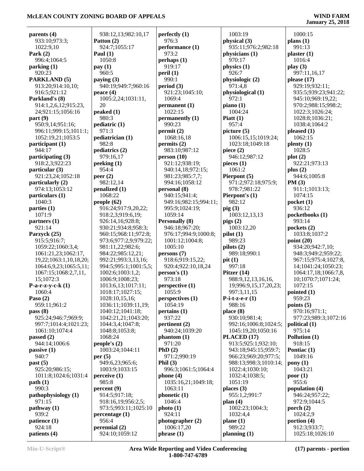| parents (4)            | 938:12,13;982:10,17   | perfectly $(1)$       | 1003:19               | 1000:15               |
|------------------------|-----------------------|-----------------------|-----------------------|-----------------------|
| 933:10;973:3;          | Patton (2)            | 976:3                 | physical (3)          | plans $(1)$           |
| 1022:9,10              | 924:7;1055:17         | performance (1)       | 935:11;976:2;982:18   | 991:13                |
| Park $(2)$             | Paul $(1)$            | 973:2                 | physicians (1)        | plaster(1)            |
| 996:4;1064:5           | 1050:8                | perhaps (1)           | 970:17                | 1016:4                |
| parking(1)             | pay(1)                | 919:17                | physics (1)           | play(3)               |
| 920:23                 | 960:5                 | peril(1)              | 926:7                 | 997:11,16,17          |
| PARKLAND (5)           | paying $(3)$          | 990:1                 | physiologic (2)       | please $(17)$         |
| 913:20;914:10,10;      | 940:19;949:7;960:16   | period(3)             | 971:4,8               | 929:19:932:11;        |
| 916:5;921:12           | peace $(4)$           | 921:23;1045:10;       | physiological (1)     | 935:5;939:23;941:22;  |
| Parkland's (8)         | 1005:2,24;1031:11,    | 1069:4                | 972:1                 | 945:10;969:19,22;     |
| 914:1,2,6,12;915:23,   | 20                    | permannent(1)         | piano $(1)$           | 970:2;988:15;998:2;   |
| 24;921:15;1056:16      | peaked $(1)$          | 1022:15               | 1004:24               | 1022:3;1026:24;       |
| part(9)                | 980:3                 | permanently (1)       | Piatt $(1)$           | 1028:8;1036:21;       |
| 950:9,14;951:16;       | pediatric(1)          | 990:23                | 957:4                 | 1038:4;1064:2         |
| 996:11;999:15;1011:1;  | 971:3                 | permit(2)             | picture (5)           | pleased $(1)$         |
| 1052:19,21;1053:5      | pediatrician (1)      | 1068:16,18            | 1006:15,15;1019:24;   | 1062:15               |
| participant (1)        | 982:8                 | permits (2)           | 1023:18;1049:18       | $\mathbf{plenty}\(1)$ |
| 944:17                 | pediatrics (2)        | 983:10:987:12         | piece $(2)$           | 1028:5                |
| participating (3)      | 979:16,17             | person(10)            | 946:12;987:12         | plot(2)               |
| 918:2,3;922:23         | peeking(1)            | 921:12;938:19;        | pieces $(1)$          | 922:21;973:13         |
| particular (3)         | 954:4                 | 940:14,18;972:15;     | 1061:2                | plus $(2)$            |
| 921:23,24;1052:18      | peer $(2)$            | 981:23;985:7,7;       | Pierpont (5)          | 944:6;1005:8          |
| particularly (2)       | 982:12,14             | 994:16;1058:12        | 971:2;972:18;975:9;   | PM(3)                 |
| 974:13;1053:12         | penalized (1)         | personal (8)          | 978:7;981:22          | 911:1;1013:13;        |
| particulars (1)        | 1068:22               | 940:15;941:4;         | Pierpont's (1)        | 1074:15               |
| 1040:3                 | people $(62)$         | 949:16;982:15;994:11; | 982:12                | pocket $(1)$          |
| parties $(1)$          | 916:24;917:9,20,22;   | 995:9;1024:19;        | $\pi$ ig (3)          | 936:12                |
| 1071:9                 | 918:2,3;919:6,19;     | 1059:14               | 1003:12,13,13         | pocketbooks (1)       |
| partners(1)            | 926:14,16;928:8;      | <b>Personally (8)</b> | pigs(2)               | 993:14                |
| 921:14                 | 930:21;934:8;958:3;   | 946:18;967:20;        | 1003:12,20            | pockets (2)           |
| Parzyck (25)           | 960:15;968:11;972:8;  | 976:17;994:9;1000:8;  | pilot(1)              | 1033:8;1037:2         |
| 915:5;916:7;           | 973:6;977:2,9;979:22; | 1001:12;1004:8;       | 989:23                | point $(20)$          |
| 1059:22;1060:3,4;      | 981:11,22;982:6;      | 1005:10               | pilots(2)             | 934:20;942:7,10;      |
| 1061:21,23;1062:17,    | 984:22;985:12,21;     | persons(7)            | 989:18;990:1          | 948:3;949:2;959:22;   |
| 19,22;1063:1,10,18,20; | 992:21;993:3,13,16;   | 918:6;919:15,22;      | pit(1)                | 967:15;975:4;1027:8,  |
| 1064:6,9,23;1065:5,11; | 994:5;995:1;1001:5,5; | 920:4;922:10,18,24    | 997:18                | 14;1041:24;1050:23;   |
| 1067:15;1068:2,7,11,   | 1002:6;1003:1,2;      | person's $(1)$        | Pitzer $(14)$         | 1064:17,18;1066:7,8,  |
| 15;1072:3              | 1006:9;1008:23;       | 973:18                | 988:9,12,13,16,16,    | 10;1070:7;1071:24;    |
| P-a-r-z-y-c-k $(1)$    | 1013:6,13;1017:11;    | perspective (1)       | 19;996:9,15,17,20,23; | 1072:15               |
| 1060:4                 | 1018:17;1027:15;      | 1055:9                | 997:3,11,15           | pointed $(1)$         |
| Paso $(2)$             | 1028:10,15,16;        | perspectives (1)      | P-i-t-z-e- $r(1)$     | 959:23                |
| 959:11;961:2           | 1036:11;1039:11,19;   | 1054:19               | 988:16                | points $(5)$          |
| pass(8)                | 1040:12;1041:18;      | pertains(1)           | place(8)              | 970:16;971:1;         |
| 925:24;946:7;969:9;    | 1042:21,21;1043:20;   | 937:22                | 930:10;981:4;         | 977:23;989:3;1072:16  |
| 997:7;1014:4;1021:23;  | 1044:3,4;1047:8;      | pertinent (2)         | 992:16;1006:8;1024:5; | political $(1)$       |
| 1061:10:1074:4         | 1048:8;1053:8;        | 940:24;1039:20        | 1045:19,20;1050:16    | 975:14                |
| passed $(2)$           | 1068:24               | phantom(1)            | PLACED (17)           | Pollution (1)         |
| 944:14;1006:6          | people's $(2)$        | 971:20                | 913:5;925:1;932:10;   | 918:15                |
| passive(1)             | 1003:24;1044:11       | PhD(2)                | 943:18;945:15;959:7;  | Pontiac (1)           |
| 940:7                  | per $(5)$             | 971:2;990:19          | 966:23;969:20;977:5;  | 1049:16               |
| past(5)                | 949:6,23;965:6;       | Phil $(3)$            | 988:13;998:3;1010:14; | $\bf{pony}$ $(1)$     |
| 925:20;986:15;         | 1003:9;1033:15        | 996:3;1061:5;1064:4   | 1022:4;1030:10;       | 1043:21               |
| 1011:8;1024:6;1031:4   | $\text{perceive}(1)$  | phone $(4)$           | 1032:4;1038:5;        | poor(1)               |
| path(1)                | 985:8                 | 1035:16,21;1049:18;   | 1051:19               | 955:6                 |
| 990:3                  | percent (9)           | 1063:11               | places $(3)$          | population (4)        |
| pathophysiology (1)    | 914:5;917:18;         | phonetic(1)           | 955:1,2;991:7         | 946:24;957:22;        |
| 971:15                 | 918:16,19;956:2,5;    | 1046:4                | plan $(4)$            | 972:9;1044:5          |
| pathway(1)             | 973:5;993:11;1025:10  | photo(1)              | 1002:23;1004:3;       | porch $(2)$           |
| 939:2                  | percentage(1)         | 924:11                | 1032:4,4              | 1024:2,9              |
| patience (1)           | 956:4                 | photographer (2)      | plane(1)              | portion $(4)$         |
| 924:18                 | perennial (2)         | 1006:17,20            | 989:22                | 912:3;933:7;          |
| patients (4)           | 924:10;1059:12        | phrase(1)             | planning (1)          | 1025:18;1026:10       |
|                        |                       |                       |                       |                       |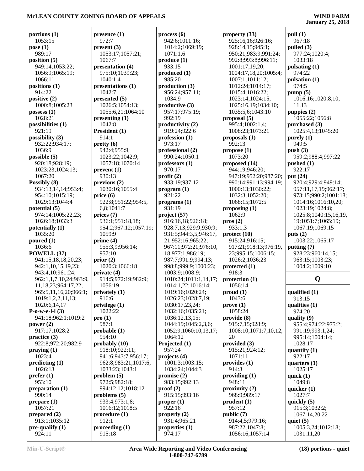## **January 25, 2018**

**pull (1)** 967:18

**portions (1)** 1053:15 **pose (1)** 989:17 **position (5)** 949:14;1053:22; 1056:9;1065:19; 1066:11 **positions (1)** 914:22 **positive (2)** 1000:8;1005:23 **possess (1)** 1028:21 **possibilities (1)** 921:19 **possibility (3)** 932:22;934:17; 1036:9 **possible (5)** 920:18;928:19; 1023:23;1024:13; 1067:20 **Possibly (8)** 934:13,14,14;953:4; 954:10;1015:19; 1029:13;1044:4 **potential (5)** 974:14;1005:22,23; 1026:18;1033:3 **potentially (1)** 1035:20 **poured (1)** 1036:6 **POWELL (37)** 941:15,18,18,20,23; 942:1,10,15,19,23; 943:4,10;961:24; 962:1,1,7,10,24;963:9, 11,18,23;964:17,22; 965:5,11,16,20;966:1; 1019:1,2,2,11,13; 1020:6,14,17 **P-o-w-e-l-l (3)** 941:18;962:1;1019:2 **power (2)** 917:17;1028:2 **practice (3)** 922:8;972:20;982:9 **praying (1)** 1023:4 **predicting (1)** 1026:13 **prefer (1)** 953:10 **preparation (1)** 990:14 **prepare (1)** 1057:21 **prepared (2)** 913:1;1035:12 **pre-qualify (1)** 924:11

**presence (1)** 972:7 **present (3)** 1053:17;1057:21;  $1067 - 7$ **presentation (4)** 975:10;1039:23; 1040:1,4 **presentations (1)** 1042:7 **presented (5)** 1026:5;1054:13; 1055:6,21;1064:10 **presenting (1)** 1042:8 **President (1)** 914:1 **pretty (6)** 942:4;955:9; 1023:22;1042:9; 1057:18;1070:14 **prevent (1)** 930:13 **previous (2)** 1030:16;1055:4 **price (6)** 922:8;951:22;954:5, 6,8;1041:7 **prices (7)** 936:1;951:18,18; 954:2;967:12;1057:19; 1059:9 **prime (4)** 955:3,9;956:14; 957:10 **prior (2)** 1020:3;1066:18 **private (4)** 914:5;972:19;982:9; 1056:19 **privately (1)** 916:6 **privilege (1)** 1022:22 **pro (1)** 987:1 **probable (1)** 954:10 **probably (10)** 918:10;922:11; 941:6;943:7;956:17; 962:8;983:21;1017:6; 1033:23;1043:1 **problem (5)** 972:5;982:18; 994:12,12;1018:12 **problems (5)** 933:4;973:1,8; 1016:12;1018:5 **procedure (1)** 912:1 **proceeding (1)** 915:18

**process (6)** 942:6;1011:16; 1014:2;1069:19; 1071:1,6 **produce (1)** 933:15 **produced (1)** 985:20 **production (3)** 956:24;957:11; 1034:9 **productive (3)** 957:17;975:19; 992:19 **productivity (2)** 919:24;922:6 **profession (1)** 973:17 **professional (2)** 990:24;1050:1 **professors (1)** 970:17 **profit (2)** 933:19;937:12 **program (1)** 921:22 **programs (1)** 931:19 **project (57)** 916:16,18;926:18; 928:7,13;929:9;930:9; 931:5;944:3,5;946:17, 21;952:16;965:22; 967:11;972:21;976:10, 18;977:1;986:19; 987:7;991:9;994:13; 998:8;999:9;1000:23; 1003:9;1008:9; 1010:24;1011:1,14,17; 1014:1,22;1016:14; 1019:16;1020:24; 1026:23;1028:7,19; 1030:17,23,24; 1032:16;1035:21; 1036:12,13,15; 1044:19;1045:2,3,6; 1052:9;1060:10,13,17; 1064:12 **Projected (1)** 957:24 **projects (4)** 1001:3;1003:15; 1034:24;1044:3 **promise (2)** 983:15;992:13 **proof (2)** 915:15;993:16 **proper (1)** 922:16 **properly (2)** 931:4;965:21 **properties (1)** 974:17

**property (33)** 925:16,16;926:16; 928:14,15;945:1; 950:21;983:9;991:24; 992:8;993:8;996:11; 1001:17,19,20; 1004:17,18,20;1005:4; 1007:1;1011:12; 1012:24;1014:17; 1015:4;1016:22; 1023:14;1024:15; 1025:16,19;1034:10; 1035:5,6;1043:10 **proposal (5)** 995:4;1002:1,4; 1008:23;1073:21 **proposals (1)** 992:13 **propose (1)** 1073:20 **proposed (14)** 944:19;946:20; 947:19;952:20;987:20; 990:14;991:13;994:19; 1000:13;1030:22; 1032:3;1052:20; 1068:15;1072:5 **proposing (1)** 1062:9 **pros (2)** 933:1,3 **protect (10)** 915:24;916:15; 917:21;918:13;976:19, 23;995:15;1006:15; 1026:2;1036:23 **protected (1)** 918:3 **protection (1)** 1056:14 **proud (1)** 1043:6 **prove (1)** 1058:24 **provide (8)** 915:7,15;928:9; 1008:10;1071:7,10,12, 20 **provided (3)** 915:21;924:12; 1071:11 **provides (1)** 914:3 **providing (1)** 948:11 **proximity (2)** 968:9;989:17 **prudent (1)** 957:12 **public (7)** 914:4,5;979:16; 987:22;1047:8; 1056:16;1057:14

**pulled (3)** 977:24;1020:4; 1033:18 **pulsating (1)** 974:22 **pulsation (1)** 974:5 **pump (5)** 1016:16;1020:8,10, 11,13 **puppies (2)** 1055:22;1056:8 **purchased (3)** 1025:4,13;1045:20 **purely (1)** 949:5 **push (3)** 959:2;988:4;997:22 **pushed (1)** 922:17 **put (24)** 920:4;929:4;949:14; 957:11,17,19;962:17; 973:15;990:2;1001:18; 1014:16;1016:10,20; 1023:19;1024:8; 1025:8;1040:15,16,19, 19;1051:7;1065:19; 1067:19;1069:15 **puts (2)** 1003:22;1065:17 **putting (7)** 928:23;960:14,15; 963:15;1003:23; 1004:2;1009:10

## **Q**

**qualified (1)** 913:15 **qualities (1)** 974:20 **quality (9)** 955:4;974:22;975:2; 991:19;993:1,24; 995:14;1004:14; 1028:17 **quantify (1)** 922:17 **quarters (1)** 1025:17 **quick (1)** 1049:8 **quicker (1)** 1027:7 **quickly (5)** 915:3;1032:2; 1067:14,20,22 **quiet (5)** 1005:3,24;1012:18; 1031:11,20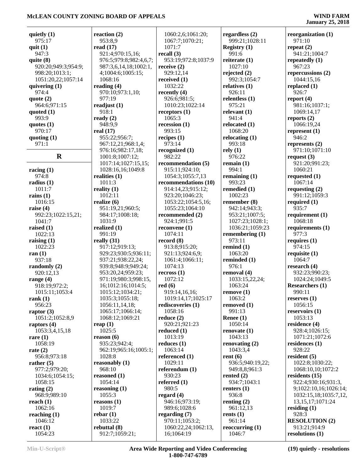| quietly $(1)$       | reaction $(2)$         | 1060:2,6;1061:20;    | regardless $(2)$  | reorganization $(1)$   |
|---------------------|------------------------|----------------------|-------------------|------------------------|
| 975:17              | 953:8,9                | 1067:7;1070:21;      | 999:21;1028:11    | 971:10                 |
| quit $(1)$          | read $(17)$            | 1071:7               | Registry $(1)$    | repeat $(2)$           |
|                     |                        |                      |                   |                        |
| 947:3               | 921:4;970:15,16;       | recall (3)           | 991:6             | 941:21;1004:7          |
| quite $(8)$         | 976:5;979:8;982:4,6,7; | 953:19;972:8;1037:9  | reiterate (1)     | repeatedly $(1)$       |
| 920:20;949:3;954:9; | 987:3,6,14,18;1002:1,  | receive $(2)$        | 1027:10           | 967:23                 |
| 998:20;1013:1;      | 4;1004:6;1005:15;      | 929:12,14            | rejected $(2)$    | repercussions (2)      |
| 1051:20,22;1057:14  | 1068:16                | received $(1)$       | 992:3;1054:7      | 1044:15,16             |
| quivering $(1)$     | reading $(4)$          | 1032:22              | relatives $(1)$   | replaced $(1)$         |
|                     |                        |                      |                   |                        |
| 974:4               | 970:10;973:1,10;       | recently $(4)$       | 926:11            | 926:7                  |
| quote $(2)$         | 977:19                 | 926:6;981:5;         | relentless $(1)$  | report $(4)$           |
| 964:6;971:15        | readjust $(1)$         | 1010:23;1022:14      | 975:21            | 981:16;1037:1;         |
| quoted $(1)$        | 918:1                  | receptors $(1)$      | relevant $(1)$    | 1069:14,17             |
| 993:9               | ready $(2)$            | 1065:3               | 941:4             | reports $(2)$          |
|                     |                        |                      |                   |                        |
| quotes $(1)$        | 948:9,9                | recession $(1)$      | relocated $(1)$   | 1066:19,24             |
| 970:17              | real $(17)$            | 993:15               | 1068:20           | represent $(1)$        |
| quoting $(1)$       | 955:22;956:7;          | recipes $(1)$        | relocating $(1)$  | 946:2                  |
| 971:1               | 967:12,21;968:1,4;     | 973:14               | 993:18            | represents $(2)$       |
|                     | 976:16;982:17,18;      | recognized (1)       | rely(1)           | 971:10;1071:10         |
| $\mathbf R$         | 1001:8;1007:12;        | 982:22               | 976:22            | request $(3)$          |
|                     |                        |                      |                   |                        |
|                     | 1017:14;1027:15,15;    | recommendation (5)   | remain $(1)$      | 921:20;991:23;         |
| racing $(1)$        | 1028:16,16;1049:8      | 915:11;924:10;       | 994:1             | 1060:21                |
| 974:8               | realities $(1)$        | 1054:3;1055:7,13     | remaining $(1)$   | requested $(1)$        |
| radius $(1)$        | 1011:3                 | recommendations (10) | 993:23            | 1067:14                |
| 1011:7              | reality $(1)$          | 914:14,23;915:12;    | remedied (1)      | requesting $(2)$       |
|                     | 1012:11                | 923:20;1046:23;      | 1002:23           | 991:12:1059:3          |
| rains $(1)$         |                        |                      |                   |                        |
| 1016:15             | realize $(6)$          | 1053:22;1054:5,16;   | remember (8)      | required $(1)$         |
| raise $(4)$         | 951:19,21;960:5;       | 1055:23;1064:10      | 942:14;943:3;     | 935:7                  |
| 992:23;1022:15,21;  | 984:17;1008:18;        | recommended (2)      | 953:21;1007:5;    | requirement $(1)$      |
| 1041:7              | 1031:9                 | 924:1;991:5          | 1027:23;1028:1;   | 1068:18                |
| raised $(1)$        | realized $(1)$         | reconvene $(1)$      | 1036:21;1059:23   | requirements $(1)$     |
|                     |                        |                      |                   | 977:3                  |
| 1022:13             | 991:19                 | 1074:11              | remembering (1)   |                        |
| raising $(1)$       | really $(31)$          | record $(8)$         | 973:11            | requires $(1)$         |
| 1022:23             | 917:12;919:13;         | 913:8;915:20;        | remind $(1)$      | 974:15                 |
| ran $(1)$           | 929:23;930:5;936:11;   | 921:13;924:6,9;      | 1063:20           | requisite $(1)$        |
| 937:18              | 937:21;938:22,24;      | 1061:4;1066:11;      | reminded (1)      | 1064:7                 |
| randomly (2)        | 939:8;948:9;949:24;    | 1074:13              | 976:1             | research $(4)$         |
|                     |                        |                      |                   |                        |
| 920:12,13           | 953:20,24;959:23;      | recross(1)           | removal (4)       | 932:23;990:23;         |
| range $(4)$         | 971:19;980:3;998:15,   | 1072:12              | 1033:15,22,24;    | 1024:24;1049:5         |
| 918:19;972:2;       | 16;1012:16;1014:5;     | red(6)               | 1063:24           | <b>Researchers</b> (1) |
| 1015:11;1053:4      | 1015:12:1034:21:       | 919:14,16,16;        | remove(1)         | 990:11                 |
| rank $(1)$          | 1035:3;1055:18;        | 1019:14,17;1025:17   | 1063:2            | reserves $(1)$         |
| 956:23              | 1056:11,14,18;         | rediscoveries (1)    | removed (1)       | 1056:15                |
| raptor $(3)$        | 1065:17;1066:14;       | 1058:16              | 991:13            | reservoirs $(1)$       |
|                     |                        |                      |                   |                        |
| 1051:2;1052:8,9     | 1068:12;1069:21        | reduce $(2)$         | Renee $(1)$       | 1053:13                |
| raptors $(4)$       | reap $(1)$             | 920:21;921:23        | 1050:14           | residence $(4)$        |
| 1053:3,4,15,18      | 1025:5                 | reduced $(1)$        | renovate(1)       | 928:4;1026:15;         |
| rare $(1)$          | reason $(6)$           | 1013:19              | 1043:13           | 1071:21;1072:6         |
| 1058:19             | 935:23;942:4;          | reduces $(1)$        | renovating $(2)$  | residences $(1)$       |
| rate $(2)$          | 962:19;965:16;1005:1;  | 1063:14              | 1043:3,4          | 928:22                 |
|                     |                        |                      |                   |                        |
| 956:8;973:18        | 1028:8                 | referenced (1)       | rent $(6)$        | resident $(5)$         |
| rather $(5)$        | reasonably (1)         | 1029:11              | 936:5;940:19,22;  | 1022:8;1030:22;        |
| 977:2;979:20;       | 968:10                 | referendum $(1)$     | 949:8,8;961:3     | 1068:10,10;1072:2      |
| 1034:6;1054:15;     | reasoned $(1)$         | 930:23               | rented $(2)$      | residents $(15)$       |
| 1058:15             | 1054:14                | referred $(1)$       | 934:7;1043:1      | 922:4;930:16;931:3,    |
| rating $(2)$        | reasoning $(1)$        | 980:5                | renters $(1)$     | 9;1022:10,16;1026:14;  |
|                     |                        |                      |                   |                        |
| 968:9;989:10        | 1055:3                 | regard $(4)$         | 936:8             | 1032:15,18;1035:7,12,  |
| reach $(1)$         | reasons $(1)$          | 946:16;973:19;       | renting $(2)$     | 13, 15, 17; 1071: 24   |
| 1062:16             | 1019:7                 | 989:6;1028:6         | 961:12,13         | residing $(1)$         |
| reaching $(1)$      | rebar(1)               | regarding $(7)$      | rents $(1)$       | 928:3                  |
| 1046:12             | 1033:22                | 970:11;1053:2;       | 961:14            | <b>RESOLUTION (2)</b>  |
| react $(1)$         | rebuttal (8)           | 1060:22,24;1062:13,  | reoccurring $(1)$ | 913:21;914:9           |
|                     |                        |                      |                   | resolutions (1)        |
| 1054:23             | 912:7;1059:21;         | 16;1064:19           | 1046:7            |                        |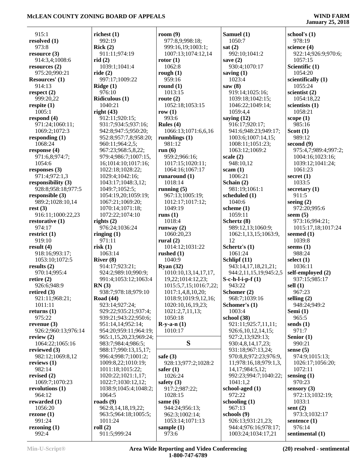| 915:1                       | richest $(1)$                  | room $(9)$                   | Samuel (1)                       | school's $(1)$               |
|-----------------------------|--------------------------------|------------------------------|----------------------------------|------------------------------|
| resolved (1)                | 992:19                         | 977:8,9;998:18;              | 1050:7                           | 978:19                       |
| 973:8                       | Rick(2)                        | 999:16,19;1003:1;            | sat $(2)$                        | science $(4)$                |
| resource $(3)$              | 911:11;974:19                  | 1007:13;1074:12,14           | 992:10;1041:2                    | 922:14;926:9;970:6;          |
| 914:3,4;1008:6              | rid(2)                         | rotor $(1)$                  | save $(2)$                       | 1057:15                      |
| resources $(2)$             | 1039:1;1041:4                  | 1062:8                       | 930:4;1070:17                    | Scientific (1)               |
| 975:20;990:21               | ride $(2)$                     | rough $(1)$                  | saving $(1)$                     | 1054:20                      |
| Resources' (1)              | 997:17;1009:22                 | 959:16                       | 1023:4                           | scientifically (1)           |
| 914:13                      | Ridge (1)                      | round $(1)$                  | saw $(8)$                        | 1055:24                      |
| respect $(2)$               | 976:10                         | 1013:15                      | 919:14;1025:16;                  | scientist $(2)$              |
| 999:20,22                   | Ridiculous (1)                 | route $(2)$                  | 1039:18;1042:15;                 | 1054:18,22                   |
| respite $(1)$               | 1040:21                        | 1052:18;1053:15              | 1046:22;1049:14;                 | scientists $(1)$             |
| 1005:1                      | right $(43)$                   | row $(1)$                    | 1059:4,4                         | 1058:21                      |
| respond $(4)$               | 912:11;920:15;                 | 993:6                        | saying $(12)$                    | scope $(1)$                  |
| 971:24;1060:11;             | 931:7;934:5;937:16;            | Rules $(4)$                  | 916:17;920:17;                   | 985:16                       |
| 1069:2;1072:3               | 942:8;947:5;950:20;            | 1066:13;1071:6,6,16          | 941:6;948:23;949:17;             | Scott $(1)$                  |
| responding $(1)$            | 952:8;957:7,8;958:20;          | rumblings $(1)$              | 1003:6;1007:14,15;               | 989:12                       |
| 1068:24                     | 960:11;964:2,5;                | 981:12                       | 1008:11;1051:23;                 | second $(9)$                 |
| response $(4)$              | 967:23;968:5,8,22;             | run $(6)$                    | 1063:12;1069:2                   | 975:4,7;989:4;997:2;         |
| 971:6,8;974:7;              | 979:4;986:7;1007:15,           | 959:2;966:16;                | scale $(2)$                      | 1004:16;1023:16;             |
| 1054:6                      | 16;1014:10;1017:16;            | 1017:15;1020:11;             | 948:10,12                        | 1039:12;1041:24;             |
| responses $(3)$             | 1022:18;1028:22;               | 1064:16;1067:17              | scam(1)                          | 1061:23                      |
| 971:4;972:1,3               | 1029:4;1042:16;                | runaround $(1)$              | 1006:21                          | secret $(1)$                 |
| responsibility (3)          | 1043:17;1048:3,12;             | 1018:14                      | Schain (2)                       | 1033:5                       |
| 928:8;958:18;977:5          | 1049:7;1052:5;                 | running $(5)$                | 981:19;1061:1                    | secretary $(1)$              |
| responsible $(3)$           | 1054:19,20;1059:19;            | 967:13;1005:19;              | scheduled (1)                    | 911:5                        |
| 989:2;1028:10,14            | 1067:21;1069:20;               | 1012:17;1017:12;             | 1040:6                           | seeing $(2)$                 |
| rest(3)                     | 1070:14;1071:18;               | 1049:19                      | scheme $(1)$                     | 972:20;995:6                 |
| 916:11;1000:22,23           | 1072:22;1074:10                | runs $(1)$<br>1018:4         | 1059:11                          | seem $(5)$<br>973:16;994:21; |
| restorative $(1)$<br>974:17 | rights $(2)$<br>976:24;1036:24 |                              | Schertz (8)<br>989:12,13;1060:9; | 1015:17,18;1017:24           |
| restrict $(1)$              | ringing $(1)$                  | runway $(2)$<br>1060:20,23   | 1062:1,13,15;1063:9,             | seemed $(1)$                 |
| 919:10                      | 971:11                         | rural $(2)$                  | 12                               | 1039:8                       |
| result $(4)$                | risk(1)                        | 1014:12;1031:22              | Schertz's (1)                    | seems $(1)$                  |
| 918:16;993:17;              | 1063:14                        | rushed $(1)$                 | 1061:24                          | 988:24                       |
| 1053:10;1072:5              | River $(8)$                    | 1040:9                       | Schlipf $(11)$                   | select $(1)$                 |
| results $(2)$               | 914:17;923:21;                 | Ryan $(32)$                  | 943:14,17,18,21,21;              | 1036:11                      |
| 970:14;995:4                | 924:2;989:10;990:9;            | 1010:10,13,14,17,17,         | 944:2,11,15,19;945:2,5           | self-employed (2)            |
| retire $(2)$                | 991:4;1053:12;1063:4           | 19,22;1014:12,23;            | $S-c-h-l-i-p-f(1)$               | 937:15;985:17                |
| 926:6;948:9                 | RN(3)                          | 1015:5,7,15;1016:7,22;       | 943:22                           | sell $(1)$                   |
| retired $(3)$               | 938:7;978:18;979:10            | 1017:1,4,8,10,20;            | Schomer (2)                      | 967:23                       |
| 921:11;968:21;              | <b>Road</b> (44)               | 1018:9;1019:9,12,16;         | 968:7;1039:16                    | selling $(2)$                |
| 1011:11                     | 923:14;927:24;                 | 1020:10,16,19,23;            | Schomer's (1)                    | 948:24;949:2                 |
| returns $(1)$               | 929:22;935:21;937:4;           | 1021:2,7,11,13;              | 1003:4                           | Semi (1)                     |
| 975:22                      | 939:21;943:22;950:6;           | 1050:18                      | school (38)                      | 965:5                        |
| revenue $(3)$               | 951:14,14;952:14;              | $R-y-a-n(1)$                 | 921:11;925:7,11,11;              | sends $(1)$                  |
| 926:2;960:13;976:14         | 954:20;959:11;964:19;          | 1010:17                      | 926:6, 10, 12, 14, 15;           | 971:7                        |
| review $(2)$                | 965:1,15,20,23;969:24;         |                              | 927:2,13;929:13;                 | Senior $(1)$                 |
| 1064:22;1065:16             | 983:7;984:4;986:5;             | S                            | 930:4,8,14,17,23;                | 990:21                       |
| reviewed (3)                | 988:17;990:13,15,17;           |                              | 931:18;967:13,24;                | sense $(5)$                  |
| 982:12;1069:8,12            | 996:4;998:7;1001:2;            | safe $(3)$                   | 970:8,8;972:23;976:9,            | 974:9;1015:13;               |
| reviews $(1)$               | 1009:8,22;1010:19;             | 928:13;977:2;1028:2          | 11;978:16,18;979:1,3,            | 1026:17;1056:20;             |
| 982:14                      | 1011:18;1015:22;               | safer $(1)$                  | 14, 17; 984: 5, 12;              | 1072:11                      |
| revised $(2)$               | 1020:22;1021:1,17;             | 1026:24                      | 992:23;994:7;1040:22;            | sensing $(1)$                |
| 1069:7;1070:23              | 1022:7;1030:12,12;             | safety $(3)$                 | 1041:1,2                         | 970:23                       |
| revolutions $(1)$           | 1038:9;1045:4;1048:2;          | 917:2;987:22;                | school-aged (1)                  | sensory $(3)$                |
| 964:12<br>rewarded $(1)$    | 1064:5<br>roads $(9)$          | 1028:15                      | 972:22<br>schooling $(1)$        | 972:13;1032:19;<br>1033:1    |
| 1056:20                     | 962:8,14,18,19,22;             | same $(6)$<br>944:24;956:13; | 967:13                           | sent $(2)$                   |
| rezone $(1)$                | 963:5;964:18;1005:5;           | 962:3;1002:14;               | schools $(9)$                    | 973:3;1032:17                |
| 991:24                      | 1011:24                        | 1053:14;1071:13              | 926:13;931:21,23;                | sentence $(1)$               |
| rezoning $(1)$              | roll(2)                        | sample $(1)$                 | 944:4;976:16;978:17;             | 976:14                       |
| 992:4                       | 911:5;999:24                   | 973:6                        | 1003:24;1034:17,21               | sentimental (1)              |
|                             |                                |                              |                                  |                              |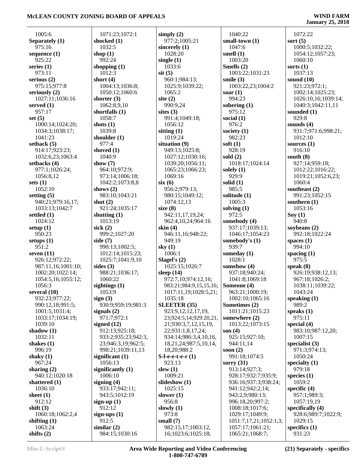## **January 25, 2018**

 1005:6 **Separately (1)** 975:16 **sequence (1)** 925:22 **series (1)** 973:11 **serious (2)** 975:15;977:8 **seriously (2)** 1027:11;1036:16 **served (1)** 957:17 **set (5)** 1000:14;1024:20; 1034:3;1038:17; 1041:23 **setback (5)** 914:17;923:23; 1032:6,23;1063:4 **setbacks (4)** 977:1;1026:24; 1056:8,12 **sets (1)** 1052:10 **setting (5)** 940:21;979:16,17; 1033:13;1042:7 **settled (1)** 1024:12 **setup (1)** 950:23 **setups (1)** 951:2 **seven (11)** 926:12;972:22; 987:11,16;1001:10; 1002:20;1022:14; 1054:5,16;1055:12; 1056:3 **several (10)** 932:23;977:22; 990:12,18;991:5; 1001:5;1031:4; 1033:17;1034:19; 1039:10 **shadow (1)** 1032:11 **shakes (1)** 996:19 **shaky (1)** 967:24 **sharing (2)** 940:12;1020:18 **shattered (1)** 1036:10 **sheet (1)** 912:12 **shift (3)** 1060:18;1062:2,4 **shifting (1)** 1063:24 **shifts (2)**

 1071:23;1072:1 **shocked (1)** 1032:5 **shop (1)** 992:24 **shopping (1)** 1012:3 **short (4)** 1004:13;1036:8; 1050:12;1060:6 **shorter (3)** 1062:8,9,10 **shortfalls (1)** 1058:7 **shots (1)** 1039:8 **shoulder (1)** 977:4 **shoved (1)** 1040:9 **show (7)** 964:10;972:9; 973:14;1006:18; 1042:2;1073:8,8 **shows (2)** 983:10;1043:21 **shut (2)** 921:24;1035:17 **shutting (1)** 1013:19 **sick (2)** 999:2;1027:20 **side (7)** 990:13;1002:5; 1012:14;1015:23; 1025:7;1041:9,10 **sides (3)** 988:21;1036:17; 1060:22 **sightings (1)** 1053:9 **sign (3)** 930:9;959:19;981:3 **signals (2)** 971:7;972:1 **signed (12)** 912:13;925:18; 933:2;935:23;942:3, 23;946:3,19;962:5; 998:21;1039:11,13 **significant (1)** 1056:13 **significantly (1)** 1006:10 **signing (4)** 933:17;942:11; 943:5;1012:19 **sign-up (1)** 912:12 **sign-ups (1)** 912:5 **similar (2)** 984:15;1030:16

**simply (2)** 977:2;1005:21 **sincerely (1)** 1028:20 **single (1)** 1033:6 **sit (5)** 960:1;984:13; 1025:9;1039:22; 1065:2 **site (2)** 990:9,24 **sites (3)** 991:4;1049:18; 1056:12 **sitting (1)** 1019:24 **situation (9)** 949:13;1025:8; 1027:12;1030:16; 1039:20;1056:11; 1065:23;1066:23; 1069:16 **six (6)** 956:2;979:13; 980:15;1049:12; 1074:12,13 **size (8)** 942:11,17,19,24; 962:4,10,24;964:16 **skin (4)** 946:11,16;948:22; 949:19 **sky (1)** 1006:1 **Slagel's (2)** 1025:15;1026:7 **sleep (14)** 972:7,10;974:12,16; 983:21;984:9,15,15,16; 1017:11,19;1028:5,21; 1035:18 **SLEETER (35)** 923:9,12,12,17,19, 23;924:5,14;929:20,21, 21;930:3,7,12,15,19, 22;931:1,8,17,24; 934:14;986:3,4,10,16, 18,21,24;987:5,10,14, 18,20;988:2 **S-l-e-e-t-e-r (1)** 923:13 **slew (1)** 1009:21 **slideshow (1)** 1025:15 **slower (1)** 956:8 **slowly (1)** 973:8 **small (7)** 982:15,17;1003:12, 16;1023:6;1025:18;

 1040:22 **small-town (1)** 1047:6 **smell (1)** 1003:20 **Smells (2)** 1003:22;1031:23 **smile (3)** 1003:22,23;1004:2 **soar (1)** 994:23 **sobering (1)** 975:12 **social (1)** 976:2 **society (1)** 982:23 **soft (1)** 928:19 **sold (2)** 1018:17;1024:14 **solely (1)** 929:9 **solid (1)** 985:5 **solitude (1)** 1005:3 **solving (1)** 972:5 **somebody (4)** 937:17;1039:13; 1046:17;1054:23 **somebody's (1)** 939:7 **someday (1)** 1028:1 **somehow (4)** 937:18;940:24; 1041:8;1069:18 **Someone (4)** 963:21;1000:19; 1002:10;1065:16 **Sometimes (2)** 1011:21;1015:23 **somewhere (2)** 1013:22;1073:15 **son (4)** 925:15;927:10; 944:11,14 **soon (2)** 991:18;1074:5 **sorry (31)** 913:14;927:3; 928:17;932:7;935:9; 936:16;937:3;938:24; 941:12;942:2,14; 943:2,9;980:13; 996:18,20;997:2; 1008:18;1017:6; 1029:17;1049:9; 1051:7,17,21;1052:1,3; 1057:17;1061:21; 1065:21;1068:7;

 1072:22 **sort (5)** 1000:5;1032:22; 1054:12;1057:23; 1060:10 **sorts (1)** 1037:13 **sound (10)** 921:23;972:1; 1002:14;1025:23; 1026:10,16;1039:14; 1040:3;1042:11,11 **sounded (1)** 929:8 **sounds (4)** 931:7;971:6;998:21; 1012:10 **sources (1)** 916:10 **south (8)** 927:14;959:18; 1012:22;1016:22; 1019:21;1052:6,23; 1060:4 **southeast (2)** 991:23;1052:15 **southern (1)** 1053:16 **Soy (1)** 940:8 **soybeans (2)** 992:18;1022:24 **spaces (1)** 994:10 **spacing (1)** 975:5 **speak (8)** 926:19;938:12,13; 967:18;1026:2; 1038:11;1039:22; 1043:24 **speaking (1)** 989:2 **speaks (1)** 975:11 **special (4)** 983:10;987:12,20; 1007:15 **specialist (3)** 971:3;974:13; 1050:24 **specialty (1)** 979:18 **species (1)** 1059:2 **specific (4)** 957:1;989:3; 1057:19,19 **specifically (4)** 928:6;989:7;1022:9; 1029:15 **specifics (1)**

931:23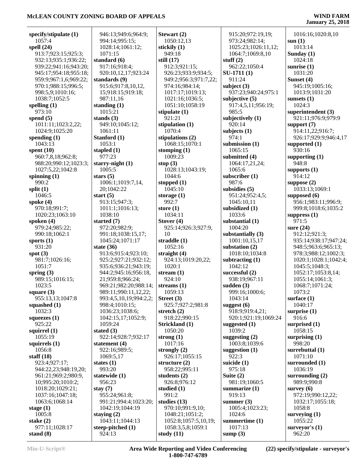# **January 25, 2018**

| specify/stipulate $(1)$ | 946:13;949:6;964:9;    | Stewart (2)           | 915:20;972:19,19;    | 1016:16;1020:8,10     |
|-------------------------|------------------------|-----------------------|----------------------|-----------------------|
| 1057:4                  | 994:14;995:15;         | 1050:12,13            | 973:24;982:14;       | sum(1)                |
| spell $(24)$            | 1028:14;1061:12;       | stickily (1)          | 1025:23;1026:11,12;  | 1013:14               |
| 913:7;923:15;925:3;     | 1071:15                | 949:18                | 1064:7;1069:8,10     | Sunday $(1)$          |
| 932:13;935:1;936:22;    | standard (6)           | still $(17)$          | stuff $(2)$          | 1024:18               |
| 939:22;941:16;943:20;   | 917:16;918:4;          | 912:3;921:15;         | 962:22;1050:4        | sunrise $(1)$         |
| 945:17;954:18;955:18;   | 920:10,12,17;923:24    | 926:23;933:9;934:5;   | $SU-1711(1)$         | 1031:20               |
| 959:9;967:1,6;969:22;   | standards $(9)$        | 949:2;956:3;971:7,22; | 911:24               | Sunset (4)            |
| 970:1;988:15;996:5;     | 915:6;917:8,10,12,     | 974:16;984:14;        | subject $(3)$        | 945:19;1005:16;       |
| 998:5,9;1010:16;        | 15;918:15;919:18;      | 1017:17;1019:13;      | 937:23;940:24;975:1  | 1013:9:1031:20        |
| 1038:7;1052:5           | 987:11,16              | 1021:16;1036:5;       | subjective $(5)$     | sunsets $(1)$         |
| spelling $(1)$          | standing $(1)$         | 1051:10;1058:19       | 917:4,5,11;956:19;   | 1024:3                |
| 973:10                  | 1015:21                | stipulate $(1)$       | 985:5                | superintendent (3)    |
| spend $(5)$             | stands $(3)$           | 921:21                | subjectively (1)     | 921:11;976:9;979:9    |
| 1011:11;1023:2,22;      | 949:10;1045:12;        | stipulation $(1)$     | 920:14               | support $(7)$         |
| 1024:9;1025:20          | 1061:11                | 1070:4                | subjects $(1)$       | 914:11,22;916:7;      |
|                         |                        |                       |                      |                       |
| spending $(1)$          | Stanford (1)           | stipulations (2)      | 974:1                | 926:17;929:9;946:4,17 |
| 1043:13                 | 1053:1                 | 1068:15;1070:1        | submission (1)       | supported $(1)$       |
| spent $(10)$            | stapled $(1)$          | stomping $(1)$        | 1065:15              | 930:16                |
| 960:7,8,18;962:8;       | 977:23                 | 1009:23               | submitted (4)        | supporting $(1)$      |
| 988:20;990:12;1023:3;   | starry-night $(1)$     | stop $(3)$            | 1064:17,21,24;       | 948:8                 |
| 1027:5,22;1042:8        | 1005:5                 | 1028:13;1043:19;      | 1065:6               | supports $(1)$        |
| spinning (1)            | stars $(5)$            | 1044:6                | subscriber $(1)$     | 914:12                |
| 990:2                   | 1006:1;1019:7,14,      | stopped $(1)$         | 987:6                | suppose $(2)$         |
| split $(1)$             | 20;1042:22             | 1045:10               | subsidies $(5)$      | 1033:13:1069:1        |
| 1046:5                  | start $(5)$            | storage $(1)$         | 951:24;952:4,5;      | supposed (6)          |
| spoke $(4)$             | 913:15;947:3;          | 992:7                 | 1045:10,11           | 956:1;983:11;996:9;   |
| 970:18;991:7;           | 1011:1;1016:13;        | store $(1)$           | subsidized (1)       | 999:8;1018:6;1035:2   |
| 1020:23;1063:10         | 1038:10                | 1034:11               | 1033:6               | suppress $(1)$        |
| spoken $(4)$            | started $(7)$          | Stover $(4)$          | substantial (1)      | 971:5                 |
| 979:24;985:22;          | 972:20;982:9;          | 925:14;926:3;927:9,   | 1004:20              | sure $(24)$           |
| 990:18;1062:1           | 991:18;1038:15,17;     | 10                    | substantially $(3)$  | 912:12;921:3;         |
| sports $(1)$            | 1045:24;1071:17        | straddle (1)          | 1001:10,15,17        | 935:14;938:17;947:24; |
| 931:20                  | state $(36)$           | 1052:16               | substation $(2)$     | 948:5;963:6;965:13;   |
| spot $(3)$              | 913:6;915:4;923:10;    | straight $(4)$        | 1018:10;1034:8       | 978:3;988:12;1002:3;  |
| 981:7;1026:16;          | 925:2;927:21;932:12;   | 924:13;1019:20,22;    | subtracting $(1)$    | 1020:1;1028:1;1042:4; |
| 1051:7                  | 935:6;936:21;943:19;   | 1020:1                | 1042:12              | 1045:5;1048:3;        |
| spring $(3)$            | 944:2;945:16;956:18,   | stream $(1)$          | successful (2)       | 1052:17;1053:8,14;    |
|                         |                        |                       |                      |                       |
| 989:15;1016:15;         | 21;959:8;966:24;       | 924:10                | 938:19;967:11        | 1055:14;1061:3;       |
| 1023:5                  | 969:21;982:20;988:14;  | streams $(1)$         | sudden $(3)$         | 1068:7;1071:24;       |
| square $(3)$            | 989:11;990:11,12,22;   | 1059:13               | 999:16;1000:6;       | 1073:2                |
| 955:13,13;1047:8        | 993:4,5,10,19;994:2,2; | Street $(3)$          | 1043:14              | surface $(1)$         |
| squashed $(1)$          | 998:4;1010:15;         | 925:7;927:2;981:8     | suggest $(6)$        | 1040:17               |
| 1032:3                  | 1036:23;1038:6;        | stretch $(2)$         | 918:9;919:4,21;      | surprise $(1)$        |
| squeezes $(1)$          | 1042:15,17;1052:9;     | 918:22;990:15         | 920:1;921:19;1069:24 | 916:6                 |
| 925:22                  | 1059:24                | Strickland (1)        | suggested $(1)$      | surprised $(1)$       |
| squirrel $(1)$          | stated $(3)$           | 1050:20               | 1039:2               | 1058:15               |
| 1055:19                 | 922:14;928:7;932:17    | strong $(1)$          | suggesting $(2)$     | surprising $(1)$      |
| squirrels $(1)$         | statement $(4)$        | 1017:16               | 1003:8;1039:6        | 998:20                |
| 1056:8                  | 922:16;989:5;          | strongly $(2)$        | suggestion $(1)$     | surrebuttal (1)       |
| staff $(18)$            | 1069:5,17              | 926:17;1055:15        | 922:3                | 1071:10               |
| 923:4;927:17;           | states $(1)$           | structure $(2)$       | suicide (1)          | surrounded (1)        |
| 944:22,23;948:19,20;    | 993:20                 | 958:22;995:11         | 975:18               | 1036:19               |
| 961:21;969:2;980:9,     | statewide (1)          | students $(2)$        | Suite $(2)$          | surrounding $(2)$     |
| 10;995:20;1010:2;       | 956:23                 | 926:8;976:12          | 981:19;1060:5        | 989:9;990:8           |
| 1018:20;1029:21;        | stay $(7)$             | studied $(1)$         | summarize $(1)$      | survey $(6)$          |
| 1037:16;1047:18;        | 955:24;961:8;          | 991:2                 | 919:13               | 972:19;990:12,22;     |
| 1063:6;1068:14          | 991:21;994:4;1023:20;  | studies $(13)$        | summer $(3)$         | 1032:17;1055:18;      |
| stage $(1)$             | 1042:19;1044:19        | 970:10;991:9,10;      | 1005:4;1023:23;      | 1058:8                |
| 1005:8                  | staying $(2)$          | 1048:21;1051:2;       | 1024:6               | surveying $(1)$       |
| stake $(2)$             | 1043:11;1044:13        | 1052:8;1057:5,10,19;  | summertime (1)       | 1055:22               |
| 977:11;1028:17          | steep-pitched (1)      | 1058:3,5,8;1059:1     | 1017:13              | surveyor's $(1)$      |
| stand $(8)$             | 924:13                 | study $(11)$          | sump $(3)$           | 962:20                |
|                         |                        |                       |                      |                       |

**Min-U-Script® Area Wide Reporting and Video Conferencing 1-800-747-6789**

**(22) specify/stipulate - surveyor's**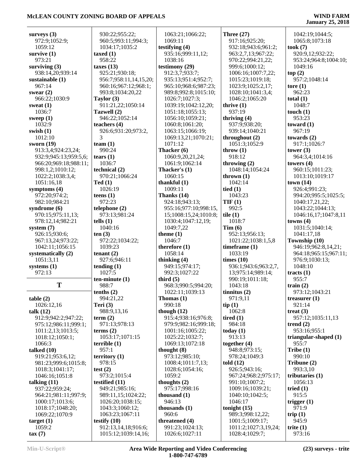| surveys $(3)$          |                                    |                                     |                                     |                               |
|------------------------|------------------------------------|-------------------------------------|-------------------------------------|-------------------------------|
|                        | 930:22;955:22;                     | 1063:21;1066:22;                    | Three $(27)$                        | 1042:19;1044:5;               |
| 972:9;1052:9;          | 960:5;993:11;994:3;                | 1069:11                             | 917:16;925:20;                      | 1065:8;1073:18                |
| 1059:12                | 1034:17;1035:2                     | testifying $(4)$                    | 932:18;943:6;961:2;                 | took (7)                      |
| survive $(1)$          | taxed $(1)$                        | 935:16;999:11,12;                   | 963:2,7,13;967:22;                  | 920:9,12;932:22;              |
| 973:21                 | 958:22                             | 1038:16                             | 970:22;994:21,22;                   | 953:24;964:8;1004:10;         |
| surviving $(3)$        | taxes $(13)$                       | testimony (29)                      | 999:6;1000:12;                      | 1049:16                       |
| 938:14,20;939:14       | 925:21;930:18;                     | 912:3,7;933:7;                      | 1006:16;1007:7,22;                  | top(2)                        |
| sustainable (1)        | 956:7;958:11,14,15,20;             | 935:13;951:4;952:7;                 | 1015:23;1019:18;                    | 957:2;1048:14                 |
| 967:14                 | 960:16;967:12;968:1;               | 965:10;968:6;987:23;                | 1023:9;1025:2,17;                   | tore $(1)$                    |
| swear $(2)$            | 993:8;1034:20,22                   | 989:8;992:8;1015:10;                | 1028:10;1041:3,4;                   | 962:23                        |
| 966:22;1030:9          | Taylor $(3)$                       | 1026:7;1027:3;                      | 1046:2;1065:20                      | total $(1)$                   |
| sweat $(1)$            | 911:21,22;1050:14                  | 1039:19;1042:12,20;                 | thrive $(1)$                        | 1048:7                        |
| 1036:7                 | Tazwell (2)                        | 1051:18;1055:13;                    | 937:19                              | touch $(1)$                   |
| sweep $(1)$            | 946:22;1052:14                     | 1056:10;1059:21;                    | thriving $(4)$                      | 953:23                        |
| 1032:9                 | teachers $(4)$                     | 1060:8;1061:20;<br>1063:15;1066:19; | 937:9;938:20;<br>939:14;1040:21     | toward $(1)$<br>967:19        |
| swish $(1)$<br>1012:10 | 926:6;931:20;973:2,<br>3           |                                     |                                     |                               |
| sworn $(19)$           | team $(1)$                         | 1069:13,21;1070:21;<br>1071:12      | throughout $(2)$<br>1051:3;1052:9   | towards $(2)$<br>917:1;1026:7 |
| 913:3,4;924:23,24;     | 990:24                             | Thacker (6)                         | throw $(1)$                         | tower $(3)$                   |
| 932:9;945:13;959:5,6;  | tears $(1)$                        | 1060:9,20,21,24;                    | 918:12                              | 964:3,4;1014:16               |
| 966:20;969:18;988:11;  | 1036:7                             | 1061:9;1062:14                      | throwing (2)                        | towers $(4)$                  |
| 998:1,2;1010:12;       | technical (2)                      | Thacker's (1)                       | 1048:14;1054:24                     | 960:15;1011:23;               |
| 1022:2;1038:3,4;       | 970:21;1066:24                     | 1060:15                             | thrown $(1)$                        | 1013:10;1019:17               |
| 1051:16,18             | Ted(1)                             | thankful $(1)$                      | 1042:14                             | town(14)                      |
| symptoms $(4)$         | 1026:19                            | 1009:11                             | tied $(1)$                          | 926:4;991:23;                 |
| 972:20;974:2;          | teens $(1)$                        | Thanks (14)                         | 1043:23                             | 994:20;995:5;1025:5;          |
| 982:10;984:21          | 972:23                             | 924:18;943:13;                      | TIF(1)                              | 1040:17,21,22;                |
| syndrome $(6)$         | telephone (2)                      | 955:16;977:10;998:15,               | 992:5                               | 1043:22;1044:13;              |
| 970:15;975:11,13;      | 973:13;981:24                      | 15;1008:15,24;1010:8;               | tile $(1)$                          | 1046:16,17;1047:8,11          |
| 978:12,14;982:21       | tells(1)                           | 1030:4;1047:12,19;                  | 1018:7                              | towns $(4)$                   |
| system $(7)$           | 1040:16                            | 1049:7,22                           | Tim(6)                              | 1031:5;1040:14;               |
| 926:15;930:6;          | ten(3)                             | theme $(1)$                         | 952:13;956:13;                      | 1041:17,18                    |
| 967:13,24;973:22;      | 972:22;1034:22;                    | 1046:7                              | 1021:22;1038:1,5,8                  | Township (10)                 |
| 1042:11;1056:15        | 1039:23                            | therefore $(1)$                     | timeframe $(1)$                     | 946:19;962:8,14,21;           |
| systematically (2)     | tenant $(2)$                       | 1058:14                             | 1033:19                             | 964:18;965:15;967:11;         |
| 1051:3,11              | 927:6;946:11                       | thinking (4)                        | times $(10)$                        | 976:9;1030:13;                |
| systems $(1)$          | tending $(1)$                      | 949:15;974:17;                      | 936:1;943:6;963:2,7,                | 1048:10                       |
| 972:13                 | 1027:5                             | 992:3;1027:22                       | 13;975:14;989:14;                   | tracts $(1)$                  |
|                        | $ten-minute(1)$                    | third $(5)$                         | 990:19;1011:18;                     | 955:7                         |
| T                      | 988:7                              | 968:3;990:5;994:20;                 | 1043:18                             |                               |
|                        |                                    |                                     |                                     | train $(2)$                   |
|                        | tenths(2)                          | 1022:11;1039:13                     | tinnitus(2)                         | 973:12;1043:21                |
| table(2)               | 994:21,22                          | Thomas $(1)$                        | 971:9,11                            | treasurer $(1)$               |
| 1026:12,16             | Teri $(3)$                         | 990:18                              | tip(1)                              | 921:14                        |
| talk $(12)$            | 988:9,13,16                        | though $(12)$                       | 1062:8                              | treat $(3)$                   |
| 912:9;942:2;947:22;    | term $(2)$                         | 915:4;938:16;976:8;                 | tired $(1)$                         | 957:12;1035:11,13             |
| 975:12;986:11;999:1;   | 971:13;978:13                      | 979:9;982:16;999:18;                | 984:18                              | trend $(2)$                   |
| 1011:2,13;1013:5;      | terms $(2)$                        | 1001:16;1005:22;                    | today $(1)$                         | 953:16:955:1                  |
| 1018:12;1050:1;        | 1053:17;1071:15                    | 1025:22;1032:7;                     | 913:13                              | triangular-shaped $(1)$       |
| 1066:3                 | terrible(1)                        | 1069:13;1072:18                     | together $(4)$                      | 955:7                         |
| talked $(10)$          | 957:1                              | thought $(8)$                       | 948:8;973:15;                       | Tribe(1)                      |
| 919:21;953:6,12;       | territory $(1)$                    | 973:12;985:10;                      | 978:24;1049:3                       | 990:10                        |
| 981:23;999:6;1015:8;   | 978:15                             | 1008:4;1011:7,13;                   | told $(12)$                         | Tribune (2)                   |
| 1018:3;1041:17;        | test $(2)$                         | 1028:6;1054:16;                     | 926:5;943:16;                       | 993:3,10                      |
| 1046:16;1051:8         | 973:2;1015:4                       | 1059:2                              | 967:24;968:2;975:17;                | tributaries $(1)$             |
| talking $(11)$         | testified $(11)$                   | thoughts $(2)$                      | 991:10;1007:2;                      | 1056:13                       |
| 937:22;959:24;         | 949:21;985:16;                     | 975:17;998:16                       | 1009:16;1039:21;                    | tried $(1)$                   |
| 964:21;981:11;997:9;   | 989:11,15;1024:22;                 | thousand $(1)$                      | 1040:10;1042:5;                     | 915:5                         |
| 1000:17;1013:6;        | 1026:20;1038:15;                   | 946:13                              | 1046:17                             | trigger $(1)$<br>971:9        |
| 1018:17;1048:20;       | 1043:3;1060:12;<br>1063:23;1067:11 | thousands $(1)$<br>960:6            | tonight $(15)$                      |                               |
| 1069:22;1070:9         | testify $(10)$                     | threatened (4)                      | 989:3;998:12,22;<br>1001:5;1009:17; | trip $(1)$<br>945:9           |
| target(1)<br>1059:2    | 912:13,14,18;916:6;                | 991:23;1024:13;                     | 1011:2;1027:3,19,24;                | trite $(1)$                   |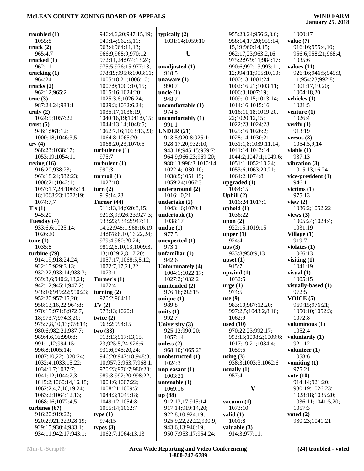| troubled $(1)$                               | 946:4,6,20;947:15,19;                  | typically $(2)$                       | 955:23,24;956:2,3,6;                   | 1000:17                      |
|----------------------------------------------|----------------------------------------|---------------------------------------|----------------------------------------|------------------------------|
| 1055:8                                       | 949:14;962:5,11;                       | 1031:14;1059:10                       | 958:14,17,20;959:14,                   | value $(7)$                  |
| truck $(2)$                                  | 963:4;964:11,13;                       |                                       | 15,19;960:14,15;                       | 916:16;955:4,10;             |
| 965:4,7                                      | 966:9;968:9;970:12;                    | U                                     | 962:17,23;963:2,16;                    | 956:6;958:21;968:4;          |
| trucked $(1)$                                | 972:11,24;974:13,24;                   |                                       | 975:2;979:11;984:17;                   | 1035:6                       |
| 962:11                                       | 975:5;976:15;977:13;                   | unadjusted $(1)$                      | 990:6;992:13;993:11,                   | values $(11)$                |
| trucking $(1)$                               | 978:19;995:6;1003:11;                  | 918:5                                 | 12;994:11;995:10,10;                   | 926:16;946:5;949:3,          |
| 964:24                                       | 1005:18,21;1006:10;                    | unaware $(1)$                         | 1000:13;1001:24;                       | 11;954:23;992:8;             |
| trucks $(2)$                                 | 1007:9;1009:10,15;                     | 990:7                                 | 1002:16,21;1003:11;                    | 1001:17,19,20;               |
| 962:12;965:2                                 | 1015:16;1024:20;                       | uncle $(1)$<br>948:7                  | 1006:3;1007:19;<br>1009:10,15;1013:14; | 1004:18,20<br>vehicles $(1)$ |
| true(3)<br>987:24,24;988:1                   | 1025:3,6;1026:24;<br>1029:3;1032:6,24; | uncomfortable (1)                     | 1014:16;1015:16;                       | 1021:5                       |
| truly $(2)$                                  | 1035:17;1036:19;                       | 974:5                                 | 1016:11,18;1019:20,                    | venture $(1)$                |
| 1024:5;1057:22                               | 1040:16,19;1041:9,15;                  | uncomfortably (1)                     | 22;1020:12,15;                         | 1026:4                       |
| trust $(5)$                                  | 1044:13,14;1048:5;                     | 991:1                                 | 1022:23;1024:23;                       | verify $(1)$                 |
| 946:1;961:12;                                | 1062:7,16;1063:13,23;                  | <b>UNDER (21)</b>                     | 1025:16;1026:2;                        | 913:19                       |
| 1000:18;1046:3,5                             | 1064:8;1065:20;                        | 913:5;920:8;925:1;                    | 1028:14;1030:21;                       | versus $(3)$                 |
| try(4)                                       | 1068:20,23;1070:5                      | 928:17,20;932:10;                     | 1031:1,8;1039:11,14;                   | 1054:5,9,14                  |
| 988:23;1038:17;                              | turbulence (1)                         | 943:18;945:15;959:7;                  | 1041:14;1043:14;                       | viable $(1)$                 |
| 1053:19;1054:11                              | 975:7                                  | 964:9;966:23;969:20;                  | 1044:2;1047:1;1049:6;                  | 937:13                       |
| trying $(16)$                                | turbulent(1)                           | 988:13;998:3;1010:14;                 | 1051:1;1052:10,24;                     | vibration $(3)$              |
| 916:20;938:23;                               | 990:3                                  | 1022:4;1030:10;                       | 1053:6;1063:20,21;                     | 1015:13,16,24                |
| 963:18,24;982:23;                            | turnoil(1)                             | 1038:5;1051:19;                       | 1064:2;1074:8                          | vice-president (1)           |
| 1006:21;1042:1;                              | 1027:18                                | 1059:24;1067:3                        | upgraded $(1)$                         | 946:1                        |
| 1057:1,7,24;1065:18,                         | turn(2)                                | underground $(2)$                     | 1064:15                                | victims $(1)$                |
| 18;1068:23;1072:19;                          | 919:14,23                              | 1016:10,21                            | Uphill $(2)$                           | 975:13                       |
| 1074:7,7                                     | Turner (44)                            | undertake (2)                         | 1016:24;1017:1                         | view $(2)$                   |
| T's(1)                                       | 911:13,14;920:8,15;                    | 1043:16;1070:1                        | uphold $(1)$                           | 1036:2;1052:22               |
| 945:20                                       | 921:3,9;926:23;927:3;                  | undertook $(1)$                       | 1036:22                                | views $(3)$                  |
| Tuesday (4)                                  | 933:23;934:2;947:11,                   | 1038:17                               | upon $(2)$                             | 1005:24;1024:4;              |
| 933:6,6;1025:14;                             | 14, 22; 948: 1; 968: 16, 19,           | undue $(1)$                           | 922:15;1019:15                         | 1031:19                      |
| 1026:20                                      | 24;978:6,10,16,22,24;                  | 977:5                                 | upper $(1)$                            | Village $(1)$                |
| tune(1)                                      | 979:4;980:20,24;                       | unexpected $(1)$                      | 924:4                                  | 919:7                        |
| 1035:8                                       | 981:2,6,10,13;1009:3,                  | 973:1                                 | ups(3)                                 | violates $(1)$               |
| turbine $(79)$                               | 13;1029:2,8,17,20;                     | unfamiliar $(1)$                      | 933:8;950:9,13                         | 1066:13                      |
| 914:19;918:24,24;                            | 1057:17;1068:5,8,12;                   | 942:6                                 | upset $(1)$                            | visiting $(1)$               |
| 922:15;929:3,13;                             | 1072:7,17,21,22;                       | Unfortunately (4)                     | 915:7                                  | 1041:19                      |
| 932:22;933:14;938:3;<br>939:3,6;940:2,13,21; | 1073:1<br>Turner's (1)                 | 1004:1;1022:17;<br>1027:2;1032:2      | upwind $(1)$<br>1032:5                 | visual(1)<br>1005:15         |
| 942:12;945:1;947:2;                          | 1072:4                                 | unintended (2)                        | $\text{urge} (1)$                      | visually-based (1)           |
| 948:10;949:22;950:23;                        | turning $(2)$                          | 976:16;992:15                         | 974:5                                  | 972:5                        |
| 952:20;957:15,20;                            | 920:2;964:11                           | unique $(1)$                          | use $(9)$                              | VOICE $(5)$                  |
| 958:13,16,22;964:8;                          | TV(2)                                  | 989:8                                 | 983:10;987:12,20;                      | 969:15;976:21;               |
| 970:15;971:8;972:7,                          | 973:13;1020:1                          | units $(1)$                           | 997:2,5;1043:2,8,10;                   | 1050:10;1052:3;              |
| 18;973:7;974:3,20;                           | twice $(2)$                            | 992:7                                 | 1062:9                                 | 1072:8                       |
| 975:7,8,10,13;978:14;                        | 963:2:994:15                           | University (3)                        | used $(10)$                            | voluminous (1)               |
| 980:6;982:21;987:7;                          | two(33)                                | 925:12;990:20;                        | 970:22,23;992:17;                      | 1052:4                       |
| 989:4,6,16;990:8;                            | 913:13;917:13,15,                      | 1057:14                               | 993:15;1008:2;1009:6;                  | voluntarily $(1)$            |
| 991:1,12;994:15;                             | 23;925:5,24;926:6;                     | unless $(2)$                          | 1017:19,21;1034:4;                     | 921:12                       |
| 996:8;1005:14;                               | 931:6;945:20,24;                       | 968:10;1065:23                        | 1059:5                                 | volunteer $(1)$              |
| 1007:10,22;1020:24;                          | 946:20;947:18;948:8,                   | unobstructed (1)                      | using $(3)$                            | 1058:6                       |
| 1032:4;1033:15,22;                           | 10;957:3;963:7;968:1;                  | 1024:3                                | 938:3;1003:3;1062:6                    | vomiting $(1)$               |
| 1034:1,7;1037:7;                             | 970:23;976:7;980:23;                   | unpleasant $(1)$                      | usually $(1)$                          | 975:21                       |
| 1041:12;1044:2,3;                            | 989:3;992:20;998:22;                   | 1003:21                               | 957:4                                  | vote $(10)$                  |
| 1045:2;1060:14,16,18;                        | 1004:6;1007:22;                        | untenable $(1)$                       |                                        | 914:14;921:20;               |
| 1062:2,4,7,10,19,24;                         | 1008:21;1009:5;                        | 1069:16                               | $\mathbf{V}$                           | 930:19;1026:23;              |
| 1063:2;1064:12,13;                           | 1044:3;1045:18;                        | up (88)                               |                                        | 1028:18;1035:20;             |
| 1068:16;1072:4,5                             | 1049:12;1054:8;                        | 912:13,17;915:14;                     | vacuum $(1)$                           | 1036:11;1041:5,20;           |
| turbines $(67)$<br>916:20;919:22;            | 1055:14;1062:7<br>type(1)              | 917:14;919:14,20;<br>922:8,10;924:19; | 1073:10                                | 1057:3<br>voted $(2)$        |
| 920:2;921:22;928:19;                         | 974:15                                 | 925:9,22,22,22;930:9;                 | valid $(1)$<br>1001:8                  | 930:23;1041:21               |
| 929:15;930:4;933:1;                          | types $(3)$                            | 943:6,13;946:19;                      | valuable $(3)$                         |                              |
| 934:11;942:17;943:1;                         | 1062:7;1064:13,13                      | 950:7;953:17;954:24;                  | 914:3;977:11;                          |                              |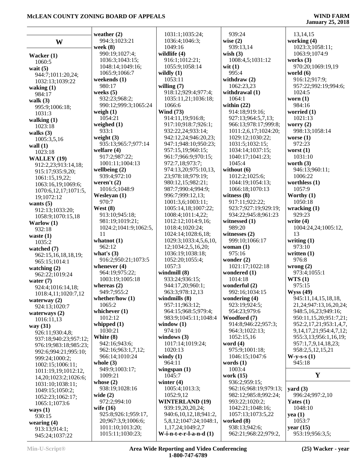|                                 | weather $(2)$                        | 103                     |
|---------------------------------|--------------------------------------|-------------------------|
| W                               | 994:3;1023:21                        | 103 <sub>0</sub><br>104 |
|                                 | week (8)<br>990:19;1027:4;           | wildlif                 |
| Wacker (1)                      | 1036:3;1043:15;                      | 916:                    |
| 1060:5                          | 1048:14:1049:16:                     | 105:                    |
| wait $(5)$                      | 1065:9;1066:7                        | wildly                  |
| 944:7;1011:20,24;               | weekends (1)                         | 105                     |
| 1032:13;1039:22<br>waking $(1)$ | 980:17                               | willing                 |
| 984:17                          | weeks $(5)$                          | 918:                    |
| walk $(3)$                      | 932:23;968:2;                        | 103:                    |
| 995:9;1006:18;                  | 990:12;999:3;1065:24                 | 106                     |
| 1031:3                          | weigh $(1)$                          | Wind                    |
| walking $(1)$                   | 1054:21                              | 914:                    |
| 1023:18                         | weighed $(1)$                        | 917:                    |
| walks $(3)$                     | 933:1                                | 932                     |
| 1005:3,5,16                     | weight $(3)$                         | 942:                    |
| wall $(1)$                      | 935:13;965:7;977:14                  | 947:                    |
| 1023:18                         | welfare (4)                          | 957:                    |
| WALLEY (19)                     | 917:2;987:22;                        | 961:                    |
| 912:2,23;913:14,18;             | 1001:11;1004:13                      | 972:                    |
| 915:17;935:9,20;                | wellbeing (2)                        | 974:                    |
| 1061:15,19,22;                  | 939:4;972:10                         | 23:5                    |
| 1063:16,19;1069:6;              | weren't $(2)$                        | 980:                    |
| 1070:6,12,17;1071:5,            | 1016:5;1048:9                        | 987                     |
| 19;1072:12                      | Wesleyan (1)                         | 996:                    |
| wants $(5)$                     | 970:7                                | 100                     |
| 912:13;1033:20;                 | West $(8)$                           | 100:                    |
| 1058:9;1070:15,18               | 913:10;945:18;                       | 100                     |
| Warlow $(1)$                    | 981:19;1019:21;                      | 1012                    |
| 932:18                          | 1024:2;1041:9;1062:5,                | 101:                    |
| waste $(1)$                     | 11                                   | $102\,$                 |
| 1035:2                          | whatnot $(1)$                        | 1029                    |
| watched (7)                     | 962:12                               | 12;1                    |
| 962:15,16,18,18,19;             | what's $(3)$<br>916:2;950:21;1073:5  | 103 <sub>0</sub>        |
| 965:15;1014:1                   | whenever $(4)$                       | 1052<br>105'            |
| watching $(2)$                  | 964:19;975:22;                       | windn                   |
| 962:22;1019:24                  | 1003:19;1005:18                      | 933                     |
| water $(7)$                     | whereas $(2)$                        | 944:                    |
| 924:4;1016:14,18;               | 949:7;955:2                          | 963:                    |
| 1018:4,11;1020:7,12             | whether/how $(1)$                    | windn                   |
| waterway $(2)$<br>924:13;1020:7 | 1065:2                               | 957:                    |
| waterways $(2)$                 | whichever $(1)$                      | 964                     |
| 1016:11,13                      | 1012:12                              | 983                     |
| way (31)                        | whipped $(1)$                        | windo                   |
| 926:11;930:4,8;                 | 1030:21                              | 974:                    |
| 937:18;940:23;957:12;           | White (8)                            | windo                   |
| 976:19;983:18;985:23;           | 942:16;943:6;                        | 101'                    |
| 992:6;994:21;995:10;            | 962:16;963:1,7,12;                   | 102                     |
| 999:24;1000:2;                  | 966:14;1010:24                       | windy                   |
| 1002:15;1006:11;                | whole $(3)$                          | 964                     |
| 1011:19,19;1012:12,             | 949:9;1003:17;                       | wings                   |
| 14,20;1023:2;1026:6;            | 1009:21                              | 104                     |
| 1031:10;1038:11;                | whose $(2)$                          | winter                  |
| 1049:15;1050:2;                 | 938:19;1028:16                       | 100:                    |
| 1052:23;1062:17;                | wide $(2)$                           | 1052                    |
| 1065:1;1073:6                   | 972:2;994:10                         | WINT                    |
| ways $(1)$                      | wife $(16)$                          | 939                     |
| 930:15                          | 925:8;926:1;959:17,                  | 940:                    |
| wearing $(4)$                   | 20;967:3,9;1006:6;                   | 5, 8, 1                 |
| 913:13;914:1;                   | 1011:10;1013:20;<br>1015:11;1030:23; | 1,17<br>W-i-n           |
| 945:24;1037:22                  |                                      |                         |

|     | 1031:1;1035:24;                         | 939:24                                |
|-----|-----------------------------------------|---------------------------------------|
|     | 1036:4;1046:3;                          | wise $(2)$                            |
|     | 1049:16                                 | 939:13,14                             |
|     | wildlife (4)                            | wish $(3)$                            |
|     | 916:1;1012:21;                          | 1008:4,5;1031:12                      |
|     | 1055:9;1058:14                          | wit $(1)$                             |
|     | wildly $(1)$                            | 995:4                                 |
|     | 1053:11                                 | withdraw $(2)$                        |
|     | willing $(7)$                           | 1062:23,23                            |
|     | 918:12;929:4;977:4;                     | withdrawal (1)                        |
|     | 1035:11,21;1036:18;                     | 1064:1                                |
| 24  | 1066:6                                  | within $(22)$                         |
|     | <b>Wind</b> (73)                        | 914:18;919:16;                        |
|     | 914:11,19;916:8;<br>917:10;918:7;926:1; | 927:13;964:5,7,13                     |
|     | 932:22,24;933:14;                       | 966:13;978:17;99<br>1011:2,6,17;1024: |
|     | 942:12,24;946:20,23;                    | 1029:12;1030:22;                      |
| 4   | 947:1;948:10;950:23;                    | 1031:5;1032:15;                       |
|     | 957:15,19;960:15;                       | 1034:14;1037:15;                      |
|     | 961:7;966:9;970:15;                     | 1040:17;1041:23;                      |
|     | 972:7,18;973:7;                         | 1045:4                                |
|     | 974:13,20;975:10,13,                    | without (6)                           |
|     | 23;978:18;979:19;                       | 1012:2;1025:6;                        |
|     | 980:12,15;982:21;                       | 1044:19;1054:13;                      |
|     | 987:7;990:4;994:9;                      | 1066:18;1070:13                       |
|     | 996:7;999:12,13;                        | witness $(8)$                         |
|     | 1001:3,6;1003:11;                       | 917:11;922:22;                        |
|     | 1005:14,18;1007:22;                     | 923:7;927:19;929                      |
|     | 1008:4;1011:4,22;                       | 934:22;945:8;961                      |
|     | 1012:12;1014:9,16;                      | witnessed (1)                         |
| :5, | 1018:4;1020:24;                         | 989:20                                |
|     | 1024:14;1028:6,18;                      | witnesses (2)                         |
|     | 1029:3;1033:4,5,6,10,                   | 999:10;1066:17                        |
|     | 12;1034:2,5,16,20;                      | woman $(1)$                           |
|     | 1036:19;1038:18;                        | 975:16                                |
| 5   | 1052:20;1055:4;                         | wonder $(2)$                          |
|     | 1057:3                                  | 1021:17;1022:18                       |
|     | windmill (8)                            | wondered (1)                          |
|     | 933:24;936:15;                          | 1014:18                               |
|     | 944:17,20;960:1;                        | wonderful (2)                         |
|     | 963:3;978:12,13                         | 992:16;1034:15                        |
|     | windmills (8)                           | wondering (4)<br>923:19;924:5;        |
|     | 957:11;963:12;<br>964:15;968:5;979:4;   | 954:23;979:6                          |
|     | 983:9;1045:11;1048:4                    | Woodford (7)                          |
|     | window $(1)$                            | 914:8;946:22;957                      |
|     | 974:10                                  | 964:3;1022:13;                        |
|     | windows (3)                             | 1052:15,16                            |
|     | 1017:14;1019:24;                        | word $(4)$                            |
|     | 1020:13                                 | 975:9;1001:18;                        |
|     | windy $(1)$                             | 1046:15;1047:6                        |
|     | 964:11                                  | words $(1)$                           |
|     | wingspan $(1)$                          | 1003:4                                |
|     | 1045:7                                  | work $(15)$                           |
|     | winter $(4)$                            | 936:2;959:15;                         |
|     | 1005:4;1013:3;                          | 962:16;968:19;979                     |
|     | 1052:9,12                               | 982:12;985:8;992                      |
|     | <b>WINTERLAND (19)</b>                  | 993:22;1020:2;                        |
|     | 939:19,20,20,24;                        | 1042:21;1048:16;                      |
|     | 940:6,10,12,18;941:2,                   | 1057:13;1073:5,2                      |
|     | 5,8,12;1047:24;1048:1,                  | worked (8)                            |
|     | 1,17,24;1049:2,7                        | 938:13;942:6;                         |
|     | W-i-n-t-e-r-l-a-n-d $(1)$               | 962:21;968:22;97                      |

 939:24 **wise (2)** 939:13,14 **wish (3)** 1008:4,5;1031:12 **wit (1)** 995:4 **withdraw (2)** 1062:23,23 **withdrawal (1)** 1064:1 **within (22)** 914:18;919:16; 927:13;964:5,7,13; 966:13;978:17;999:8; 1011:2,6,17;1024:20; 1029:12;1030:22; 1031:5;1032:15; 1034:14;1037:15; 1040:17;1041:23; 1045:4 **without (6)** 1012:2;1025:6; 1044:19;1054:13; 1066:18;1070:13 **witness (8)** 917:11;922:22; 923:7;927:19;929:19; 934:22;945:8;961:23 **witnessed (1)** 989:20 **witnesses (2)** 999:10;1066:17 **woman (1)** 975:16 **wonder (2)** 1021:17;1022:18 **wondered (1)** 1014:18 **wonderful (2)** 992:16;1034:15 **wondering (4)** 923:19;924:5; 954:23;979:6 914:8;946:22;957:3; 964:3;1022:13; 1052:15,16 **word (4)** 975:9;1001:18; 1046:15;1047:6 **words (1)** 1003:4 **work (15)** 936:2;959:15; 962:16;968:19;979:13; 982:12;985:8;992:24; 993:22;1020:2; 1042:21;1048:16; 1057:13;1073:5,22 **worked (8)** 938:13;942:6; 962:21;968:22;979:2,

#### 13,14,15 **working (4)** 1023:3;1058:11; 1063:9;1074:9 **works (3)** 970:20;1069:19,19 **world (6)** 916:12;917:9; 957:22;992:19;994:6; 1024:5 **worn (1)** 984:16 **worried (1)** 1021:13 **worry (2)** 998:13;1058:14 **worse (1)** 972:23 **worst (1)** 1031:10 **worth (3)** 946:13;960:11; 1006:22 **worthless (1)** 1057:9 **Worthy (1)** 1050:18 **wracking (1)** 929:23 **write (4)** 1004:24,24;1005:12, 13 **writing (1)** 973:10 **written (1)** 976:8 **wrong (2)** 973:4;1055:1 **WTS (1)** 975:15 **Wyss (49)** 945:11,14,15,18,18, 21,24;947:13,16,20,24; 948:5,16,23;949:16; 950:11,15,20;951:7,21; 952:2,17,21;953:1,4,7, 9,14,17,21;954:4,7,12; 955:3,13;956:1,16,19; 957:1,7,9,14,18,23; 958:2,5,12,15,21 **W-y-s-s (1)** 945:18 **Y yard (3)** 996:24;997:2,10 **Yates (1)** 1048:10 **yea (1)** 1053:7

**year (15)**

953:19;956:3,5;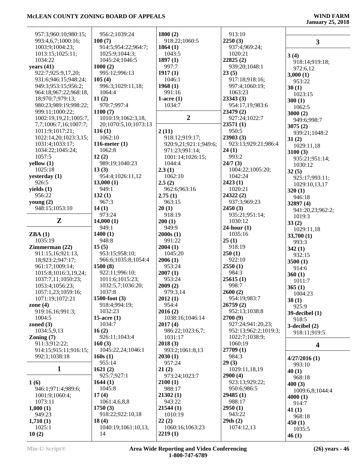| 957:3;960:10;980:15;  | 956:2;1039:24        | 1800(2)               | 913:10               |                     |
|-----------------------|----------------------|-----------------------|----------------------|---------------------|
| 993:4,6,7;1000:16;    | 100(7)               | 918:22;1060:5         | 2250(3)              | $\mathbf{3}$        |
| 1003:9;1004:23;       | 914:5;954:22;964:7;  | 1864(1)               | 937:4;969:24;        |                     |
| 1013:15;1025:11;      | 1025:9;1044:3;       | 1043:5                | 1020:21              |                     |
| 1034:22               | 1045:24;1046:5       | 1897(1)               | 22825(2)             | 3(4)                |
|                       |                      |                       |                      | 918:14;919:18;      |
| years $(41)$          | 1000(2)              | 997:7                 | 939:20;1048:1        | 972:6,12            |
| 922:7;925:9,17,20;    | 995:12;996:13        | 1917(1)               | 23(5)                | 3,000(1)            |
| 931:6;946:15;948:24;  | 105(4)               | 1046:1                | 917:18;918:16;       | 953:22              |
| 949:3;953:15;956:2;   | 996:3;1029:11,18;    | 1968(1)               | 997:4;1060:19;       | 30(1)               |
| 964:18;967:22;968:18, | 1064:4               | 991:16                | 1063:23              | 1023:15             |
| 18;970:7;979:13;      | 11(2)                | 1-acre $(1)$          | 23343(3)             |                     |
| 980:23;989:19;998:22; | 970:7;997:4          | 1034:7                | 954:17,19;983:6      | 300(1)              |
|                       |                      |                       |                      | 1062:5              |
| 999:11;1000:22;       | 1100(7)              |                       | 23479 (2)            | 3000(2)             |
| 1002:19,19,21;1005:7, | 1010:19;1062:3,18,   | $\boldsymbol{2}$      | 927:24;1022:7        | 949:6;998:7         |
| 7,7;1006:7,16;1007:7; | 20;1070:5,10;1073:13 |                       | 23571(1)             | 3075(2)             |
| 1011:9;1017:21;       | 116(1)               | 2(11)                 | 950:5                | 939:21;1048:2       |
| 1022:14,20;1023:3,15; | 1062:10              | 918:12;919:17;        | 23903 (3)            |                     |
| 1031:4;1033:17;       | 116-meter $(1)$      | 920:9,21;921:1;949:6; | 923:13;929:21;986:4  | 31(2)               |
|                       |                      |                       |                      | 1029:11,18          |
| 1034:22;1045:24;      | 1062:8               | 971:23;991:14;        | 24(1)                | 3100(3)             |
| 1057:5                | 12(2)                | 1001:14;1026:15;      | 993:2                | 935:21;951:14;      |
| yellow(1)             | 989:19;1040:23       | 1044:4                | 24/7(3)              | 1030:12             |
| 1025:18               | 13(3)                | 2.3(1)                | 1004:22;1005:20;     | 32(5)               |
| yesterday (1)         | 954:4;1026:11,12     | 1062:10               | 1042:24              |                     |
| 926:5                 | 13,000(1)            | 2.5(2)                | 2423(1)              | 925:17;993:11;      |
|                       |                      |                       |                      | 1029:10,13,17       |
| yields $(1)$          | 949:1                | 962:6;963:16          | 1020:21              | 320(1)              |
| 956:22                | 132(1)               | 2.75(1)               | 24322(2)             | 946:18              |
| young $(2)$           | 967:3                | 963:15                | 937:3;969:23         | 32897 (4)           |
| 948:15;1053:10        | 14(1)                | 20(1)                 | 2450(3)              | 941:20,23;962:2;    |
|                       | 973:24               | 918:19                | 935:21;951:14;       |                     |
| Z                     | 14,000(1)            | 200(1)                | 1030:12              | 1019:3              |
|                       |                      |                       |                      | 33(2)               |
|                       | 949:1                | 949:9                 | $24$ -hour $(1)$     | 1029:11,18          |
| ZBA(1)                | 1400(1)              | 2000s(1)              | 1035:16              | 33,700(1)           |
| 1035:19               | 948:8                | 991:22                | 25(1)                | 993:3               |
|                       |                      |                       |                      |                     |
| Zimmerman(22)         | 15(5)                | 2004(1)               | 918:19               |                     |
|                       |                      |                       |                      | 342(1)              |
| 911:15,16;921:13,     | 953:15;958:10;       | 1045:20               | 250(1)               | 932:15              |
| 18;923:2;947:17;      | 966:6;1035:8;1054:4  | 2006(1)               | 922:10               | 3500(1)             |
| 961:17;1009:14;       | 1500(8)              | 953:24                | 2550(1)              | 914:6               |
| 1015:8;1016:3,19,24;  | 922:11;996:10;       | 2007(1)               | 984:3                | 360(1)              |
| 1037:7,11;1050:23;    | 1011:6;1015:23;      | 953:24                | 25615(1)             | 1011:7              |
| 1053:4;1056:23;       | 1032:5,7;1036:20;    | 2009(2)               | 998:7                |                     |
|                       | 1037:8               |                       |                      | 365(1)              |
| 1057:1,23;1059:16;    |                      | 979:3,14              | 2600(2)              | 1004:23             |
| 1071:19;1072:21       | $1500$ -foot $(3)$   | 2012(1)               | 954:19;983:7         | 38(1)               |
| zone $(4)$            | 918:4;994:19;        | 954:4                 | 26759(2)             | 925:9               |
| 919:16,16;991:3;      | 1032:23              | 2016(2)               | 952:13;1038:8        | $39$ -decibel $(1)$ |
| 1004:5                | 15-acre $(1)$        | 1038:16;1046:14       | 2700(9)              | 918:5               |
| zoned $(3)$           | 1034:7               | 2017(4)               | 927:24;941:20,23;    | $3$ -decibel $(2)$  |
| 1034:5,9,13           | 16(2)                | 986:22;1023:6,7;      | 952:13;962:2;1019:3; |                     |
| Zoning $(7)$          | 926:11;1043:4        | 1031:17               | 1022:7;1038:9;       | 918:11;919:5        |
|                       |                      |                       |                      |                     |
| 911:3;912:22;         | 160(3)               | 2018(3)               | 1060:19              | 4                   |
| 914:15;915:11;916:15; | 1045:22,24;1046:1    | 993:2;1061:8,13       | 27709 (1)            |                     |
| 992:1;1038:18         | 160s(1)              | 2030(1)               | 984:3                | 4/27/2016(1)        |
|                       | 955:14               | 957:24                | 29(3)                | 993:10              |
| $\mathbf{1}$          | 1621(2)              | 21(2)                 | 1029:11,18,19        | 40(1)               |
|                       | 925:7;927:1          | 973:24;1023:7         | 2900(4)              | 968:18              |
| 1(6)                  | 1644(1)              | 2100(1)               | 923:13;929:22;       |                     |
|                       | 1045:8               |                       | 950:6;986:5          | 400(3)              |
| 946:1;971:4;989:6;    |                      | 988:17                |                      | 1009:6,8;1044:4     |
| 1001:9;1060:4;        | 17(4)                | 21302(1)              | 29485(1)             | 4000(1)             |
| 1073:11               | 1061:4,6,8,8         | 943:22                | 988:17               | 914:7               |
| 1,000(1)              | 1750(3)              | 21544(1)              | 2950(1)              | 41 $(1)$            |
| 949:23                | 918:22;922:10,18     | 1010:19               | 943:22               | 968:18              |
| 1,710(1)              | 18(4)                | 22(2)                 | 29th(2)              |                     |
| 1025:1                | 1040:19;1061:10,13,  | 1060:16;1063:23       | 1074:12,13           | 450(1)              |
| 10(2)                 | 14                   | 2219(1)               |                      | 1035:5<br>46(1)     |